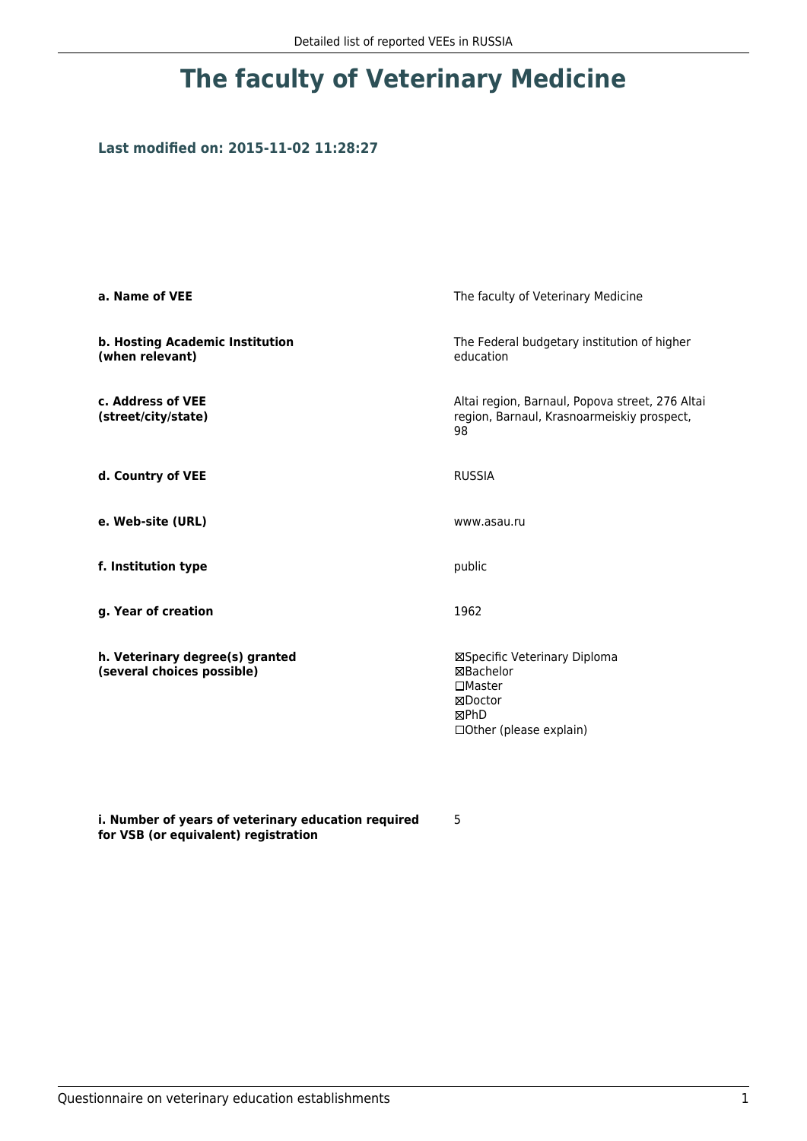## **Last modified on: 2015-11-02 11:28:27**

| a. Name of VEE                                                | The faculty of Veterinary Medicine                                                                           |  |
|---------------------------------------------------------------|--------------------------------------------------------------------------------------------------------------|--|
| b. Hosting Academic Institution<br>(when relevant)            | The Federal budgetary institution of higher<br>education                                                     |  |
| c. Address of VEE<br>(street/city/state)                      | Altai region, Barnaul, Popova street, 276 Altai<br>region, Barnaul, Krasnoarmeiskiy prospect,<br>98          |  |
| d. Country of VEE                                             | <b>RUSSIA</b>                                                                                                |  |
| e. Web-site (URL)                                             | www.asau.ru                                                                                                  |  |
| f. Institution type                                           | public                                                                                                       |  |
| g. Year of creation                                           | 1962                                                                                                         |  |
| h. Veterinary degree(s) granted<br>(several choices possible) | ⊠Specific Veterinary Diploma<br>⊠Bachelor<br>$\square$ Master<br>⊠Doctor<br>⊠PhD<br>□ Other (please explain) |  |

**i. Number of years of veterinary education required for VSB (or equivalent) registration**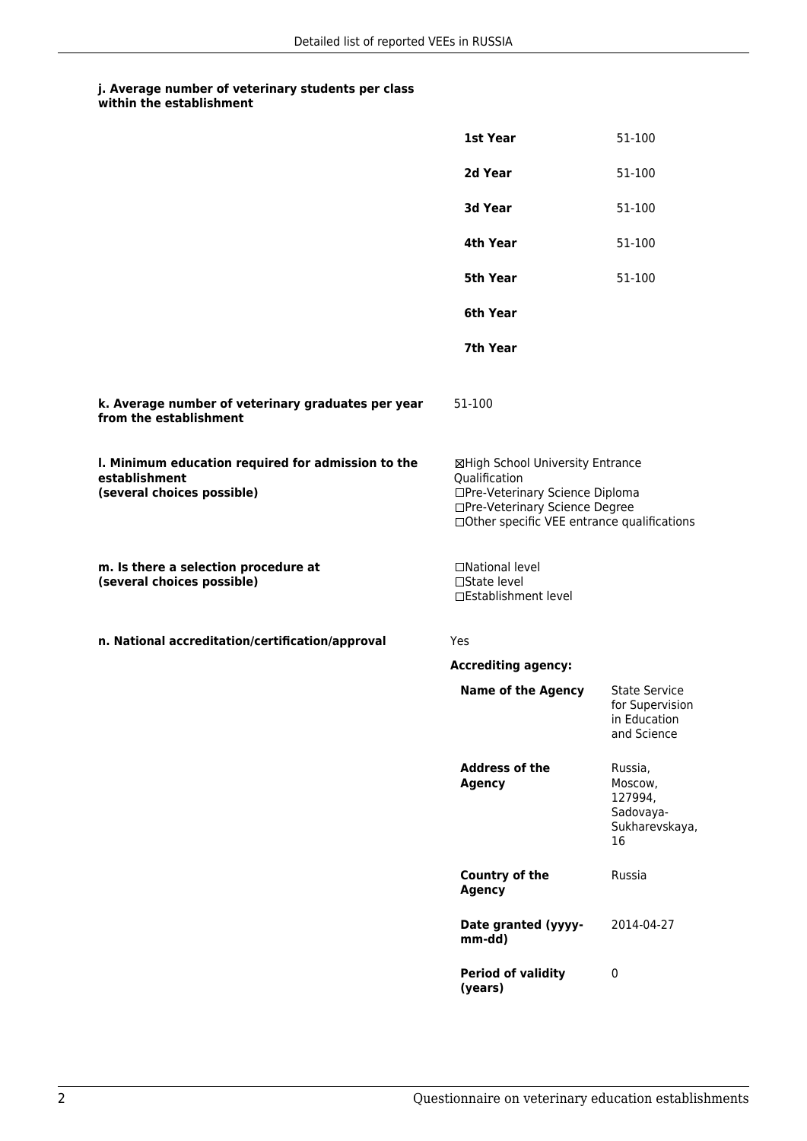|                                                                                                   | 1st Year                                                                                                                                                              | 51-100                                                                 |
|---------------------------------------------------------------------------------------------------|-----------------------------------------------------------------------------------------------------------------------------------------------------------------------|------------------------------------------------------------------------|
|                                                                                                   | 2d Year                                                                                                                                                               | 51-100                                                                 |
|                                                                                                   | 3d Year                                                                                                                                                               | 51-100                                                                 |
|                                                                                                   | 4th Year                                                                                                                                                              | 51-100                                                                 |
|                                                                                                   | <b>5th Year</b>                                                                                                                                                       | 51-100                                                                 |
|                                                                                                   | 6th Year                                                                                                                                                              |                                                                        |
|                                                                                                   | 7th Year                                                                                                                                                              |                                                                        |
| k. Average number of veterinary graduates per year<br>from the establishment                      | 51-100                                                                                                                                                                |                                                                        |
| I. Minimum education required for admission to the<br>establishment<br>(several choices possible) | ⊠High School University Entrance<br>Qualification<br>□Pre-Veterinary Science Diploma<br>□Pre-Veterinary Science Degree<br>□Other specific VEE entrance qualifications |                                                                        |
| m. Is there a selection procedure at<br>(several choices possible)                                | □National level<br>□State level<br>□Establishment level                                                                                                               |                                                                        |
| n. National accreditation/certification/approval                                                  | Yes                                                                                                                                                                   |                                                                        |
|                                                                                                   | <b>Accrediting agency:</b>                                                                                                                                            |                                                                        |
|                                                                                                   | <b>Name of the Agency</b>                                                                                                                                             | <b>State Service</b><br>for Supervision<br>in Education<br>and Science |
|                                                                                                   | <b>Address of the</b><br><b>Agency</b>                                                                                                                                | Russia,<br>Moscow,<br>127994,<br>Sadovaya-<br>Sukharevskaya,<br>16     |
|                                                                                                   | <b>Country of the</b><br><b>Agency</b>                                                                                                                                | Russia                                                                 |
|                                                                                                   | Date granted (yyyy-<br>mm-dd)                                                                                                                                         | 2014-04-27                                                             |
|                                                                                                   | <b>Period of validity</b><br>(years)                                                                                                                                  | $\pmb{0}$                                                              |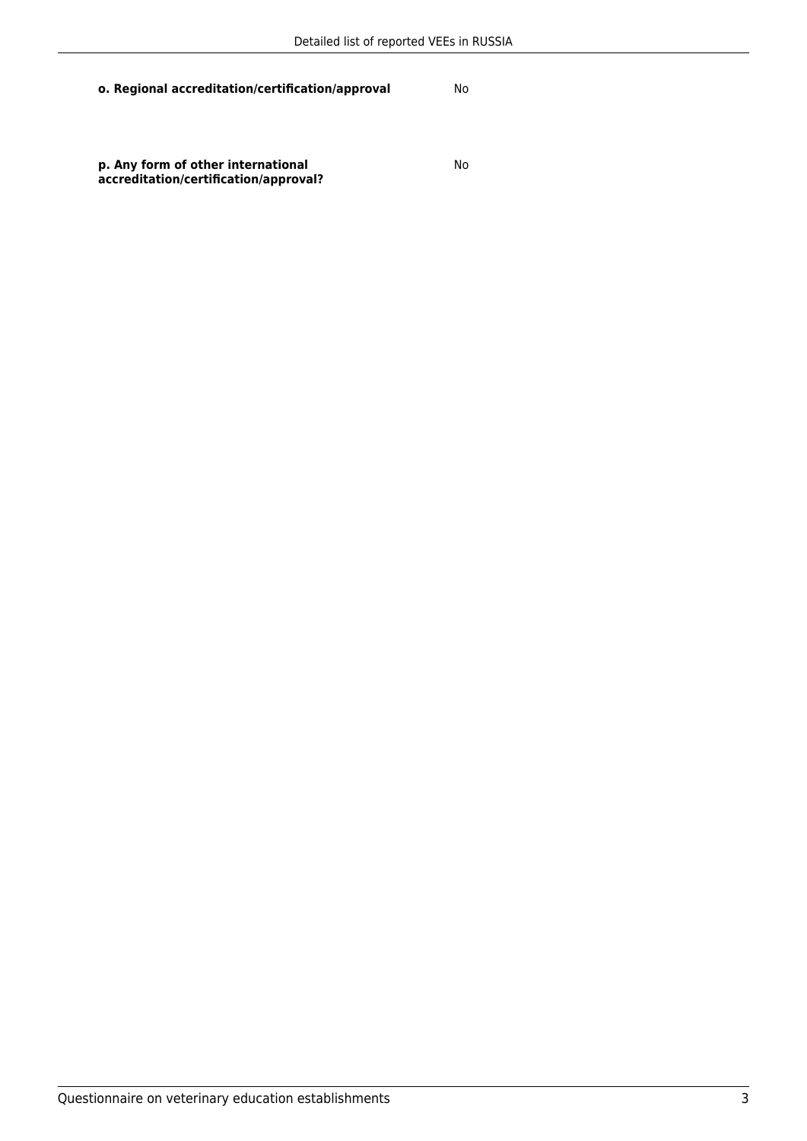**p. Any form of other international accreditation/certification/approval?**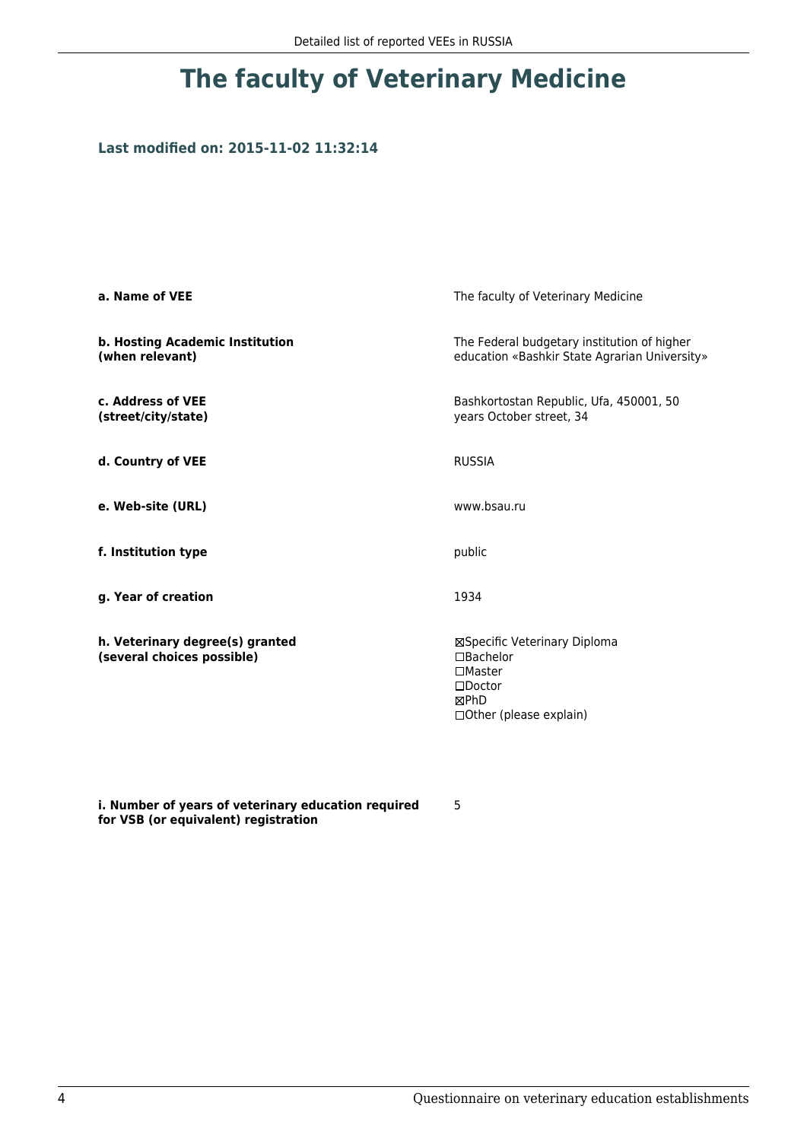## **Last modified on: 2015-11-02 11:32:14**

| a. Name of VEE                                                | The faculty of Veterinary Medicine                                                                                 |  |
|---------------------------------------------------------------|--------------------------------------------------------------------------------------------------------------------|--|
| b. Hosting Academic Institution<br>(when relevant)            | The Federal budgetary institution of higher<br>education «Bashkir State Agrarian University»                       |  |
| c. Address of VEE<br>(street/city/state)                      | Bashkortostan Republic, Ufa, 450001, 50<br>years October street, 34                                                |  |
| d. Country of VEE                                             | <b>RUSSIA</b>                                                                                                      |  |
| e. Web-site (URL)                                             | www.bsau.ru                                                                                                        |  |
| f. Institution type                                           | public                                                                                                             |  |
| g. Year of creation                                           | 1934                                                                                                               |  |
| h. Veterinary degree(s) granted<br>(several choices possible) | ⊠Specific Veterinary Diploma<br>□Bachelor<br>$\Box$ Master<br>$\square$ Doctor<br>⊠PhD<br>□ Other (please explain) |  |

**i. Number of years of veterinary education required for VSB (or equivalent) registration**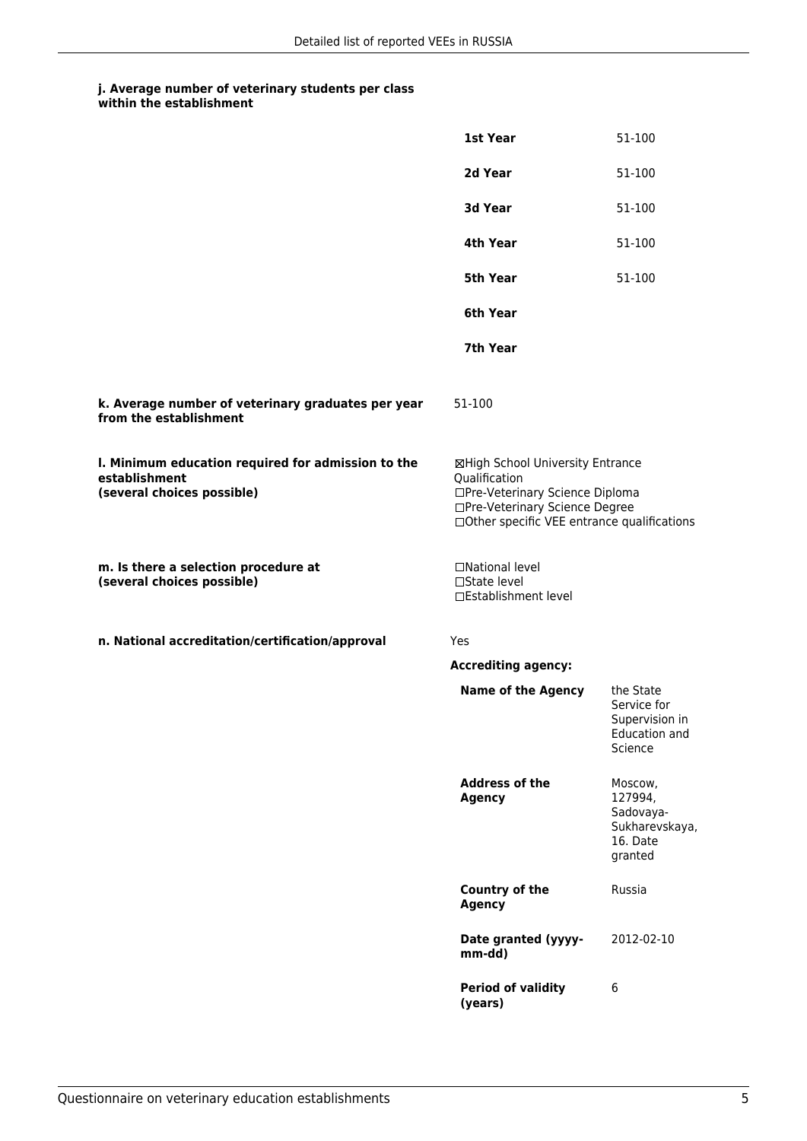|                                                                                                   | 1st Year                                                                                                                                                              | 51-100                                                                   |
|---------------------------------------------------------------------------------------------------|-----------------------------------------------------------------------------------------------------------------------------------------------------------------------|--------------------------------------------------------------------------|
|                                                                                                   | 2d Year                                                                                                                                                               | 51-100                                                                   |
|                                                                                                   | 3d Year                                                                                                                                                               | 51-100                                                                   |
|                                                                                                   | 4th Year                                                                                                                                                              | 51-100                                                                   |
|                                                                                                   | 5th Year                                                                                                                                                              | 51-100                                                                   |
|                                                                                                   | 6th Year                                                                                                                                                              |                                                                          |
|                                                                                                   | 7th Year                                                                                                                                                              |                                                                          |
| k. Average number of veterinary graduates per year<br>from the establishment                      | 51-100                                                                                                                                                                |                                                                          |
| I. Minimum education required for admission to the<br>establishment<br>(several choices possible) | ⊠High School University Entrance<br>Qualification<br>□Pre-Veterinary Science Diploma<br>□Pre-Veterinary Science Degree<br>□Other specific VEE entrance qualifications |                                                                          |
| m. Is there a selection procedure at<br>(several choices possible)                                | □National level<br>□State level<br>□Establishment level                                                                                                               |                                                                          |
| n. National accreditation/certification/approval                                                  | <b>Yes</b>                                                                                                                                                            |                                                                          |
|                                                                                                   | <b>Accrediting agency:</b>                                                                                                                                            |                                                                          |
|                                                                                                   | <b>Name of the Agency</b>                                                                                                                                             | the State<br>Service for<br>Supervision in<br>Education and<br>Science   |
|                                                                                                   | <b>Address of the</b><br><b>Agency</b>                                                                                                                                | Moscow,<br>127994,<br>Sadovaya-<br>Sukharevskaya,<br>16. Date<br>granted |
|                                                                                                   | <b>Country of the</b><br><b>Agency</b>                                                                                                                                | Russia                                                                   |
|                                                                                                   | Date granted (yyyy-<br>mm-dd)                                                                                                                                         | 2012-02-10                                                               |
|                                                                                                   | <b>Period of validity</b><br>(years)                                                                                                                                  | 6                                                                        |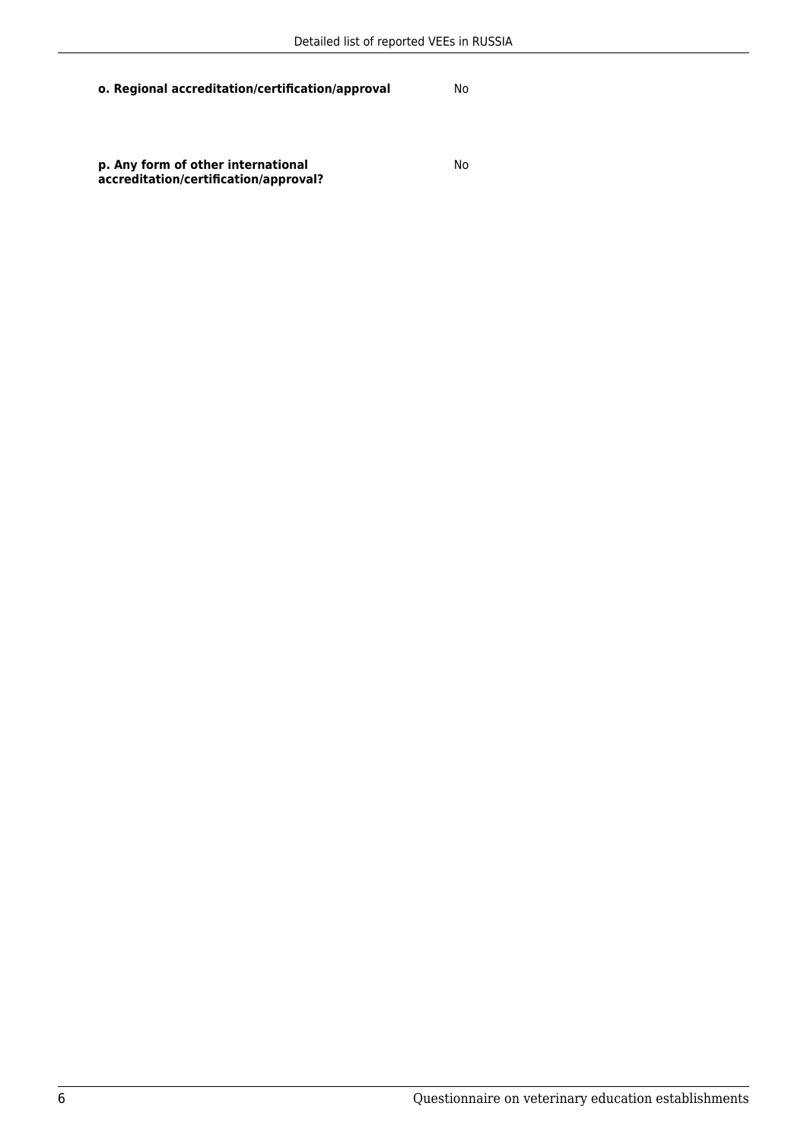**p. Any form of other international accreditation/certification/approval?**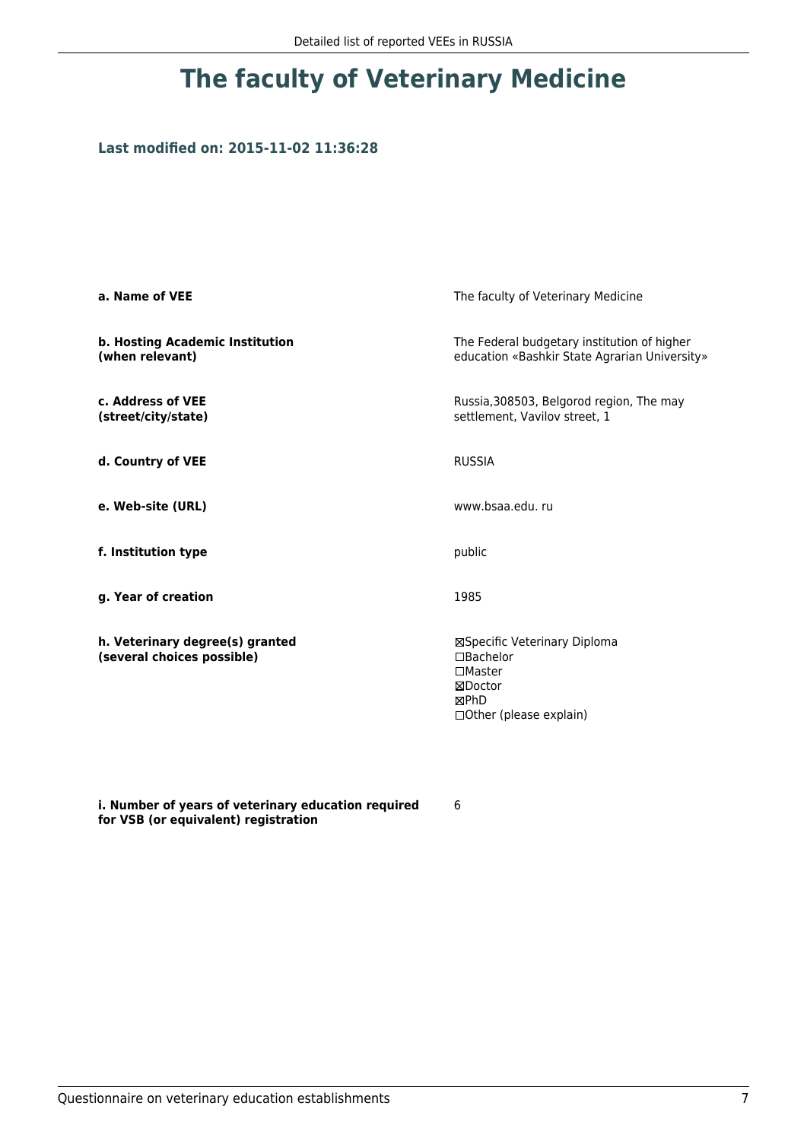## **Last modified on: 2015-11-02 11:36:28**

| a. Name of VEE                                                | The faculty of Veterinary Medicine                                                                                      |  |
|---------------------------------------------------------------|-------------------------------------------------------------------------------------------------------------------------|--|
| b. Hosting Academic Institution<br>(when relevant)            | The Federal budgetary institution of higher<br>education «Bashkir State Agrarian University»                            |  |
| c. Address of VEE<br>(street/city/state)                      | Russia, 308503, Belgorod region, The may<br>settlement, Vavilov street, 1                                               |  |
| d. Country of VEE                                             | <b>RUSSIA</b>                                                                                                           |  |
| e. Web-site (URL)                                             | www.bsaa.edu.ru                                                                                                         |  |
| f. Institution type                                           | public                                                                                                                  |  |
| g. Year of creation                                           | 1985                                                                                                                    |  |
| h. Veterinary degree(s) granted<br>(several choices possible) | ⊠Specific Veterinary Diploma<br>$\Box$ Bachelor<br>$\square$ Master<br>⊠Doctor<br>⊠PhD<br>$\Box$ Other (please explain) |  |

**i. Number of years of veterinary education required for VSB (or equivalent) registration**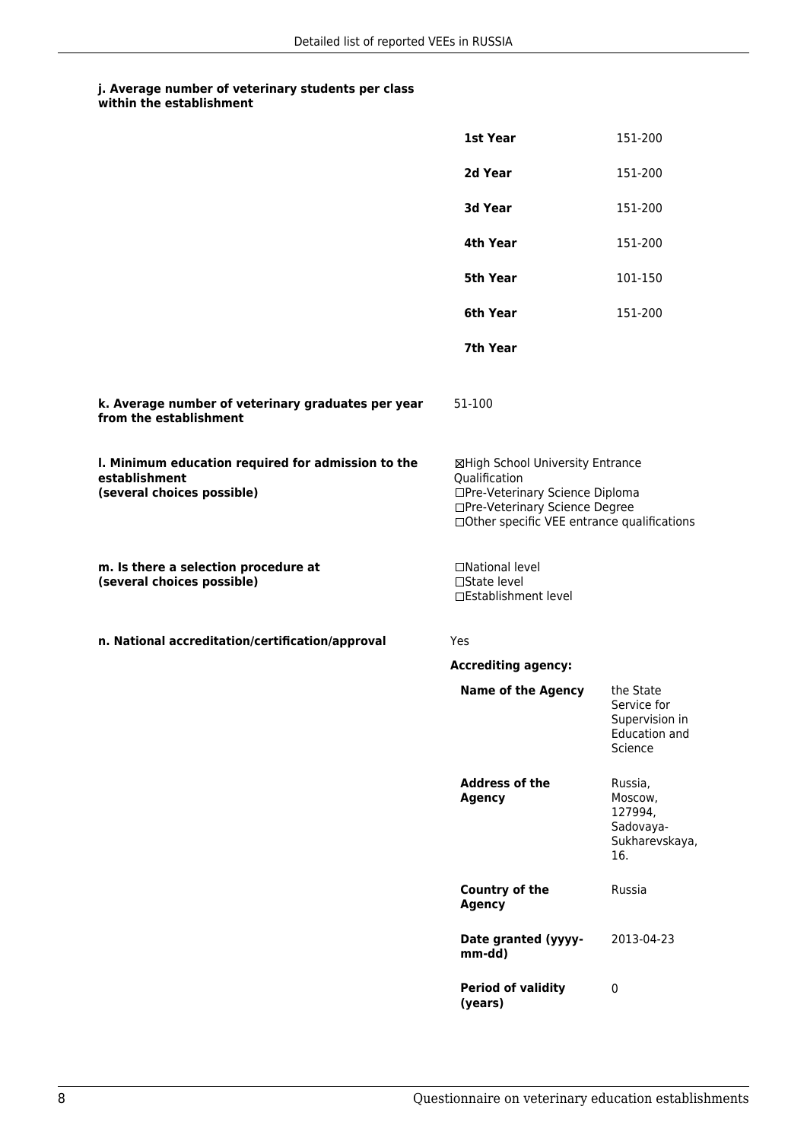|                                                                                                   | 1st Year                                                                                                                                                              | 151-200                                                                |
|---------------------------------------------------------------------------------------------------|-----------------------------------------------------------------------------------------------------------------------------------------------------------------------|------------------------------------------------------------------------|
|                                                                                                   | 2d Year                                                                                                                                                               | 151-200                                                                |
|                                                                                                   | 3d Year                                                                                                                                                               | 151-200                                                                |
|                                                                                                   | 4th Year                                                                                                                                                              | 151-200                                                                |
|                                                                                                   | 5th Year                                                                                                                                                              | 101-150                                                                |
|                                                                                                   | 6th Year                                                                                                                                                              | 151-200                                                                |
|                                                                                                   | 7th Year                                                                                                                                                              |                                                                        |
| k. Average number of veterinary graduates per year<br>from the establishment                      | 51-100                                                                                                                                                                |                                                                        |
| I. Minimum education required for admission to the<br>establishment<br>(several choices possible) | ⊠High School University Entrance<br>Qualification<br>□Pre-Veterinary Science Diploma<br>□Pre-Veterinary Science Degree<br>□Other specific VEE entrance qualifications |                                                                        |
| m. Is there a selection procedure at<br>(several choices possible)                                | □National level<br>□State level<br>□Establishment level                                                                                                               |                                                                        |
| n. National accreditation/certification/approval                                                  | Yes                                                                                                                                                                   |                                                                        |
|                                                                                                   | <b>Accrediting agency:</b>                                                                                                                                            |                                                                        |
|                                                                                                   | <b>Name of the Agency</b>                                                                                                                                             | the State<br>Service for<br>Supervision in<br>Education and<br>Science |
|                                                                                                   | <b>Address of the</b><br><b>Agency</b>                                                                                                                                | Russia,<br>Moscow,<br>127994,<br>Sadovaya-<br>Sukharevskaya,<br>16.    |
|                                                                                                   | <b>Country of the</b><br><b>Agency</b>                                                                                                                                | Russia                                                                 |
|                                                                                                   | Date granted (yyyy-<br>mm-dd)                                                                                                                                         | 2013-04-23                                                             |
|                                                                                                   | <b>Period of validity</b><br>(years)                                                                                                                                  | $\pmb{0}$                                                              |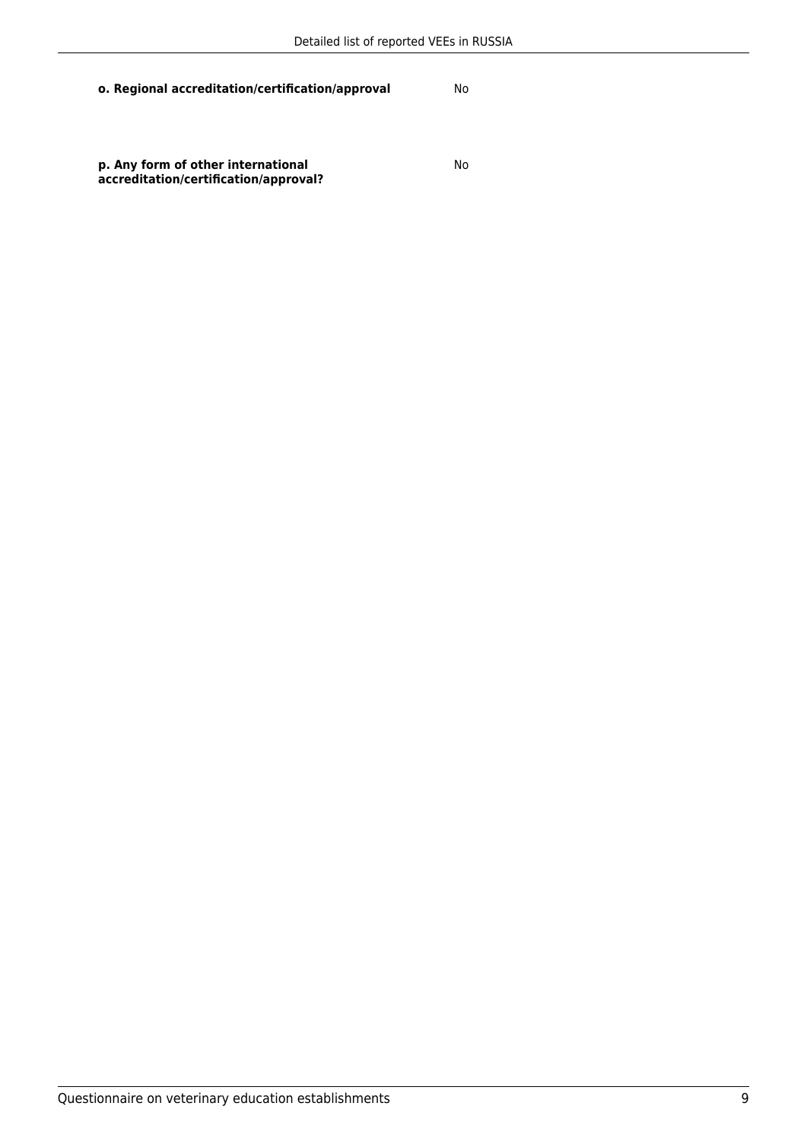**p. Any form of other international accreditation/certification/approval?**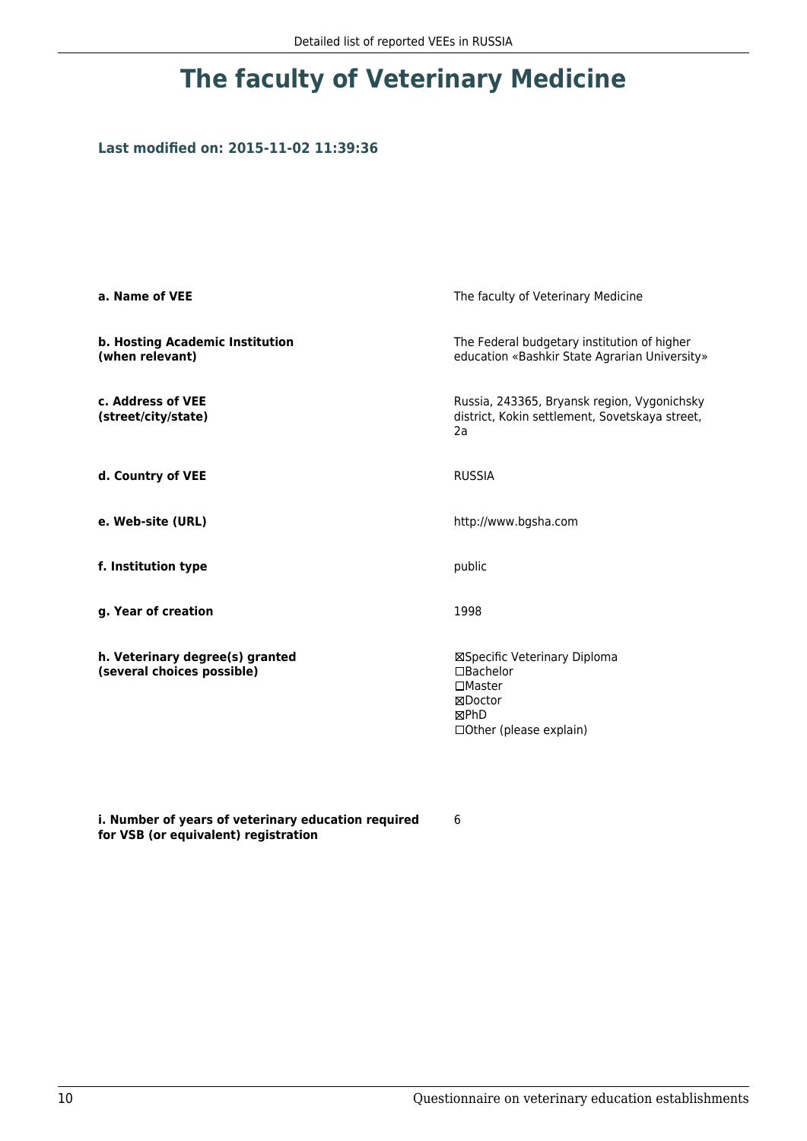## **Last modified on: 2015-11-02 11:39:36**

| a. Name of VEE                                                | The faculty of Veterinary Medicine                                                                              |  |
|---------------------------------------------------------------|-----------------------------------------------------------------------------------------------------------------|--|
| b. Hosting Academic Institution<br>(when relevant)            | The Federal budgetary institution of higher<br>education «Bashkir State Agrarian University»                    |  |
| c. Address of VEE<br>(street/city/state)                      | Russia, 243365, Bryansk region, Vygonichsky<br>district, Kokin settlement, Sovetskaya street,<br>2a             |  |
| d. Country of VEE                                             | <b>RUSSIA</b>                                                                                                   |  |
| e. Web-site (URL)                                             | http://www.bgsha.com                                                                                            |  |
| f. Institution type                                           | public                                                                                                          |  |
| g. Year of creation                                           | 1998                                                                                                            |  |
| h. Veterinary degree(s) granted<br>(several choices possible) | ⊠Specific Veterinary Diploma<br>$\Box$ Bachelor<br>$\Box$ Master<br>⊠Doctor<br>⊠PhD<br>□ Other (please explain) |  |

**i. Number of years of veterinary education required for VSB (or equivalent) registration**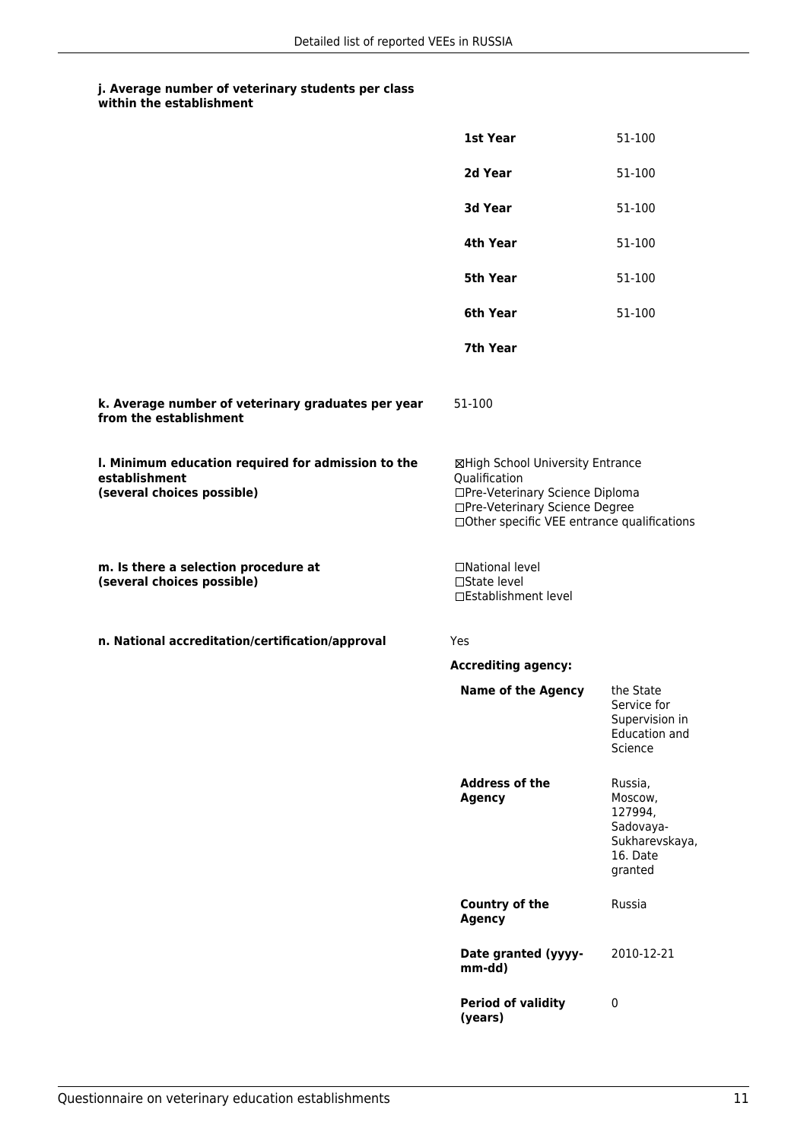|                                                                                                   | 1st Year                                                                                                                                                              | 51-100                                                                              |
|---------------------------------------------------------------------------------------------------|-----------------------------------------------------------------------------------------------------------------------------------------------------------------------|-------------------------------------------------------------------------------------|
|                                                                                                   | 2d Year                                                                                                                                                               | 51-100                                                                              |
|                                                                                                   | 3d Year                                                                                                                                                               | 51-100                                                                              |
|                                                                                                   | 4th Year                                                                                                                                                              | 51-100                                                                              |
|                                                                                                   | 5th Year                                                                                                                                                              | 51-100                                                                              |
|                                                                                                   | 6th Year                                                                                                                                                              | 51-100                                                                              |
|                                                                                                   | 7th Year                                                                                                                                                              |                                                                                     |
| k. Average number of veterinary graduates per year<br>from the establishment                      | 51-100                                                                                                                                                                |                                                                                     |
| I. Minimum education required for admission to the<br>establishment<br>(several choices possible) | ⊠High School University Entrance<br>Qualification<br>□Pre-Veterinary Science Diploma<br>□Pre-Veterinary Science Degree<br>□Other specific VEE entrance qualifications |                                                                                     |
| m. Is there a selection procedure at<br>(several choices possible)                                | □National level<br>□State level<br>□Establishment level                                                                                                               |                                                                                     |
| n. National accreditation/certification/approval                                                  | Yes                                                                                                                                                                   |                                                                                     |
|                                                                                                   | <b>Accrediting agency:</b>                                                                                                                                            |                                                                                     |
|                                                                                                   | <b>Name of the Agency</b>                                                                                                                                             | the State<br>Service for<br>Supervision in<br><b>Education and</b><br>Science       |
|                                                                                                   | <b>Address of the</b><br><b>Agency</b>                                                                                                                                | Russia,<br>Moscow,<br>127994,<br>Sadovaya-<br>Sukharevskaya,<br>16. Date<br>granted |
|                                                                                                   | <b>Country of the</b><br><b>Agency</b>                                                                                                                                | Russia                                                                              |
|                                                                                                   | Date granted (yyyy-<br>mm-dd)                                                                                                                                         | 2010-12-21                                                                          |
|                                                                                                   | <b>Period of validity</b><br>(years)                                                                                                                                  | $\pmb{0}$                                                                           |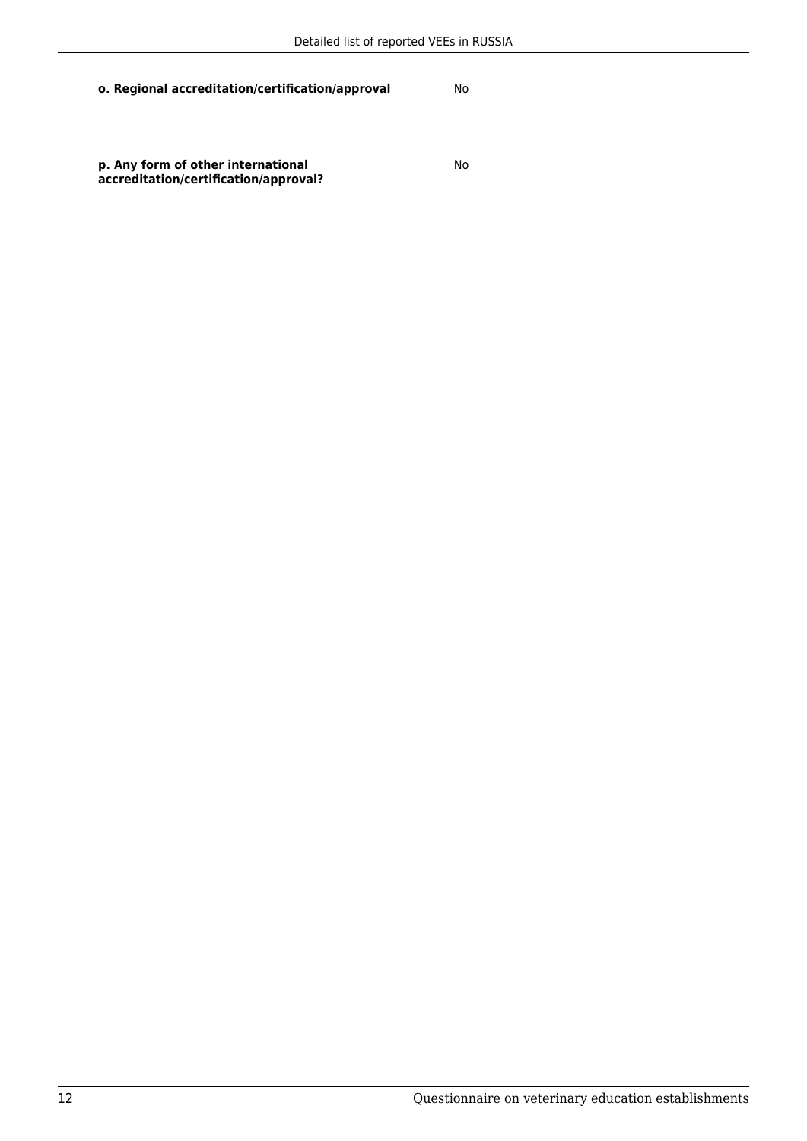No

**p. Any form of other international accreditation/certification/approval?**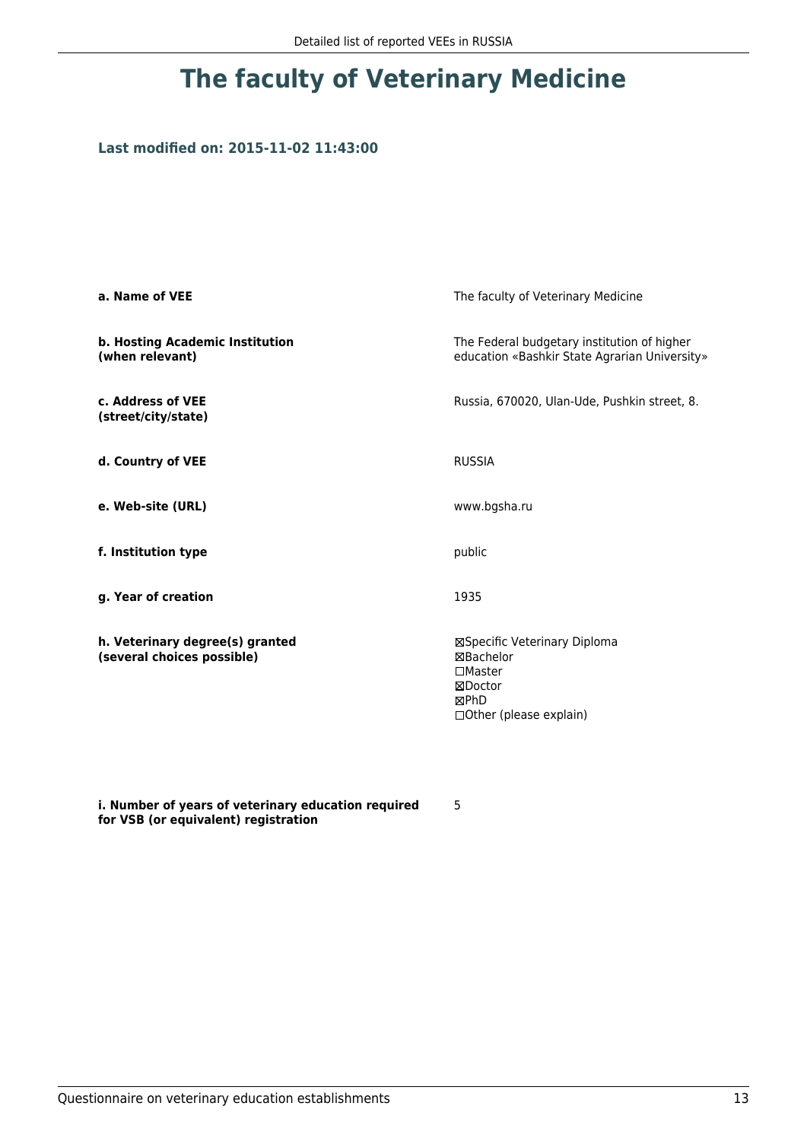## **Last modified on: 2015-11-02 11:43:00**

| a. Name of VEE                                                | The faculty of Veterinary Medicine                                                                           |  |
|---------------------------------------------------------------|--------------------------------------------------------------------------------------------------------------|--|
| b. Hosting Academic Institution<br>(when relevant)            | The Federal budgetary institution of higher<br>education «Bashkir State Agrarian University»                 |  |
| c. Address of VEE<br>(street/city/state)                      | Russia, 670020, Ulan-Ude, Pushkin street, 8.                                                                 |  |
| d. Country of VEE                                             | <b>RUSSIA</b>                                                                                                |  |
| e. Web-site (URL)                                             | www.bgsha.ru                                                                                                 |  |
| f. Institution type                                           | public                                                                                                       |  |
| g. Year of creation                                           | 1935                                                                                                         |  |
| h. Veterinary degree(s) granted<br>(several choices possible) | ⊠Specific Veterinary Diploma<br>⊠Bachelor<br>$\square$ Master<br>⊠Doctor<br>⊠PhD<br>□ Other (please explain) |  |

**i. Number of years of veterinary education required for VSB (or equivalent) registration**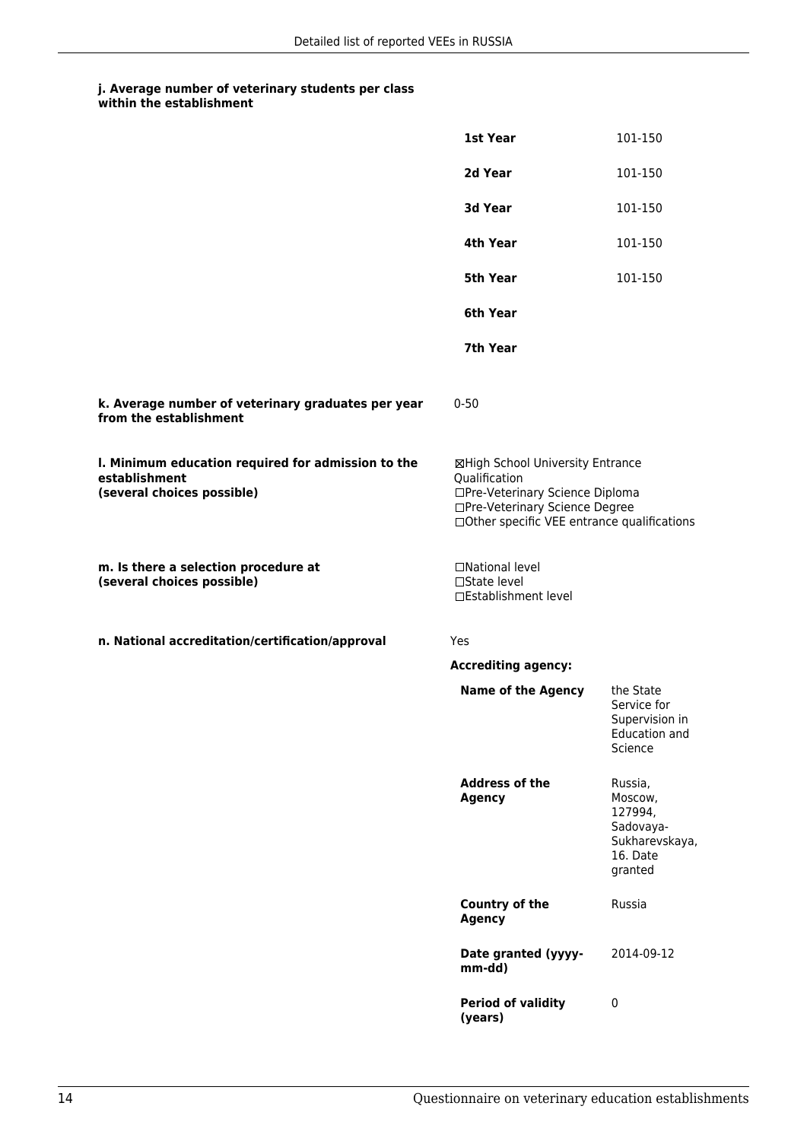|                                                                                                   | 1st Year                                                                                                                                                              | 101-150                                                                             |
|---------------------------------------------------------------------------------------------------|-----------------------------------------------------------------------------------------------------------------------------------------------------------------------|-------------------------------------------------------------------------------------|
|                                                                                                   | 2d Year                                                                                                                                                               | 101-150                                                                             |
|                                                                                                   | 3d Year                                                                                                                                                               | 101-150                                                                             |
|                                                                                                   | 4th Year                                                                                                                                                              | 101-150                                                                             |
|                                                                                                   | <b>5th Year</b>                                                                                                                                                       | 101-150                                                                             |
|                                                                                                   | 6th Year                                                                                                                                                              |                                                                                     |
|                                                                                                   | 7th Year                                                                                                                                                              |                                                                                     |
| k. Average number of veterinary graduates per year<br>from the establishment                      | $0 - 50$                                                                                                                                                              |                                                                                     |
| I. Minimum education required for admission to the<br>establishment<br>(several choices possible) | ⊠High School University Entrance<br>Qualification<br>□Pre-Veterinary Science Diploma<br>□Pre-Veterinary Science Degree<br>□Other specific VEE entrance qualifications |                                                                                     |
| m. Is there a selection procedure at<br>(several choices possible)                                | □National level<br>□State level<br>□Establishment level                                                                                                               |                                                                                     |
| n. National accreditation/certification/approval                                                  | Yes                                                                                                                                                                   |                                                                                     |
|                                                                                                   | <b>Accrediting agency:</b>                                                                                                                                            |                                                                                     |
|                                                                                                   | <b>Name of the Agency</b>                                                                                                                                             | the State<br>Service for<br>Supervision in<br><b>Education and</b><br>Science       |
|                                                                                                   | <b>Address of the</b><br><b>Agency</b>                                                                                                                                | Russia,<br>Moscow,<br>127994,<br>Sadovaya-<br>Sukharevskaya,<br>16. Date<br>granted |
|                                                                                                   | <b>Country of the</b><br><b>Agency</b>                                                                                                                                | Russia                                                                              |
|                                                                                                   | Date granted (yyyy-<br>mm-dd)                                                                                                                                         | 2014-09-12                                                                          |
|                                                                                                   | <b>Period of validity</b><br>(years)                                                                                                                                  | $\pmb{0}$                                                                           |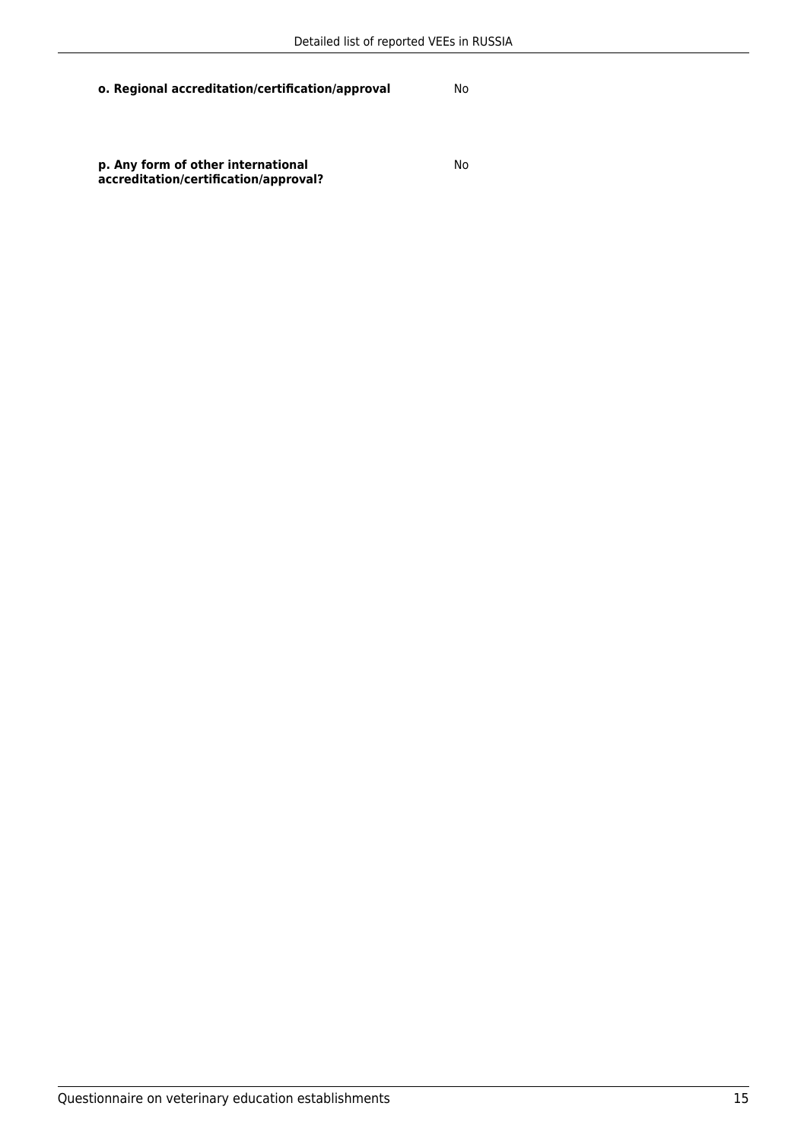**p. Any form of other international accreditation/certification/approval?**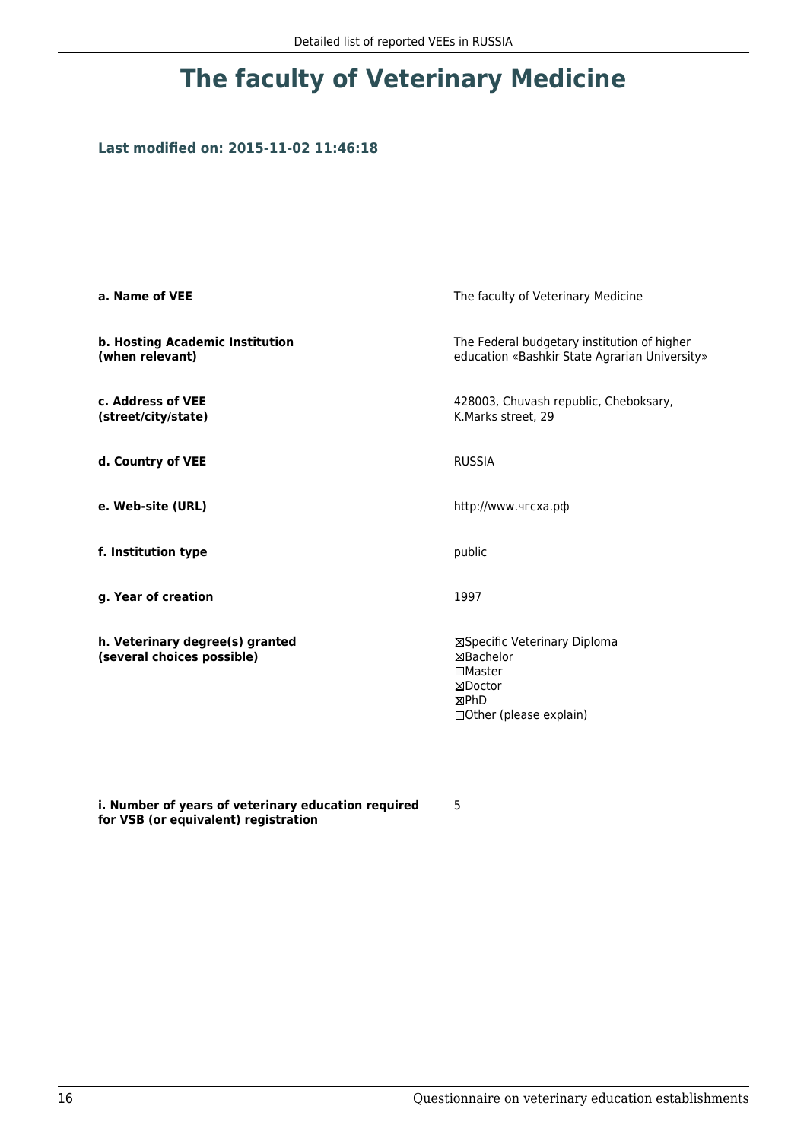## **Last modified on: 2015-11-02 11:46:18**

| a. Name of VEE                                                | The faculty of Veterinary Medicine                                                                           |  |
|---------------------------------------------------------------|--------------------------------------------------------------------------------------------------------------|--|
| b. Hosting Academic Institution<br>(when relevant)            | The Federal budgetary institution of higher<br>education «Bashkir State Agrarian University»                 |  |
| c. Address of VEE<br>(street/city/state)                      | 428003, Chuvash republic, Cheboksary,<br>K.Marks street, 29                                                  |  |
| d. Country of VEE                                             | <b>RUSSIA</b>                                                                                                |  |
| e. Web-site (URL)                                             | http://www.чгсха.рф                                                                                          |  |
| f. Institution type                                           | public                                                                                                       |  |
| g. Year of creation                                           | 1997                                                                                                         |  |
| h. Veterinary degree(s) granted<br>(several choices possible) | ⊠Specific Veterinary Diploma<br>⊠Bachelor<br>$\square$ Master<br>⊠Doctor<br>⊠PhD<br>□ Other (please explain) |  |

**i. Number of years of veterinary education required for VSB (or equivalent) registration**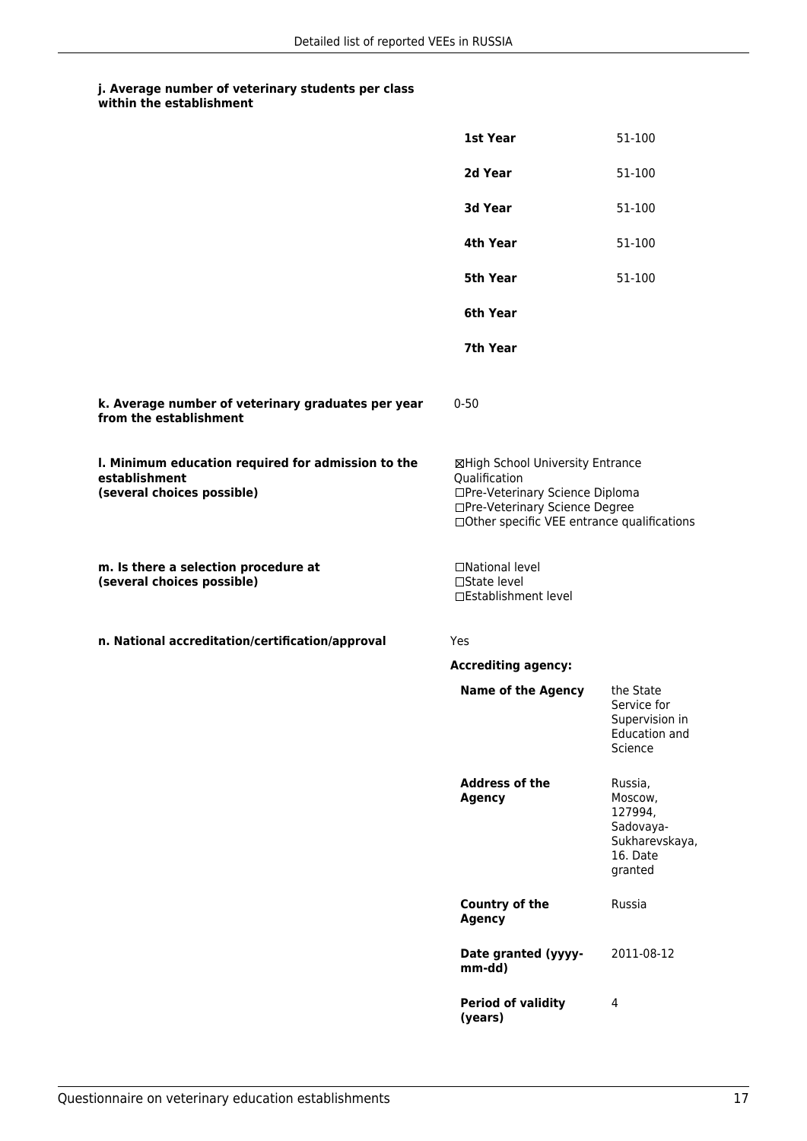|                                                                                                   | <b>1st Year</b>                                                                                                                                                        | 51-100                                                                              |
|---------------------------------------------------------------------------------------------------|------------------------------------------------------------------------------------------------------------------------------------------------------------------------|-------------------------------------------------------------------------------------|
|                                                                                                   | 2d Year                                                                                                                                                                | 51-100                                                                              |
|                                                                                                   | 3d Year                                                                                                                                                                | 51-100                                                                              |
|                                                                                                   | 4th Year                                                                                                                                                               | 51-100                                                                              |
|                                                                                                   | 5th Year                                                                                                                                                               | 51-100                                                                              |
|                                                                                                   | 6th Year                                                                                                                                                               |                                                                                     |
|                                                                                                   | 7th Year                                                                                                                                                               |                                                                                     |
| k. Average number of veterinary graduates per year<br>from the establishment                      | $0 - 50$                                                                                                                                                               |                                                                                     |
| I. Minimum education required for admission to the<br>establishment<br>(several choices possible) | ⊠High School University Entrance<br>Qualification<br>□Pre-Veterinary Science Diploma<br>□Pre-Veterinary Science Degree<br>□ Other specific VEE entrance qualifications |                                                                                     |
| m. Is there a selection procedure at<br>(several choices possible)                                | □National level<br>□State level<br>□Establishment level                                                                                                                |                                                                                     |
| n. National accreditation/certification/approval                                                  | Yes                                                                                                                                                                    |                                                                                     |
|                                                                                                   | <b>Accrediting agency:</b>                                                                                                                                             |                                                                                     |
|                                                                                                   | <b>Name of the Agency</b>                                                                                                                                              | the State<br>Service for<br>Supervision in<br>Education and<br>Science              |
|                                                                                                   | <b>Address of the</b><br><b>Agency</b>                                                                                                                                 | Russia,<br>Moscow,<br>127994,<br>Sadovaya-<br>Sukharevskaya,<br>16. Date<br>granted |
|                                                                                                   | <b>Country of the</b><br><b>Agency</b>                                                                                                                                 | Russia                                                                              |
|                                                                                                   | Date granted (yyyy-<br>mm-dd)                                                                                                                                          | 2011-08-12                                                                          |
|                                                                                                   | <b>Period of validity</b><br>(years)                                                                                                                                   | 4                                                                                   |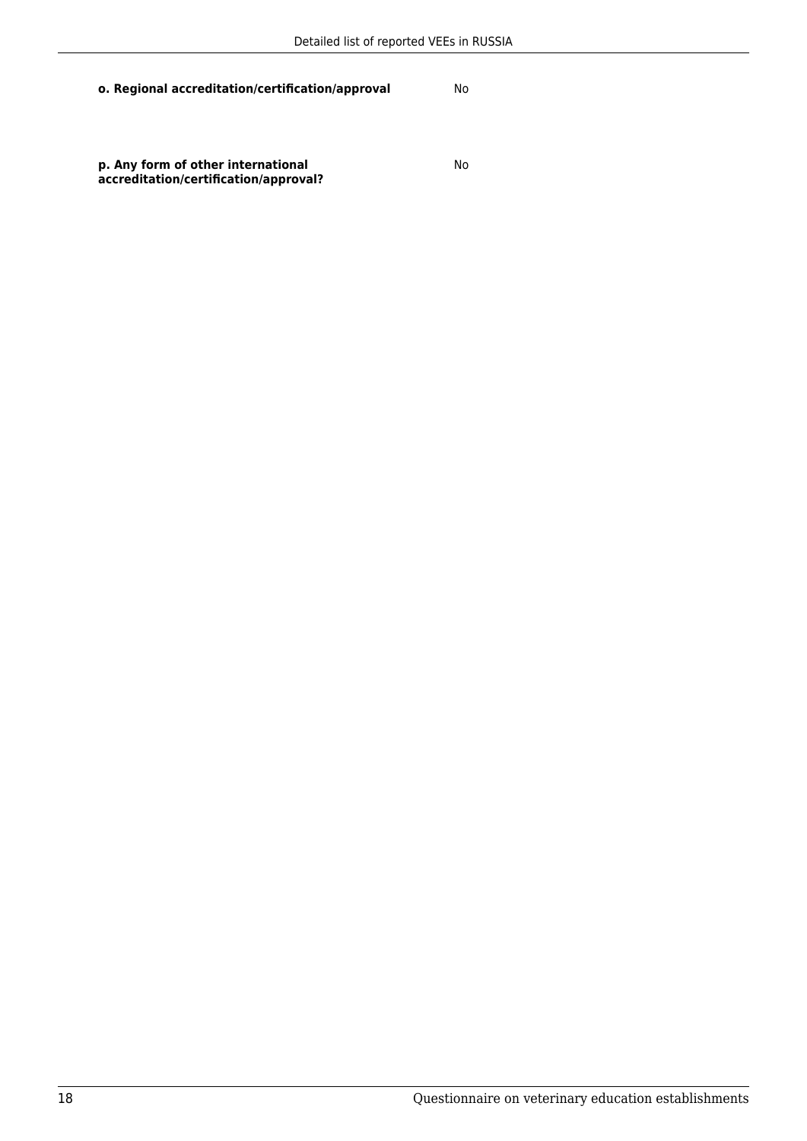No

**p. Any form of other international accreditation/certification/approval?**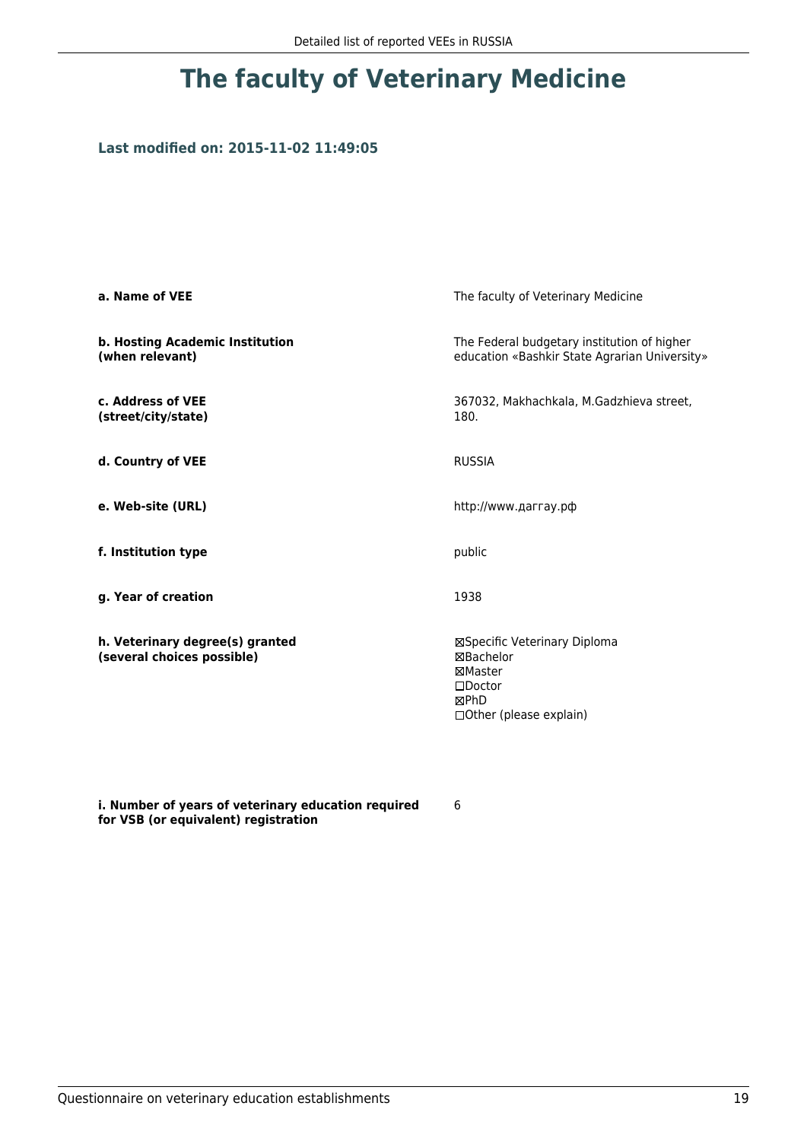### **Last modified on: 2015-11-02 11:49:05**

| a. Name of VEE                                                | The faculty of Veterinary Medicine                                                                                |  |
|---------------------------------------------------------------|-------------------------------------------------------------------------------------------------------------------|--|
| b. Hosting Academic Institution<br>(when relevant)            | The Federal budgetary institution of higher<br>education «Bashkir State Agrarian University»                      |  |
| c. Address of VEE<br>(street/city/state)                      | 367032, Makhachkala, M.Gadzhieva street,<br>180.                                                                  |  |
| d. Country of VEE                                             | <b>RUSSIA</b>                                                                                                     |  |
| e. Web-site (URL)                                             | http://www.даггау.рф                                                                                              |  |
| f. Institution type                                           | public                                                                                                            |  |
| g. Year of creation                                           | 1938                                                                                                              |  |
| h. Veterinary degree(s) granted<br>(several choices possible) | ⊠Specific Veterinary Diploma<br>⊠Bachelor<br>⊠Master<br>$\square$ Doctor<br>⊠PhD<br>$\Box$ Other (please explain) |  |

**i. Number of years of veterinary education required for VSB (or equivalent) registration**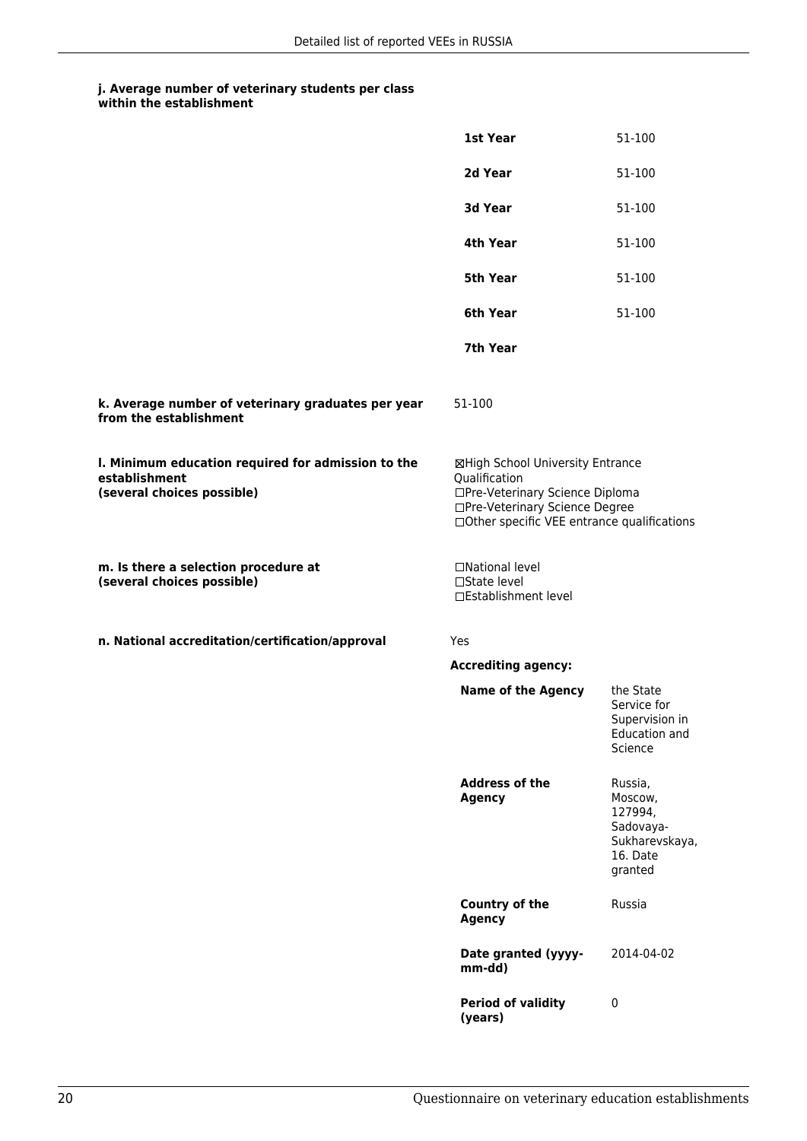|                                                                                                   | 1st Year                                                                                                                                                              | 51-100                                                                              |
|---------------------------------------------------------------------------------------------------|-----------------------------------------------------------------------------------------------------------------------------------------------------------------------|-------------------------------------------------------------------------------------|
|                                                                                                   | 2d Year                                                                                                                                                               | 51-100                                                                              |
|                                                                                                   | 3d Year                                                                                                                                                               | 51-100                                                                              |
|                                                                                                   | 4th Year                                                                                                                                                              | 51-100                                                                              |
|                                                                                                   | <b>5th Year</b>                                                                                                                                                       | 51-100                                                                              |
|                                                                                                   | 6th Year                                                                                                                                                              | 51-100                                                                              |
|                                                                                                   | 7th Year                                                                                                                                                              |                                                                                     |
| k. Average number of veterinary graduates per year<br>from the establishment                      | 51-100                                                                                                                                                                |                                                                                     |
| I. Minimum education required for admission to the<br>establishment<br>(several choices possible) | ⊠High School University Entrance<br>Qualification<br>□Pre-Veterinary Science Diploma<br>□Pre-Veterinary Science Degree<br>□Other specific VEE entrance qualifications |                                                                                     |
| m. Is there a selection procedure at<br>(several choices possible)                                | □National level<br>$\Box$ State level<br>□Establishment level                                                                                                         |                                                                                     |
| n. National accreditation/certification/approval                                                  | Yes                                                                                                                                                                   |                                                                                     |
|                                                                                                   | <b>Accrediting agency:</b>                                                                                                                                            |                                                                                     |
|                                                                                                   | <b>Name of the Agency</b>                                                                                                                                             | the State<br>Service for<br>Supervision in<br>Education and<br>Science              |
|                                                                                                   | <b>Address of the</b><br><b>Agency</b>                                                                                                                                | Russia,<br>Moscow,<br>127994,<br>Sadovaya-<br>Sukharevskaya,<br>16. Date<br>granted |
|                                                                                                   | <b>Country of the</b><br><b>Agency</b>                                                                                                                                | Russia                                                                              |
|                                                                                                   | Date granted (yyyy-<br>mm-dd)                                                                                                                                         | 2014-04-02                                                                          |
|                                                                                                   | <b>Period of validity</b><br>(years)                                                                                                                                  | $\pmb{0}$                                                                           |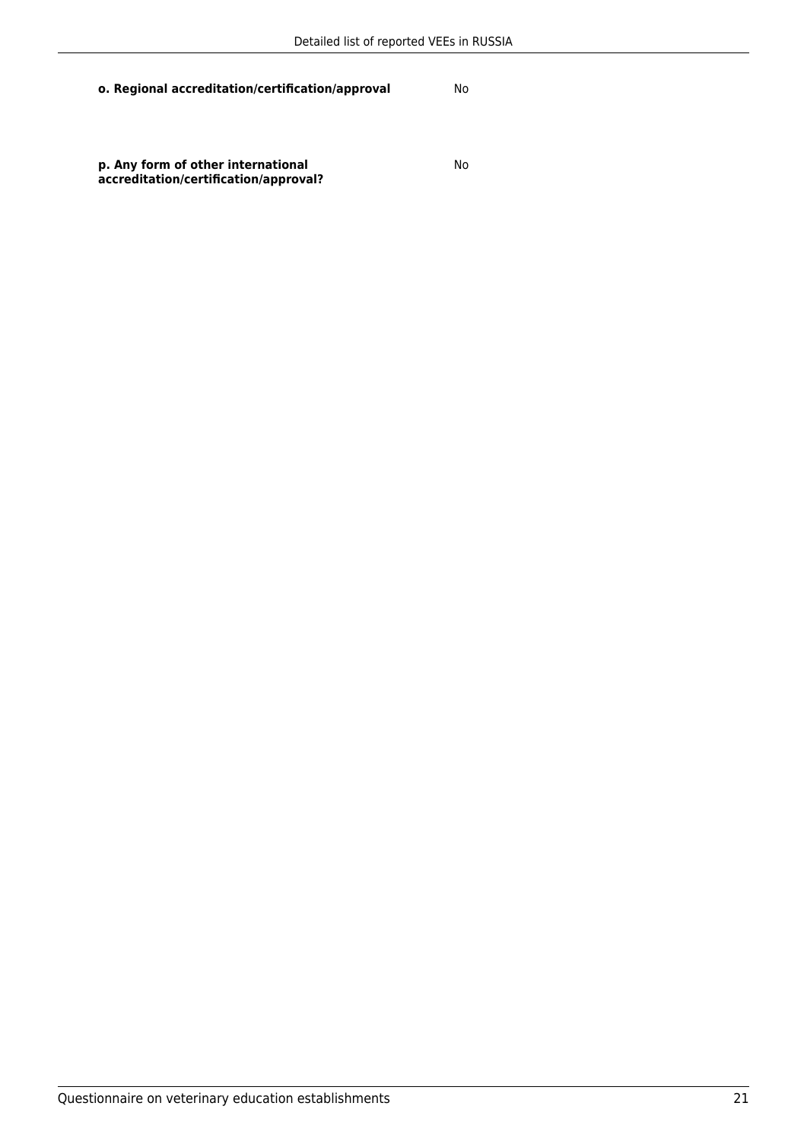**p. Any form of other international accreditation/certification/approval?**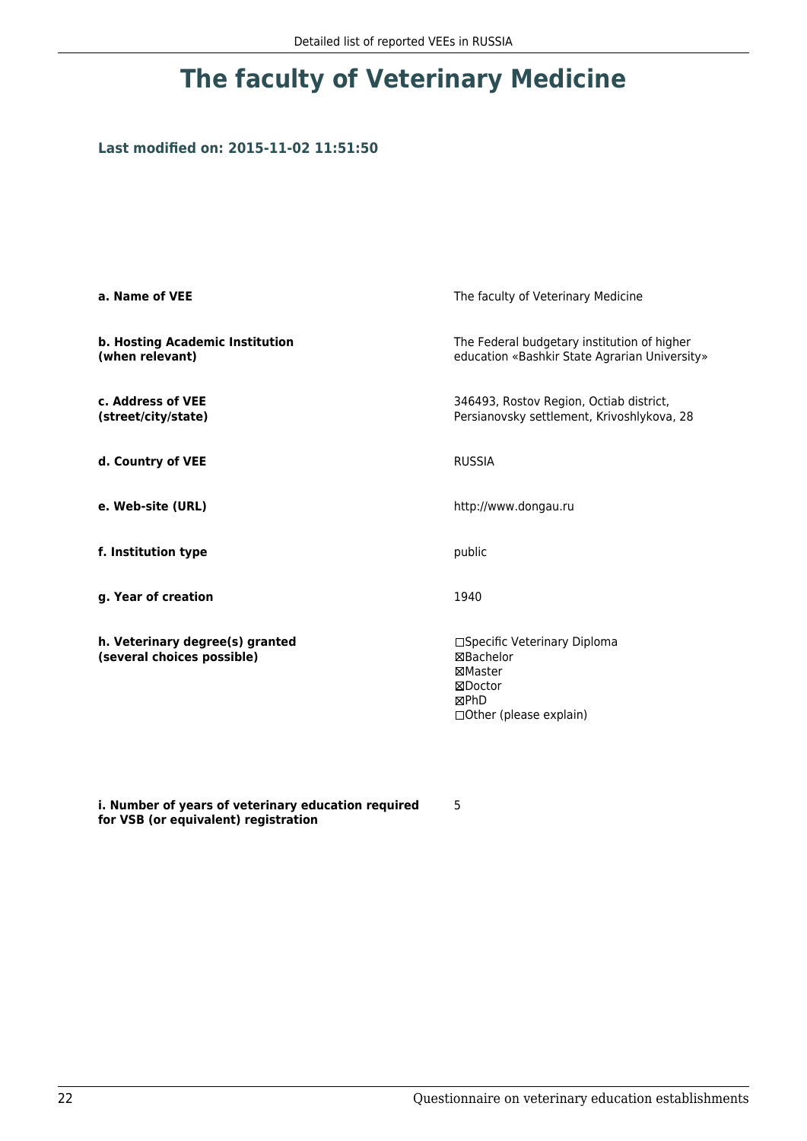### **Last modified on: 2015-11-02 11:51:50**

| a. Name of VEE                                                | The faculty of Veterinary Medicine                                                                         |  |
|---------------------------------------------------------------|------------------------------------------------------------------------------------------------------------|--|
| b. Hosting Academic Institution<br>(when relevant)            | The Federal budgetary institution of higher<br>education «Bashkir State Agrarian University»               |  |
| c. Address of VEE<br>(street/city/state)                      | 346493, Rostov Region, Octiab district,<br>Persianovsky settlement, Krivoshlykova, 28                      |  |
| d. Country of VEE                                             | <b>RUSSIA</b>                                                                                              |  |
| e. Web-site (URL)                                             | http://www.dongau.ru                                                                                       |  |
| f. Institution type                                           | public                                                                                                     |  |
| g. Year of creation                                           | 1940                                                                                                       |  |
| h. Veterinary degree(s) granted<br>(several choices possible) | □Specific Veterinary Diploma<br><b>⊠Bachelor</b><br>⊠Master<br>⊠Doctor<br>⊠PhD<br>□ Other (please explain) |  |

**i. Number of years of veterinary education required for VSB (or equivalent) registration**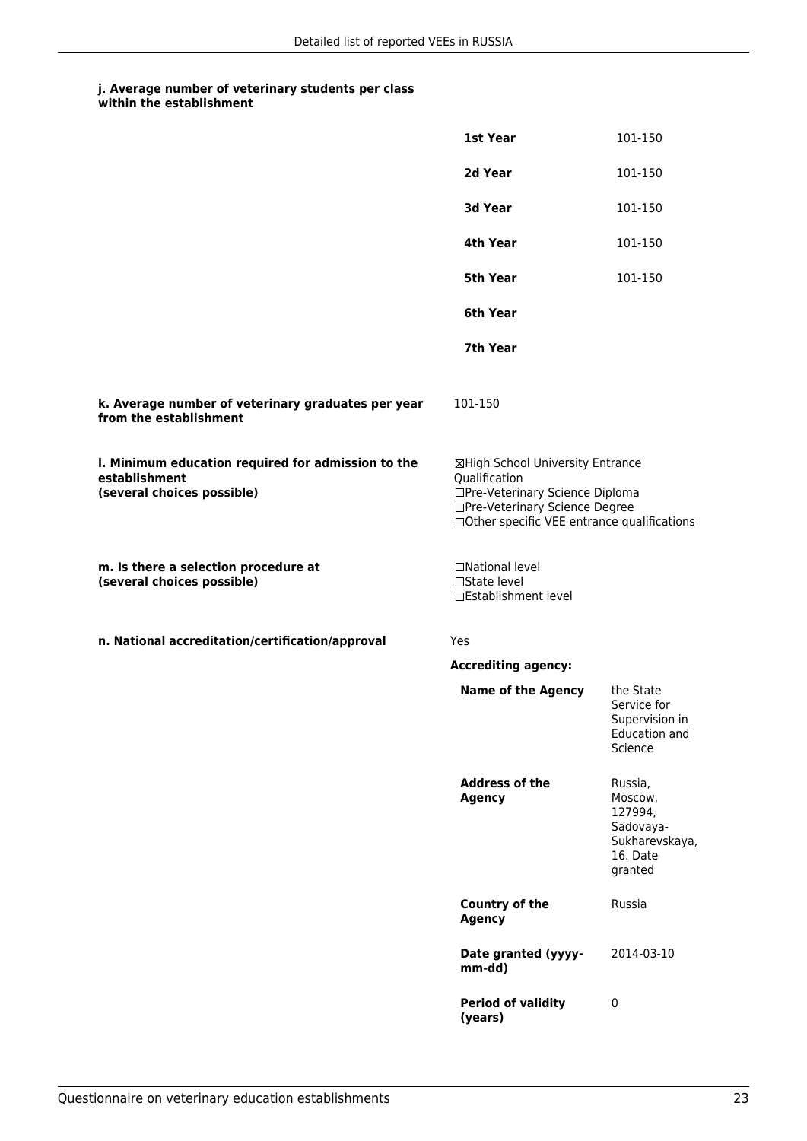|                                                                                                   | 1st Year                                                                                                                                                              | 101-150                                                                             |
|---------------------------------------------------------------------------------------------------|-----------------------------------------------------------------------------------------------------------------------------------------------------------------------|-------------------------------------------------------------------------------------|
|                                                                                                   | 2d Year                                                                                                                                                               | 101-150                                                                             |
|                                                                                                   | 3d Year                                                                                                                                                               | 101-150                                                                             |
|                                                                                                   | 4th Year                                                                                                                                                              | 101-150                                                                             |
|                                                                                                   | 5th Year                                                                                                                                                              | 101-150                                                                             |
|                                                                                                   | 6th Year                                                                                                                                                              |                                                                                     |
|                                                                                                   | 7th Year                                                                                                                                                              |                                                                                     |
| k. Average number of veterinary graduates per year<br>from the establishment                      | 101-150                                                                                                                                                               |                                                                                     |
| I. Minimum education required for admission to the<br>establishment<br>(several choices possible) | ⊠High School University Entrance<br>Qualification<br>□Pre-Veterinary Science Diploma<br>□Pre-Veterinary Science Degree<br>□Other specific VEE entrance qualifications |                                                                                     |
| m. Is there a selection procedure at<br>(several choices possible)                                | □National level<br>□State level<br>□Establishment level                                                                                                               |                                                                                     |
| n. National accreditation/certification/approval                                                  | Yes                                                                                                                                                                   |                                                                                     |
|                                                                                                   | <b>Accrediting agency:</b>                                                                                                                                            |                                                                                     |
|                                                                                                   | <b>Name of the Agency</b>                                                                                                                                             | the State<br>Service for<br>Supervision in<br><b>Education and</b><br>Science       |
|                                                                                                   | <b>Address of the</b><br><b>Agency</b>                                                                                                                                | Russia,<br>Moscow,<br>127994,<br>Sadovaya-<br>Sukharevskaya,<br>16. Date<br>granted |
|                                                                                                   | <b>Country of the</b><br><b>Agency</b>                                                                                                                                | Russia                                                                              |
|                                                                                                   | Date granted (yyyy-<br>mm-dd)                                                                                                                                         | 2014-03-10                                                                          |
|                                                                                                   | <b>Period of validity</b><br>(years)                                                                                                                                  | $\pmb{0}$                                                                           |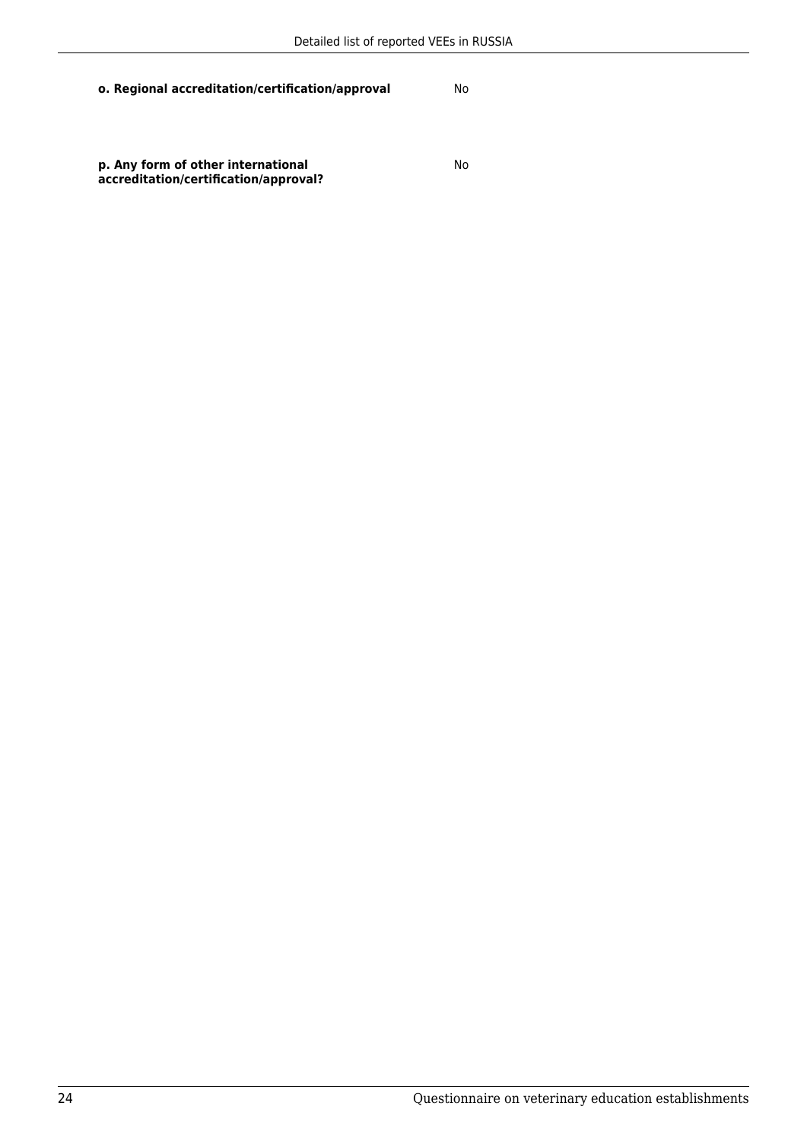No

**p. Any form of other international accreditation/certification/approval?**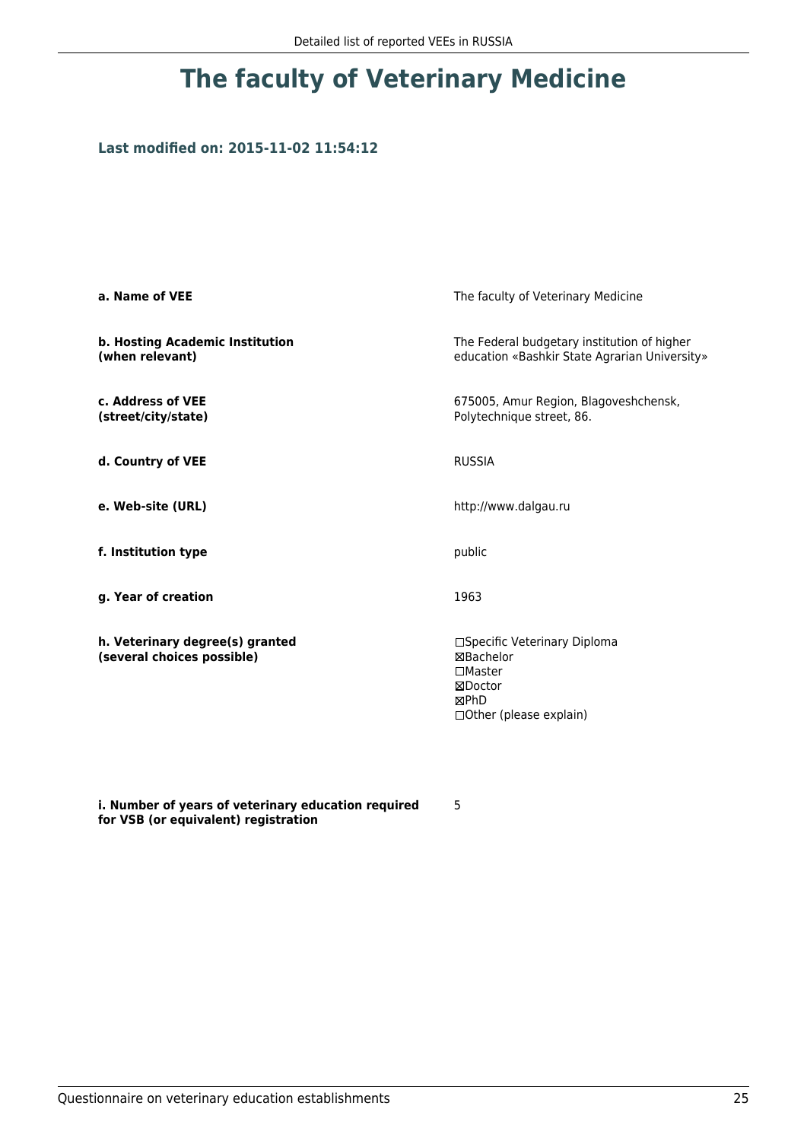## **Last modified on: 2015-11-02 11:54:12**

| a. Name of VEE                                                | The faculty of Veterinary Medicine                                                                                |  |
|---------------------------------------------------------------|-------------------------------------------------------------------------------------------------------------------|--|
| b. Hosting Academic Institution<br>(when relevant)            | The Federal budgetary institution of higher<br>education «Bashkir State Agrarian University»                      |  |
| c. Address of VEE<br>(street/city/state)                      | 675005, Amur Region, Blagoveshchensk,<br>Polytechnique street, 86.                                                |  |
| d. Country of VEE                                             | <b>RUSSIA</b>                                                                                                     |  |
| e. Web-site (URL)                                             | http://www.dalgau.ru                                                                                              |  |
| f. Institution type                                           | public                                                                                                            |  |
| g. Year of creation                                           | 1963                                                                                                              |  |
| h. Veterinary degree(s) granted<br>(several choices possible) | □Specific Veterinary Diploma<br>⊠Bachelor<br>$\square$ Master<br>⊠Doctor<br>⊠PhD<br>$\Box$ Other (please explain) |  |

**i. Number of years of veterinary education required for VSB (or equivalent) registration**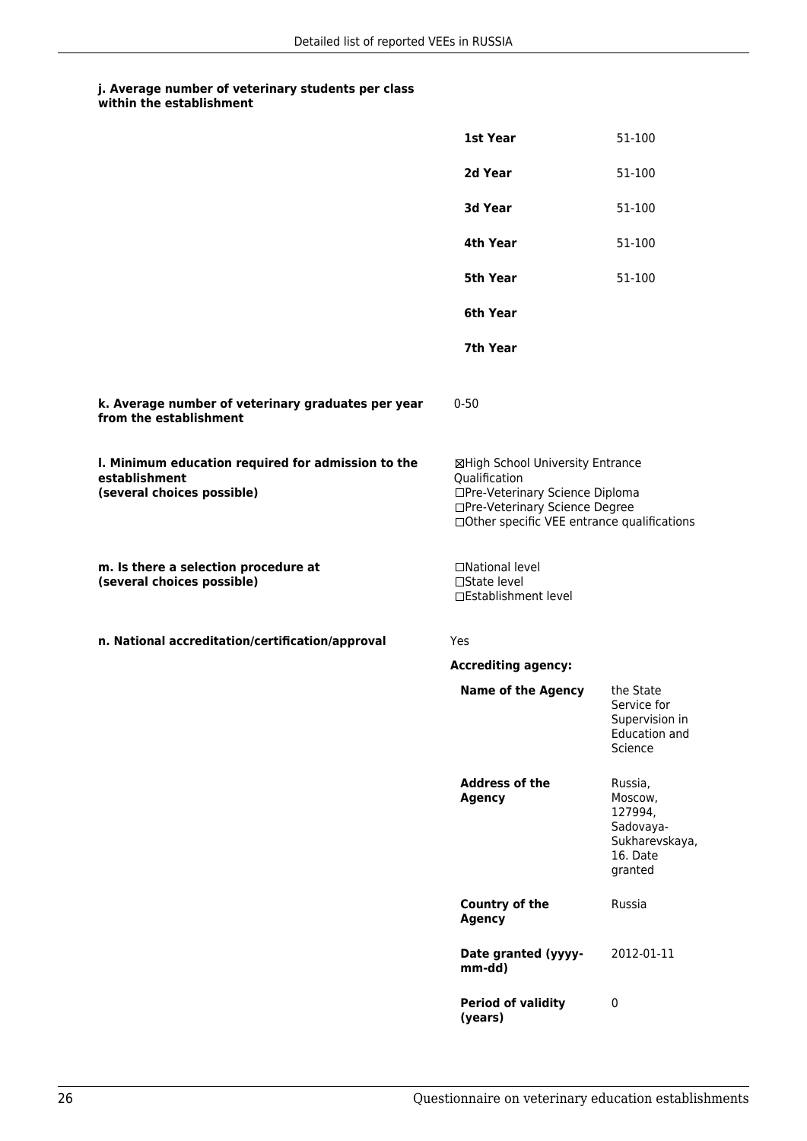|                                                                                                   | 1st Year                                                                                                                                                              | 51-100                                                                              |
|---------------------------------------------------------------------------------------------------|-----------------------------------------------------------------------------------------------------------------------------------------------------------------------|-------------------------------------------------------------------------------------|
|                                                                                                   | 2d Year                                                                                                                                                               | 51-100                                                                              |
|                                                                                                   | 3d Year                                                                                                                                                               | 51-100                                                                              |
|                                                                                                   | 4th Year                                                                                                                                                              | 51-100                                                                              |
|                                                                                                   | <b>5th Year</b>                                                                                                                                                       | 51-100                                                                              |
|                                                                                                   | 6th Year                                                                                                                                                              |                                                                                     |
|                                                                                                   | 7th Year                                                                                                                                                              |                                                                                     |
| k. Average number of veterinary graduates per year<br>from the establishment                      | $0 - 50$                                                                                                                                                              |                                                                                     |
| I. Minimum education required for admission to the<br>establishment<br>(several choices possible) | ⊠High School University Entrance<br>Qualification<br>□Pre-Veterinary Science Diploma<br>□Pre-Veterinary Science Degree<br>□Other specific VEE entrance qualifications |                                                                                     |
| m. Is there a selection procedure at<br>(several choices possible)                                | □National level<br>□State level<br>□Establishment level                                                                                                               |                                                                                     |
| n. National accreditation/certification/approval                                                  | Yes                                                                                                                                                                   |                                                                                     |
|                                                                                                   | <b>Accrediting agency:</b>                                                                                                                                            |                                                                                     |
|                                                                                                   | <b>Name of the Agency</b>                                                                                                                                             | the State<br>Service for<br>Supervision in<br>Education and<br>Science              |
|                                                                                                   | <b>Address of the</b><br><b>Agency</b>                                                                                                                                | Russia,<br>Moscow,<br>127994,<br>Sadovaya-<br>Sukharevskaya,<br>16. Date<br>granted |
|                                                                                                   | <b>Country of the</b><br><b>Agency</b>                                                                                                                                | Russia                                                                              |
|                                                                                                   | Date granted (yyyy-<br>mm-dd)                                                                                                                                         | 2012-01-11                                                                          |
|                                                                                                   | <b>Period of validity</b><br>(years)                                                                                                                                  | $\pmb{0}$                                                                           |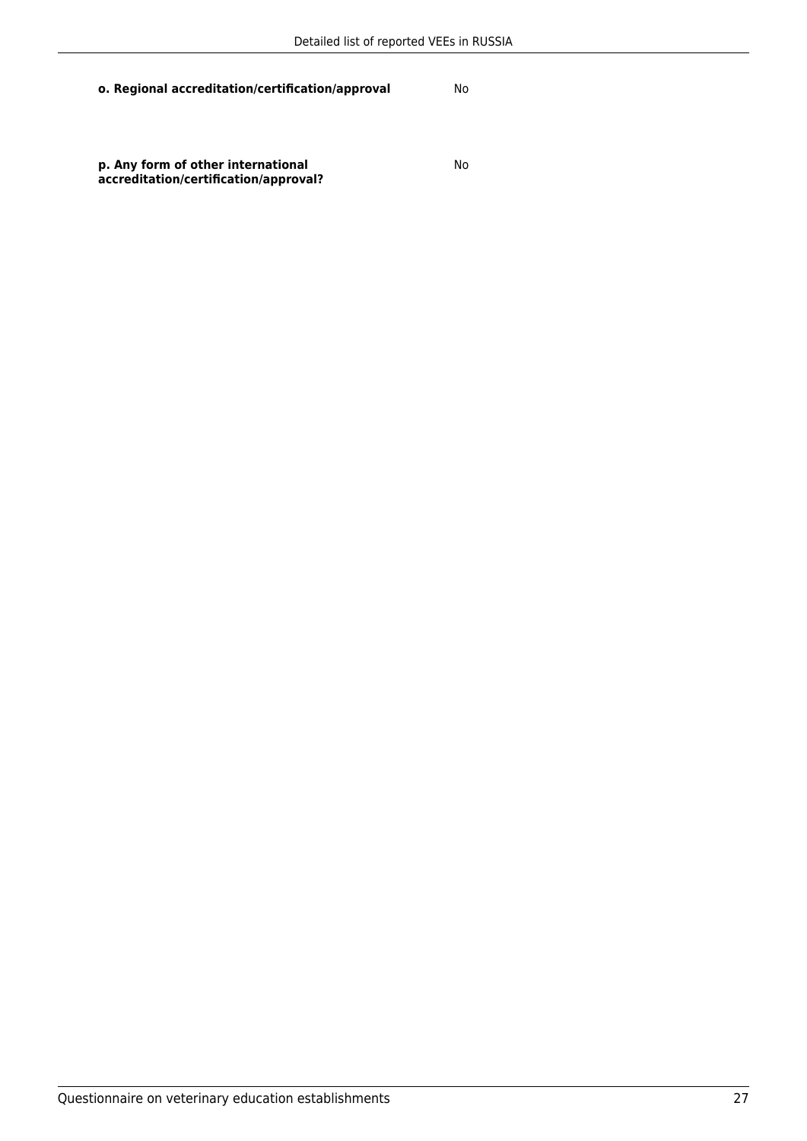**p. Any form of other international accreditation/certification/approval?**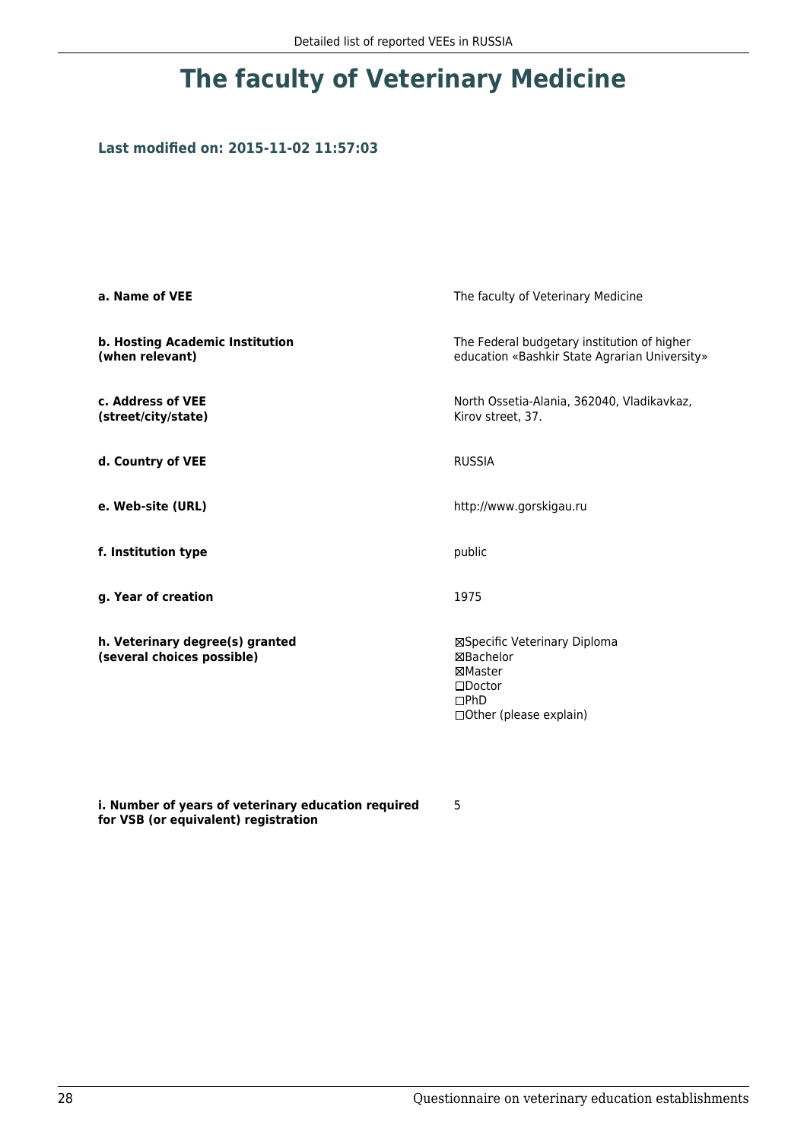### **Last modified on: 2015-11-02 11:57:03**

| a. Name of VEE                                                | The faculty of Veterinary Medicine                                                                          |  |
|---------------------------------------------------------------|-------------------------------------------------------------------------------------------------------------|--|
| b. Hosting Academic Institution<br>(when relevant)            | The Federal budgetary institution of higher<br>education «Bashkir State Agrarian University»                |  |
| c. Address of VEE<br>(street/city/state)                      | North Ossetia-Alania, 362040, Vladikavkaz,<br>Kirov street, 37.                                             |  |
| d. Country of VEE                                             | <b>RUSSIA</b>                                                                                               |  |
| e. Web-site (URL)                                             | http://www.gorskigau.ru                                                                                     |  |
| f. Institution type                                           | public                                                                                                      |  |
| g. Year of creation                                           | 1975                                                                                                        |  |
| h. Veterinary degree(s) granted<br>(several choices possible) | ⊠Specific Veterinary Diploma<br>⊠Bachelor<br>⊠Master<br>$\square$ Doctor<br>DPhD<br>□Other (please explain) |  |

**i. Number of years of veterinary education required for VSB (or equivalent) registration**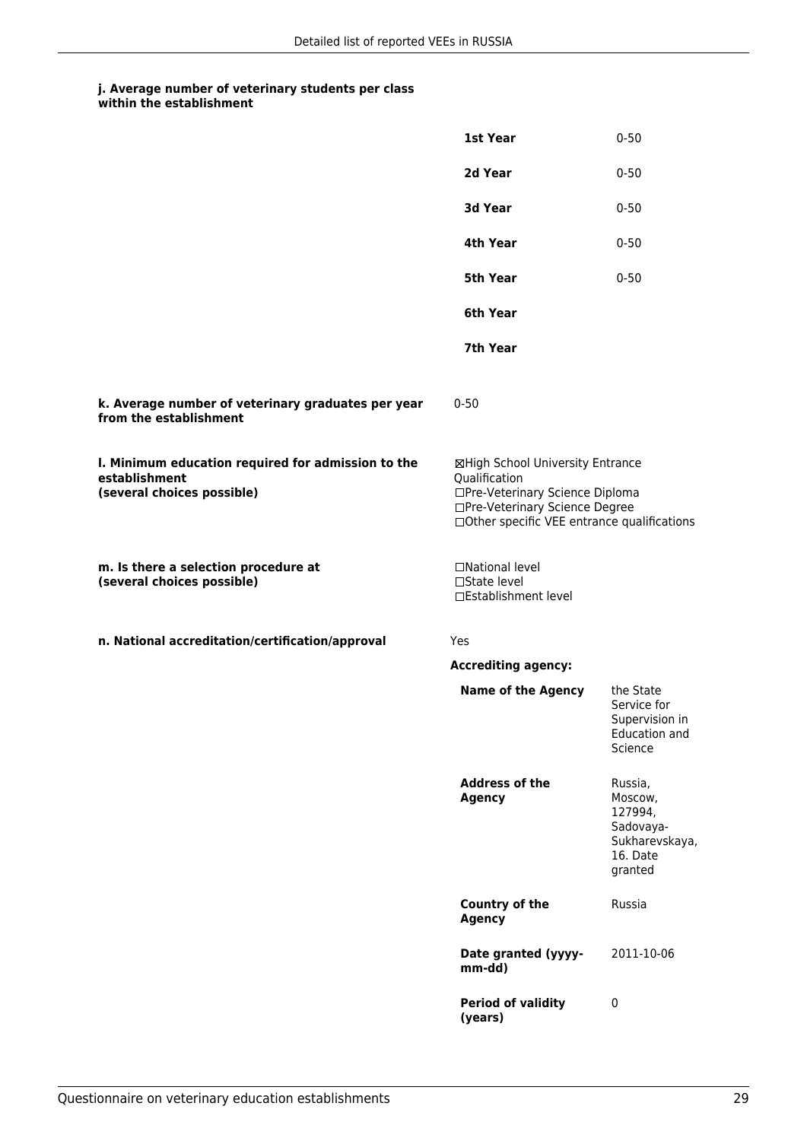|                                                                                                   | 1st Year                                                                                                                                                              | $0 - 50$                                                                            |
|---------------------------------------------------------------------------------------------------|-----------------------------------------------------------------------------------------------------------------------------------------------------------------------|-------------------------------------------------------------------------------------|
|                                                                                                   | 2d Year                                                                                                                                                               | $0 - 50$                                                                            |
|                                                                                                   | 3d Year                                                                                                                                                               | $0 - 50$                                                                            |
|                                                                                                   | 4th Year                                                                                                                                                              | $0 - 50$                                                                            |
|                                                                                                   | 5th Year                                                                                                                                                              | $0 - 50$                                                                            |
|                                                                                                   | 6th Year                                                                                                                                                              |                                                                                     |
|                                                                                                   | 7th Year                                                                                                                                                              |                                                                                     |
| k. Average number of veterinary graduates per year<br>from the establishment                      | $0 - 50$                                                                                                                                                              |                                                                                     |
| I. Minimum education required for admission to the<br>establishment<br>(several choices possible) | ⊠High School University Entrance<br>Qualification<br>□Pre-Veterinary Science Diploma<br>□Pre-Veterinary Science Degree<br>□Other specific VEE entrance qualifications |                                                                                     |
| m. Is there a selection procedure at<br>(several choices possible)                                | □National level<br>□State level<br>□Establishment level                                                                                                               |                                                                                     |
| n. National accreditation/certification/approval                                                  | Yes                                                                                                                                                                   |                                                                                     |
|                                                                                                   | <b>Accrediting agency:</b>                                                                                                                                            |                                                                                     |
|                                                                                                   | <b>Name of the Agency</b>                                                                                                                                             | the State<br>Service for<br>Supervision in<br><b>Education and</b><br>Science       |
|                                                                                                   | <b>Address of the</b><br><b>Agency</b>                                                                                                                                | Russia,<br>Moscow,<br>127994,<br>Sadovaya-<br>Sukharevskaya,<br>16. Date<br>granted |
|                                                                                                   | <b>Country of the</b><br><b>Agency</b>                                                                                                                                | Russia                                                                              |
|                                                                                                   | Date granted (yyyy-<br>mm-dd)                                                                                                                                         | 2011-10-06                                                                          |
|                                                                                                   | <b>Period of validity</b><br>(years)                                                                                                                                  | $\pmb{0}$                                                                           |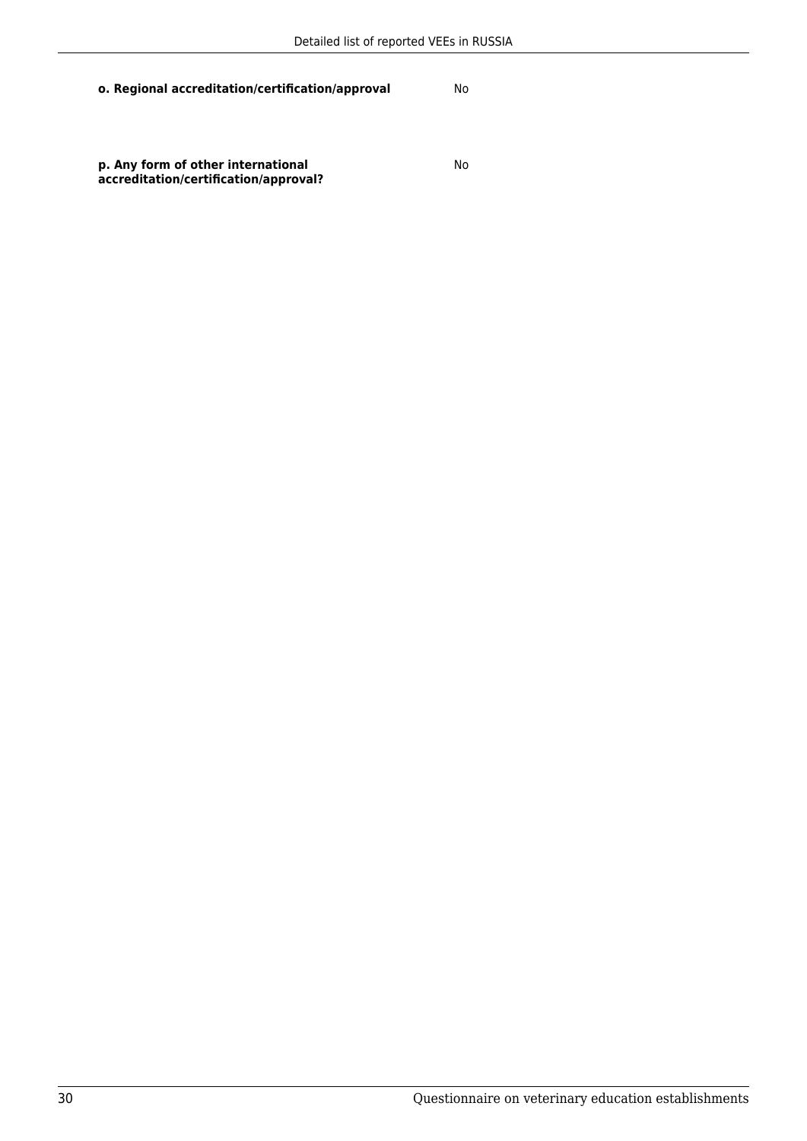No

**p. Any form of other international accreditation/certification/approval?**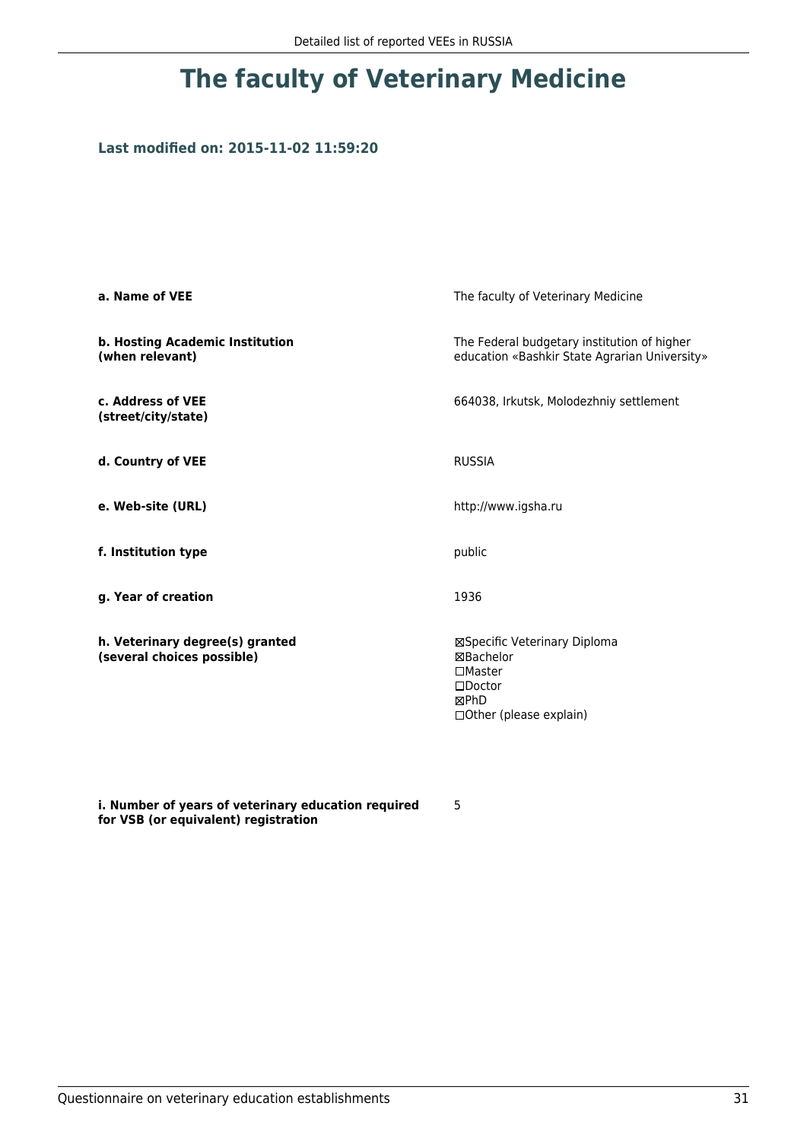## **Last modified on: 2015-11-02 11:59:20**

| a. Name of VEE                                                | The faculty of Veterinary Medicine                                                                                    |  |
|---------------------------------------------------------------|-----------------------------------------------------------------------------------------------------------------------|--|
| b. Hosting Academic Institution<br>(when relevant)            | The Federal budgetary institution of higher<br>education «Bashkir State Agrarian University»                          |  |
| c. Address of VEE<br>(street/city/state)                      | 664038, Irkutsk, Molodezhniy settlement                                                                               |  |
| d. Country of VEE                                             | <b>RUSSIA</b>                                                                                                         |  |
| e. Web-site (URL)                                             | http://www.igsha.ru                                                                                                   |  |
| f. Institution type                                           | public                                                                                                                |  |
| g. Year of creation                                           | 1936                                                                                                                  |  |
| h. Veterinary degree(s) granted<br>(several choices possible) | ⊠Specific Veterinary Diploma<br>⊠Bachelor<br>$\square$ Master<br>$\square$ Doctor<br>⊠PhD<br>□ Other (please explain) |  |

**i. Number of years of veterinary education required for VSB (or equivalent) registration**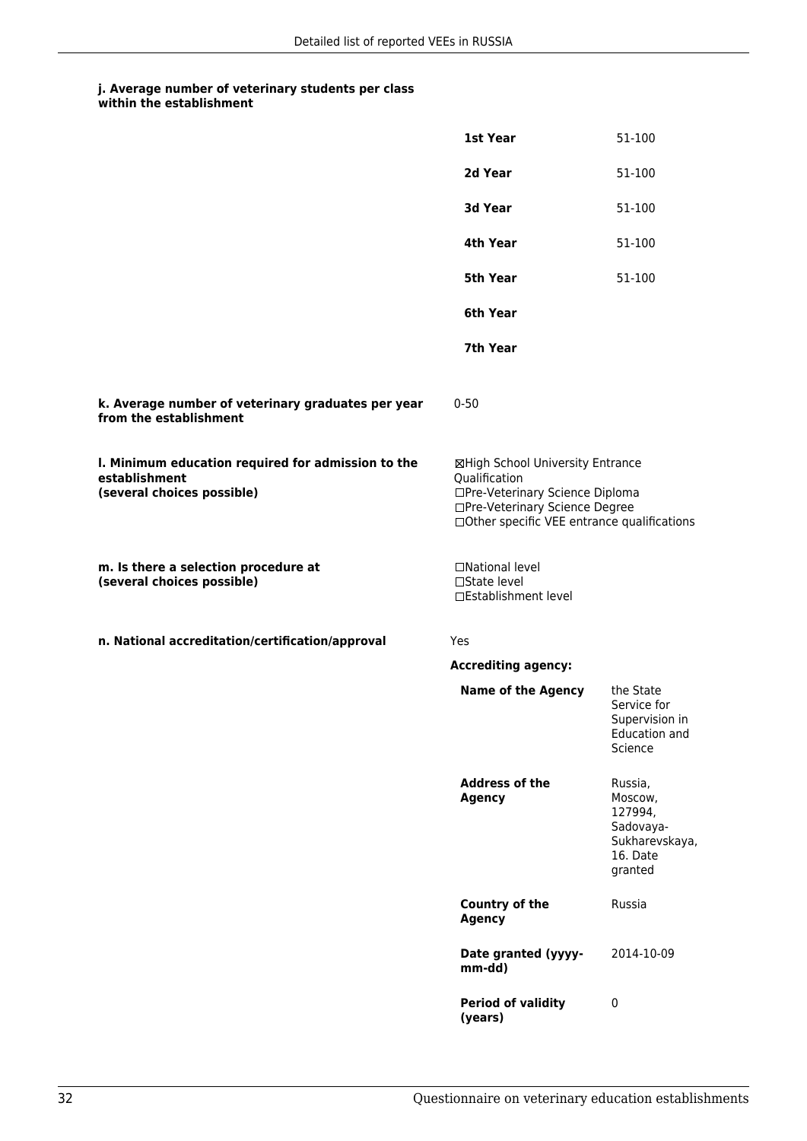|                                                                                                   | 1st Year                                                                                                                                                              | 51-100                                                                              |
|---------------------------------------------------------------------------------------------------|-----------------------------------------------------------------------------------------------------------------------------------------------------------------------|-------------------------------------------------------------------------------------|
|                                                                                                   | 2d Year                                                                                                                                                               | 51-100                                                                              |
|                                                                                                   | 3d Year                                                                                                                                                               | 51-100                                                                              |
|                                                                                                   | 4th Year                                                                                                                                                              | 51-100                                                                              |
|                                                                                                   | <b>5th Year</b>                                                                                                                                                       | 51-100                                                                              |
|                                                                                                   | 6th Year                                                                                                                                                              |                                                                                     |
|                                                                                                   | 7th Year                                                                                                                                                              |                                                                                     |
| k. Average number of veterinary graduates per year<br>from the establishment                      | $0 - 50$                                                                                                                                                              |                                                                                     |
| I. Minimum education required for admission to the<br>establishment<br>(several choices possible) | ⊠High School University Entrance<br>Qualification<br>□Pre-Veterinary Science Diploma<br>□Pre-Veterinary Science Degree<br>□Other specific VEE entrance qualifications |                                                                                     |
| m. Is there a selection procedure at<br>(several choices possible)                                | □National level<br>□State level<br>□Establishment level                                                                                                               |                                                                                     |
| n. National accreditation/certification/approval                                                  | Yes                                                                                                                                                                   |                                                                                     |
|                                                                                                   | <b>Accrediting agency:</b>                                                                                                                                            |                                                                                     |
|                                                                                                   | <b>Name of the Agency</b>                                                                                                                                             | the State<br>Service for<br>Supervision in<br>Education and<br>Science              |
|                                                                                                   | <b>Address of the</b><br><b>Agency</b>                                                                                                                                | Russia,<br>Moscow,<br>127994,<br>Sadovaya-<br>Sukharevskaya,<br>16. Date<br>granted |
|                                                                                                   | <b>Country of the</b><br><b>Agency</b>                                                                                                                                | Russia                                                                              |
|                                                                                                   | Date granted (yyyy-<br>mm-dd)                                                                                                                                         | 2014-10-09                                                                          |
|                                                                                                   | <b>Period of validity</b><br>(years)                                                                                                                                  | $\pmb{0}$                                                                           |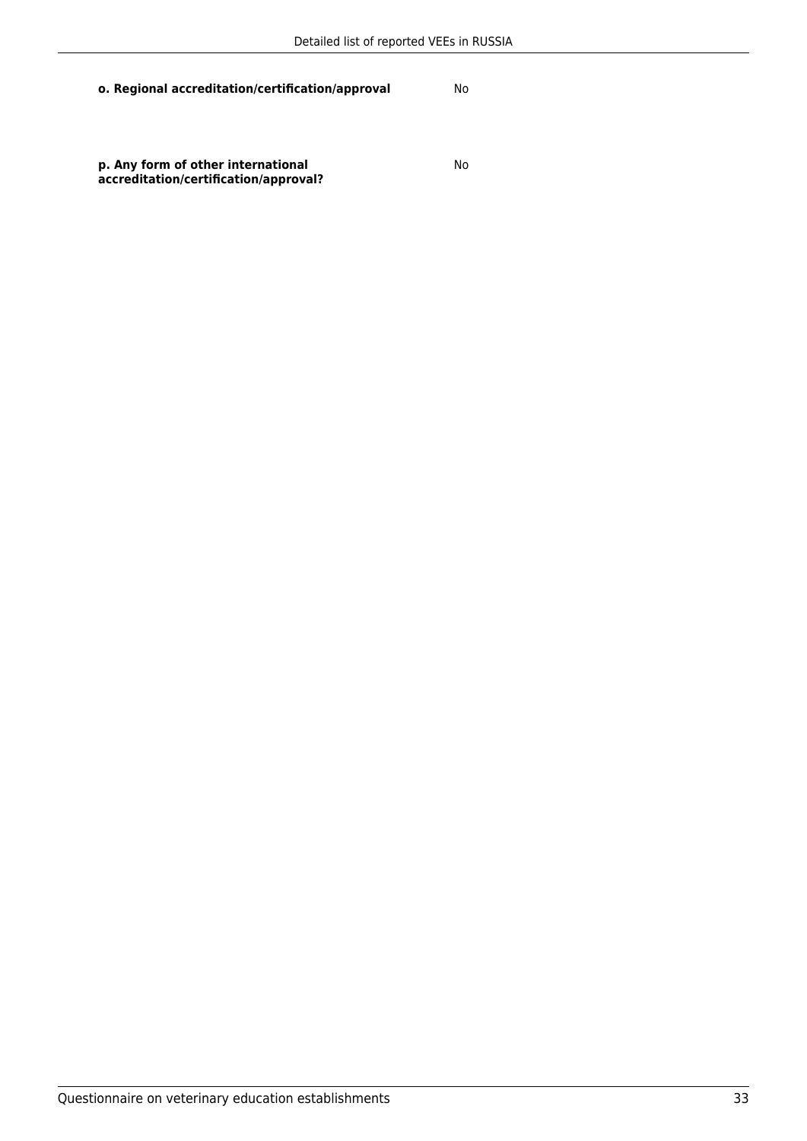**p. Any form of other international accreditation/certification/approval?**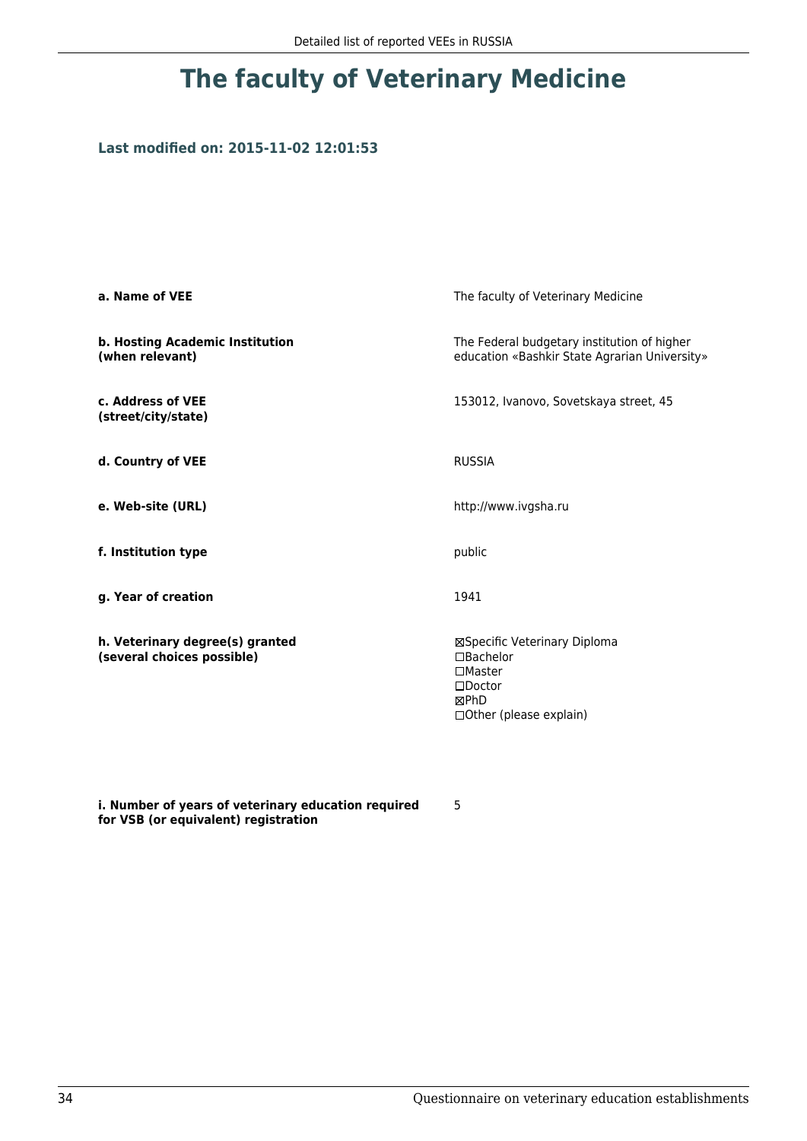## **Last modified on: 2015-11-02 12:01:53**

| a. Name of VEE                                                | The faculty of Veterinary Medicine                                                                                          |  |
|---------------------------------------------------------------|-----------------------------------------------------------------------------------------------------------------------------|--|
| b. Hosting Academic Institution<br>(when relevant)            | The Federal budgetary institution of higher<br>education «Bashkir State Agrarian University»                                |  |
| c. Address of VEE<br>(street/city/state)                      | 153012, Ivanovo, Sovetskaya street, 45                                                                                      |  |
| d. Country of VEE                                             | <b>RUSSIA</b>                                                                                                               |  |
| e. Web-site (URL)                                             | http://www.ivgsha.ru                                                                                                        |  |
| f. Institution type                                           | public                                                                                                                      |  |
| g. Year of creation                                           | 1941                                                                                                                        |  |
| h. Veterinary degree(s) granted<br>(several choices possible) | ⊠Specific Veterinary Diploma<br>$\Box$ Bachelor<br>$\square$ Master<br>$\square$ Doctor<br>⊠PhD<br>□ Other (please explain) |  |

**i. Number of years of veterinary education required for VSB (or equivalent) registration**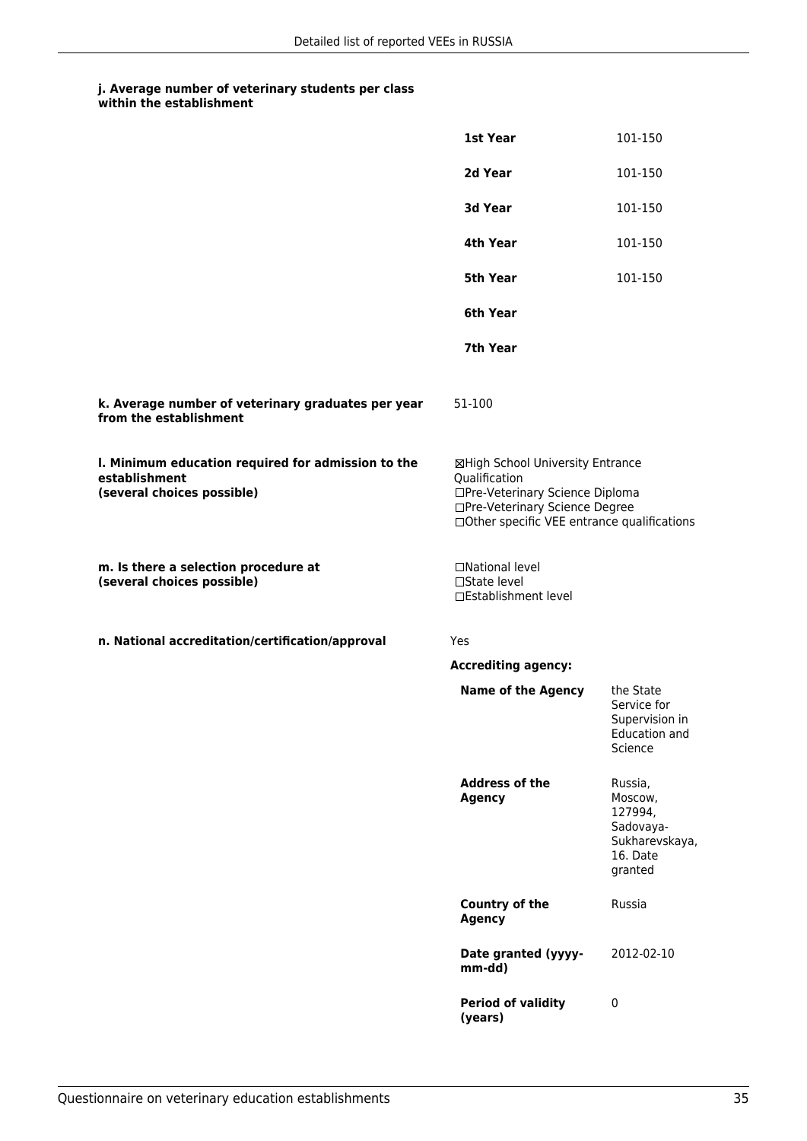|                                                                                                   | 1st Year                                                                                                                                                              | 101-150                                                                             |
|---------------------------------------------------------------------------------------------------|-----------------------------------------------------------------------------------------------------------------------------------------------------------------------|-------------------------------------------------------------------------------------|
|                                                                                                   | 2d Year                                                                                                                                                               | 101-150                                                                             |
|                                                                                                   | 3d Year                                                                                                                                                               | 101-150                                                                             |
|                                                                                                   | 4th Year                                                                                                                                                              | 101-150                                                                             |
|                                                                                                   | <b>5th Year</b>                                                                                                                                                       | 101-150                                                                             |
|                                                                                                   | 6th Year                                                                                                                                                              |                                                                                     |
|                                                                                                   | 7th Year                                                                                                                                                              |                                                                                     |
| k. Average number of veterinary graduates per year<br>from the establishment                      | 51-100                                                                                                                                                                |                                                                                     |
| I. Minimum education required for admission to the<br>establishment<br>(several choices possible) | ⊠High School University Entrance<br>Qualification<br>□Pre-Veterinary Science Diploma<br>□Pre-Veterinary Science Degree<br>□Other specific VEE entrance qualifications |                                                                                     |
| m. Is there a selection procedure at<br>(several choices possible)                                | □National level<br>□State level<br>□Establishment level                                                                                                               |                                                                                     |
| n. National accreditation/certification/approval                                                  | Yes                                                                                                                                                                   |                                                                                     |
|                                                                                                   | <b>Accrediting agency:</b>                                                                                                                                            |                                                                                     |
|                                                                                                   | <b>Name of the Agency</b>                                                                                                                                             | the State<br>Service for<br>Supervision in<br><b>Education and</b><br>Science       |
|                                                                                                   | <b>Address of the</b><br><b>Agency</b>                                                                                                                                | Russia,<br>Moscow,<br>127994,<br>Sadovaya-<br>Sukharevskaya,<br>16. Date<br>granted |
|                                                                                                   | <b>Country of the</b><br><b>Agency</b>                                                                                                                                | Russia                                                                              |
|                                                                                                   | Date granted (yyyy-<br>mm-dd)                                                                                                                                         | 2012-02-10                                                                          |
|                                                                                                   | <b>Period of validity</b><br>(years)                                                                                                                                  | $\pmb{0}$                                                                           |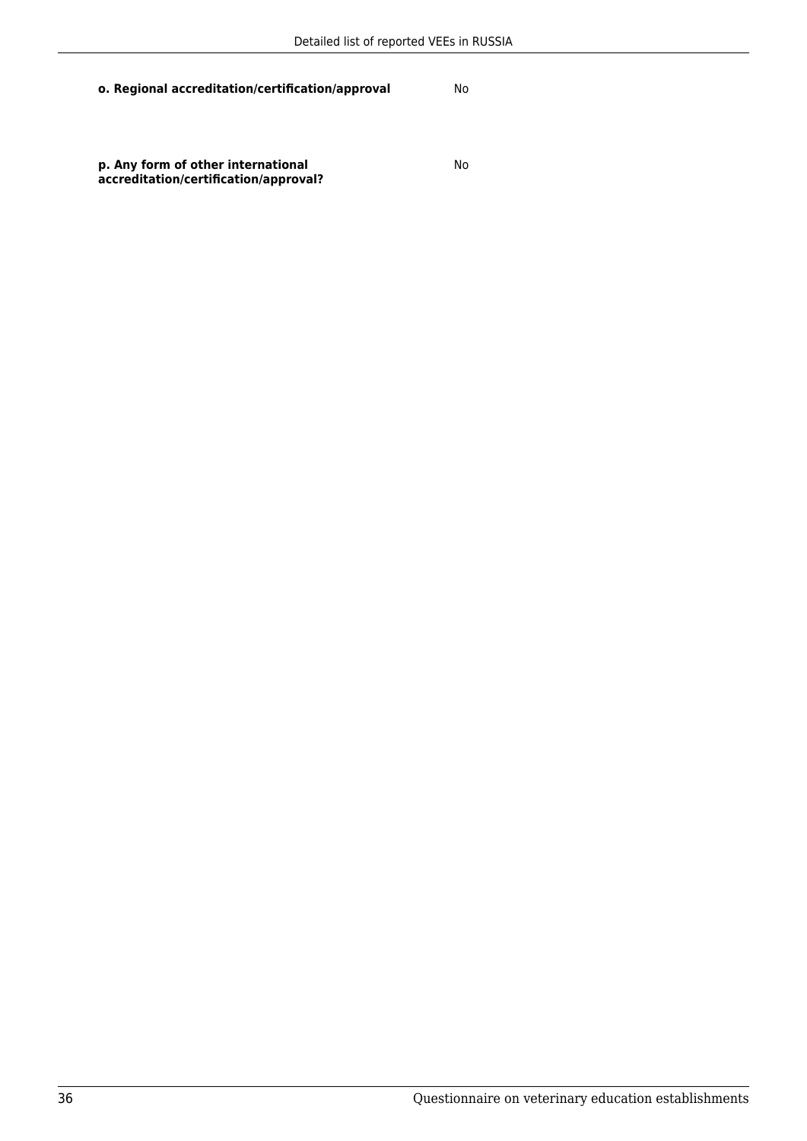**p. Any form of other international accreditation/certification/approval?**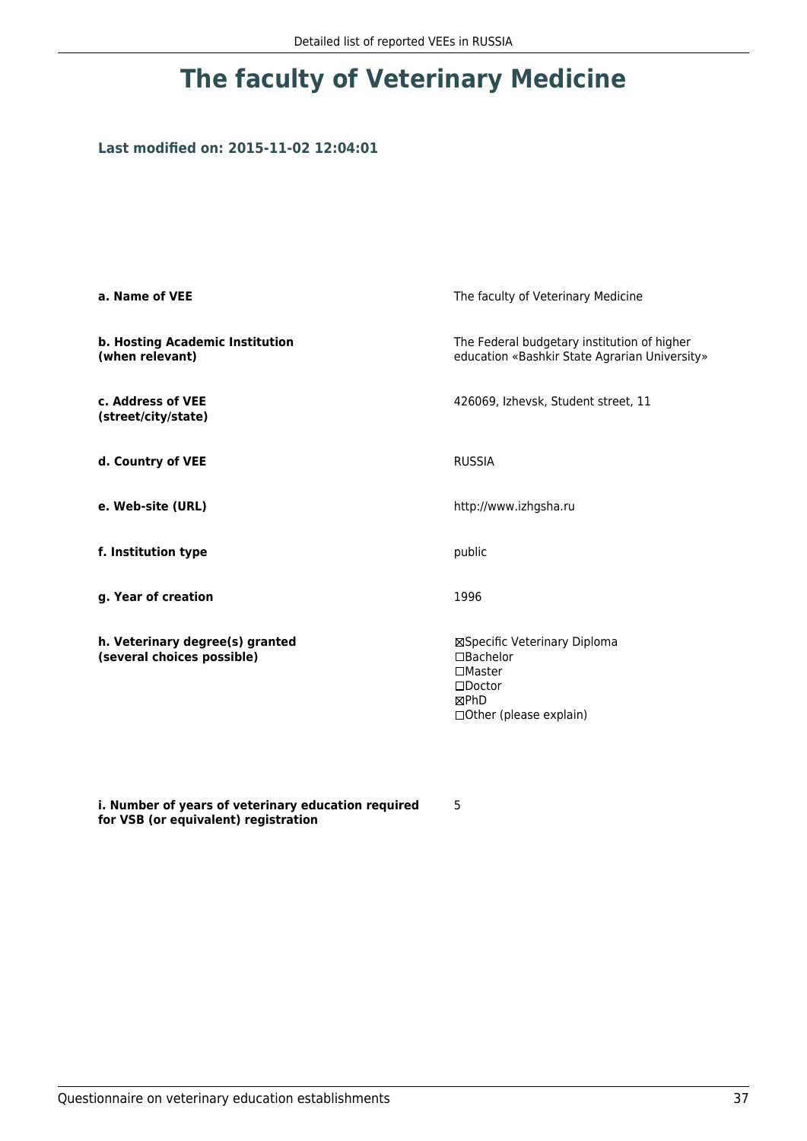### **Last modified on: 2015-11-02 12:04:01**

| a. Name of VEE                                                | The faculty of Veterinary Medicine                                                                                               |  |
|---------------------------------------------------------------|----------------------------------------------------------------------------------------------------------------------------------|--|
| b. Hosting Academic Institution<br>(when relevant)            | The Federal budgetary institution of higher<br>education «Bashkir State Agrarian University»                                     |  |
| c. Address of VEE<br>(street/city/state)                      | 426069, Izhevsk, Student street, 11                                                                                              |  |
| d. Country of VEE                                             | <b>RUSSIA</b>                                                                                                                    |  |
| e. Web-site (URL)                                             | http://www.izhgsha.ru                                                                                                            |  |
| f. Institution type                                           | public                                                                                                                           |  |
| g. Year of creation                                           | 1996                                                                                                                             |  |
| h. Veterinary degree(s) granted<br>(several choices possible) | ⊠Specific Veterinary Diploma<br>$\Box$ Bachelor<br>$\square$ Master<br>$\square$ Doctor<br>⊠PhD<br>$\Box$ Other (please explain) |  |

**i. Number of years of veterinary education required for VSB (or equivalent) registration**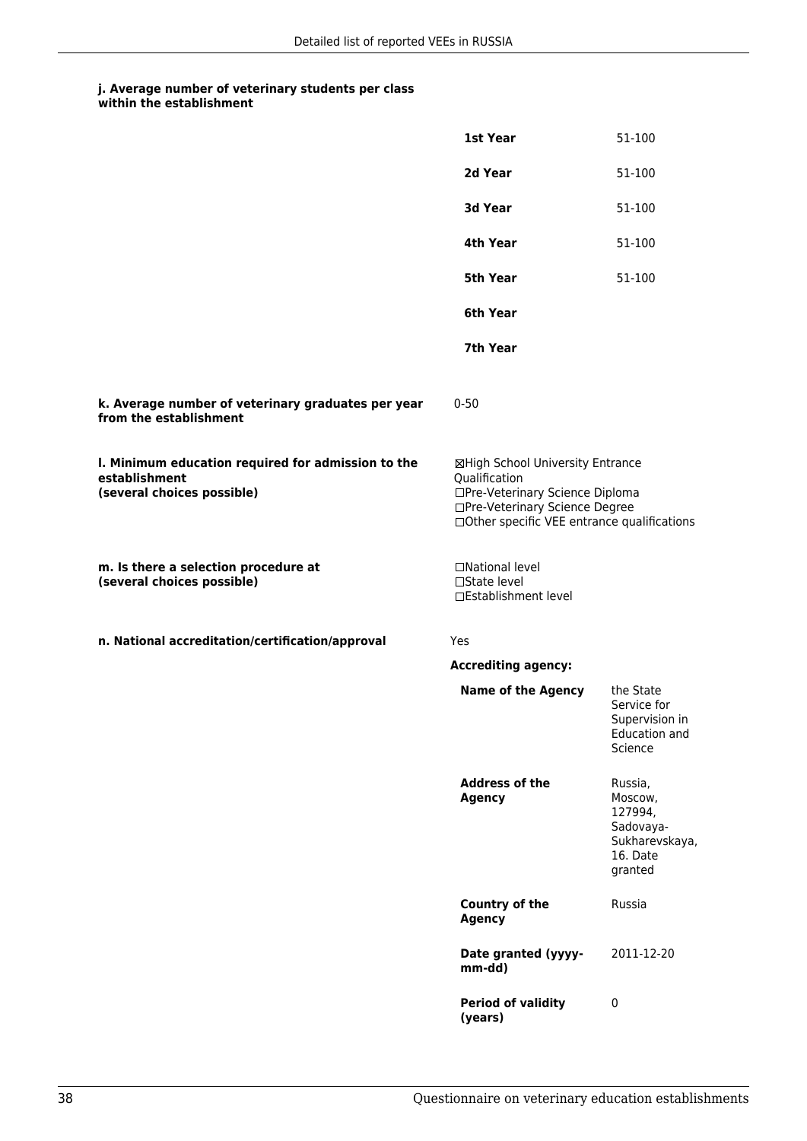|                                                                                                   | 1st Year                                                                                                                                                              | 51-100                                                                              |
|---------------------------------------------------------------------------------------------------|-----------------------------------------------------------------------------------------------------------------------------------------------------------------------|-------------------------------------------------------------------------------------|
|                                                                                                   | 2d Year                                                                                                                                                               | 51-100                                                                              |
|                                                                                                   | 3d Year                                                                                                                                                               | 51-100                                                                              |
|                                                                                                   | 4th Year                                                                                                                                                              | 51-100                                                                              |
|                                                                                                   | <b>5th Year</b>                                                                                                                                                       | 51-100                                                                              |
|                                                                                                   | 6th Year                                                                                                                                                              |                                                                                     |
|                                                                                                   | 7th Year                                                                                                                                                              |                                                                                     |
| k. Average number of veterinary graduates per year<br>from the establishment                      | $0 - 50$                                                                                                                                                              |                                                                                     |
| I. Minimum education required for admission to the<br>establishment<br>(several choices possible) | ⊠High School University Entrance<br>Qualification<br>□Pre-Veterinary Science Diploma<br>□Pre-Veterinary Science Degree<br>□Other specific VEE entrance qualifications |                                                                                     |
| m. Is there a selection procedure at<br>(several choices possible)                                | □National level<br>□State level<br>□Establishment level                                                                                                               |                                                                                     |
| n. National accreditation/certification/approval                                                  | Yes                                                                                                                                                                   |                                                                                     |
|                                                                                                   | <b>Accrediting agency:</b>                                                                                                                                            |                                                                                     |
|                                                                                                   | <b>Name of the Agency</b>                                                                                                                                             | the State<br>Service for<br>Supervision in<br>Education and<br>Science              |
|                                                                                                   | <b>Address of the</b><br><b>Agency</b>                                                                                                                                | Russia,<br>Moscow,<br>127994,<br>Sadovaya-<br>Sukharevskaya,<br>16. Date<br>granted |
|                                                                                                   | <b>Country of the</b><br><b>Agency</b>                                                                                                                                | Russia                                                                              |
|                                                                                                   | Date granted (yyyy-<br>mm-dd)                                                                                                                                         | 2011-12-20                                                                          |
|                                                                                                   | <b>Period of validity</b><br>(years)                                                                                                                                  | $\pmb{0}$                                                                           |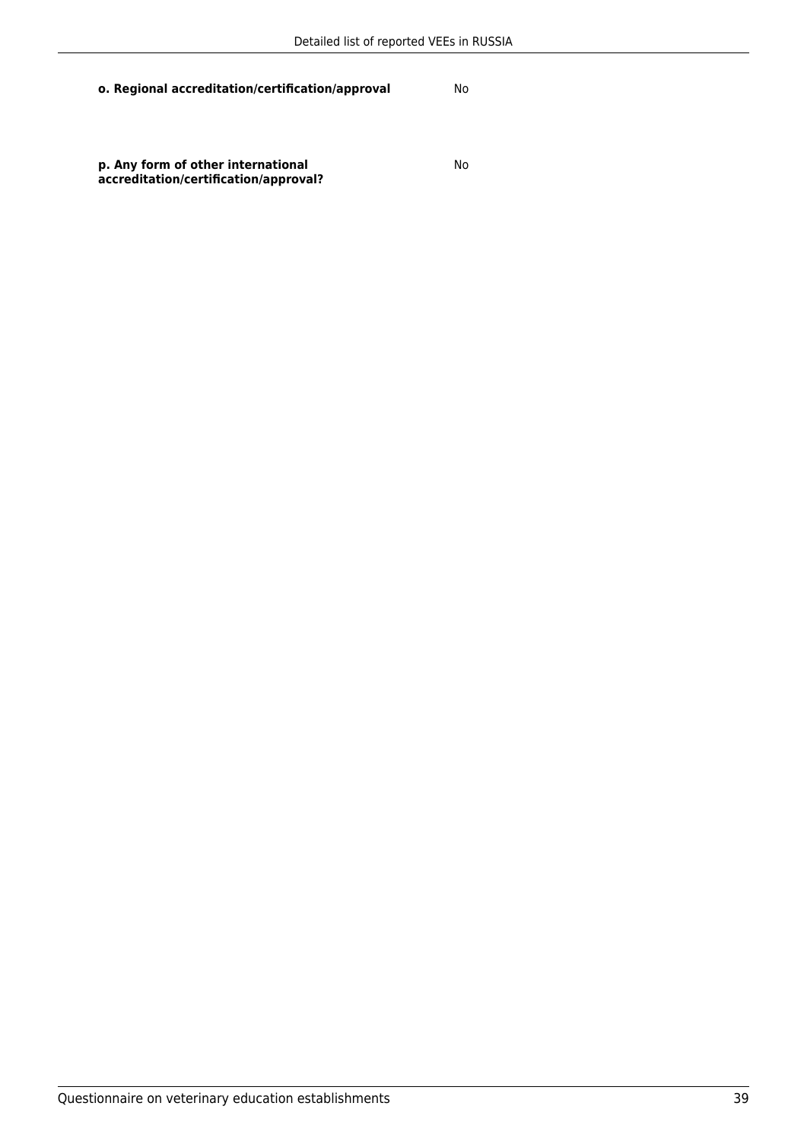No

**p. Any form of other international accreditation/certification/approval?**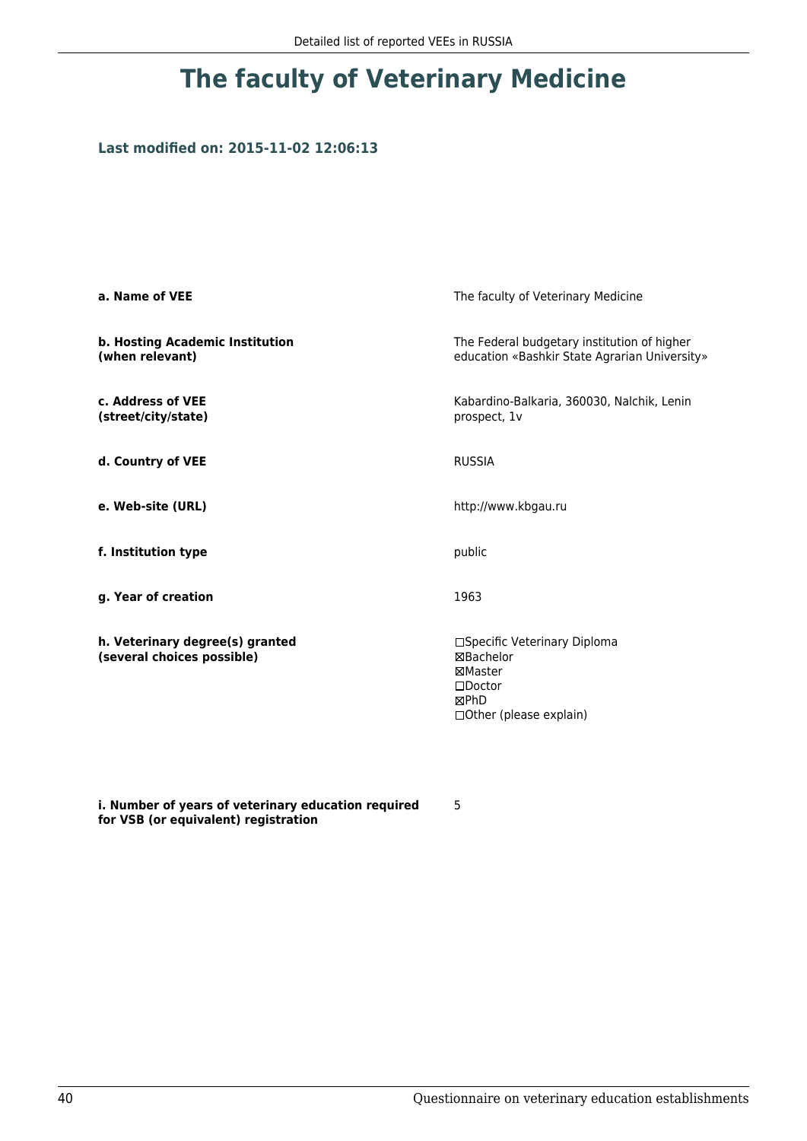### **Last modified on: 2015-11-02 12:06:13**

| a. Name of VEE                                                | The faculty of Veterinary Medicine                                                                           |  |
|---------------------------------------------------------------|--------------------------------------------------------------------------------------------------------------|--|
| b. Hosting Academic Institution<br>(when relevant)            | The Federal budgetary institution of higher<br>education «Bashkir State Agrarian University»                 |  |
| c. Address of VEE<br>(street/city/state)                      | Kabardino-Balkaria, 360030, Nalchik, Lenin<br>prospect, 1v                                                   |  |
| d. Country of VEE                                             | <b>RUSSIA</b>                                                                                                |  |
| e. Web-site (URL)                                             | http://www.kbgau.ru                                                                                          |  |
| f. Institution type                                           | public                                                                                                       |  |
| g. Year of creation                                           | 1963                                                                                                         |  |
| h. Veterinary degree(s) granted<br>(several choices possible) | □Specific Veterinary Diploma<br>⊠Bachelor<br>⊠Master<br>$\square$ Doctor<br>⊠PhD<br>□ Other (please explain) |  |

**i. Number of years of veterinary education required for VSB (or equivalent) registration**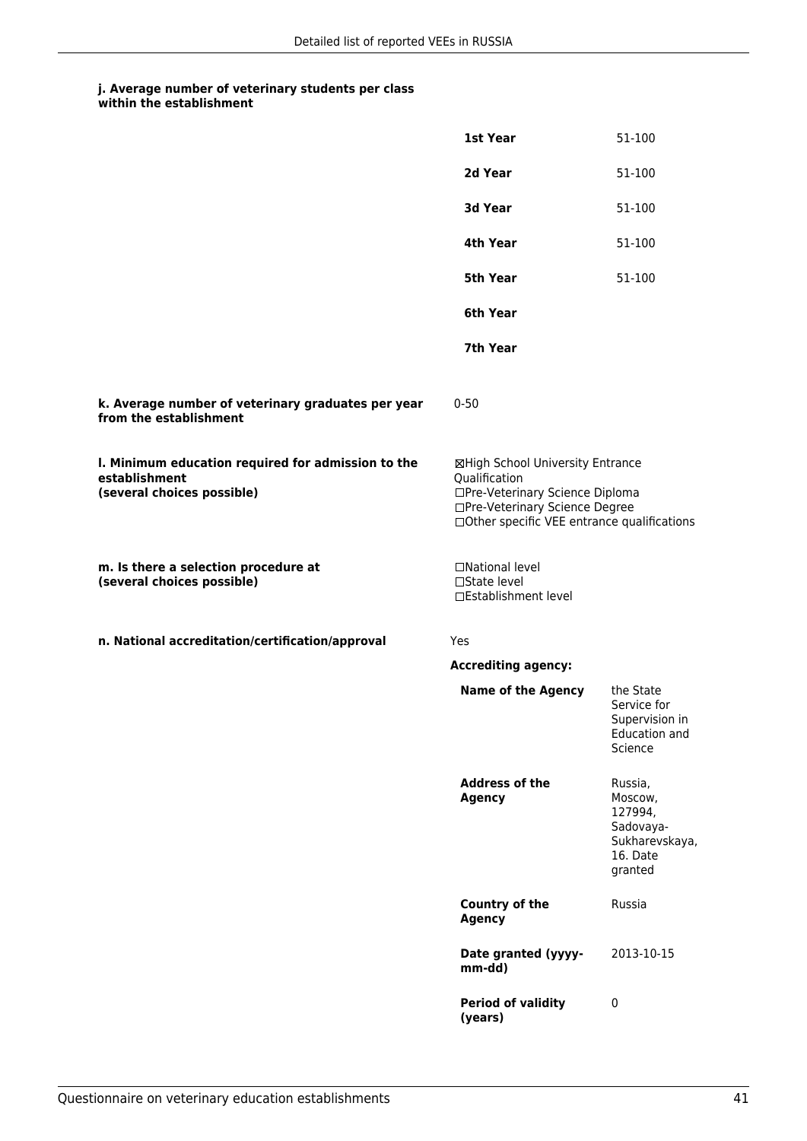|                                                                                                   | 1st Year                                                                                                                                                              | 51-100                                                                              |
|---------------------------------------------------------------------------------------------------|-----------------------------------------------------------------------------------------------------------------------------------------------------------------------|-------------------------------------------------------------------------------------|
|                                                                                                   | 2d Year                                                                                                                                                               | 51-100                                                                              |
|                                                                                                   | 3d Year                                                                                                                                                               | 51-100                                                                              |
|                                                                                                   | 4th Year                                                                                                                                                              | 51-100                                                                              |
|                                                                                                   | 5th Year                                                                                                                                                              | 51-100                                                                              |
|                                                                                                   | 6th Year                                                                                                                                                              |                                                                                     |
|                                                                                                   | 7th Year                                                                                                                                                              |                                                                                     |
| k. Average number of veterinary graduates per year<br>from the establishment                      | $0 - 50$                                                                                                                                                              |                                                                                     |
| I. Minimum education required for admission to the<br>establishment<br>(several choices possible) | ⊠High School University Entrance<br>Qualification<br>□Pre-Veterinary Science Diploma<br>□Pre-Veterinary Science Degree<br>□Other specific VEE entrance qualifications |                                                                                     |
| m. Is there a selection procedure at<br>(several choices possible)                                | □National level<br>$\square$ State level<br>□Establishment level                                                                                                      |                                                                                     |
| n. National accreditation/certification/approval                                                  | Yes                                                                                                                                                                   |                                                                                     |
|                                                                                                   | <b>Accrediting agency:</b>                                                                                                                                            |                                                                                     |
|                                                                                                   | <b>Name of the Agency</b>                                                                                                                                             | the State<br>Service for<br>Supervision in<br>Education and<br>Science              |
|                                                                                                   | <b>Address of the</b><br><b>Agency</b>                                                                                                                                | Russia,<br>Moscow,<br>127994,<br>Sadovaya-<br>Sukharevskaya,<br>16. Date<br>granted |
|                                                                                                   | <b>Country of the</b><br><b>Agency</b>                                                                                                                                | Russia                                                                              |
|                                                                                                   | Date granted (yyyy-<br>mm-dd)                                                                                                                                         | 2013-10-15                                                                          |
|                                                                                                   | <b>Period of validity</b><br>(years)                                                                                                                                  | $\pmb{0}$                                                                           |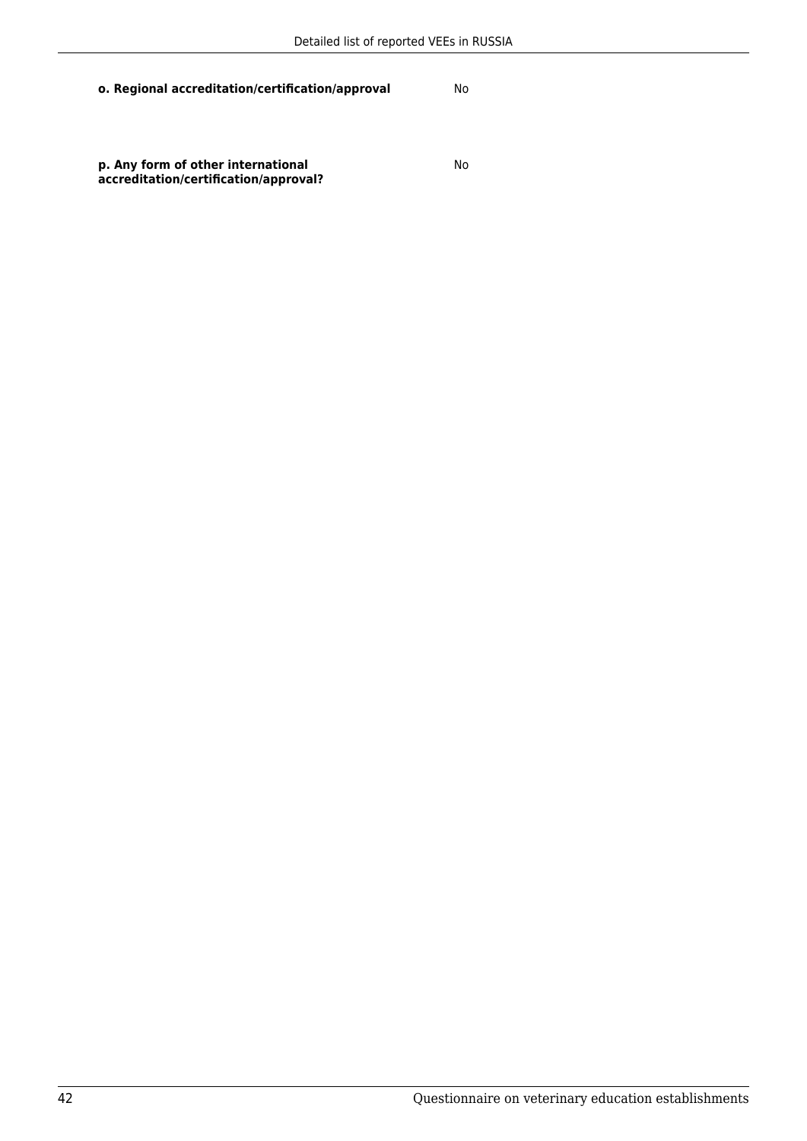No

**p. Any form of other international accreditation/certification/approval?**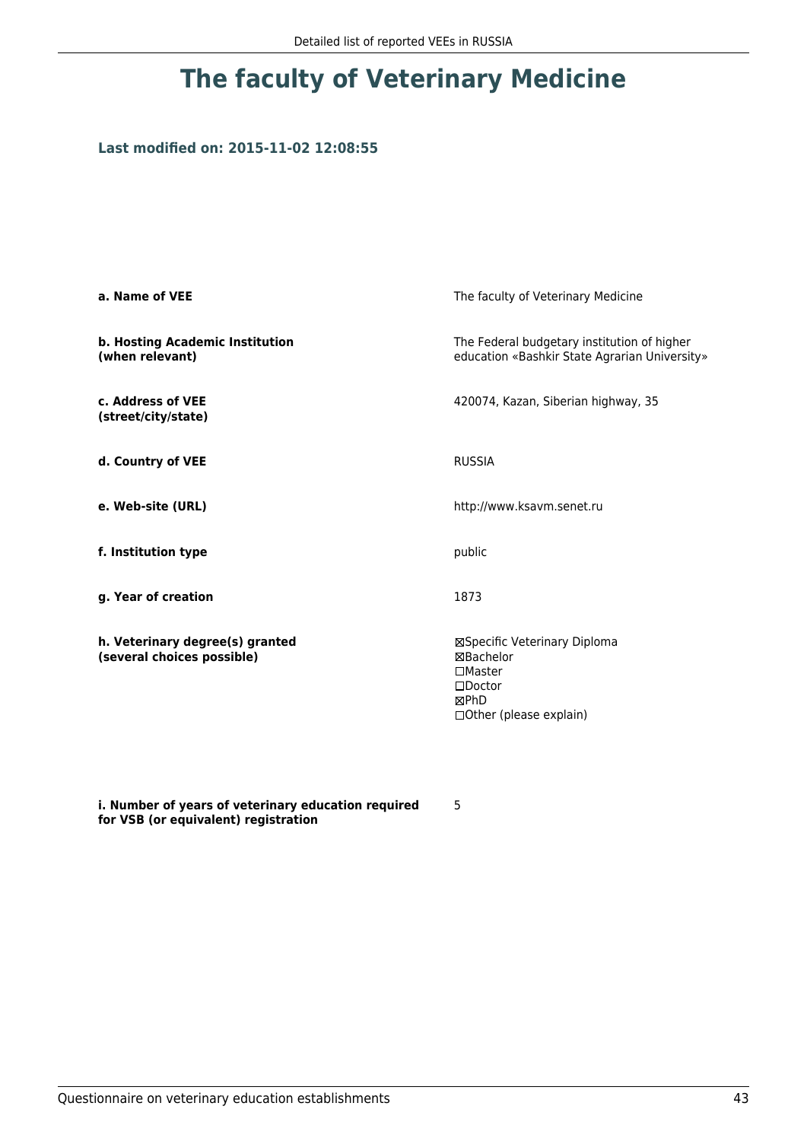### **Last modified on: 2015-11-02 12:08:55**

| a. Name of VEE                                                | The faculty of Veterinary Medicine                                                                                    |  |
|---------------------------------------------------------------|-----------------------------------------------------------------------------------------------------------------------|--|
| b. Hosting Academic Institution<br>(when relevant)            | The Federal budgetary institution of higher<br>education «Bashkir State Agrarian University»                          |  |
| c. Address of VEE<br>(street/city/state)                      | 420074, Kazan, Siberian highway, 35                                                                                   |  |
| d. Country of VEE                                             | <b>RUSSIA</b>                                                                                                         |  |
| e. Web-site (URL)                                             | http://www.ksavm.senet.ru                                                                                             |  |
| f. Institution type                                           | public                                                                                                                |  |
| g. Year of creation                                           | 1873                                                                                                                  |  |
| h. Veterinary degree(s) granted<br>(several choices possible) | ⊠Specific Veterinary Diploma<br>⊠Bachelor<br>$\square$ Master<br>$\square$ Doctor<br>⊠PhD<br>□ Other (please explain) |  |

**i. Number of years of veterinary education required for VSB (or equivalent) registration**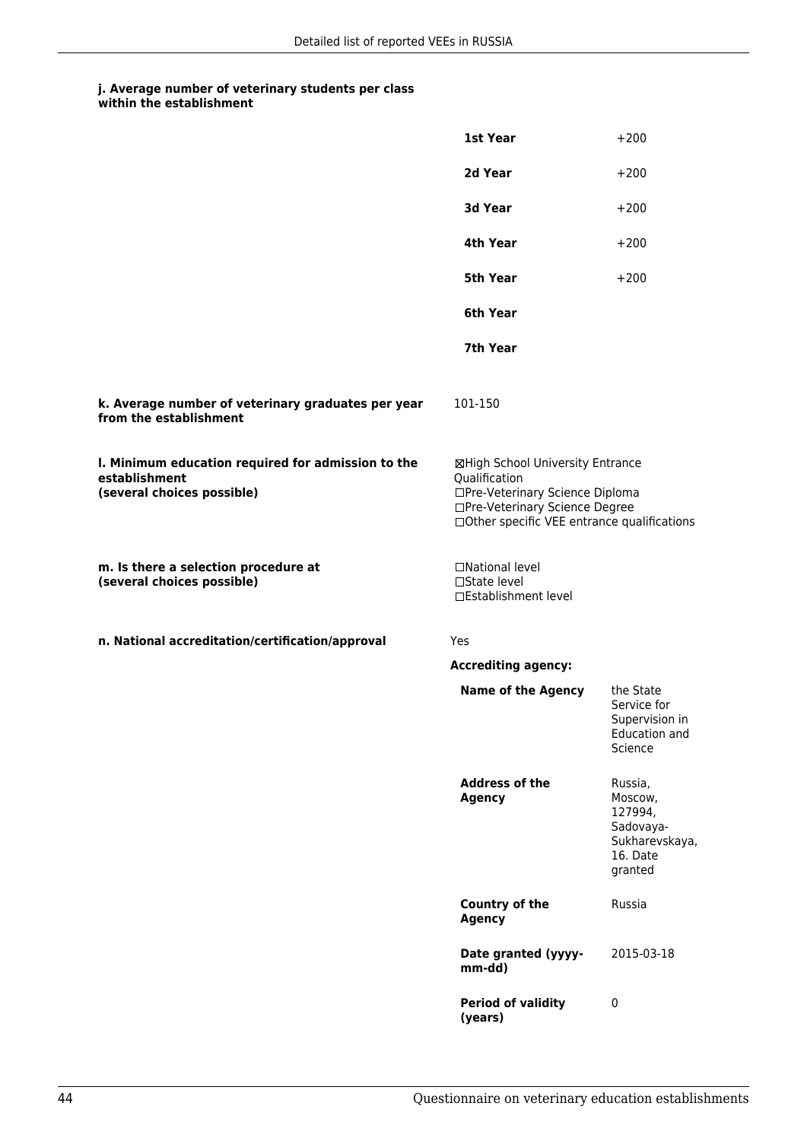|                                                                                                   | 1st Year                                                                                                                                                              | $+200$                                                                              |
|---------------------------------------------------------------------------------------------------|-----------------------------------------------------------------------------------------------------------------------------------------------------------------------|-------------------------------------------------------------------------------------|
|                                                                                                   | 2d Year                                                                                                                                                               | $+200$                                                                              |
|                                                                                                   | 3d Year                                                                                                                                                               | $+200$                                                                              |
|                                                                                                   | 4th Year                                                                                                                                                              | $+200$                                                                              |
|                                                                                                   | 5th Year                                                                                                                                                              | $+200$                                                                              |
|                                                                                                   | 6th Year                                                                                                                                                              |                                                                                     |
|                                                                                                   | 7th Year                                                                                                                                                              |                                                                                     |
| k. Average number of veterinary graduates per year<br>from the establishment                      | 101-150                                                                                                                                                               |                                                                                     |
| I. Minimum education required for admission to the<br>establishment<br>(several choices possible) | ⊠High School University Entrance<br>Qualification<br>□Pre-Veterinary Science Diploma<br>□Pre-Veterinary Science Degree<br>□Other specific VEE entrance qualifications |                                                                                     |
| m. Is there a selection procedure at<br>(several choices possible)                                | □National level<br>$\square$ State level<br>□Establishment level                                                                                                      |                                                                                     |
| n. National accreditation/certification/approval                                                  | Yes                                                                                                                                                                   |                                                                                     |
|                                                                                                   | <b>Accrediting agency:</b>                                                                                                                                            |                                                                                     |
|                                                                                                   | <b>Name of the Agency</b>                                                                                                                                             | the State<br>Service for<br>Supervision in<br>Education and<br>Science              |
|                                                                                                   | <b>Address of the</b><br><b>Agency</b>                                                                                                                                | Russia,<br>Moscow,<br>127994,<br>Sadovaya-<br>Sukharevskaya,<br>16. Date<br>granted |
|                                                                                                   | <b>Country of the</b><br><b>Agency</b>                                                                                                                                | Russia                                                                              |
|                                                                                                   | Date granted (yyyy-<br>mm-dd)                                                                                                                                         | 2015-03-18                                                                          |
|                                                                                                   | <b>Period of validity</b><br>(years)                                                                                                                                  | $\pmb{0}$                                                                           |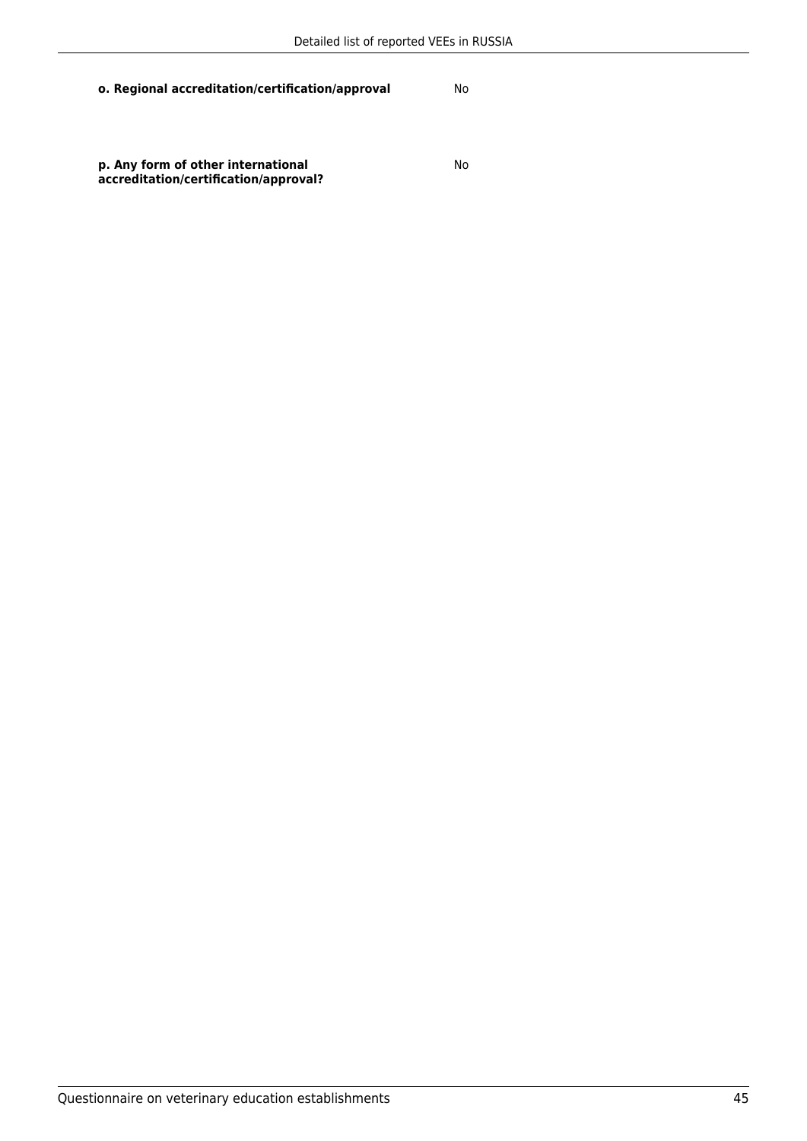**p. Any form of other international accreditation/certification/approval?** No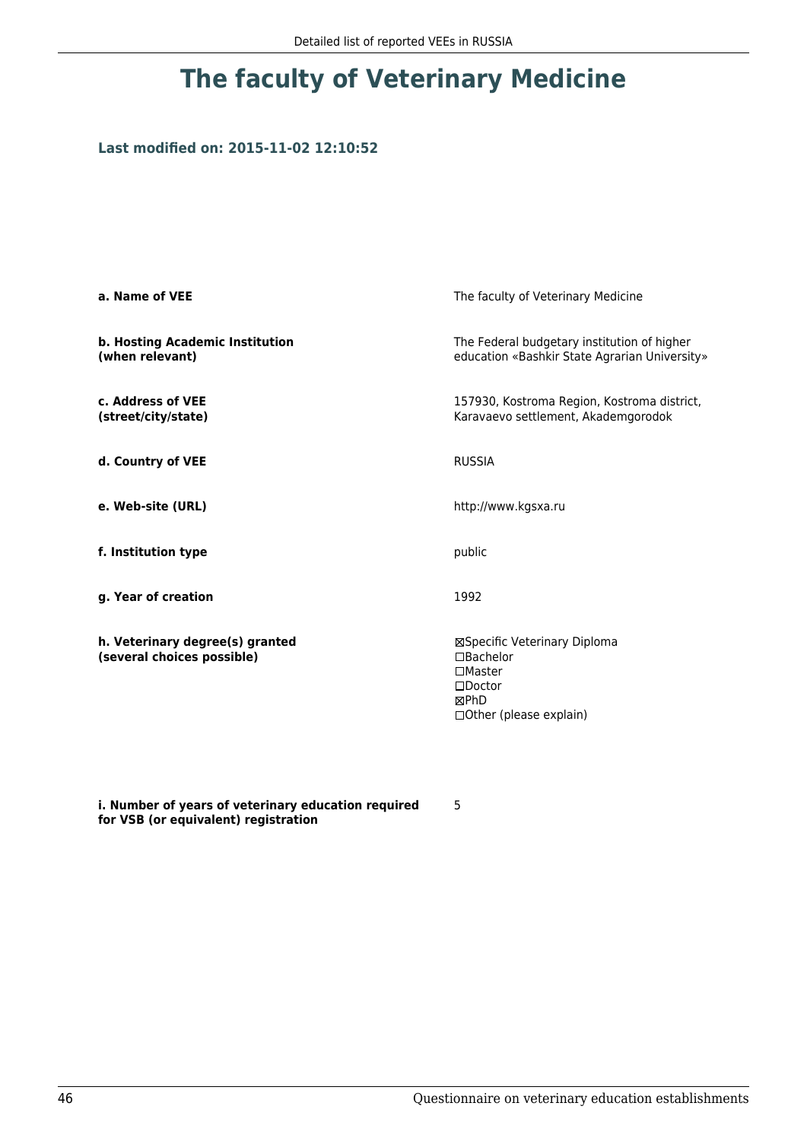### **Last modified on: 2015-11-02 12:10:52**

| a. Name of VEE                                                | The faculty of Veterinary Medicine                                                                                   |  |
|---------------------------------------------------------------|----------------------------------------------------------------------------------------------------------------------|--|
| b. Hosting Academic Institution<br>(when relevant)            | The Federal budgetary institution of higher<br>education «Bashkir State Agrarian University»                         |  |
| c. Address of VEE<br>(street/city/state)                      | 157930, Kostroma Region, Kostroma district,<br>Karavaevo settlement, Akademgorodok                                   |  |
| d. Country of VEE                                             | <b>RUSSIA</b>                                                                                                        |  |
| e. Web-site (URL)                                             | http://www.kgsxa.ru                                                                                                  |  |
| f. Institution type                                           | public                                                                                                               |  |
| g. Year of creation                                           | 1992                                                                                                                 |  |
| h. Veterinary degree(s) granted<br>(several choices possible) | ⊠Specific Veterinary Diploma<br>□Bachelor<br>$\square$ Master<br>$\square$ Doctor<br>⊠PhD<br>□Other (please explain) |  |

**i. Number of years of veterinary education required for VSB (or equivalent) registration**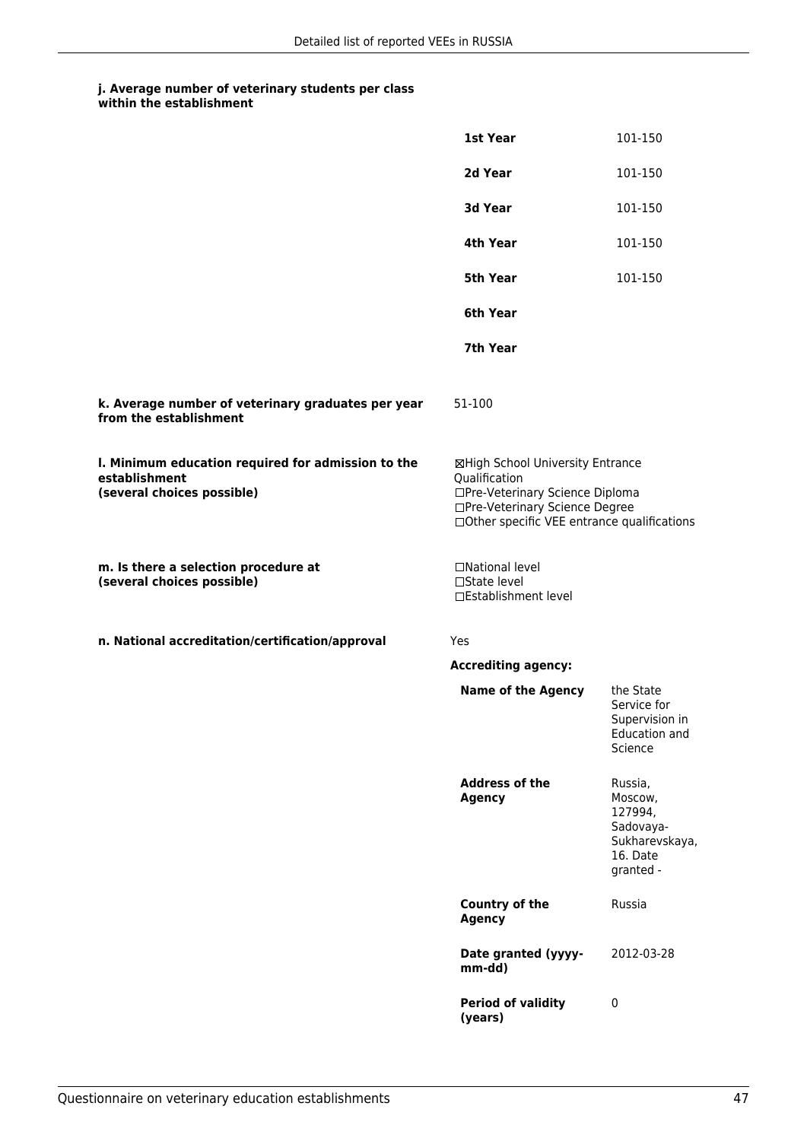|                                                                                                   | 1st Year                                                                                                                                                              | 101-150                                                                               |
|---------------------------------------------------------------------------------------------------|-----------------------------------------------------------------------------------------------------------------------------------------------------------------------|---------------------------------------------------------------------------------------|
|                                                                                                   | 2d Year                                                                                                                                                               | 101-150                                                                               |
|                                                                                                   | 3d Year                                                                                                                                                               | 101-150                                                                               |
|                                                                                                   | 4th Year                                                                                                                                                              | 101-150                                                                               |
|                                                                                                   | 5th Year                                                                                                                                                              | 101-150                                                                               |
|                                                                                                   | 6th Year                                                                                                                                                              |                                                                                       |
|                                                                                                   | 7th Year                                                                                                                                                              |                                                                                       |
| k. Average number of veterinary graduates per year<br>from the establishment                      | 51-100                                                                                                                                                                |                                                                                       |
| I. Minimum education required for admission to the<br>establishment<br>(several choices possible) | ⊠High School University Entrance<br>Qualification<br>□Pre-Veterinary Science Diploma<br>□Pre-Veterinary Science Degree<br>□Other specific VEE entrance qualifications |                                                                                       |
| m. Is there a selection procedure at<br>(several choices possible)                                | □National level<br>□State level<br>□Establishment level                                                                                                               |                                                                                       |
| n. National accreditation/certification/approval                                                  | Yes                                                                                                                                                                   |                                                                                       |
|                                                                                                   | <b>Accrediting agency:</b>                                                                                                                                            |                                                                                       |
|                                                                                                   | <b>Name of the Agency</b>                                                                                                                                             | the State<br>Service for<br>Supervision in<br><b>Education and</b><br>Science         |
|                                                                                                   | <b>Address of the</b><br><b>Agency</b>                                                                                                                                | Russia,<br>Moscow,<br>127994,<br>Sadovaya-<br>Sukharevskaya,<br>16. Date<br>granted - |
|                                                                                                   | <b>Country of the</b><br><b>Agency</b>                                                                                                                                | Russia                                                                                |
|                                                                                                   | Date granted (yyyy-<br>mm-dd)                                                                                                                                         | 2012-03-28                                                                            |
|                                                                                                   | <b>Period of validity</b><br>(years)                                                                                                                                  | $\pmb{0}$                                                                             |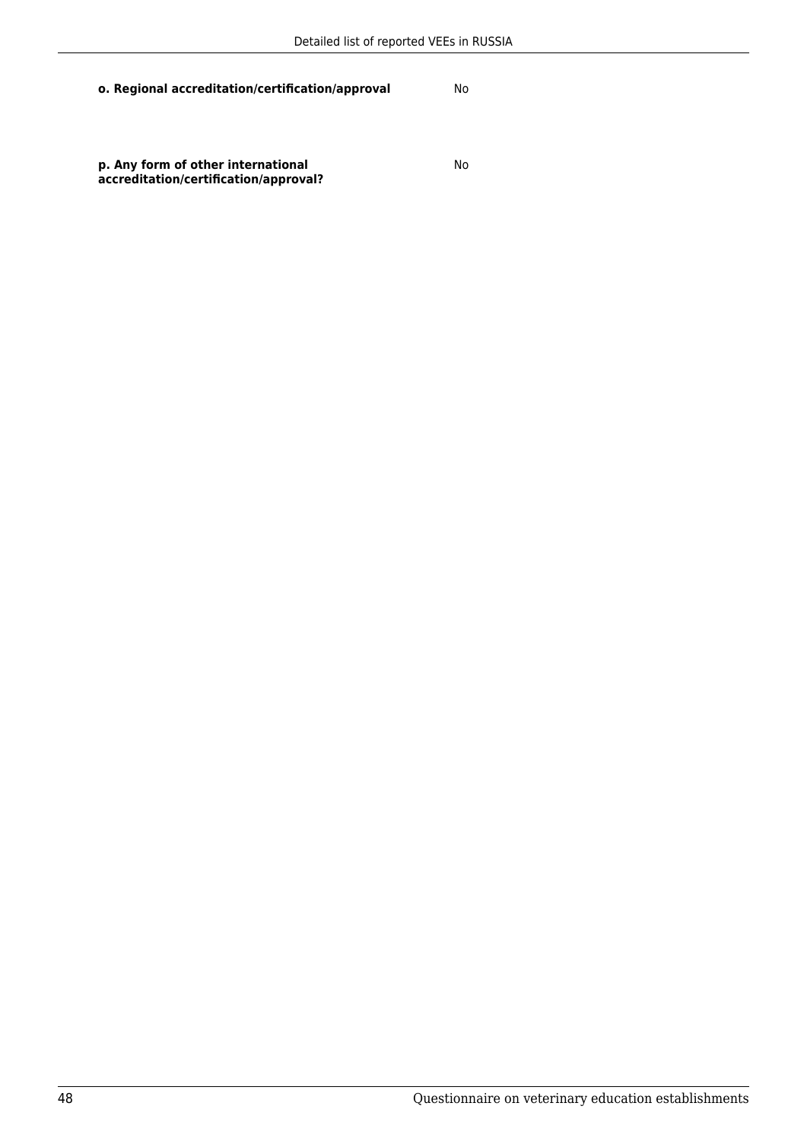No

**p. Any form of other international accreditation/certification/approval?**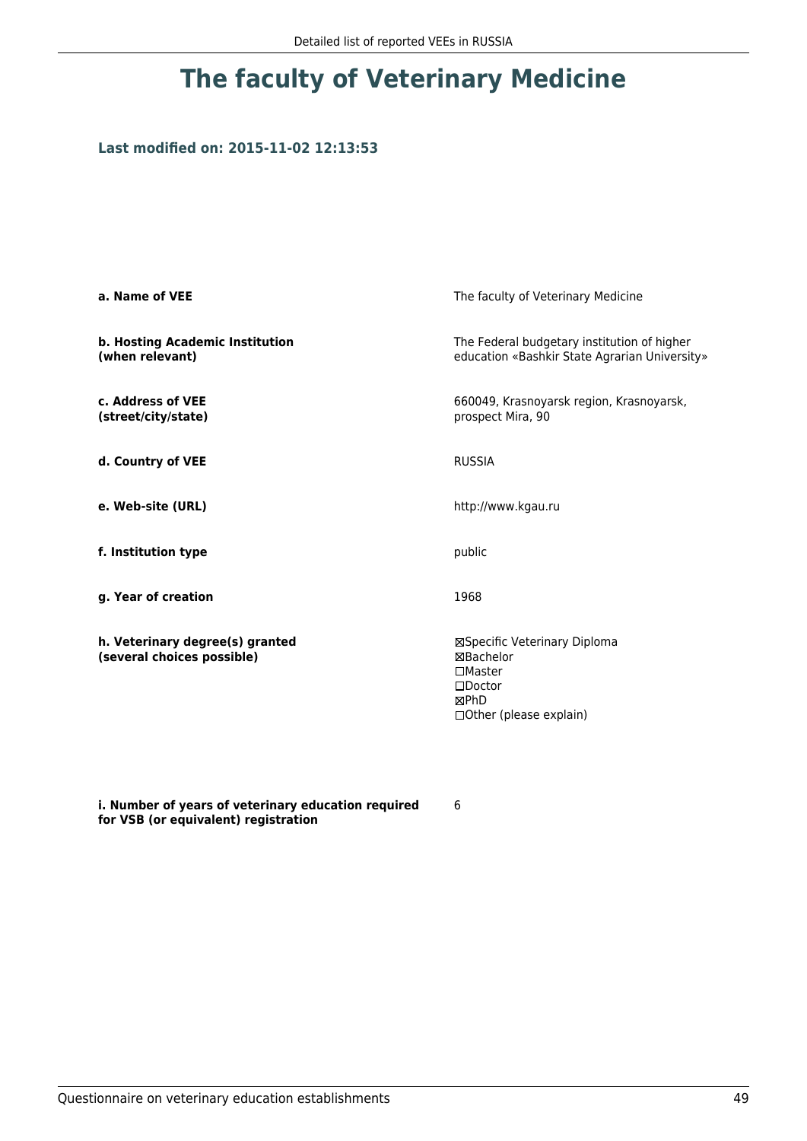### **Last modified on: 2015-11-02 12:13:53**

| a. Name of VEE                                                | The faculty of Veterinary Medicine                                                                                   |  |
|---------------------------------------------------------------|----------------------------------------------------------------------------------------------------------------------|--|
| b. Hosting Academic Institution<br>(when relevant)            | The Federal budgetary institution of higher<br>education «Bashkir State Agrarian University»                         |  |
| c. Address of VEE<br>(street/city/state)                      | 660049, Krasnoyarsk region, Krasnoyarsk,<br>prospect Mira, 90                                                        |  |
| d. Country of VEE                                             | <b>RUSSIA</b>                                                                                                        |  |
| e. Web-site (URL)                                             | http://www.kgau.ru                                                                                                   |  |
| f. Institution type                                           | public                                                                                                               |  |
| g. Year of creation                                           | 1968                                                                                                                 |  |
| h. Veterinary degree(s) granted<br>(several choices possible) | ⊠Specific Veterinary Diploma<br>⊠Bachelor<br>$\square$ Master<br>$\square$ Doctor<br>⊠PhD<br>□Other (please explain) |  |

**i. Number of years of veterinary education required for VSB (or equivalent) registration**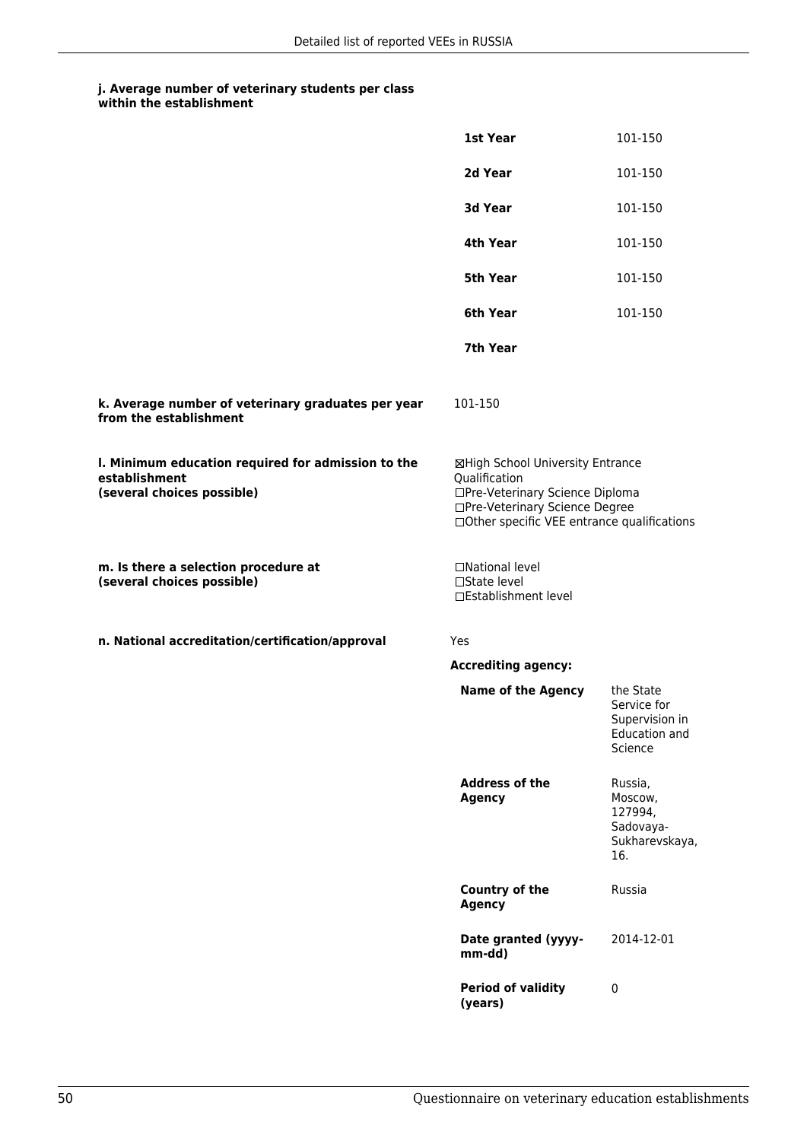|                                                                                                   | 1st Year                                                                                                                                                              | 101-150                                                                       |
|---------------------------------------------------------------------------------------------------|-----------------------------------------------------------------------------------------------------------------------------------------------------------------------|-------------------------------------------------------------------------------|
|                                                                                                   | 2d Year                                                                                                                                                               | 101-150                                                                       |
|                                                                                                   | 3d Year                                                                                                                                                               | 101-150                                                                       |
|                                                                                                   | 4th Year                                                                                                                                                              | 101-150                                                                       |
|                                                                                                   | 5th Year                                                                                                                                                              | 101-150                                                                       |
|                                                                                                   | 6th Year                                                                                                                                                              | 101-150                                                                       |
|                                                                                                   | 7th Year                                                                                                                                                              |                                                                               |
| k. Average number of veterinary graduates per year<br>from the establishment                      | 101-150                                                                                                                                                               |                                                                               |
| I. Minimum education required for admission to the<br>establishment<br>(several choices possible) | ⊠High School University Entrance<br>Qualification<br>□Pre-Veterinary Science Diploma<br>□Pre-Veterinary Science Degree<br>□Other specific VEE entrance qualifications |                                                                               |
| m. Is there a selection procedure at<br>(several choices possible)                                | □National level<br>□State level<br>□Establishment level                                                                                                               |                                                                               |
| n. National accreditation/certification/approval                                                  | Yes                                                                                                                                                                   |                                                                               |
|                                                                                                   | <b>Accrediting agency:</b>                                                                                                                                            |                                                                               |
|                                                                                                   | <b>Name of the Agency</b>                                                                                                                                             | the State<br>Service for<br>Supervision in<br><b>Education and</b><br>Science |
|                                                                                                   | <b>Address of the</b><br><b>Agency</b>                                                                                                                                | Russia,<br>Moscow,<br>127994,<br>Sadovaya-<br>Sukharevskaya,<br>16.           |
|                                                                                                   | <b>Country of the</b><br><b>Agency</b>                                                                                                                                | Russia                                                                        |
|                                                                                                   | Date granted (yyyy-<br>mm-dd)                                                                                                                                         | 2014-12-01                                                                    |
|                                                                                                   | <b>Period of validity</b><br>(years)                                                                                                                                  | $\pmb{0}$                                                                     |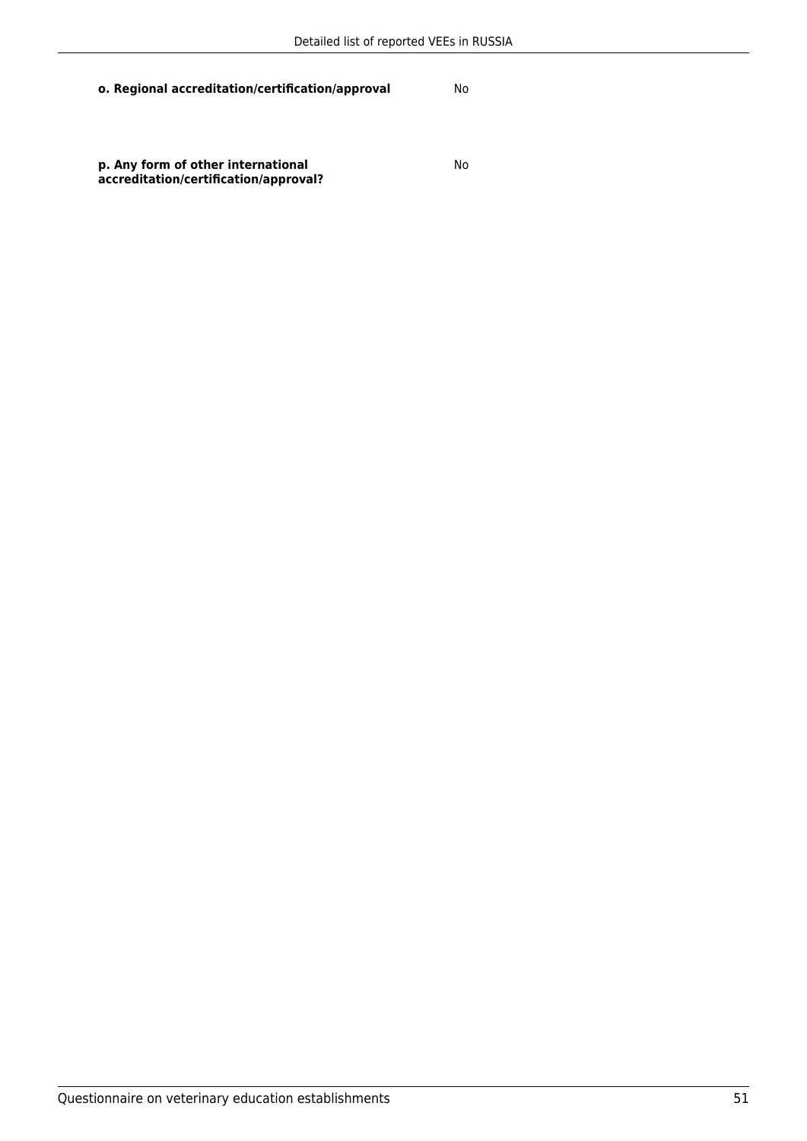**p. Any form of other international accreditation/certification/approval?** No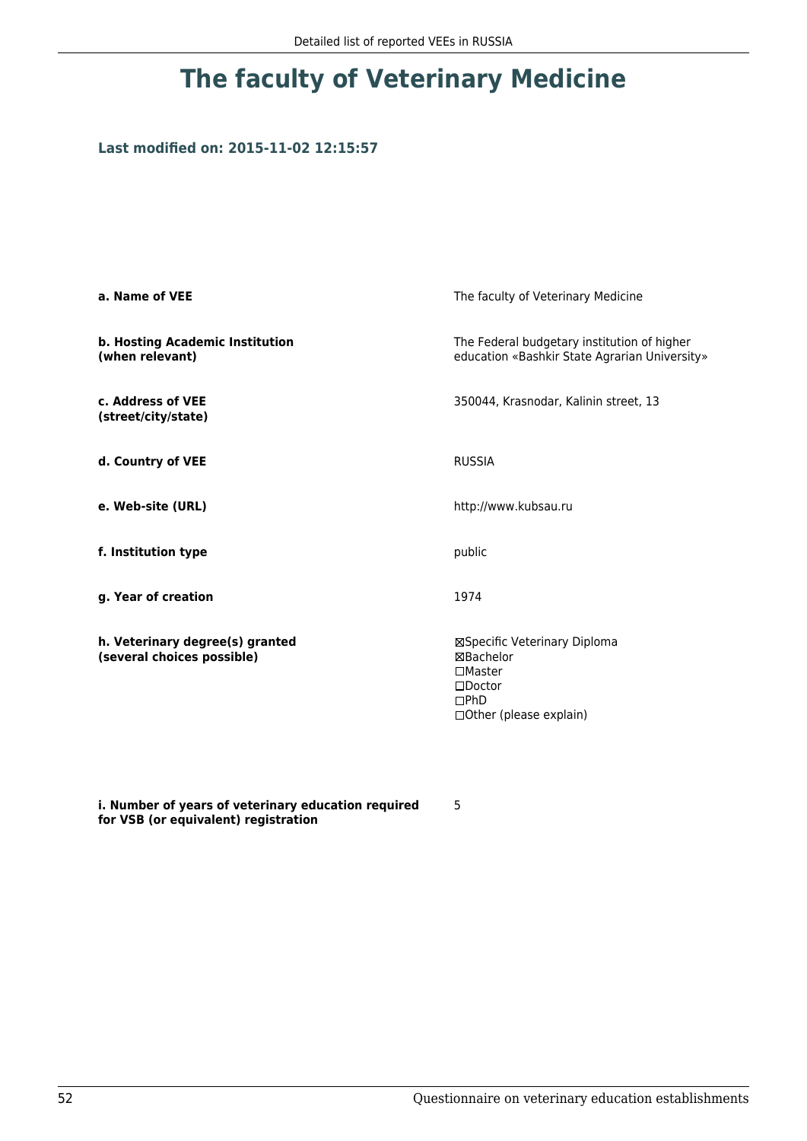### **Last modified on: 2015-11-02 12:15:57**

| a. Name of VEE                                                | The faculty of Veterinary Medicine                                                                                    |  |
|---------------------------------------------------------------|-----------------------------------------------------------------------------------------------------------------------|--|
| b. Hosting Academic Institution<br>(when relevant)            | The Federal budgetary institution of higher<br>education «Bashkir State Agrarian University»                          |  |
| c. Address of VEE<br>(street/city/state)                      | 350044, Krasnodar, Kalinin street, 13                                                                                 |  |
| d. Country of VEE                                             | <b>RUSSIA</b>                                                                                                         |  |
| e. Web-site (URL)                                             | http://www.kubsau.ru                                                                                                  |  |
| f. Institution type                                           | public                                                                                                                |  |
| g. Year of creation                                           | 1974                                                                                                                  |  |
| h. Veterinary degree(s) granted<br>(several choices possible) | ⊠Specific Veterinary Diploma<br>⊠Bachelor<br>$\square$ Master<br>$\square$ Doctor<br>DPhD<br>□ Other (please explain) |  |

**i. Number of years of veterinary education required for VSB (or equivalent) registration**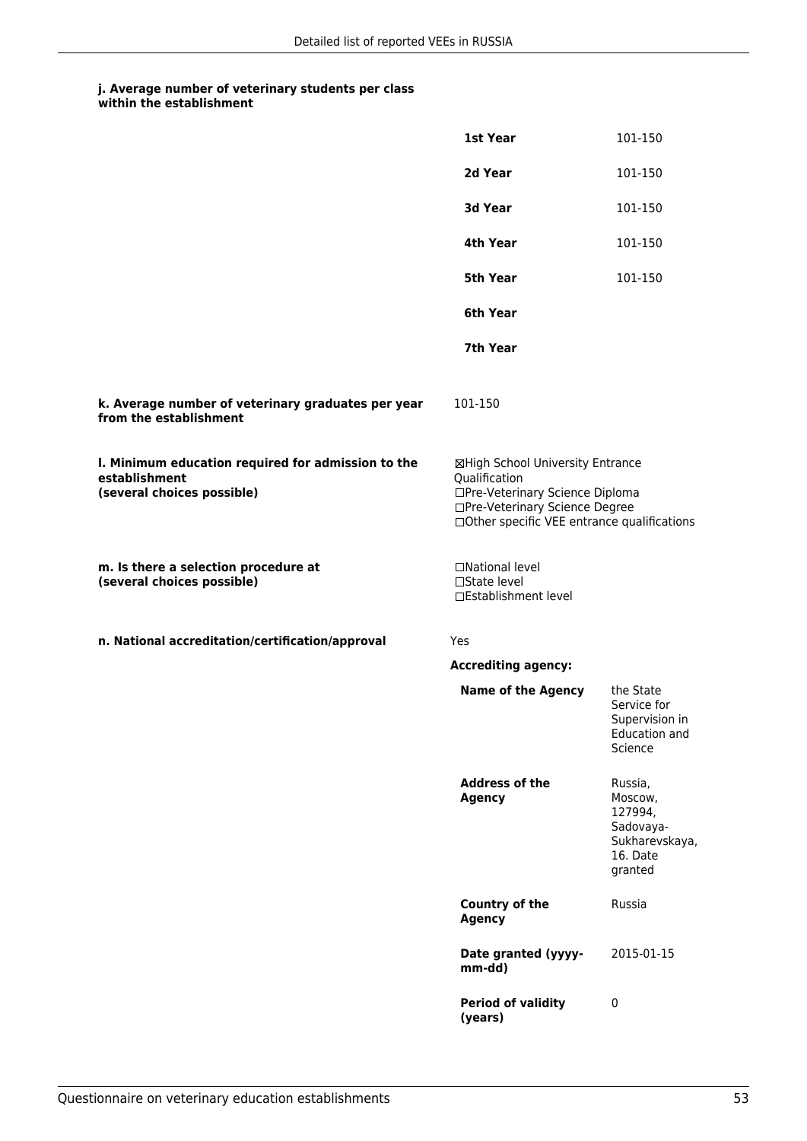|                                                                                                   | 1st Year                                                                                                                                                              | 101-150                                                                             |
|---------------------------------------------------------------------------------------------------|-----------------------------------------------------------------------------------------------------------------------------------------------------------------------|-------------------------------------------------------------------------------------|
|                                                                                                   | 2d Year                                                                                                                                                               | 101-150                                                                             |
|                                                                                                   | 3d Year                                                                                                                                                               | 101-150                                                                             |
|                                                                                                   | 4th Year                                                                                                                                                              | 101-150                                                                             |
|                                                                                                   | 5th Year                                                                                                                                                              | 101-150                                                                             |
|                                                                                                   | 6th Year                                                                                                                                                              |                                                                                     |
|                                                                                                   | 7th Year                                                                                                                                                              |                                                                                     |
| k. Average number of veterinary graduates per year<br>from the establishment                      | 101-150                                                                                                                                                               |                                                                                     |
| I. Minimum education required for admission to the<br>establishment<br>(several choices possible) | ⊠High School University Entrance<br>Qualification<br>□Pre-Veterinary Science Diploma<br>□Pre-Veterinary Science Degree<br>□Other specific VEE entrance qualifications |                                                                                     |
| m. Is there a selection procedure at<br>(several choices possible)                                | □National level<br>□State level<br>□Establishment level                                                                                                               |                                                                                     |
| n. National accreditation/certification/approval                                                  | Yes                                                                                                                                                                   |                                                                                     |
|                                                                                                   | <b>Accrediting agency:</b>                                                                                                                                            |                                                                                     |
|                                                                                                   | <b>Name of the Agency</b>                                                                                                                                             | the State<br>Service for<br>Supervision in<br>Education and<br>Science              |
|                                                                                                   | <b>Address of the</b><br><b>Agency</b>                                                                                                                                | Russia,<br>Moscow,<br>127994,<br>Sadovaya-<br>Sukharevskaya,<br>16. Date<br>granted |
|                                                                                                   | <b>Country of the</b><br><b>Agency</b>                                                                                                                                | Russia                                                                              |
|                                                                                                   | Date granted (yyyy-<br>mm-dd)                                                                                                                                         | 2015-01-15                                                                          |
|                                                                                                   | <b>Period of validity</b><br>(years)                                                                                                                                  | $\pmb{0}$                                                                           |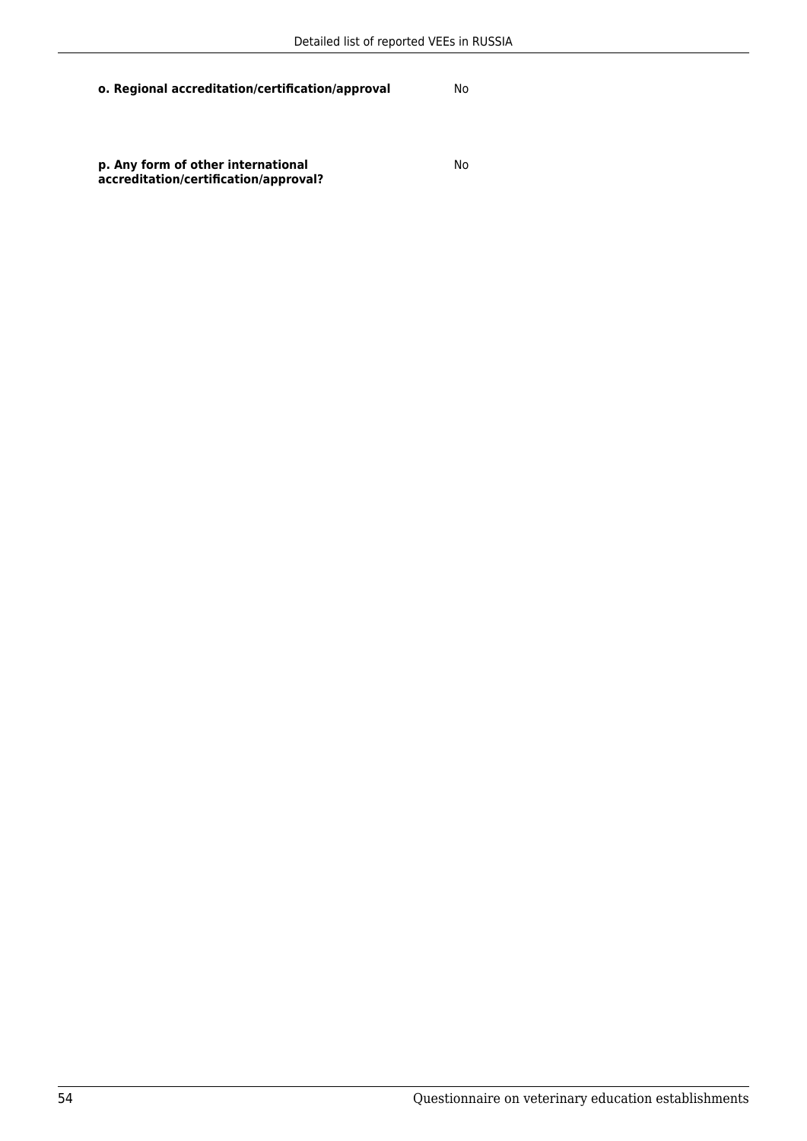No

**p. Any form of other international accreditation/certification/approval?**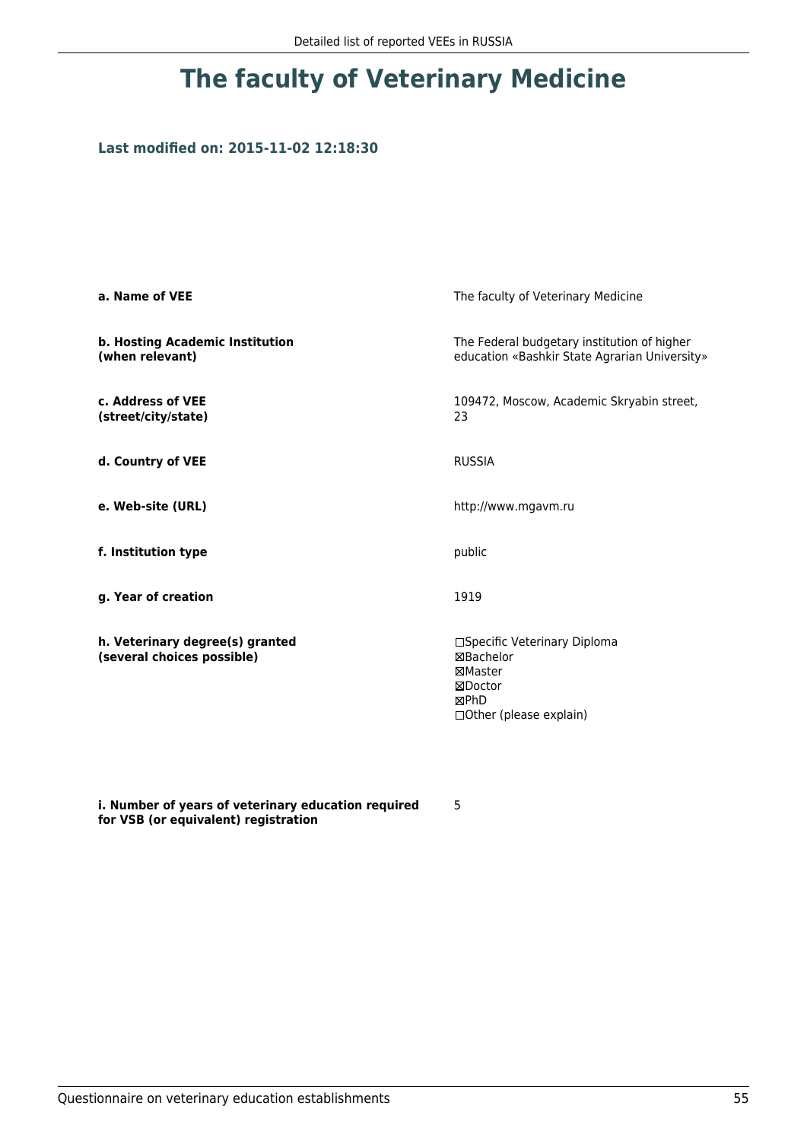### **Last modified on: 2015-11-02 12:18:30**

| a. Name of VEE                                                | The faculty of Veterinary Medicine                                                                  |
|---------------------------------------------------------------|-----------------------------------------------------------------------------------------------------|
| b. Hosting Academic Institution<br>(when relevant)            | The Federal budgetary institution of higher<br>education «Bashkir State Agrarian University»        |
| c. Address of VEE<br>(street/city/state)                      | 109472, Moscow, Academic Skryabin street,<br>23                                                     |
| d. Country of VEE                                             | <b>RUSSIA</b>                                                                                       |
| e. Web-site (URL)                                             | http://www.mgavm.ru                                                                                 |
| f. Institution type                                           | public                                                                                              |
| g. Year of creation                                           | 1919                                                                                                |
| h. Veterinary degree(s) granted<br>(several choices possible) | □Specific Veterinary Diploma<br>⊠Bachelor<br>⊠Master<br>⊠Doctor<br>⊠PhD<br>□ Other (please explain) |

**i. Number of years of veterinary education required for VSB (or equivalent) registration**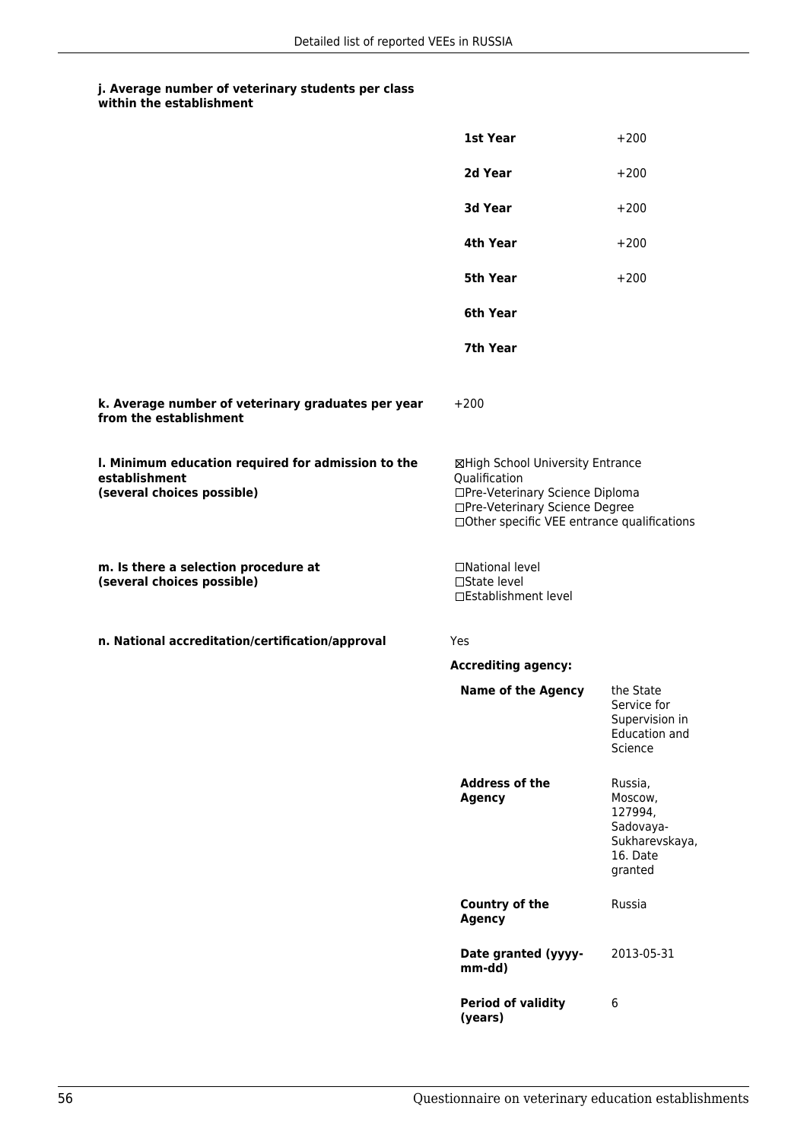|                                                                                                   | 1st Year                                                                                                                                                              | $+200$                                                                              |
|---------------------------------------------------------------------------------------------------|-----------------------------------------------------------------------------------------------------------------------------------------------------------------------|-------------------------------------------------------------------------------------|
|                                                                                                   | 2d Year                                                                                                                                                               | $+200$                                                                              |
|                                                                                                   | 3d Year                                                                                                                                                               | $+200$                                                                              |
|                                                                                                   | 4th Year                                                                                                                                                              | $+200$                                                                              |
|                                                                                                   | 5th Year                                                                                                                                                              | $+200$                                                                              |
|                                                                                                   | 6th Year                                                                                                                                                              |                                                                                     |
|                                                                                                   | 7th Year                                                                                                                                                              |                                                                                     |
| k. Average number of veterinary graduates per year<br>from the establishment                      | $+200$                                                                                                                                                                |                                                                                     |
| I. Minimum education required for admission to the<br>establishment<br>(several choices possible) | ⊠High School University Entrance<br>Qualification<br>□Pre-Veterinary Science Diploma<br>□Pre-Veterinary Science Degree<br>□Other specific VEE entrance qualifications |                                                                                     |
| m. Is there a selection procedure at<br>(several choices possible)                                | □National level<br>□State level<br>□Establishment level                                                                                                               |                                                                                     |
| n. National accreditation/certification/approval                                                  | Yes                                                                                                                                                                   |                                                                                     |
|                                                                                                   | <b>Accrediting agency:</b>                                                                                                                                            |                                                                                     |
|                                                                                                   | <b>Name of the Agency</b>                                                                                                                                             | the State<br>Service for<br>Supervision in<br><b>Education and</b><br>Science       |
|                                                                                                   | <b>Address of the</b><br><b>Agency</b>                                                                                                                                | Russia,<br>Moscow,<br>127994,<br>Sadovaya-<br>Sukharevskaya,<br>16. Date<br>granted |
|                                                                                                   | <b>Country of the</b><br><b>Agency</b>                                                                                                                                | Russia                                                                              |
|                                                                                                   | Date granted (yyyy-<br>mm-dd)                                                                                                                                         | 2013-05-31                                                                          |
|                                                                                                   | <b>Period of validity</b><br>(years)                                                                                                                                  | 6                                                                                   |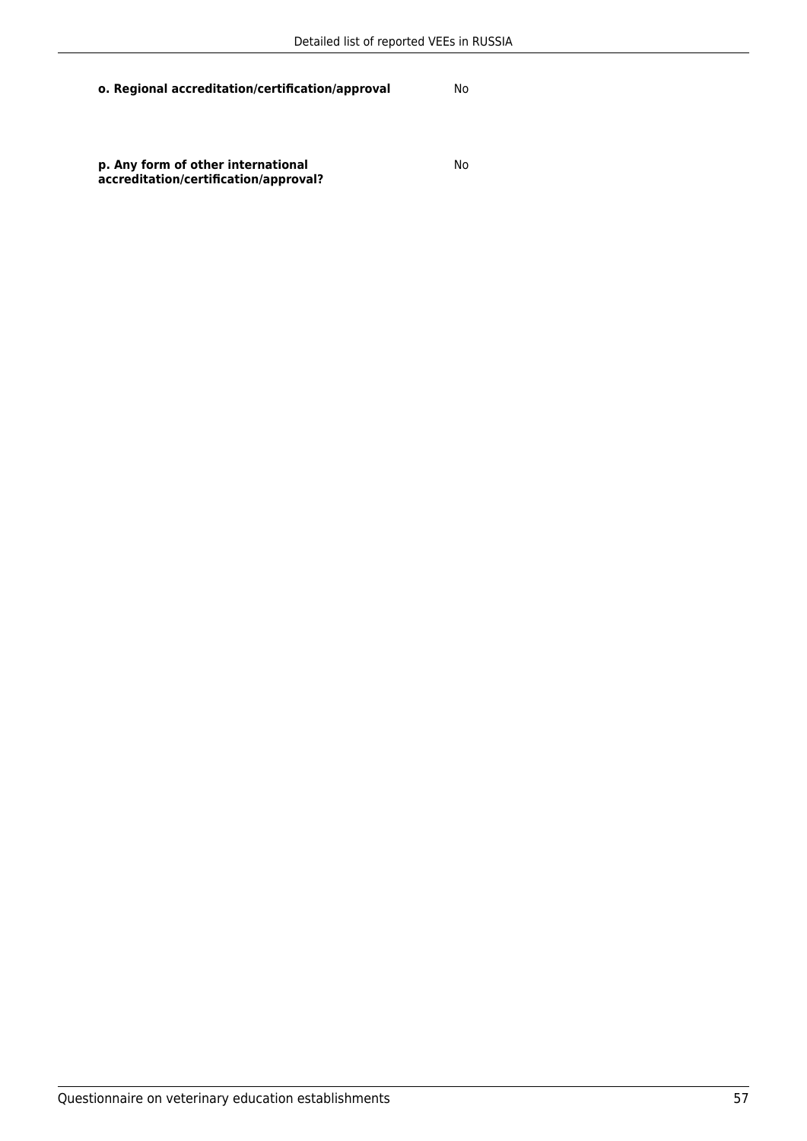**p. Any form of other international accreditation/certification/approval?** No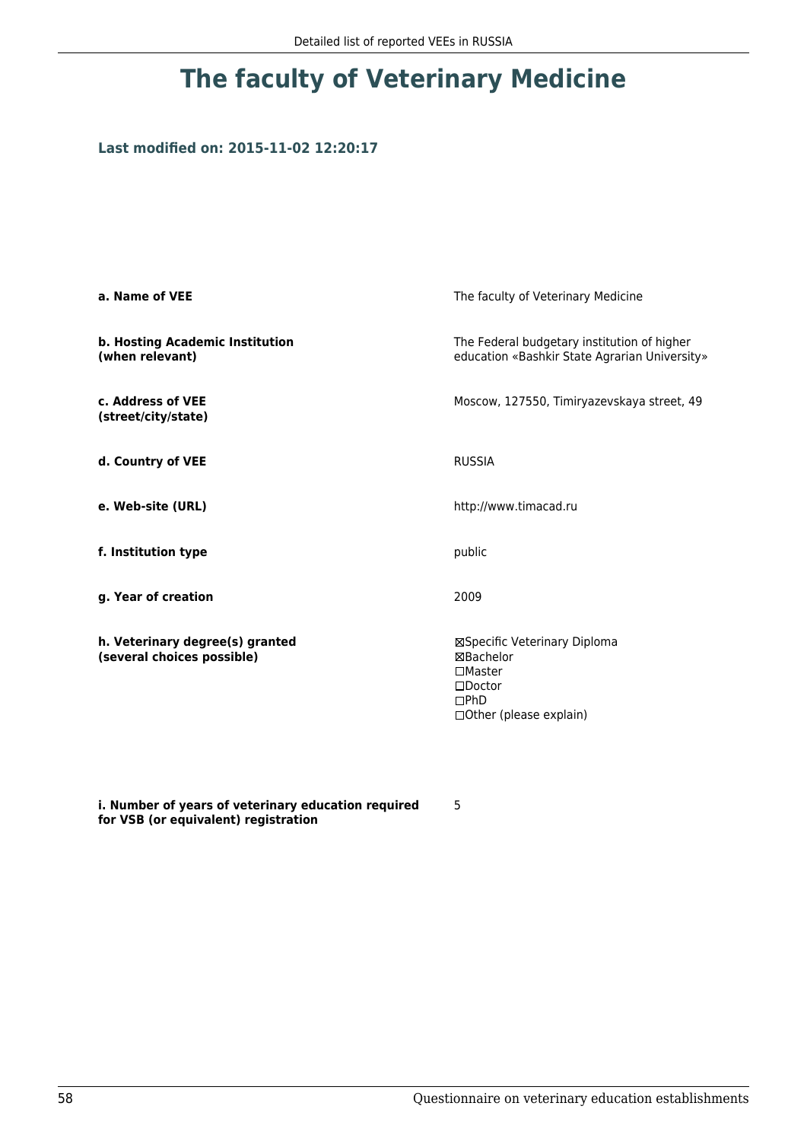### **Last modified on: 2015-11-02 12:20:17**

| a. Name of VEE                                                | The faculty of Veterinary Medicine                                                                                    |
|---------------------------------------------------------------|-----------------------------------------------------------------------------------------------------------------------|
| b. Hosting Academic Institution<br>(when relevant)            | The Federal budgetary institution of higher<br>education «Bashkir State Agrarian University»                          |
| c. Address of VEE<br>(street/city/state)                      | Moscow, 127550, Timiryazevskaya street, 49                                                                            |
| d. Country of VEE                                             | <b>RUSSIA</b>                                                                                                         |
| e. Web-site (URL)                                             | http://www.timacad.ru                                                                                                 |
| f. Institution type                                           | public                                                                                                                |
| g. Year of creation                                           | 2009                                                                                                                  |
| h. Veterinary degree(s) granted<br>(several choices possible) | ⊠Specific Veterinary Diploma<br>⊠Bachelor<br>$\square$ Master<br>$\square$ Doctor<br>DPhD<br>□ Other (please explain) |

**i. Number of years of veterinary education required for VSB (or equivalent) registration**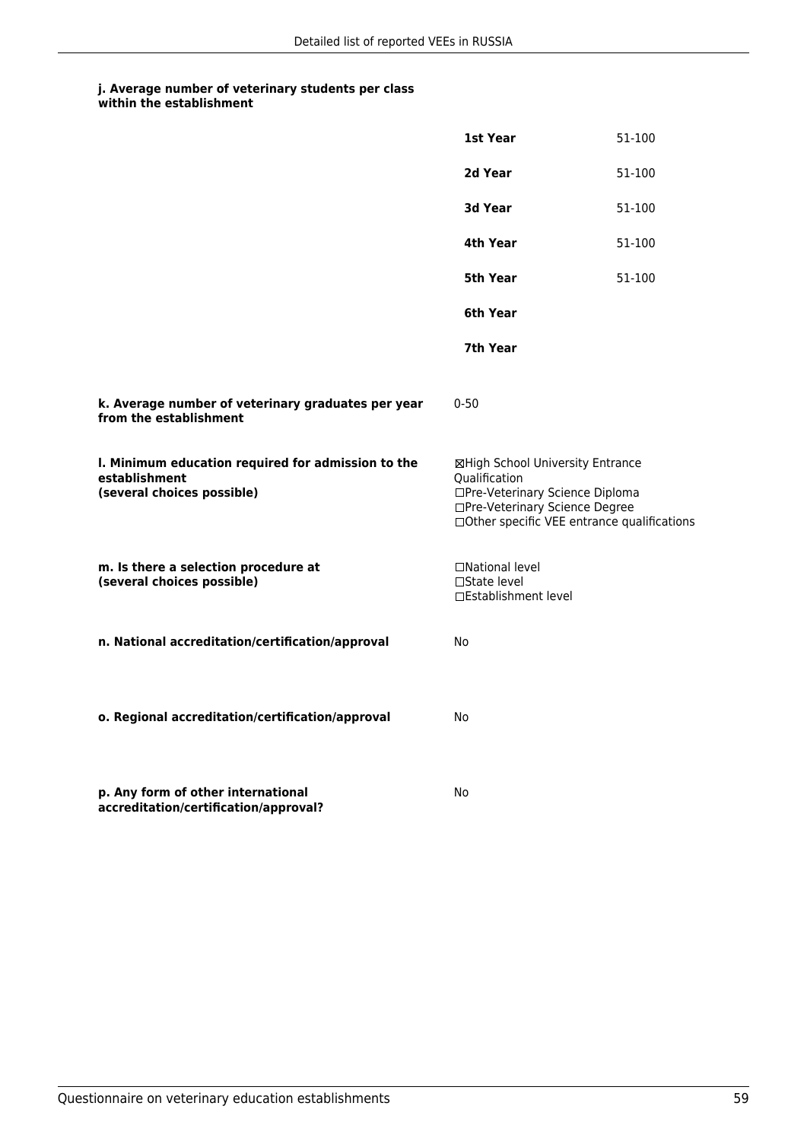## **j. Average number of veterinary students per class**

|                                                                                                   | 1st Year                                                                                                                                                              | 51-100 |
|---------------------------------------------------------------------------------------------------|-----------------------------------------------------------------------------------------------------------------------------------------------------------------------|--------|
|                                                                                                   | 2d Year                                                                                                                                                               | 51-100 |
|                                                                                                   | 3d Year                                                                                                                                                               | 51-100 |
|                                                                                                   | 4th Year                                                                                                                                                              | 51-100 |
|                                                                                                   | 5th Year                                                                                                                                                              | 51-100 |
|                                                                                                   | 6th Year                                                                                                                                                              |        |
|                                                                                                   | 7th Year                                                                                                                                                              |        |
| k. Average number of veterinary graduates per year<br>from the establishment                      | $0 - 50$                                                                                                                                                              |        |
| I. Minimum education required for admission to the<br>establishment<br>(several choices possible) | ⊠High School University Entrance<br>Qualification<br>□Pre-Veterinary Science Diploma<br>□Pre-Veterinary Science Degree<br>□Other specific VEE entrance qualifications |        |
| m. Is there a selection procedure at<br>(several choices possible)                                | □National level<br>$\Box$ State level<br>□Establishment level                                                                                                         |        |
| n. National accreditation/certification/approval                                                  | No                                                                                                                                                                    |        |
| o. Regional accreditation/certification/approval                                                  | No                                                                                                                                                                    |        |
| p. Any form of other international<br>accreditation/certification/approval?                       | No                                                                                                                                                                    |        |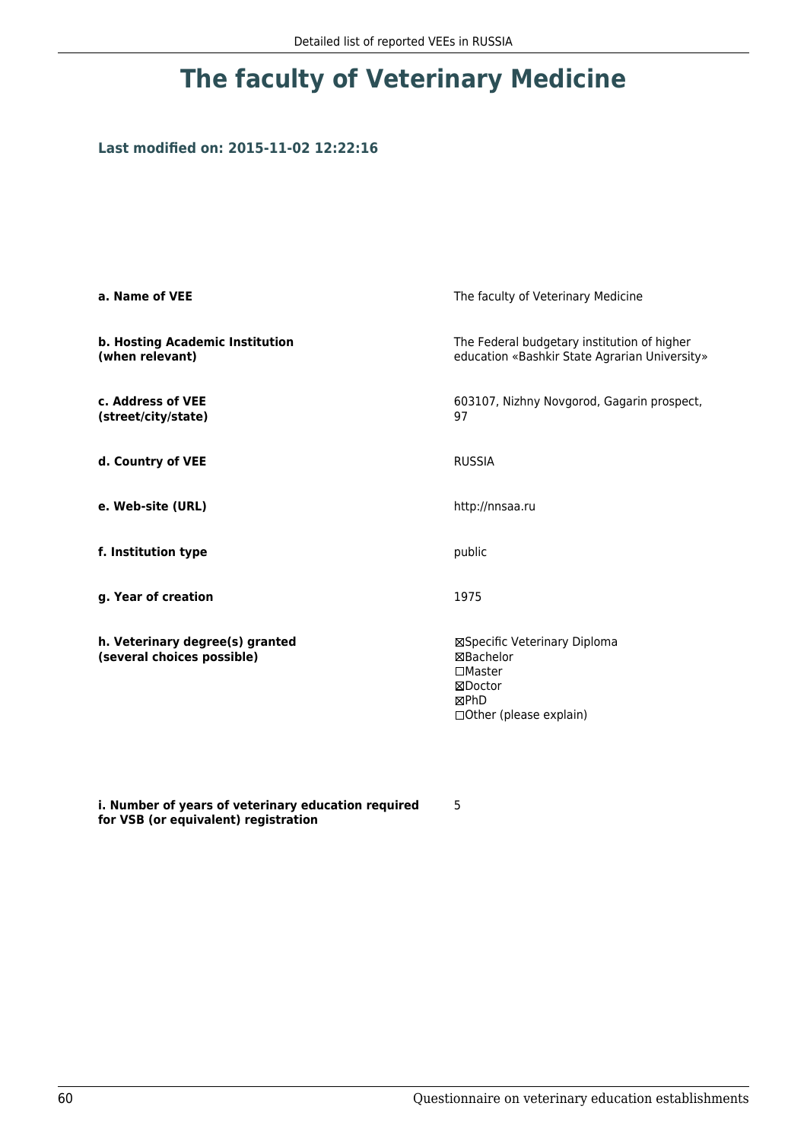### **Last modified on: 2015-11-02 12:22:16**

| a. Name of VEE                                                | The faculty of Veterinary Medicine                                                                           |
|---------------------------------------------------------------|--------------------------------------------------------------------------------------------------------------|
| b. Hosting Academic Institution<br>(when relevant)            | The Federal budgetary institution of higher<br>education «Bashkir State Agrarian University»                 |
| c. Address of VEE<br>(street/city/state)                      | 603107, Nizhny Novgorod, Gagarin prospect,<br>97                                                             |
| d. Country of VEE                                             | <b>RUSSIA</b>                                                                                                |
| e. Web-site (URL)                                             | http://nnsaa.ru                                                                                              |
| f. Institution type                                           | public                                                                                                       |
| g. Year of creation                                           | 1975                                                                                                         |
| h. Veterinary degree(s) granted<br>(several choices possible) | ⊠Specific Veterinary Diploma<br>⊠Bachelor<br>$\square$ Master<br>⊠Doctor<br>⊠PhD<br>□ Other (please explain) |

**i. Number of years of veterinary education required for VSB (or equivalent) registration**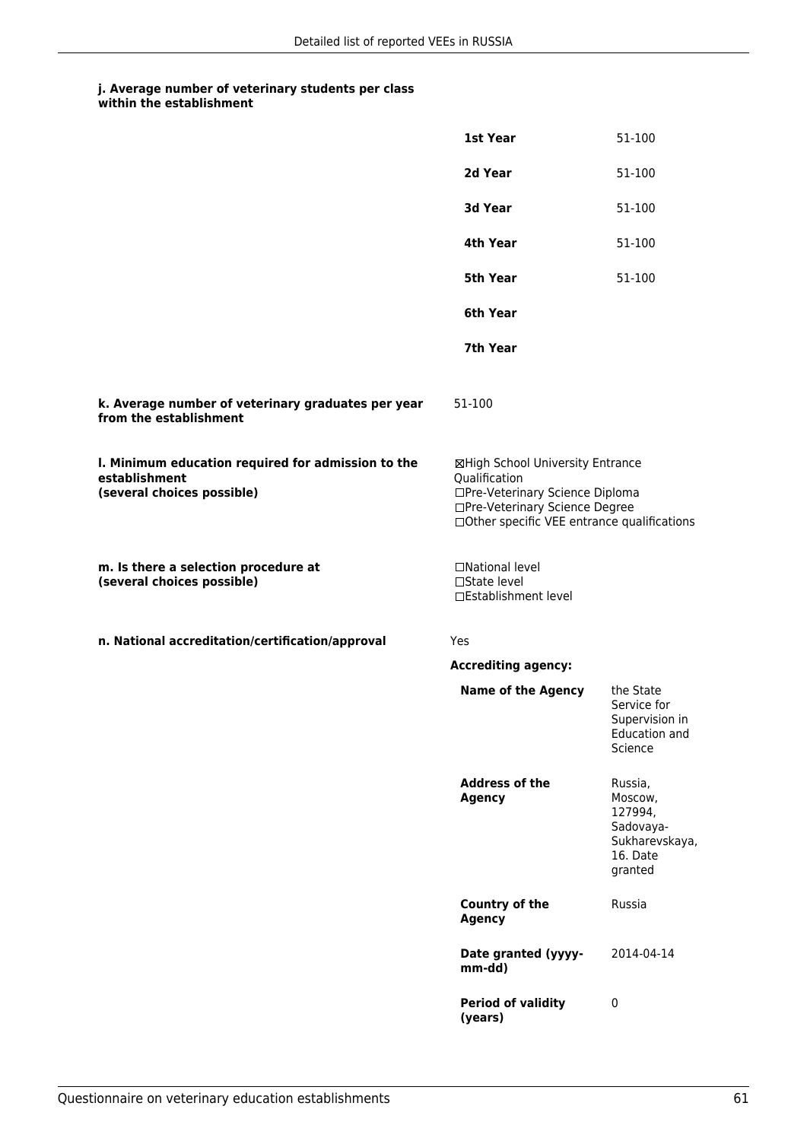|                                                                                                   | 1st Year                                                                                                                                                              | 51-100                                                                              |
|---------------------------------------------------------------------------------------------------|-----------------------------------------------------------------------------------------------------------------------------------------------------------------------|-------------------------------------------------------------------------------------|
|                                                                                                   | 2d Year                                                                                                                                                               | 51-100                                                                              |
|                                                                                                   | 3d Year                                                                                                                                                               | 51-100                                                                              |
|                                                                                                   | 4th Year                                                                                                                                                              | 51-100                                                                              |
|                                                                                                   | 5th Year                                                                                                                                                              | 51-100                                                                              |
|                                                                                                   | 6th Year                                                                                                                                                              |                                                                                     |
|                                                                                                   | 7th Year                                                                                                                                                              |                                                                                     |
| k. Average number of veterinary graduates per year<br>from the establishment                      | 51-100                                                                                                                                                                |                                                                                     |
| I. Minimum education required for admission to the<br>establishment<br>(several choices possible) | ⊠High School University Entrance<br>Qualification<br>□Pre-Veterinary Science Diploma<br>□Pre-Veterinary Science Degree<br>□Other specific VEE entrance qualifications |                                                                                     |
| m. Is there a selection procedure at<br>(several choices possible)                                | □National level<br>□State level<br>□Establishment level                                                                                                               |                                                                                     |
| n. National accreditation/certification/approval                                                  | Yes                                                                                                                                                                   |                                                                                     |
|                                                                                                   | <b>Accrediting agency:</b>                                                                                                                                            |                                                                                     |
|                                                                                                   | <b>Name of the Agency</b>                                                                                                                                             | the State<br>Service for<br>Supervision in<br>Education and<br>Science              |
|                                                                                                   | <b>Address of the</b><br><b>Agency</b>                                                                                                                                | Russia,<br>Moscow,<br>127994,<br>Sadovaya-<br>Sukharevskaya,<br>16. Date<br>granted |
|                                                                                                   | <b>Country of the</b><br><b>Agency</b>                                                                                                                                | Russia                                                                              |
|                                                                                                   | Date granted (yyyy-<br>mm-dd)                                                                                                                                         | 2014-04-14                                                                          |
|                                                                                                   | <b>Period of validity</b><br>(years)                                                                                                                                  | $\pmb{0}$                                                                           |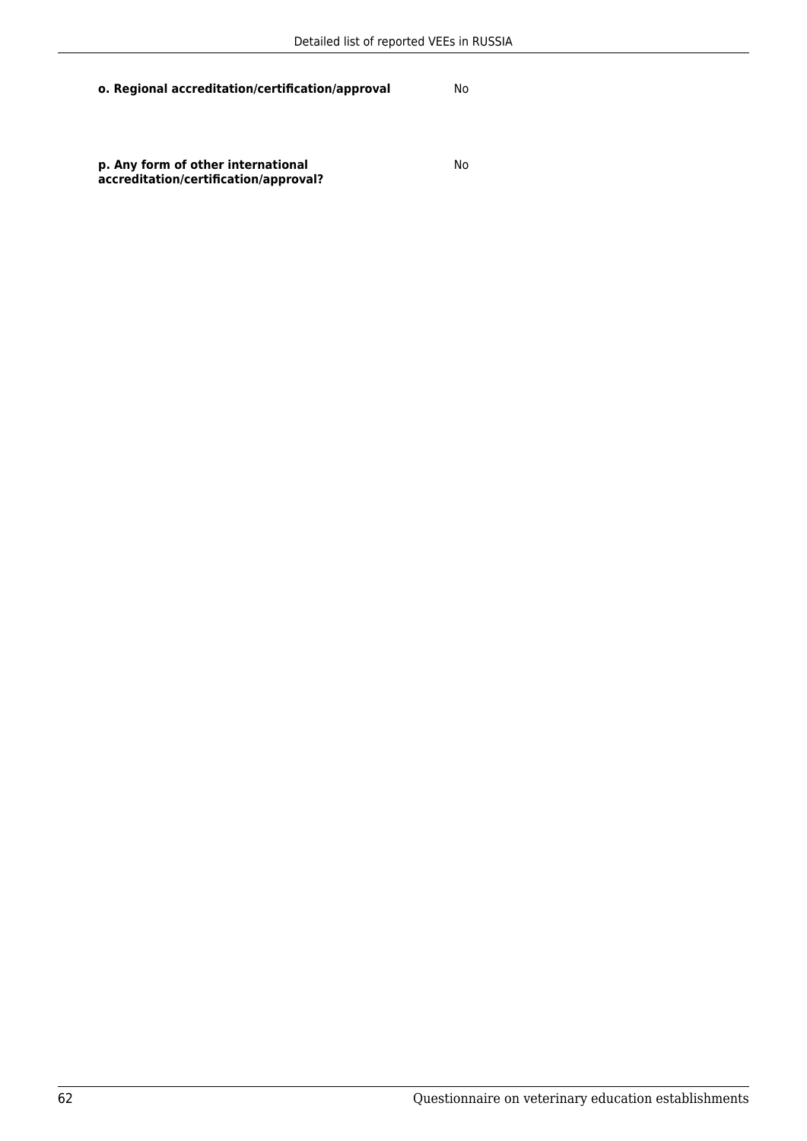**p. Any form of other international accreditation/certification/approval?** No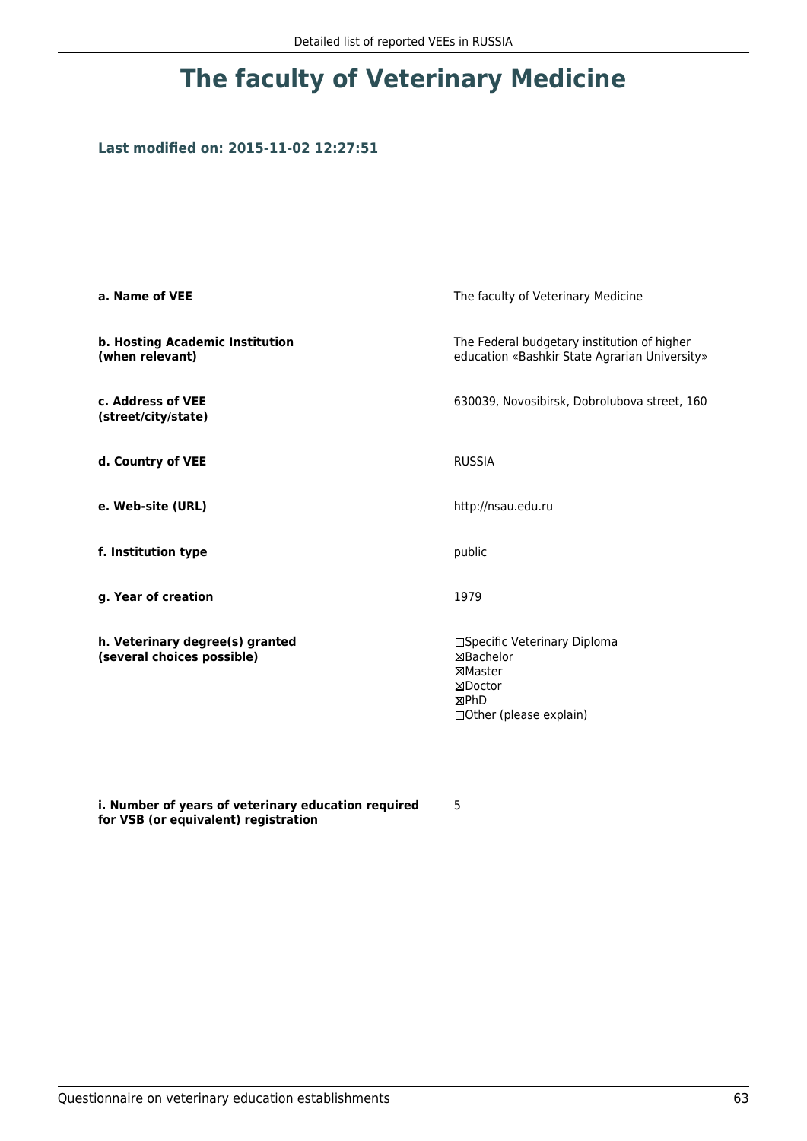### **Last modified on: 2015-11-02 12:27:51**

| a. Name of VEE                                                | The faculty of Veterinary Medicine                                                                  |
|---------------------------------------------------------------|-----------------------------------------------------------------------------------------------------|
| b. Hosting Academic Institution<br>(when relevant)            | The Federal budgetary institution of higher<br>education «Bashkir State Agrarian University»        |
| c. Address of VEE<br>(street/city/state)                      | 630039, Novosibirsk, Dobrolubova street, 160                                                        |
| d. Country of VEE                                             | <b>RUSSIA</b>                                                                                       |
| e. Web-site (URL)                                             | http://nsau.edu.ru                                                                                  |
| f. Institution type                                           | public                                                                                              |
| g. Year of creation                                           | 1979                                                                                                |
| h. Veterinary degree(s) granted<br>(several choices possible) | □Specific Veterinary Diploma<br>⊠Bachelor<br>⊠Master<br>⊠Doctor<br>⊠PhD<br>□ Other (please explain) |

**i. Number of years of veterinary education required for VSB (or equivalent) registration**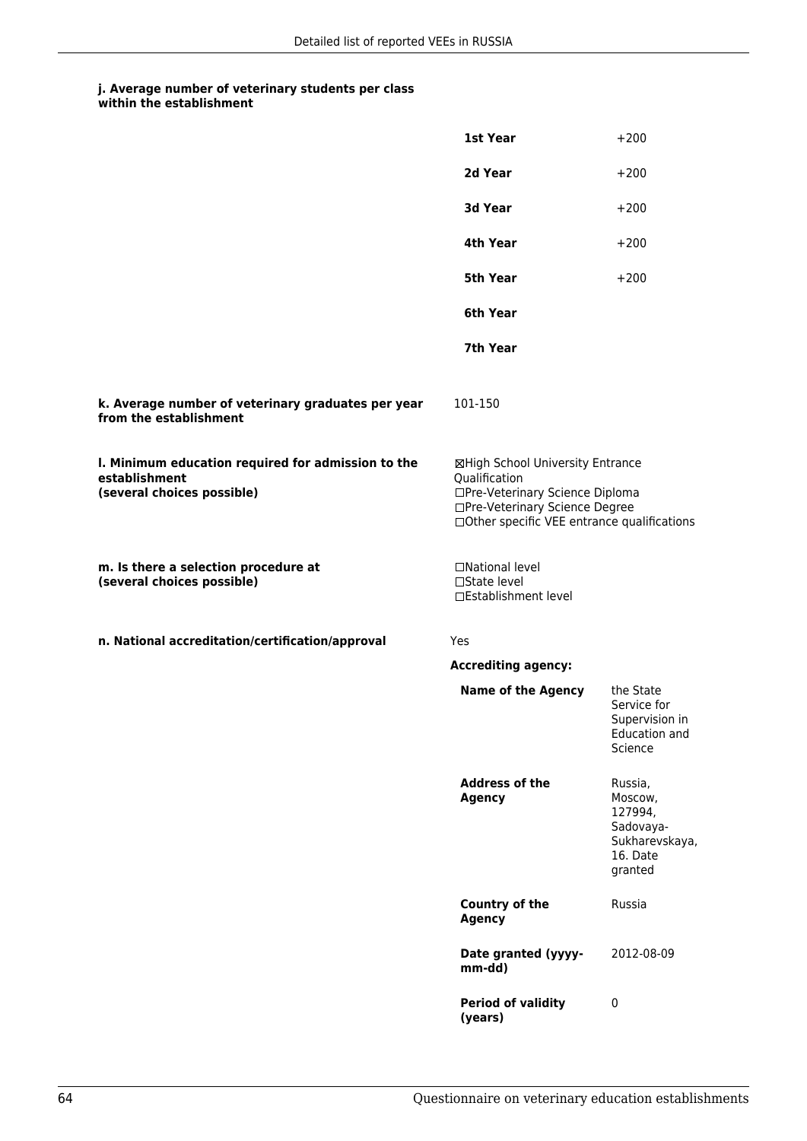|                                                                                                   | 1st Year                                                                                                                                                              | $+200$                                                                              |
|---------------------------------------------------------------------------------------------------|-----------------------------------------------------------------------------------------------------------------------------------------------------------------------|-------------------------------------------------------------------------------------|
|                                                                                                   | 2d Year                                                                                                                                                               | $+200$                                                                              |
|                                                                                                   | 3d Year                                                                                                                                                               | $+200$                                                                              |
|                                                                                                   | 4th Year                                                                                                                                                              | $+200$                                                                              |
|                                                                                                   | 5th Year                                                                                                                                                              | $+200$                                                                              |
|                                                                                                   | 6th Year                                                                                                                                                              |                                                                                     |
|                                                                                                   | 7th Year                                                                                                                                                              |                                                                                     |
| k. Average number of veterinary graduates per year<br>from the establishment                      | 101-150                                                                                                                                                               |                                                                                     |
| I. Minimum education required for admission to the<br>establishment<br>(several choices possible) | ⊠High School University Entrance<br>Qualification<br>□Pre-Veterinary Science Diploma<br>□Pre-Veterinary Science Degree<br>□Other specific VEE entrance qualifications |                                                                                     |
| m. Is there a selection procedure at<br>(several choices possible)                                | □National level<br>$\square$ State level<br>□Establishment level                                                                                                      |                                                                                     |
| n. National accreditation/certification/approval                                                  | Yes                                                                                                                                                                   |                                                                                     |
|                                                                                                   | <b>Accrediting agency:</b>                                                                                                                                            |                                                                                     |
|                                                                                                   | <b>Name of the Agency</b>                                                                                                                                             | the State<br>Service for<br>Supervision in<br>Education and<br>Science              |
|                                                                                                   | <b>Address of the</b><br><b>Agency</b>                                                                                                                                | Russia,<br>Moscow,<br>127994,<br>Sadovaya-<br>Sukharevskaya,<br>16. Date<br>granted |
|                                                                                                   | <b>Country of the</b><br><b>Agency</b>                                                                                                                                | Russia                                                                              |
|                                                                                                   | Date granted (yyyy-<br>mm-dd)                                                                                                                                         | 2012-08-09                                                                          |
|                                                                                                   | <b>Period of validity</b><br>(years)                                                                                                                                  | $\pmb{0}$                                                                           |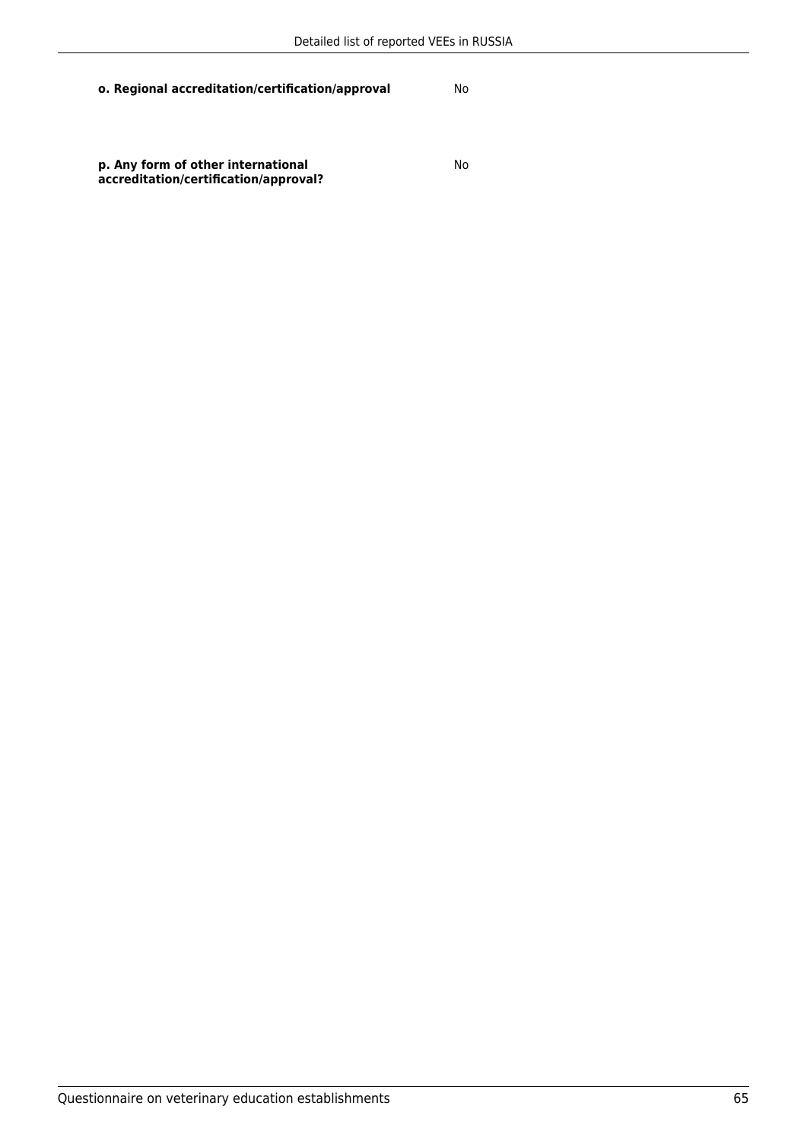No

**p. Any form of other international accreditation/certification/approval?**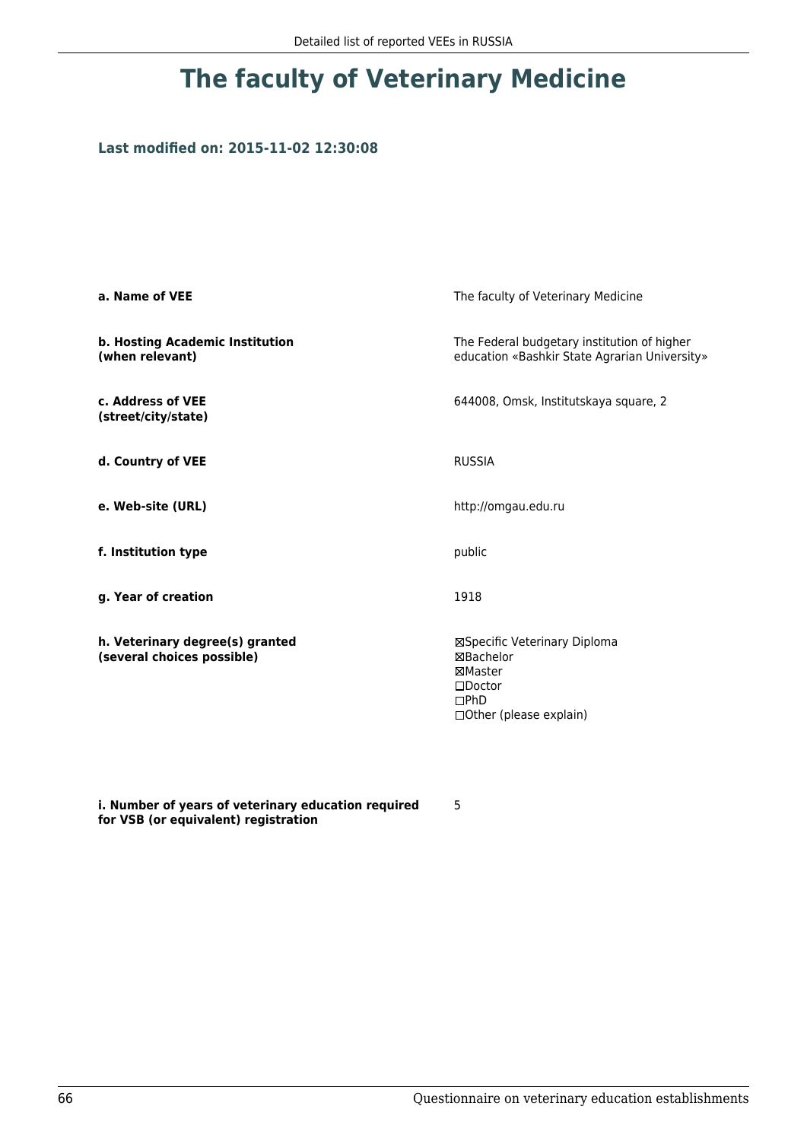### **Last modified on: 2015-11-02 12:30:08**

| a. Name of VEE                                                | The faculty of Veterinary Medicine                                                                           |
|---------------------------------------------------------------|--------------------------------------------------------------------------------------------------------------|
| b. Hosting Academic Institution<br>(when relevant)            | The Federal budgetary institution of higher<br>education «Bashkir State Agrarian University»                 |
| c. Address of VEE<br>(street/city/state)                      | 644008, Omsk, Institutskaya square, 2                                                                        |
| d. Country of VEE                                             | <b>RUSSIA</b>                                                                                                |
| e. Web-site (URL)                                             | http://omgau.edu.ru                                                                                          |
| f. Institution type                                           | public                                                                                                       |
| g. Year of creation                                           | 1918                                                                                                         |
| h. Veterinary degree(s) granted<br>(several choices possible) | ⊠Specific Veterinary Diploma<br>⊠Bachelor<br>⊠Master<br>$\square$ Doctor<br>DPhD<br>□ Other (please explain) |

**i. Number of years of veterinary education required for VSB (or equivalent) registration**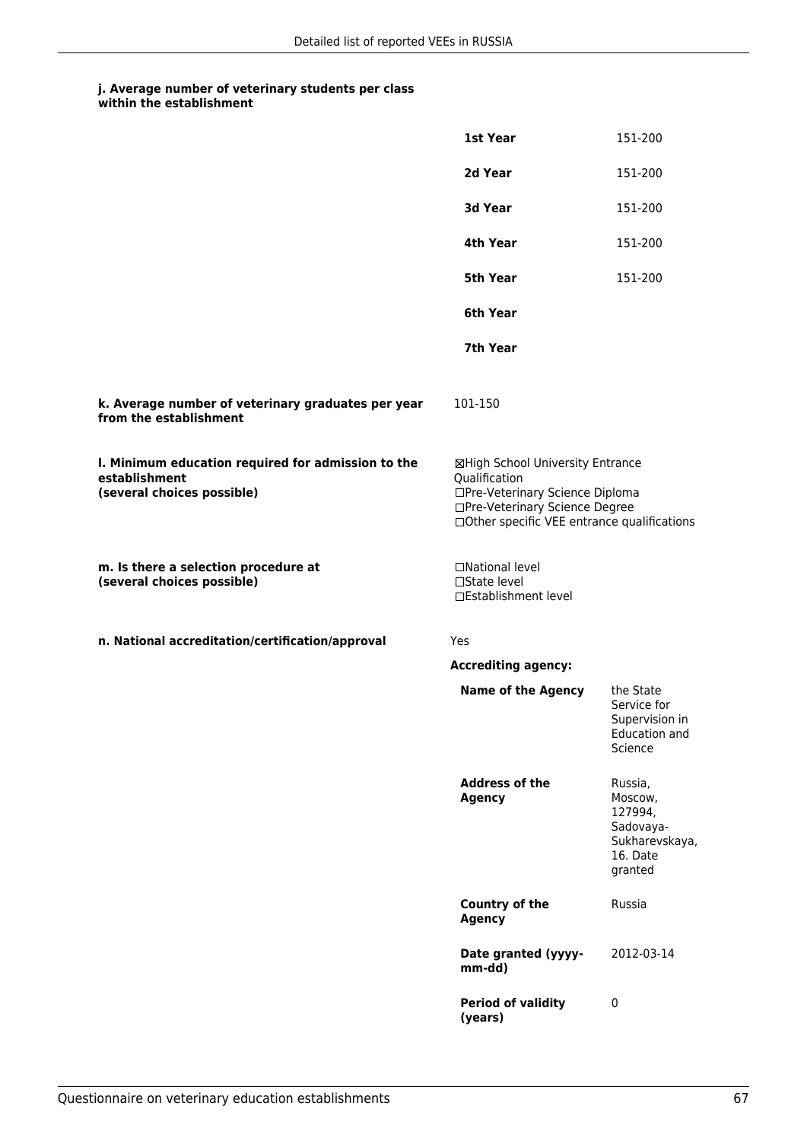|                                                                                                   | 1st Year                                                                                                                                                              | 151-200                                                                             |
|---------------------------------------------------------------------------------------------------|-----------------------------------------------------------------------------------------------------------------------------------------------------------------------|-------------------------------------------------------------------------------------|
|                                                                                                   | 2d Year                                                                                                                                                               | 151-200                                                                             |
|                                                                                                   | 3d Year                                                                                                                                                               | 151-200                                                                             |
|                                                                                                   | 4th Year                                                                                                                                                              | 151-200                                                                             |
|                                                                                                   | 5th Year                                                                                                                                                              | 151-200                                                                             |
|                                                                                                   | 6th Year                                                                                                                                                              |                                                                                     |
|                                                                                                   | 7th Year                                                                                                                                                              |                                                                                     |
| k. Average number of veterinary graduates per year<br>from the establishment                      | 101-150                                                                                                                                                               |                                                                                     |
| I. Minimum education required for admission to the<br>establishment<br>(several choices possible) | ⊠High School University Entrance<br>Qualification<br>□Pre-Veterinary Science Diploma<br>□Pre-Veterinary Science Degree<br>□Other specific VEE entrance qualifications |                                                                                     |
| m. Is there a selection procedure at<br>(several choices possible)                                | □National level<br>□State level<br>□Establishment level                                                                                                               |                                                                                     |
| n. National accreditation/certification/approval                                                  | Yes                                                                                                                                                                   |                                                                                     |
|                                                                                                   | <b>Accrediting agency:</b>                                                                                                                                            |                                                                                     |
|                                                                                                   | <b>Name of the Agency</b>                                                                                                                                             | the State<br>Service for<br>Supervision in<br>Education and<br>Science              |
|                                                                                                   | <b>Address of the</b><br><b>Agency</b>                                                                                                                                | Russia,<br>Moscow,<br>127994,<br>Sadovaya-<br>Sukharevskaya,<br>16. Date<br>granted |
|                                                                                                   | Country of the<br><b>Agency</b>                                                                                                                                       | Russia                                                                              |
|                                                                                                   | Date granted (yyyy-<br>mm-dd)                                                                                                                                         | 2012-03-14                                                                          |
|                                                                                                   | <b>Period of validity</b><br>(years)                                                                                                                                  | $\pmb{0}$                                                                           |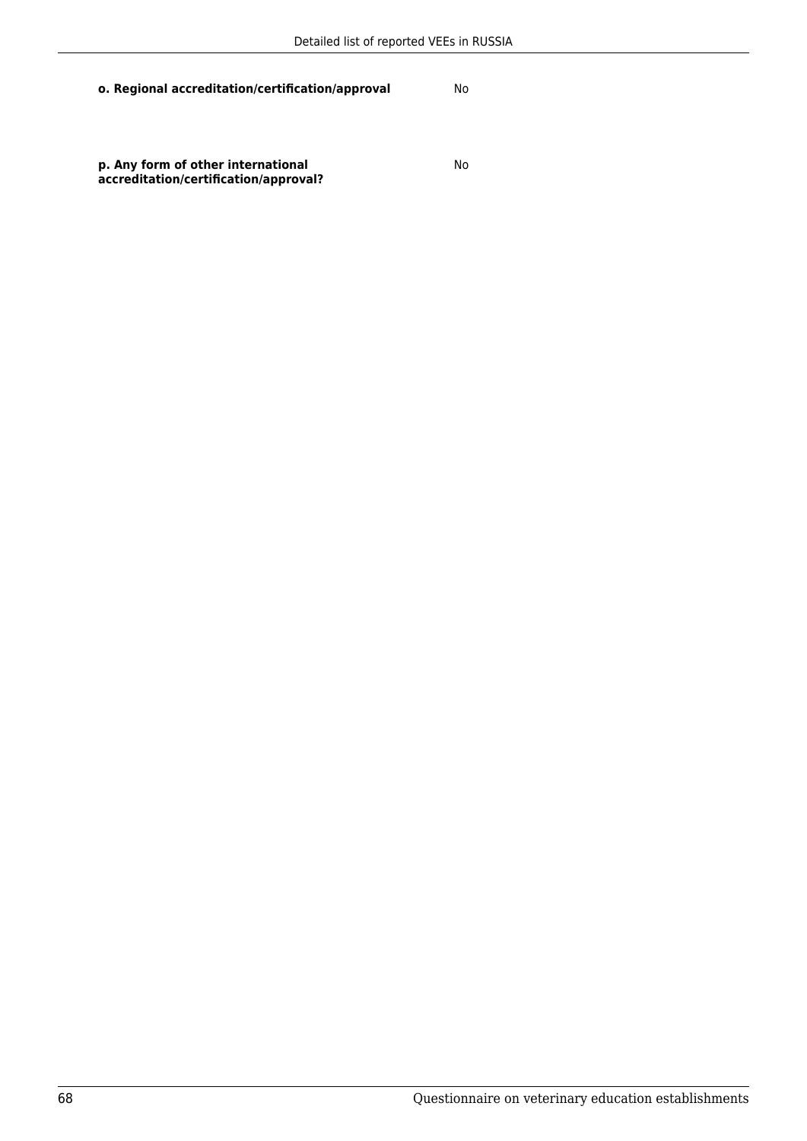**p. Any form of other international accreditation/certification/approval?** No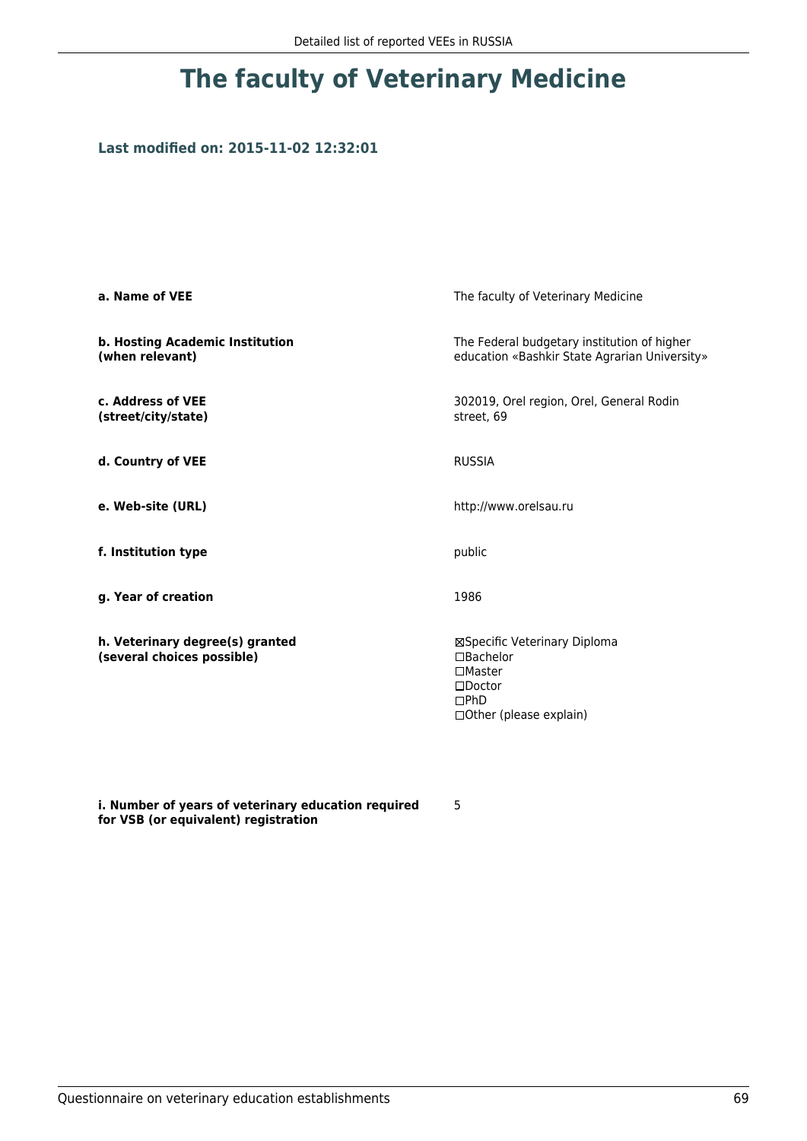### **Last modified on: 2015-11-02 12:32:01**

| a. Name of VEE                                                | The faculty of Veterinary Medicine                                                                                 |
|---------------------------------------------------------------|--------------------------------------------------------------------------------------------------------------------|
| b. Hosting Academic Institution<br>(when relevant)            | The Federal budgetary institution of higher<br>education «Bashkir State Agrarian University»                       |
| c. Address of VEE<br>(street/city/state)                      | 302019, Orel region, Orel, General Rodin<br>street, 69                                                             |
| d. Country of VEE                                             | <b>RUSSIA</b>                                                                                                      |
| e. Web-site (URL)                                             | http://www.orelsau.ru                                                                                              |
| f. Institution type                                           | public                                                                                                             |
| g. Year of creation                                           | 1986                                                                                                               |
| h. Veterinary degree(s) granted<br>(several choices possible) | ⊠Specific Veterinary Diploma<br>□Bachelor<br>$\Box$ Master<br>$\square$ Doctor<br>DPhD<br>□ Other (please explain) |

**i. Number of years of veterinary education required for VSB (or equivalent) registration**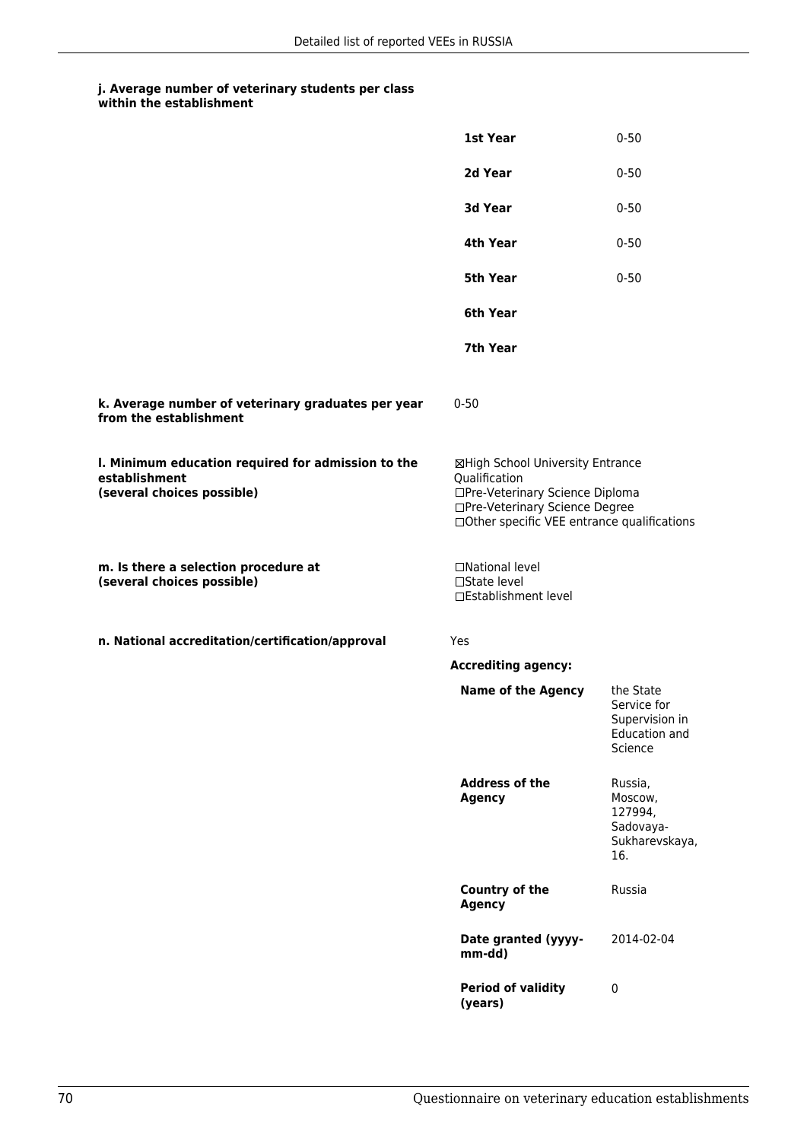|                                                                                                   | 1st Year                                                                                                                                                              | $0 - 50$                                                               |
|---------------------------------------------------------------------------------------------------|-----------------------------------------------------------------------------------------------------------------------------------------------------------------------|------------------------------------------------------------------------|
|                                                                                                   | 2d Year                                                                                                                                                               | $0 - 50$                                                               |
|                                                                                                   | 3d Year                                                                                                                                                               | $0 - 50$                                                               |
|                                                                                                   | 4th Year                                                                                                                                                              | $0 - 50$                                                               |
|                                                                                                   | 5th Year                                                                                                                                                              | $0 - 50$                                                               |
|                                                                                                   | 6th Year                                                                                                                                                              |                                                                        |
|                                                                                                   | 7th Year                                                                                                                                                              |                                                                        |
| k. Average number of veterinary graduates per year<br>from the establishment                      | $0 - 50$                                                                                                                                                              |                                                                        |
| I. Minimum education required for admission to the<br>establishment<br>(several choices possible) | ⊠High School University Entrance<br>Qualification<br>□Pre-Veterinary Science Diploma<br>□Pre-Veterinary Science Degree<br>□Other specific VEE entrance qualifications |                                                                        |
| m. Is there a selection procedure at<br>(several choices possible)                                | □National level<br>□State level<br>□Establishment level                                                                                                               |                                                                        |
| n. National accreditation/certification/approval                                                  | Yes                                                                                                                                                                   |                                                                        |
|                                                                                                   | <b>Accrediting agency:</b>                                                                                                                                            |                                                                        |
|                                                                                                   | <b>Name of the Agency</b>                                                                                                                                             | the State<br>Service for<br>Supervision in<br>Education and<br>Science |
|                                                                                                   | <b>Address of the</b><br><b>Agency</b>                                                                                                                                | Russia,<br>Moscow,<br>127994,<br>Sadovaya-<br>Sukharevskaya,<br>16.    |
|                                                                                                   | <b>Country of the</b><br><b>Agency</b>                                                                                                                                | Russia                                                                 |
|                                                                                                   | Date granted (yyyy-<br>mm-dd)                                                                                                                                         | 2014-02-04                                                             |
|                                                                                                   | <b>Period of validity</b><br>(years)                                                                                                                                  | $\pmb{0}$                                                              |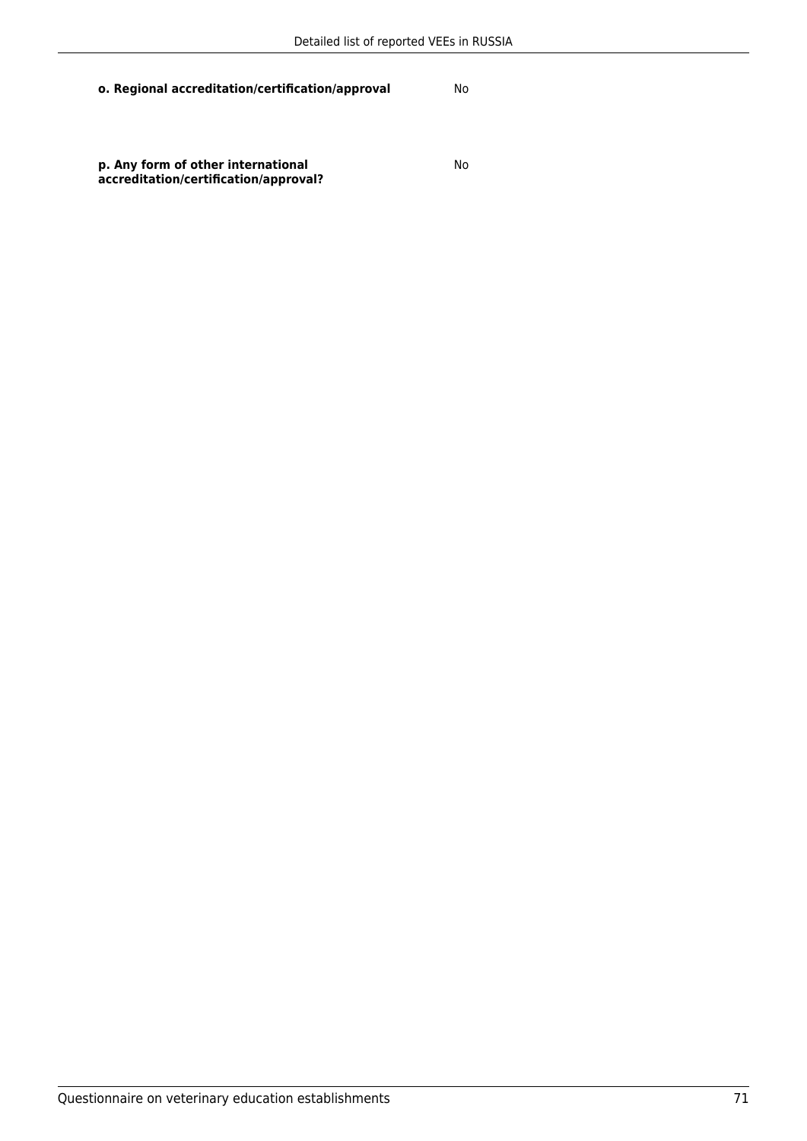**p. Any form of other international accreditation/certification/approval?** No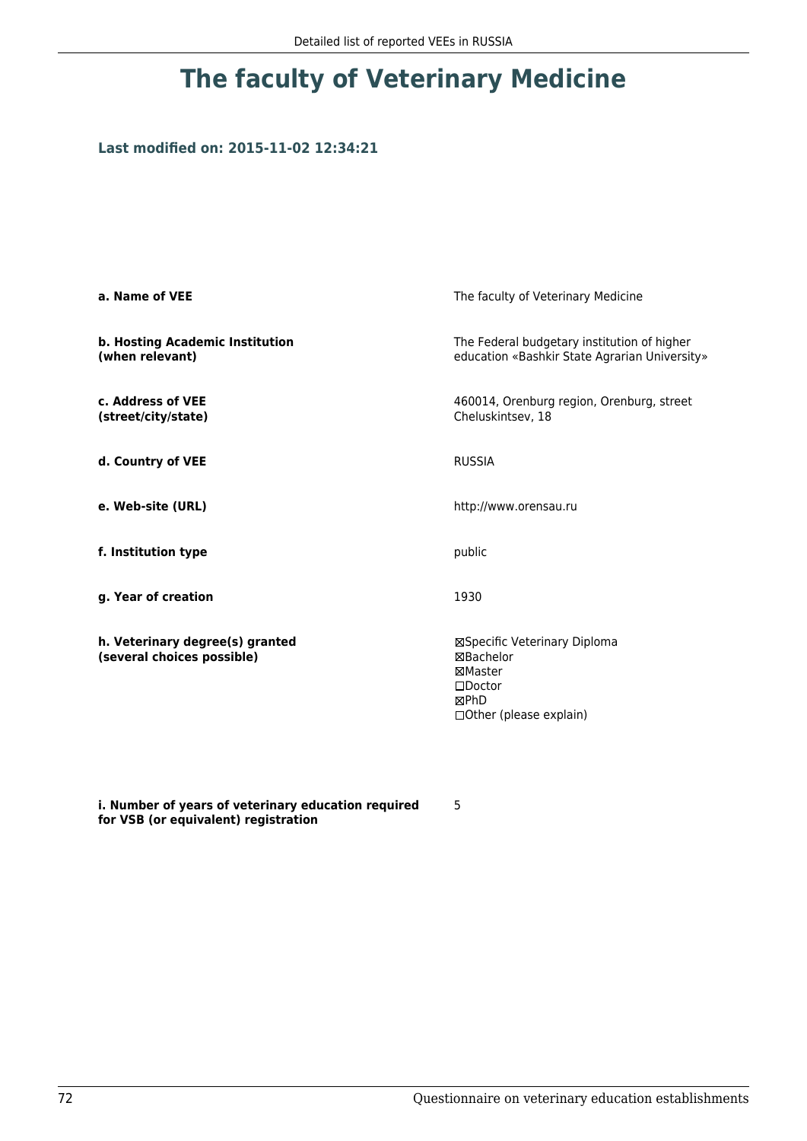### **Last modified on: 2015-11-02 12:34:21**

| a. Name of VEE                                                | The faculty of Veterinary Medicine                                                                                |  |
|---------------------------------------------------------------|-------------------------------------------------------------------------------------------------------------------|--|
| b. Hosting Academic Institution<br>(when relevant)            | The Federal budgetary institution of higher<br>education «Bashkir State Agrarian University»                      |  |
| c. Address of VEE<br>(street/city/state)                      | 460014, Orenburg region, Orenburg, street<br>Cheluskintsev, 18                                                    |  |
| d. Country of VEE                                             | <b>RUSSIA</b>                                                                                                     |  |
| e. Web-site (URL)                                             | http://www.orensau.ru                                                                                             |  |
| f. Institution type                                           | public                                                                                                            |  |
| g. Year of creation                                           | 1930                                                                                                              |  |
| h. Veterinary degree(s) granted<br>(several choices possible) | ⊠Specific Veterinary Diploma<br>⊠Bachelor<br>⊠Master<br>$\square$ Doctor<br>⊠PhD<br>$\Box$ Other (please explain) |  |

**i. Number of years of veterinary education required for VSB (or equivalent) registration**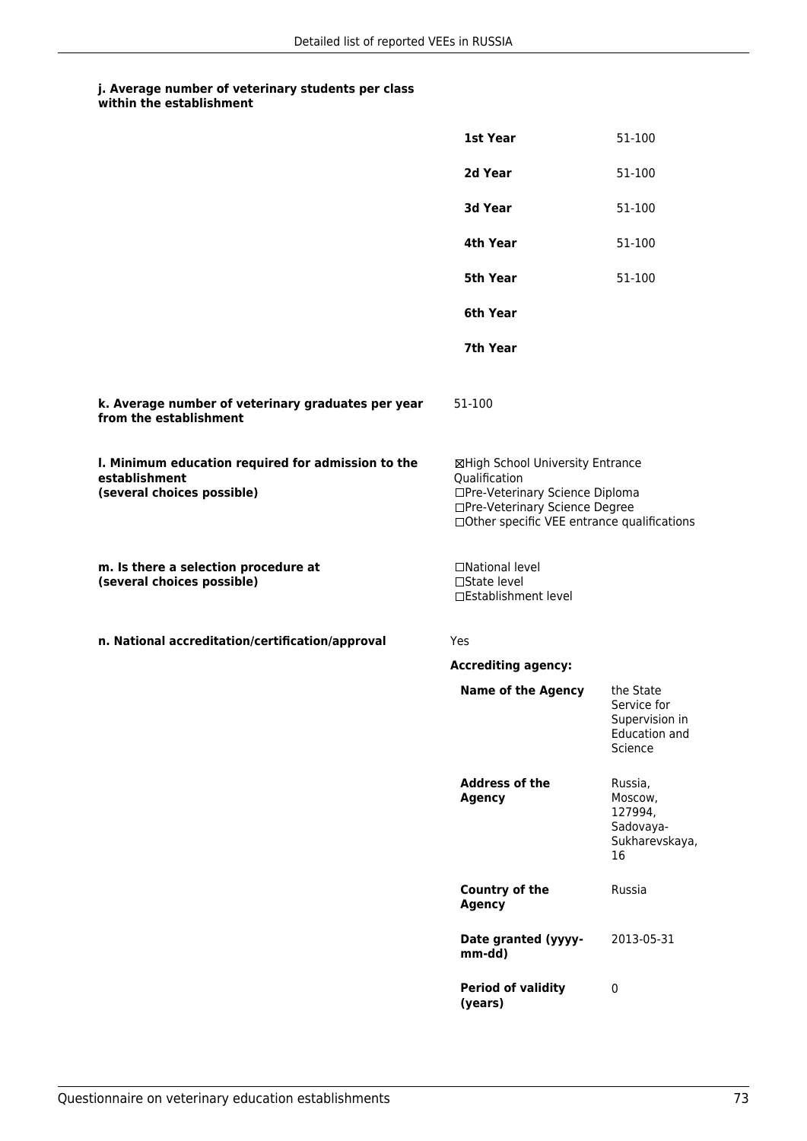|                                                                                                   | 1st Year                                                                                                                                                              | 51-100                                                                        |
|---------------------------------------------------------------------------------------------------|-----------------------------------------------------------------------------------------------------------------------------------------------------------------------|-------------------------------------------------------------------------------|
|                                                                                                   | 2d Year                                                                                                                                                               | 51-100                                                                        |
|                                                                                                   | 3d Year                                                                                                                                                               | 51-100                                                                        |
|                                                                                                   | 4th Year                                                                                                                                                              | 51-100                                                                        |
|                                                                                                   | 5th Year                                                                                                                                                              | 51-100                                                                        |
|                                                                                                   | 6th Year                                                                                                                                                              |                                                                               |
|                                                                                                   | 7th Year                                                                                                                                                              |                                                                               |
| k. Average number of veterinary graduates per year<br>from the establishment                      | 51-100                                                                                                                                                                |                                                                               |
| I. Minimum education required for admission to the<br>establishment<br>(several choices possible) | ⊠High School University Entrance<br>Qualification<br>□Pre-Veterinary Science Diploma<br>□Pre-Veterinary Science Degree<br>□Other specific VEE entrance qualifications |                                                                               |
| m. Is there a selection procedure at<br>(several choices possible)                                | □National level<br>□State level<br>□Establishment level                                                                                                               |                                                                               |
| n. National accreditation/certification/approval                                                  | <b>Yes</b>                                                                                                                                                            |                                                                               |
|                                                                                                   | <b>Accrediting agency:</b>                                                                                                                                            |                                                                               |
|                                                                                                   | <b>Name of the Agency</b>                                                                                                                                             | the State<br>Service for<br>Supervision in<br><b>Education and</b><br>Science |
|                                                                                                   | <b>Address of the</b><br><b>Agency</b>                                                                                                                                | Russia,<br>Moscow,<br>127994,<br>Sadovaya-<br>Sukharevskaya,<br>16            |
|                                                                                                   | <b>Country of the</b><br><b>Agency</b>                                                                                                                                | Russia                                                                        |
|                                                                                                   | Date granted (yyyy-<br>mm-dd)                                                                                                                                         | 2013-05-31                                                                    |
|                                                                                                   | <b>Period of validity</b><br>(years)                                                                                                                                  | $\pmb{0}$                                                                     |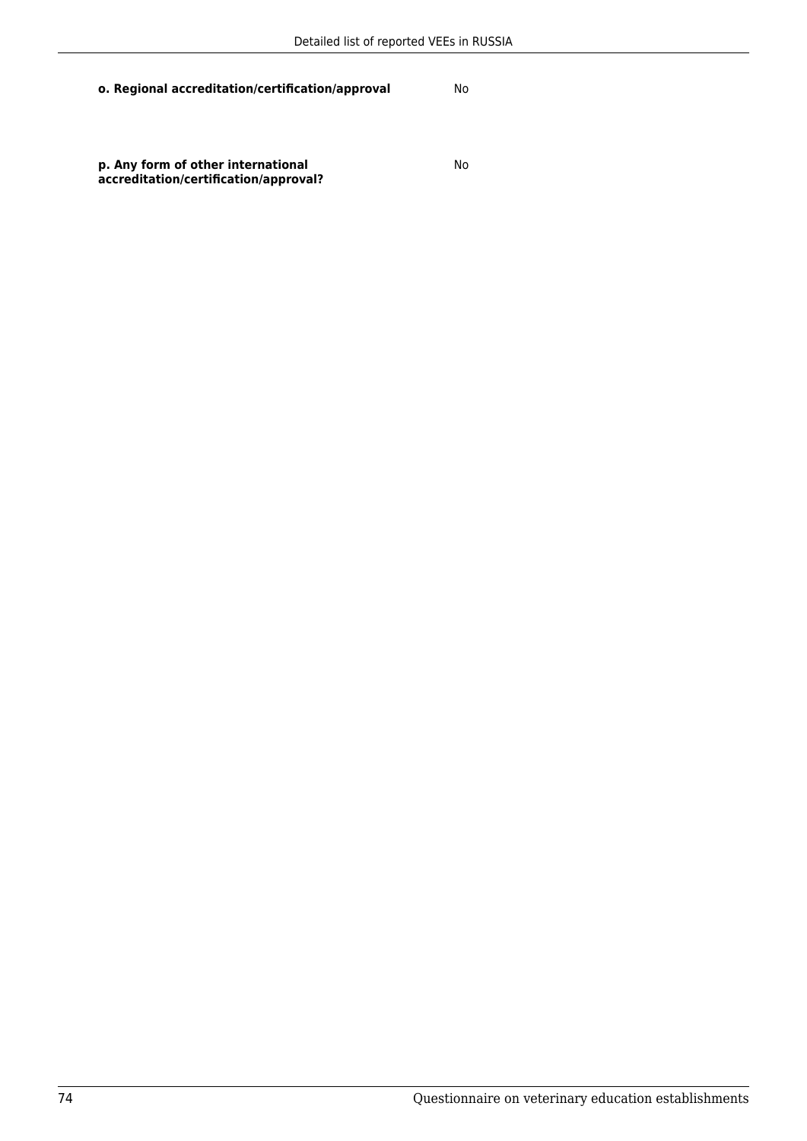No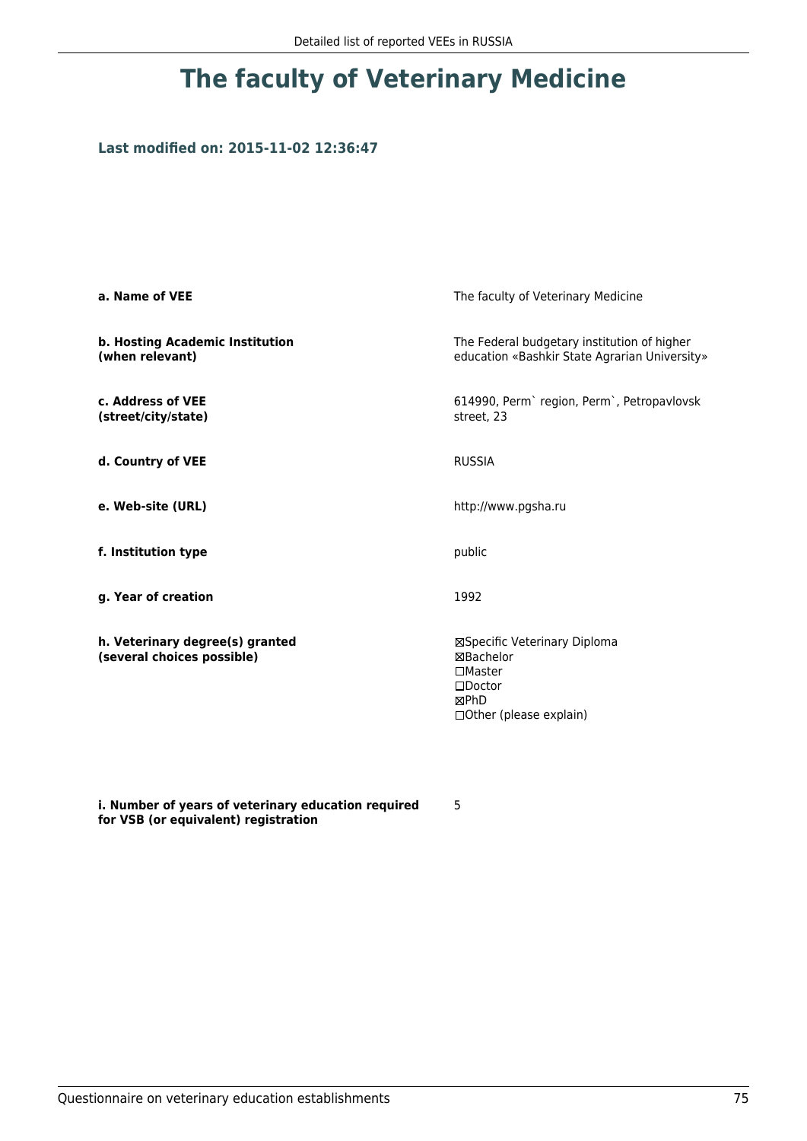### **Last modified on: 2015-11-02 12:36:47**

| a. Name of VEE                                                | The faculty of Veterinary Medicine                                                                                         |
|---------------------------------------------------------------|----------------------------------------------------------------------------------------------------------------------------|
| b. Hosting Academic Institution<br>(when relevant)            | The Federal budgetary institution of higher<br>education «Bashkir State Agrarian University»                               |
| c. Address of VEE<br>(street/city/state)                      | 614990, Perm`region, Perm`, Petropavlovsk<br>street, 23                                                                    |
| d. Country of VEE                                             | <b>RUSSIA</b>                                                                                                              |
| e. Web-site (URL)                                             | http://www.pgsha.ru                                                                                                        |
| f. Institution type                                           | public                                                                                                                     |
| g. Year of creation                                           | 1992                                                                                                                       |
| h. Veterinary degree(s) granted<br>(several choices possible) | ⊠Specific Veterinary Diploma<br>⊠Bachelor<br>$\square$ Master<br>$\square$ Doctor<br>⊠PhD<br>$\Box$ Other (please explain) |

**i. Number of years of veterinary education required for VSB (or equivalent) registration**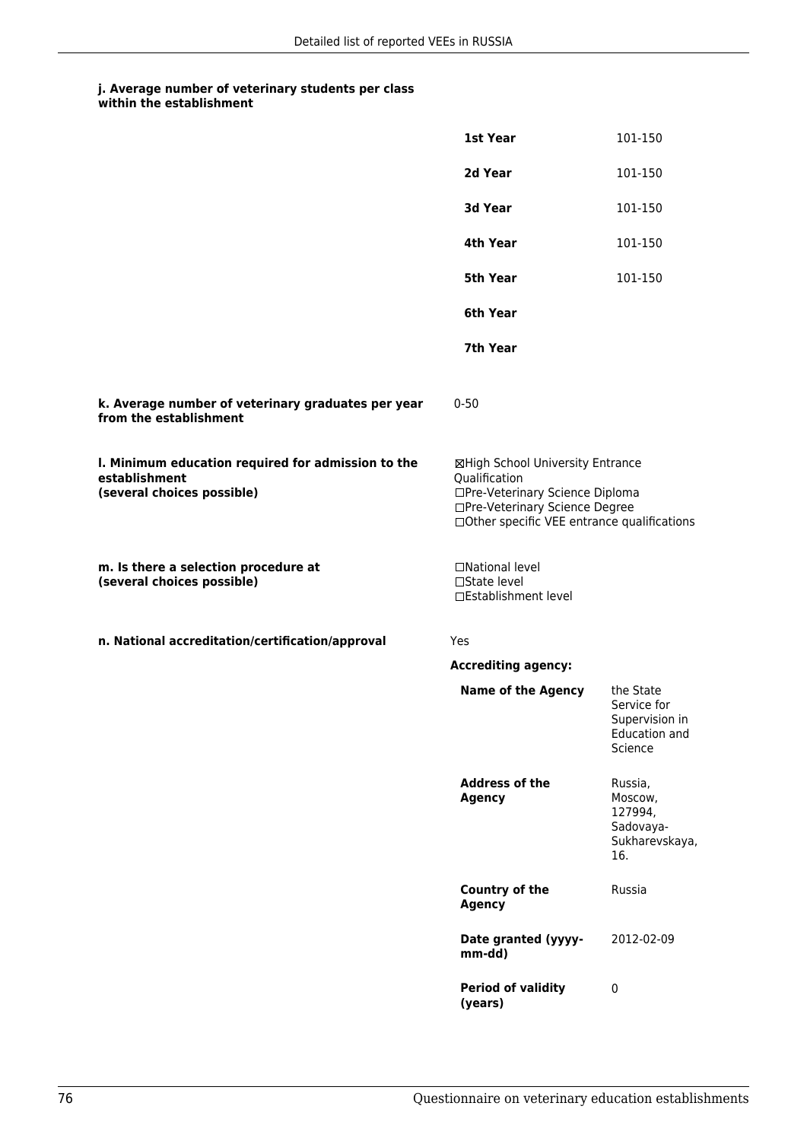|                                                                                                   | 1st Year                                                                                                                                                              | 101-150                                                                |
|---------------------------------------------------------------------------------------------------|-----------------------------------------------------------------------------------------------------------------------------------------------------------------------|------------------------------------------------------------------------|
|                                                                                                   | 2d Year                                                                                                                                                               | 101-150                                                                |
|                                                                                                   | <b>3d Year</b>                                                                                                                                                        | 101-150                                                                |
|                                                                                                   | 4th Year                                                                                                                                                              | 101-150                                                                |
|                                                                                                   | 5th Year                                                                                                                                                              | 101-150                                                                |
|                                                                                                   | 6th Year                                                                                                                                                              |                                                                        |
|                                                                                                   | 7th Year                                                                                                                                                              |                                                                        |
| k. Average number of veterinary graduates per year<br>from the establishment                      | $0 - 50$                                                                                                                                                              |                                                                        |
| I. Minimum education required for admission to the<br>establishment<br>(several choices possible) | ⊠High School University Entrance<br>Qualification<br>□Pre-Veterinary Science Diploma<br>□Pre-Veterinary Science Degree<br>□Other specific VEE entrance qualifications |                                                                        |
| m. Is there a selection procedure at<br>(several choices possible)                                | □National level<br>□State level<br>□Establishment level                                                                                                               |                                                                        |
| n. National accreditation/certification/approval                                                  | Yes                                                                                                                                                                   |                                                                        |
|                                                                                                   | <b>Accrediting agency:</b>                                                                                                                                            |                                                                        |
|                                                                                                   | <b>Name of the Agency</b>                                                                                                                                             | the State<br>Service for<br>Supervision in<br>Education and<br>Science |
|                                                                                                   | <b>Address of the</b><br><b>Agency</b>                                                                                                                                | Russia,<br>Moscow,<br>127994,<br>Sadovaya-<br>Sukharevskaya,<br>16.    |
|                                                                                                   | <b>Country of the</b><br><b>Agency</b>                                                                                                                                | Russia                                                                 |
|                                                                                                   | Date granted (yyyy-<br>mm-dd)                                                                                                                                         | 2012-02-09                                                             |
|                                                                                                   | <b>Period of validity</b><br>(years)                                                                                                                                  | $\pmb{0}$                                                              |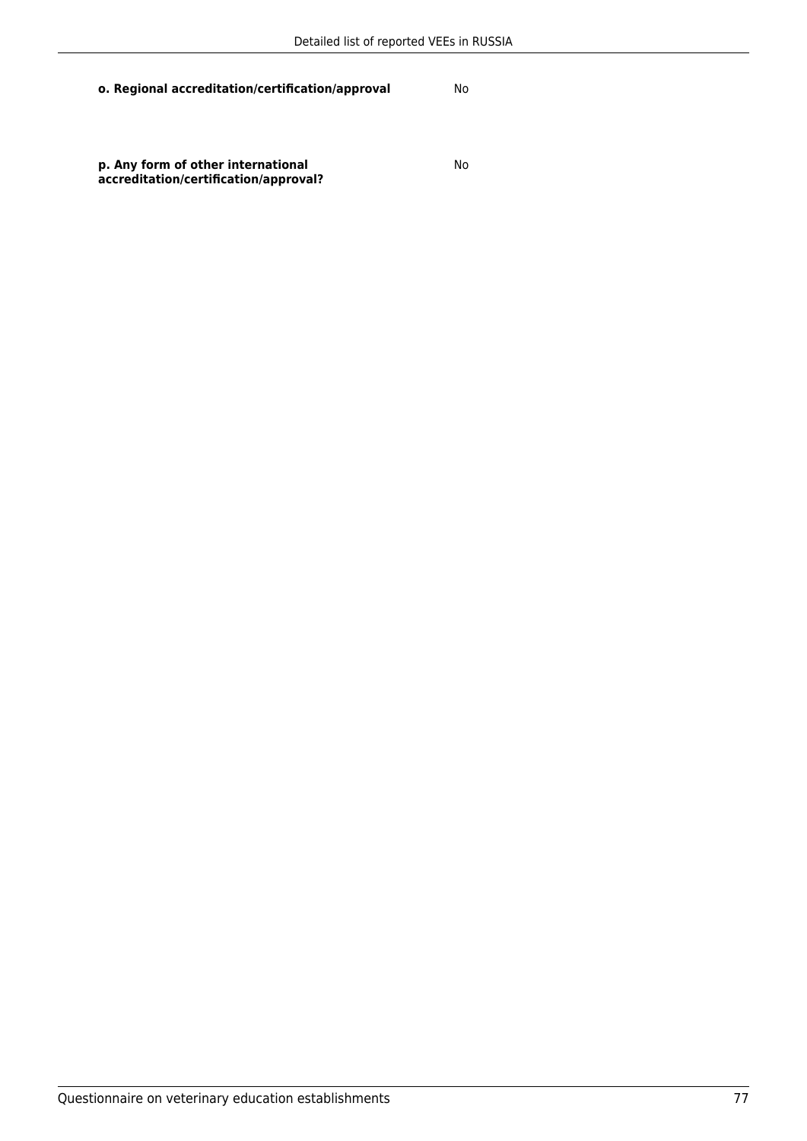No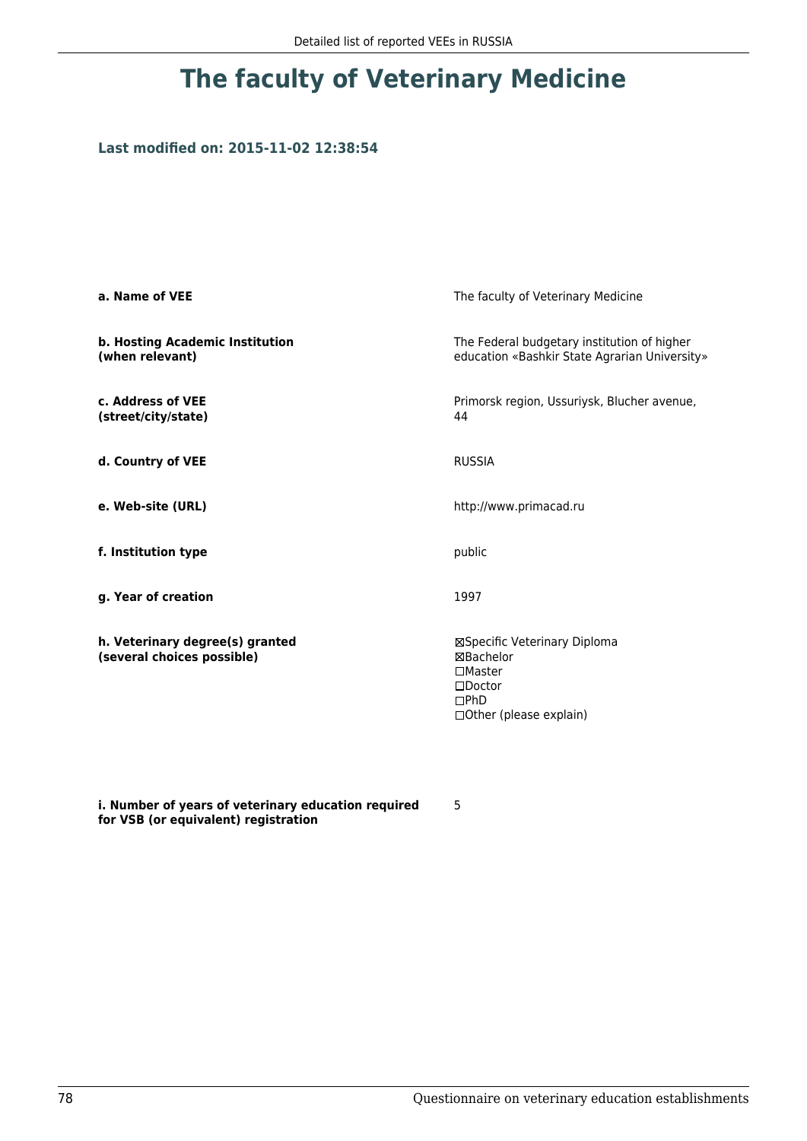## **Last modified on: 2015-11-02 12:38:54**

| a. Name of VEE                                                | The faculty of Veterinary Medicine                                                                                    |
|---------------------------------------------------------------|-----------------------------------------------------------------------------------------------------------------------|
| b. Hosting Academic Institution<br>(when relevant)            | The Federal budgetary institution of higher<br>education «Bashkir State Agrarian University»                          |
| c. Address of VEE<br>(street/city/state)                      | Primorsk region, Ussuriysk, Blucher avenue,<br>44                                                                     |
| d. Country of VEE                                             | <b>RUSSIA</b>                                                                                                         |
| e. Web-site (URL)                                             | http://www.primacad.ru                                                                                                |
| f. Institution type                                           | public                                                                                                                |
| g. Year of creation                                           | 1997                                                                                                                  |
| h. Veterinary degree(s) granted<br>(several choices possible) | ⊠Specific Veterinary Diploma<br>⊠Bachelor<br>$\square$ Master<br>$\square$ Doctor<br>DPhD<br>□ Other (please explain) |

**i. Number of years of veterinary education required for VSB (or equivalent) registration**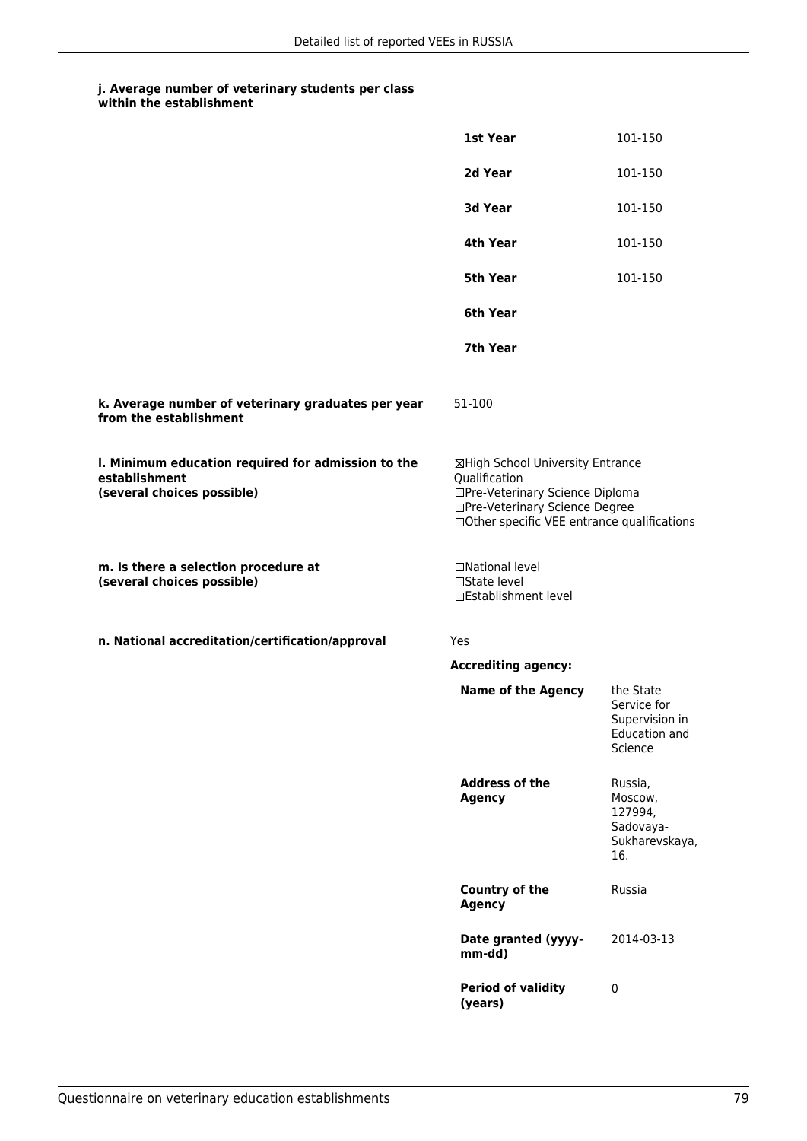|                                                                                                   | 1st Year                                                                                                                                                              | 101-150                                                                       |
|---------------------------------------------------------------------------------------------------|-----------------------------------------------------------------------------------------------------------------------------------------------------------------------|-------------------------------------------------------------------------------|
|                                                                                                   | 2d Year                                                                                                                                                               | 101-150                                                                       |
|                                                                                                   | 3d Year                                                                                                                                                               | 101-150                                                                       |
|                                                                                                   | 4th Year                                                                                                                                                              | 101-150                                                                       |
|                                                                                                   | <b>5th Year</b>                                                                                                                                                       | 101-150                                                                       |
|                                                                                                   | 6th Year                                                                                                                                                              |                                                                               |
|                                                                                                   | 7th Year                                                                                                                                                              |                                                                               |
| k. Average number of veterinary graduates per year<br>from the establishment                      | 51-100                                                                                                                                                                |                                                                               |
| I. Minimum education required for admission to the<br>establishment<br>(several choices possible) | ⊠High School University Entrance<br>Qualification<br>□Pre-Veterinary Science Diploma<br>□Pre-Veterinary Science Degree<br>□Other specific VEE entrance qualifications |                                                                               |
| m. Is there a selection procedure at<br>(several choices possible)                                | □National level<br>$\square$ State level<br>□Establishment level                                                                                                      |                                                                               |
| n. National accreditation/certification/approval                                                  | Yes                                                                                                                                                                   |                                                                               |
|                                                                                                   | <b>Accrediting agency:</b>                                                                                                                                            |                                                                               |
|                                                                                                   | <b>Name of the Agency</b>                                                                                                                                             | the State<br>Service for<br>Supervision in<br><b>Education and</b><br>Science |
|                                                                                                   | <b>Address of the</b><br><b>Agency</b>                                                                                                                                | Russia,<br>Moscow,<br>127994,<br>Sadovaya-<br>Sukharevskaya,<br>16.           |
|                                                                                                   | <b>Country of the</b><br><b>Agency</b>                                                                                                                                | Russia                                                                        |
|                                                                                                   | Date granted (yyyy-<br>mm-dd)                                                                                                                                         | 2014-03-13                                                                    |
|                                                                                                   | <b>Period of validity</b><br>(years)                                                                                                                                  | $\pmb{0}$                                                                     |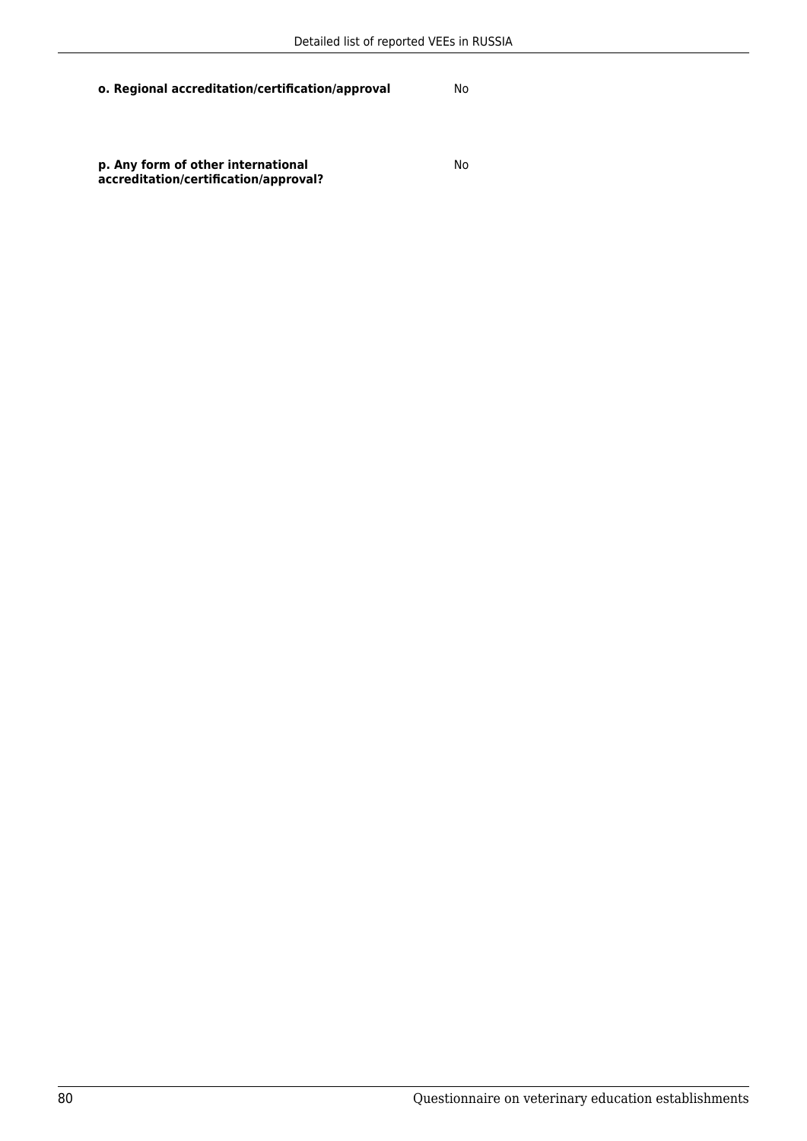No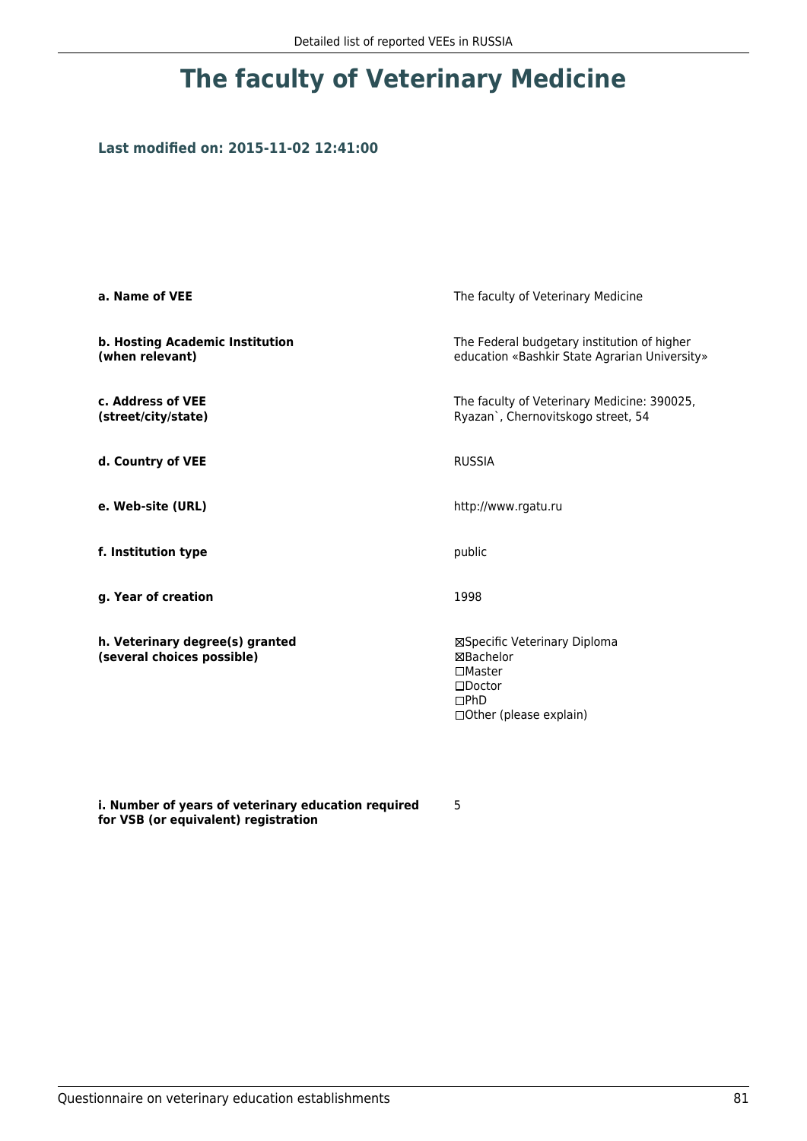## **Last modified on: 2015-11-02 12:41:00**

| a. Name of VEE                                                | The faculty of Veterinary Medicine                                                                                    |
|---------------------------------------------------------------|-----------------------------------------------------------------------------------------------------------------------|
| b. Hosting Academic Institution<br>(when relevant)            | The Federal budgetary institution of higher<br>education «Bashkir State Agrarian University»                          |
| c. Address of VEE<br>(street/city/state)                      | The faculty of Veterinary Medicine: 390025,<br>Ryazan`, Chernovitskogo street, 54                                     |
| d. Country of VEE                                             | <b>RUSSIA</b>                                                                                                         |
| e. Web-site (URL)                                             | http://www.rgatu.ru                                                                                                   |
| f. Institution type                                           | public                                                                                                                |
| g. Year of creation                                           | 1998                                                                                                                  |
| h. Veterinary degree(s) granted<br>(several choices possible) | ⊠Specific Veterinary Diploma<br>⊠Bachelor<br>$\square$ Master<br>$\square$ Doctor<br>DPhD<br>□ Other (please explain) |

**i. Number of years of veterinary education required for VSB (or equivalent) registration**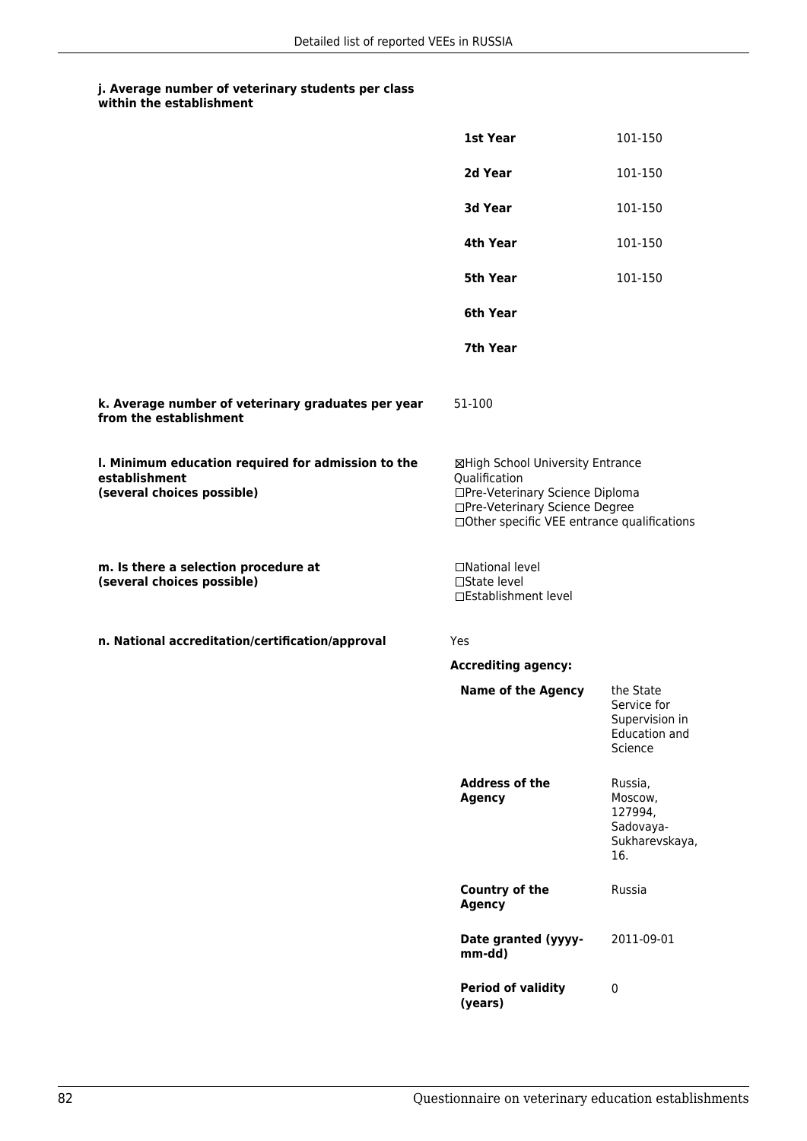|                                                                                                   | 1st Year                                                                                                                                                              | 101-150                                                                |
|---------------------------------------------------------------------------------------------------|-----------------------------------------------------------------------------------------------------------------------------------------------------------------------|------------------------------------------------------------------------|
|                                                                                                   | 2d Year                                                                                                                                                               | 101-150                                                                |
|                                                                                                   | 3d Year                                                                                                                                                               | 101-150                                                                |
|                                                                                                   | 4th Year                                                                                                                                                              | 101-150                                                                |
|                                                                                                   | <b>5th Year</b>                                                                                                                                                       | 101-150                                                                |
|                                                                                                   | 6th Year                                                                                                                                                              |                                                                        |
|                                                                                                   | 7th Year                                                                                                                                                              |                                                                        |
| k. Average number of veterinary graduates per year<br>from the establishment                      | 51-100                                                                                                                                                                |                                                                        |
| I. Minimum education required for admission to the<br>establishment<br>(several choices possible) | ⊠High School University Entrance<br>Qualification<br>□Pre-Veterinary Science Diploma<br>□Pre-Veterinary Science Degree<br>□Other specific VEE entrance qualifications |                                                                        |
| m. Is there a selection procedure at<br>(several choices possible)                                | □National level<br>□State level<br>□Establishment level                                                                                                               |                                                                        |
| n. National accreditation/certification/approval                                                  | Yes                                                                                                                                                                   |                                                                        |
|                                                                                                   | <b>Accrediting agency:</b>                                                                                                                                            |                                                                        |
|                                                                                                   | <b>Name of the Agency</b>                                                                                                                                             | the State<br>Service for<br>Supervision in<br>Education and<br>Science |
|                                                                                                   | <b>Address of the</b><br><b>Agency</b>                                                                                                                                | Russia,<br>Moscow,<br>127994,<br>Sadovaya-<br>Sukharevskaya,<br>16.    |
|                                                                                                   | Country of the<br><b>Agency</b>                                                                                                                                       | Russia                                                                 |
|                                                                                                   | Date granted (yyyy-<br>mm-dd)                                                                                                                                         | 2011-09-01                                                             |
|                                                                                                   | <b>Period of validity</b><br>(years)                                                                                                                                  | $\pmb{0}$                                                              |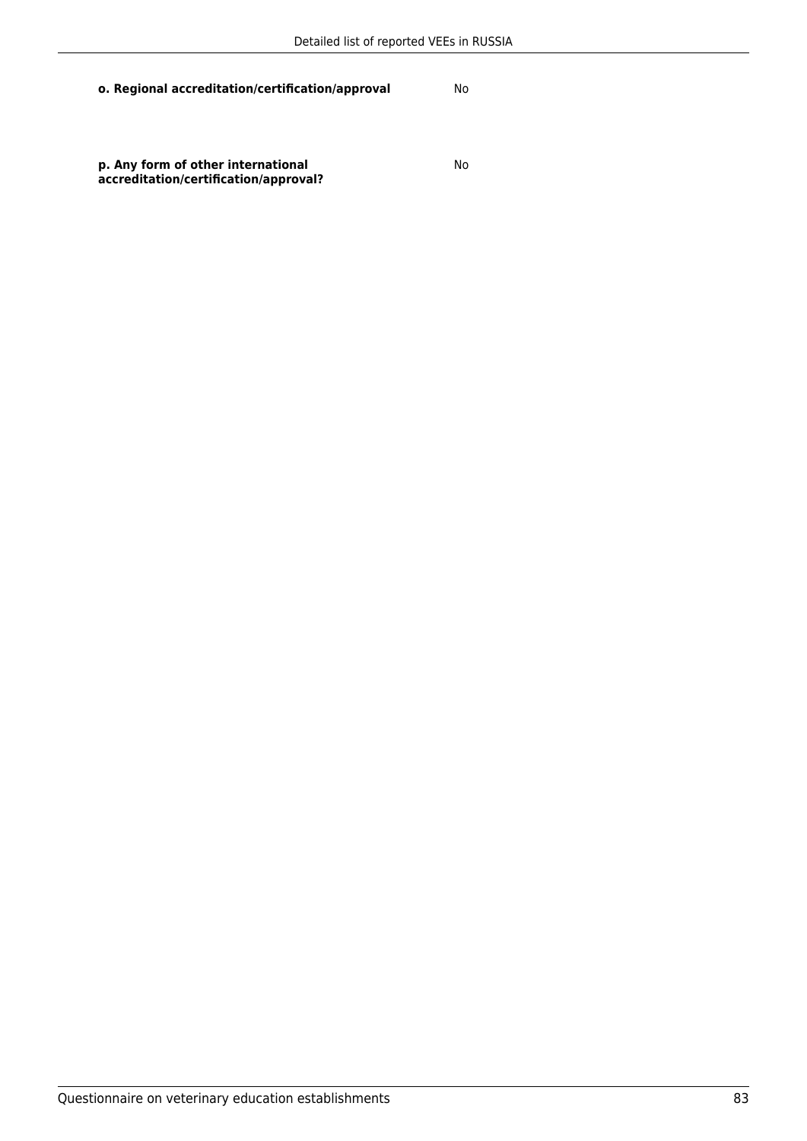**p. Any form of other international accreditation/certification/approval?** No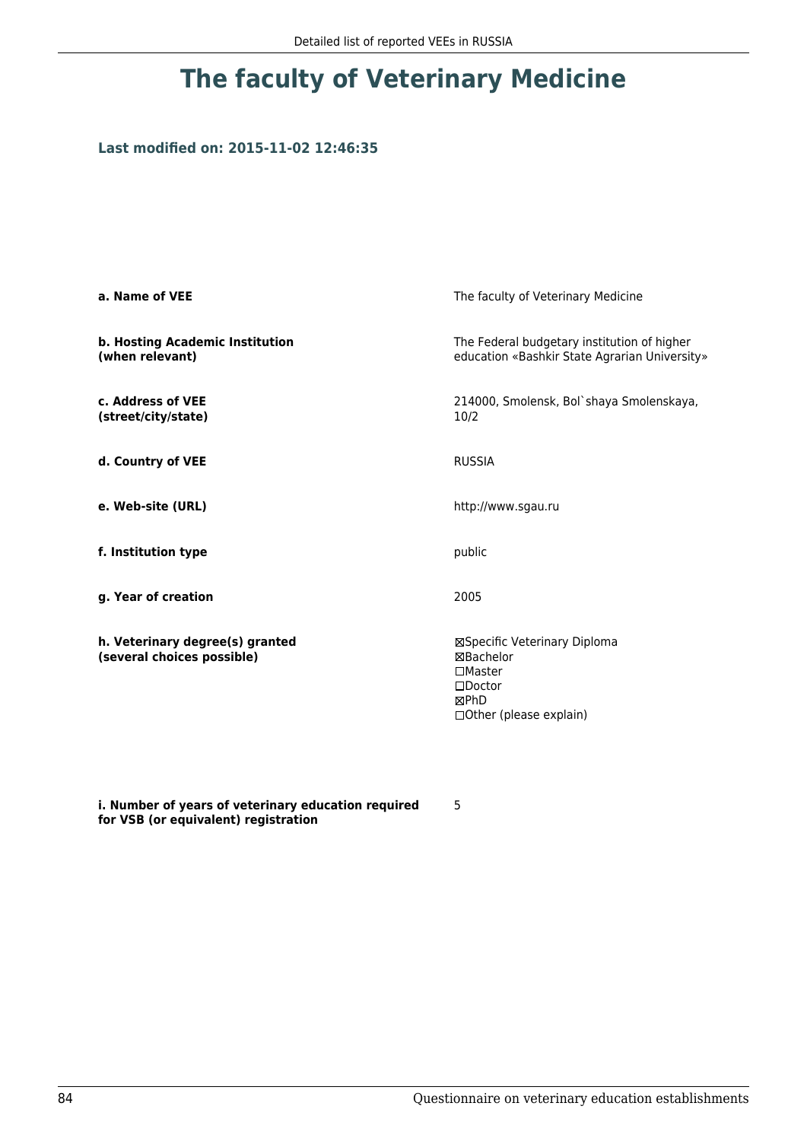### **Last modified on: 2015-11-02 12:46:35**

| a. Name of VEE                                                | The faculty of Veterinary Medicine                                                                                 |
|---------------------------------------------------------------|--------------------------------------------------------------------------------------------------------------------|
| b. Hosting Academic Institution<br>(when relevant)            | The Federal budgetary institution of higher<br>education «Bashkir State Agrarian University»                       |
| c. Address of VEE<br>(street/city/state)                      | 214000, Smolensk, Bol`shaya Smolenskaya,<br>10/2                                                                   |
| d. Country of VEE                                             | <b>RUSSIA</b>                                                                                                      |
| e. Web-site (URL)                                             | http://www.sgau.ru                                                                                                 |
| f. Institution type                                           | public                                                                                                             |
| g. Year of creation                                           | 2005                                                                                                               |
| h. Veterinary degree(s) granted<br>(several choices possible) | ⊠Specific Veterinary Diploma<br>⊠Bachelor<br>$\Box$ Master<br>$\square$ Doctor<br>⊠PhD<br>□ Other (please explain) |

**i. Number of years of veterinary education required for VSB (or equivalent) registration**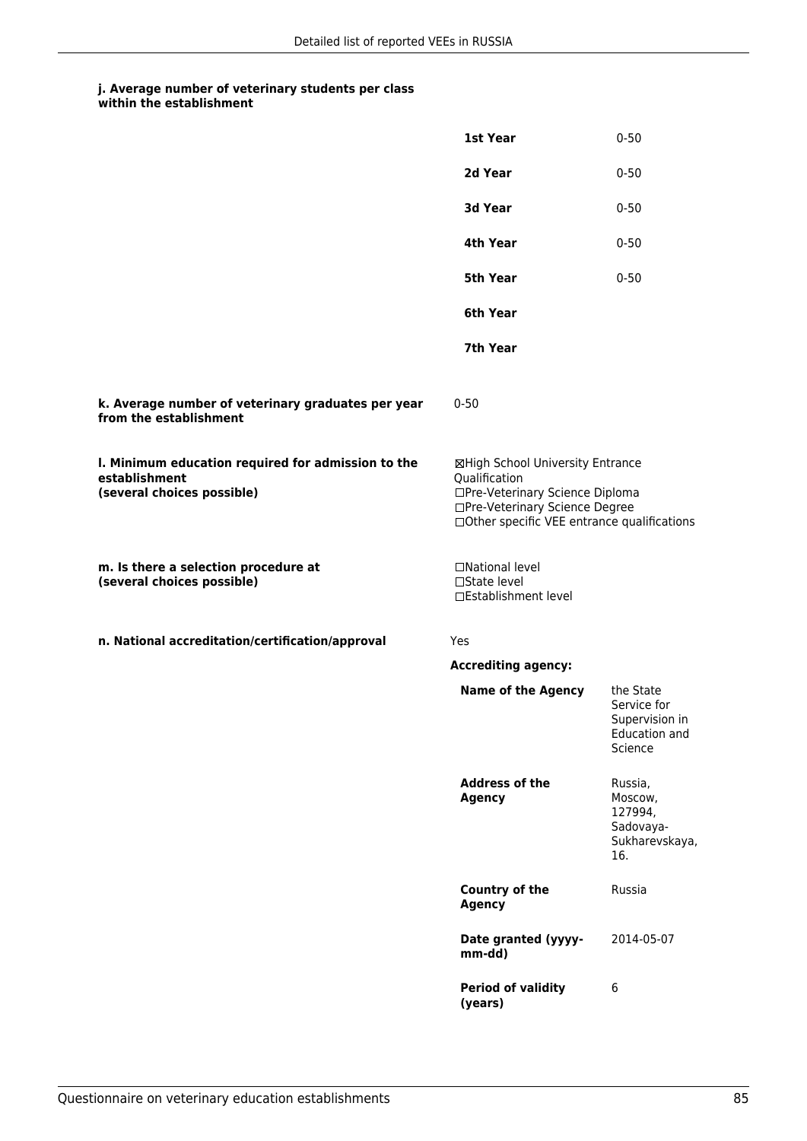|                                                                                                   | 1st Year                                                                                                                                                              | $0 - 50$                                                               |
|---------------------------------------------------------------------------------------------------|-----------------------------------------------------------------------------------------------------------------------------------------------------------------------|------------------------------------------------------------------------|
|                                                                                                   | 2d Year                                                                                                                                                               | $0 - 50$                                                               |
|                                                                                                   | 3d Year                                                                                                                                                               | $0 - 50$                                                               |
|                                                                                                   | 4th Year                                                                                                                                                              | $0 - 50$                                                               |
|                                                                                                   | <b>5th Year</b>                                                                                                                                                       | $0 - 50$                                                               |
|                                                                                                   | 6th Year                                                                                                                                                              |                                                                        |
|                                                                                                   | 7th Year                                                                                                                                                              |                                                                        |
| k. Average number of veterinary graduates per year<br>from the establishment                      | $0 - 50$                                                                                                                                                              |                                                                        |
| I. Minimum education required for admission to the<br>establishment<br>(several choices possible) | ⊠High School University Entrance<br>Qualification<br>□Pre-Veterinary Science Diploma<br>□Pre-Veterinary Science Degree<br>□Other specific VEE entrance qualifications |                                                                        |
| m. Is there a selection procedure at<br>(several choices possible)                                | □National level<br>$\square$ State level<br>□Establishment level                                                                                                      |                                                                        |
| n. National accreditation/certification/approval                                                  | Yes                                                                                                                                                                   |                                                                        |
|                                                                                                   | <b>Accrediting agency:</b>                                                                                                                                            |                                                                        |
|                                                                                                   | <b>Name of the Agency</b>                                                                                                                                             | the State<br>Service for<br>Supervision in<br>Education and<br>Science |
|                                                                                                   | <b>Address of the</b><br><b>Agency</b>                                                                                                                                | Russia,<br>Moscow,<br>127994,<br>Sadovaya-<br>Sukharevskaya,<br>16.    |
|                                                                                                   | <b>Country of the</b><br><b>Agency</b>                                                                                                                                | Russia                                                                 |
|                                                                                                   | Date granted (yyyy-<br>mm-dd)                                                                                                                                         | 2014-05-07                                                             |
|                                                                                                   | <b>Period of validity</b><br>(years)                                                                                                                                  | 6                                                                      |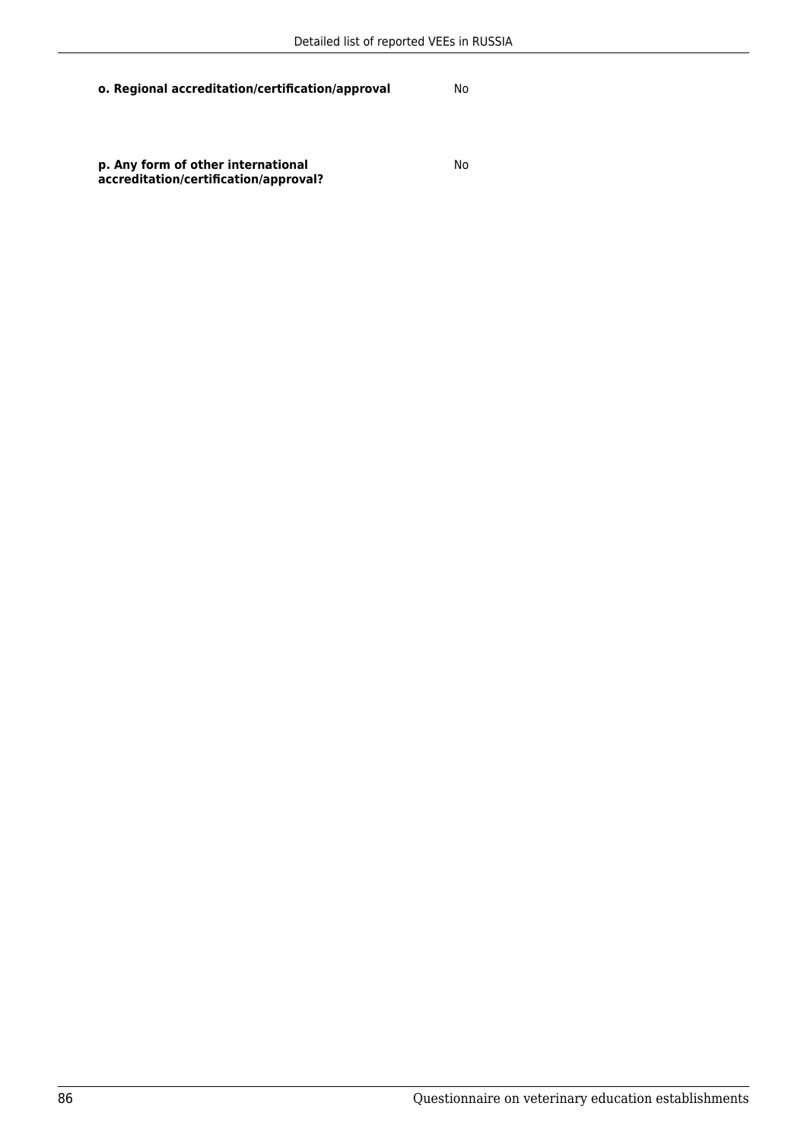No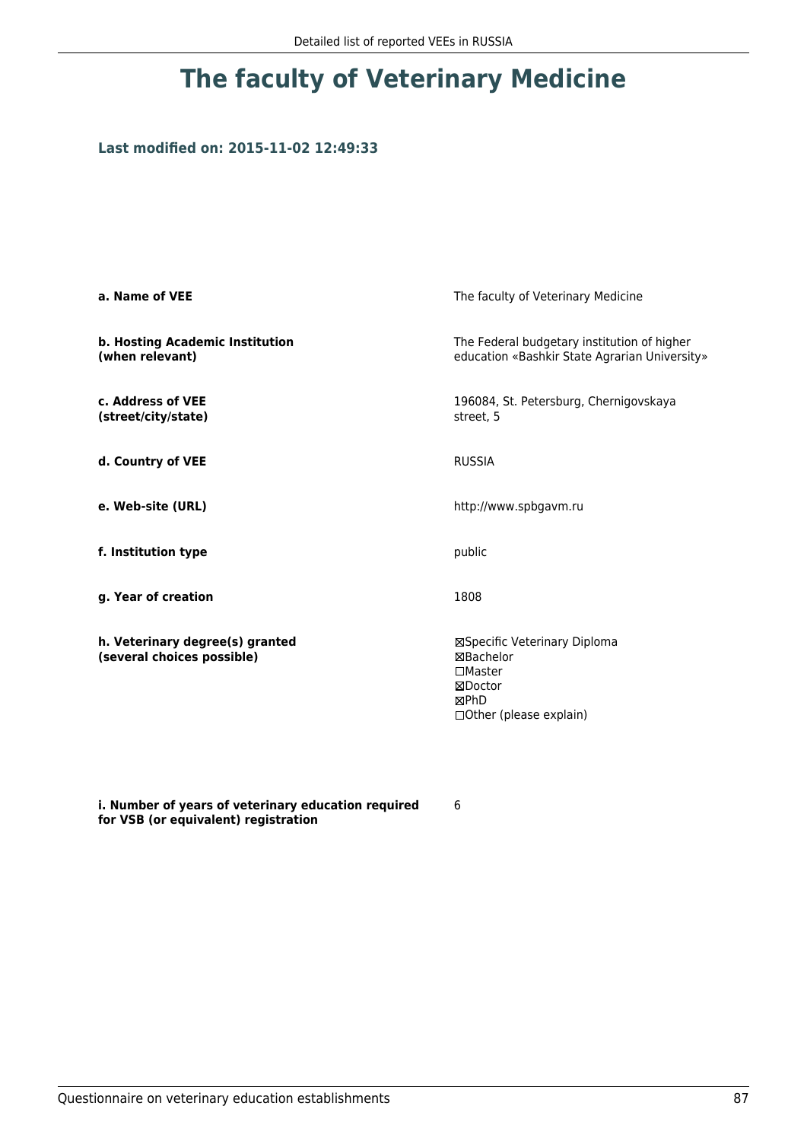### **Last modified on: 2015-11-02 12:49:33**

| a. Name of VEE                                                | The faculty of Veterinary Medicine                                                                                |
|---------------------------------------------------------------|-------------------------------------------------------------------------------------------------------------------|
| b. Hosting Academic Institution<br>(when relevant)            | The Federal budgetary institution of higher<br>education «Bashkir State Agrarian University»                      |
| c. Address of VEE<br>(street/city/state)                      | 196084, St. Petersburg, Chernigovskaya<br>street, 5                                                               |
| d. Country of VEE                                             | <b>RUSSIA</b>                                                                                                     |
| e. Web-site (URL)                                             | http://www.spbgavm.ru                                                                                             |
| f. Institution type                                           | public                                                                                                            |
| g. Year of creation                                           | 1808                                                                                                              |
| h. Veterinary degree(s) granted<br>(several choices possible) | ⊠Specific Veterinary Diploma<br>⊠Bachelor<br>$\square$ Master<br>⊠Doctor<br>⊠PhD<br>$\Box$ Other (please explain) |

**i. Number of years of veterinary education required for VSB (or equivalent) registration**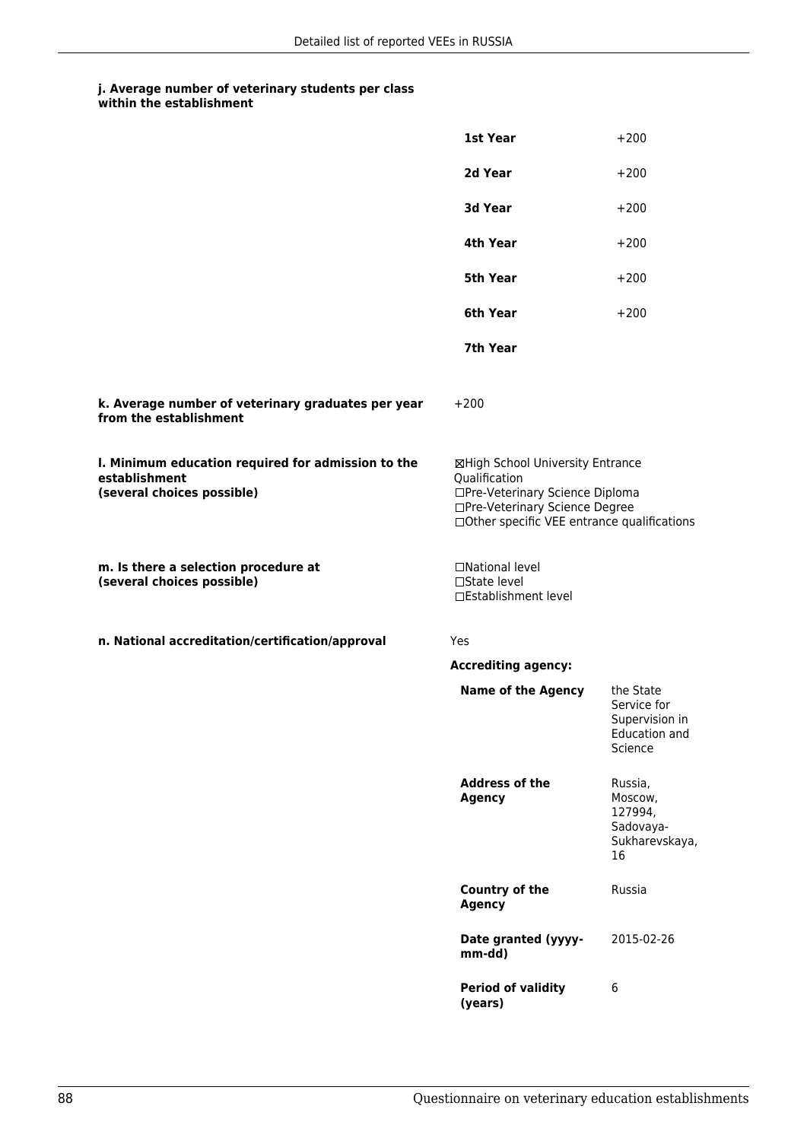|                                                                                                   | <b>1st Year</b>                                                                                                                                                       | $+200$                                                                 |
|---------------------------------------------------------------------------------------------------|-----------------------------------------------------------------------------------------------------------------------------------------------------------------------|------------------------------------------------------------------------|
|                                                                                                   | 2d Year                                                                                                                                                               | $+200$                                                                 |
|                                                                                                   | 3d Year                                                                                                                                                               | $+200$                                                                 |
|                                                                                                   | 4th Year                                                                                                                                                              | $+200$                                                                 |
|                                                                                                   | 5th Year                                                                                                                                                              | $+200$                                                                 |
|                                                                                                   | 6th Year                                                                                                                                                              | $+200$                                                                 |
|                                                                                                   | 7th Year                                                                                                                                                              |                                                                        |
| k. Average number of veterinary graduates per year<br>from the establishment                      | $+200$                                                                                                                                                                |                                                                        |
| I. Minimum education required for admission to the<br>establishment<br>(several choices possible) | ⊠High School University Entrance<br>Qualification<br>□Pre-Veterinary Science Diploma<br>□Pre-Veterinary Science Degree<br>□Other specific VEE entrance qualifications |                                                                        |
| m. Is there a selection procedure at<br>(several choices possible)                                | □National level<br>□State level<br>□Establishment level                                                                                                               |                                                                        |
| n. National accreditation/certification/approval                                                  | Yes                                                                                                                                                                   |                                                                        |
|                                                                                                   | <b>Accrediting agency:</b>                                                                                                                                            |                                                                        |
|                                                                                                   | <b>Name of the Agency</b>                                                                                                                                             | the State<br>Service for<br>Supervision in<br>Education and<br>Science |
|                                                                                                   | <b>Address of the</b><br><b>Agency</b>                                                                                                                                | Russia,<br>Moscow,<br>127994,<br>Sadovaya-<br>Sukharevskaya,<br>16     |
|                                                                                                   | Country of the<br><b>Agency</b>                                                                                                                                       | Russia                                                                 |
|                                                                                                   | Date granted (yyyy-<br>mm-dd)                                                                                                                                         | 2015-02-26                                                             |
|                                                                                                   | <b>Period of validity</b><br>(years)                                                                                                                                  | 6                                                                      |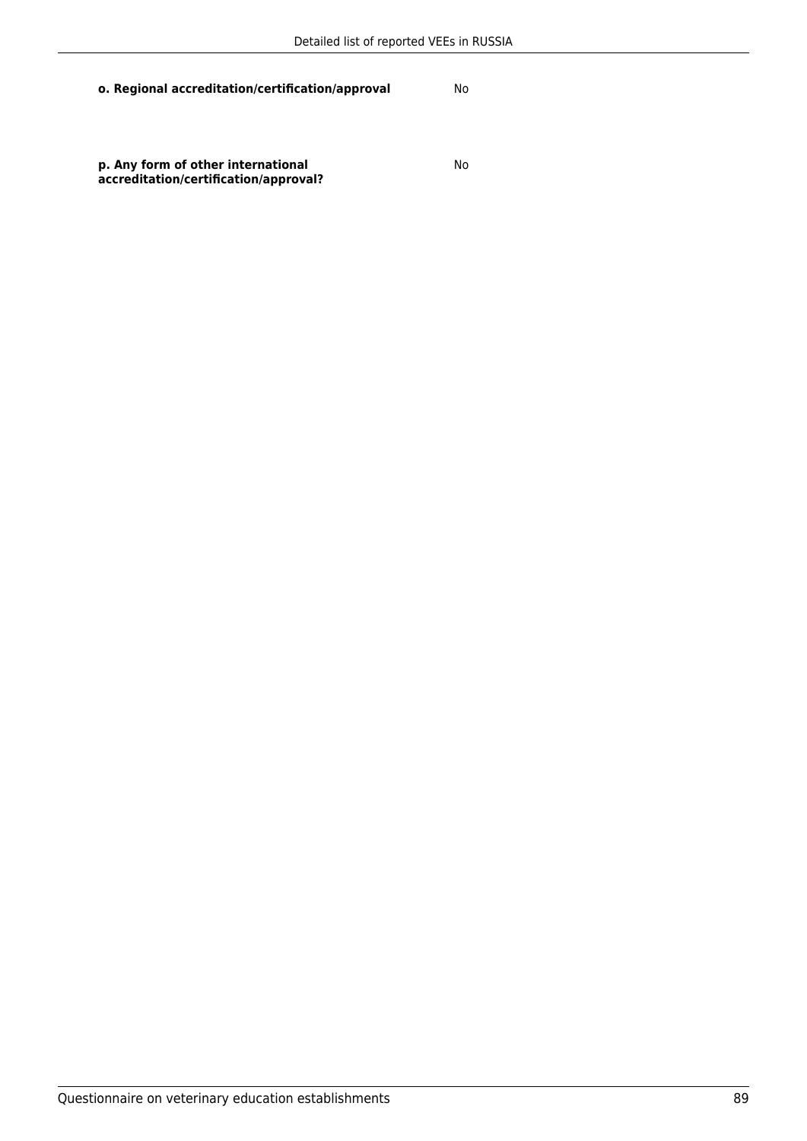**p. Any form of other international accreditation/certification/approval?** No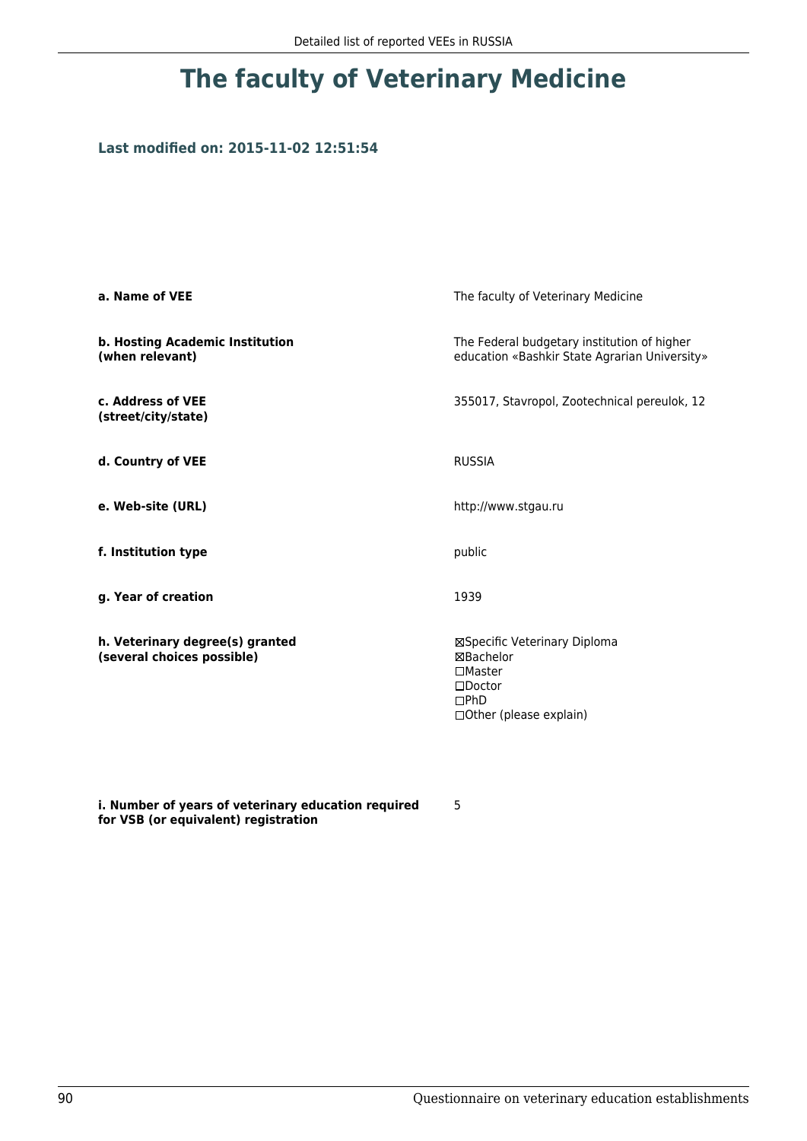## **Last modified on: 2015-11-02 12:51:54**

| a. Name of VEE                                                | The faculty of Veterinary Medicine                                                                                    |
|---------------------------------------------------------------|-----------------------------------------------------------------------------------------------------------------------|
| b. Hosting Academic Institution<br>(when relevant)            | The Federal budgetary institution of higher<br>education «Bashkir State Agrarian University»                          |
| c. Address of VEE<br>(street/city/state)                      | 355017, Stavropol, Zootechnical pereulok, 12                                                                          |
| d. Country of VEE                                             | <b>RUSSIA</b>                                                                                                         |
| e. Web-site (URL)                                             | http://www.stgau.ru                                                                                                   |
| f. Institution type                                           | public                                                                                                                |
| g. Year of creation                                           | 1939                                                                                                                  |
| h. Veterinary degree(s) granted<br>(several choices possible) | ⊠Specific Veterinary Diploma<br>⊠Bachelor<br>$\square$ Master<br>$\square$ Doctor<br>DPhD<br>□ Other (please explain) |

**i. Number of years of veterinary education required for VSB (or equivalent) registration**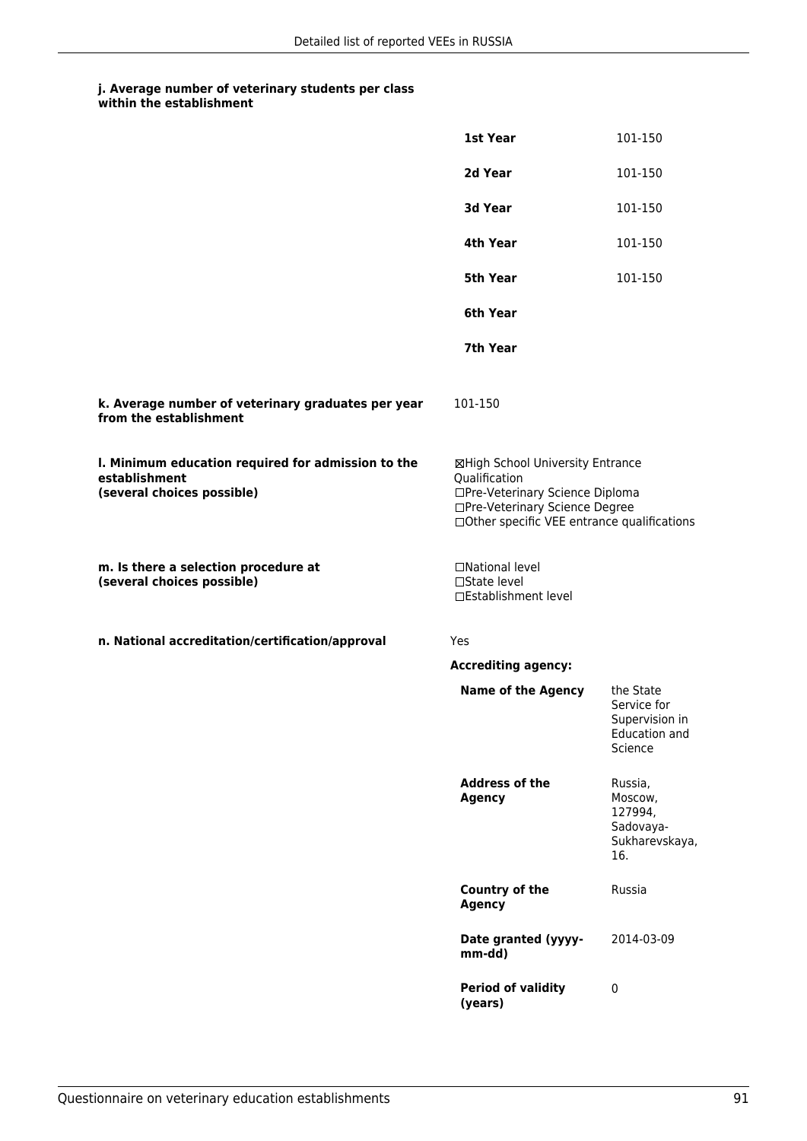|                                                                                                   | 1st Year                                                                                                                                                              | 101-150                                                                       |
|---------------------------------------------------------------------------------------------------|-----------------------------------------------------------------------------------------------------------------------------------------------------------------------|-------------------------------------------------------------------------------|
|                                                                                                   | 2d Year                                                                                                                                                               | 101-150                                                                       |
|                                                                                                   | 3d Year                                                                                                                                                               | 101-150                                                                       |
|                                                                                                   | 4th Year                                                                                                                                                              | 101-150                                                                       |
|                                                                                                   | 5th Year                                                                                                                                                              | 101-150                                                                       |
|                                                                                                   | 6th Year                                                                                                                                                              |                                                                               |
|                                                                                                   | 7th Year                                                                                                                                                              |                                                                               |
| k. Average number of veterinary graduates per year<br>from the establishment                      | 101-150                                                                                                                                                               |                                                                               |
| I. Minimum education required for admission to the<br>establishment<br>(several choices possible) | ⊠High School University Entrance<br>Qualification<br>□Pre-Veterinary Science Diploma<br>□Pre-Veterinary Science Degree<br>□Other specific VEE entrance qualifications |                                                                               |
| m. Is there a selection procedure at<br>(several choices possible)                                | □National level<br>□State level<br>□Establishment level                                                                                                               |                                                                               |
| n. National accreditation/certification/approval                                                  | Yes                                                                                                                                                                   |                                                                               |
|                                                                                                   | <b>Accrediting agency:</b>                                                                                                                                            |                                                                               |
|                                                                                                   | <b>Name of the Agency</b>                                                                                                                                             | the State<br>Service for<br>Supervision in<br><b>Education and</b><br>Science |
|                                                                                                   | <b>Address of the</b><br><b>Agency</b>                                                                                                                                | Russia,<br>Moscow,<br>127994,<br>Sadovaya-<br>Sukharevskaya,<br>16.           |
|                                                                                                   | <b>Country of the</b><br><b>Agency</b>                                                                                                                                | Russia                                                                        |
|                                                                                                   | Date granted (yyyy-<br>mm-dd)                                                                                                                                         | 2014-03-09                                                                    |
|                                                                                                   | <b>Period of validity</b><br>(years)                                                                                                                                  | $\pmb{0}$                                                                     |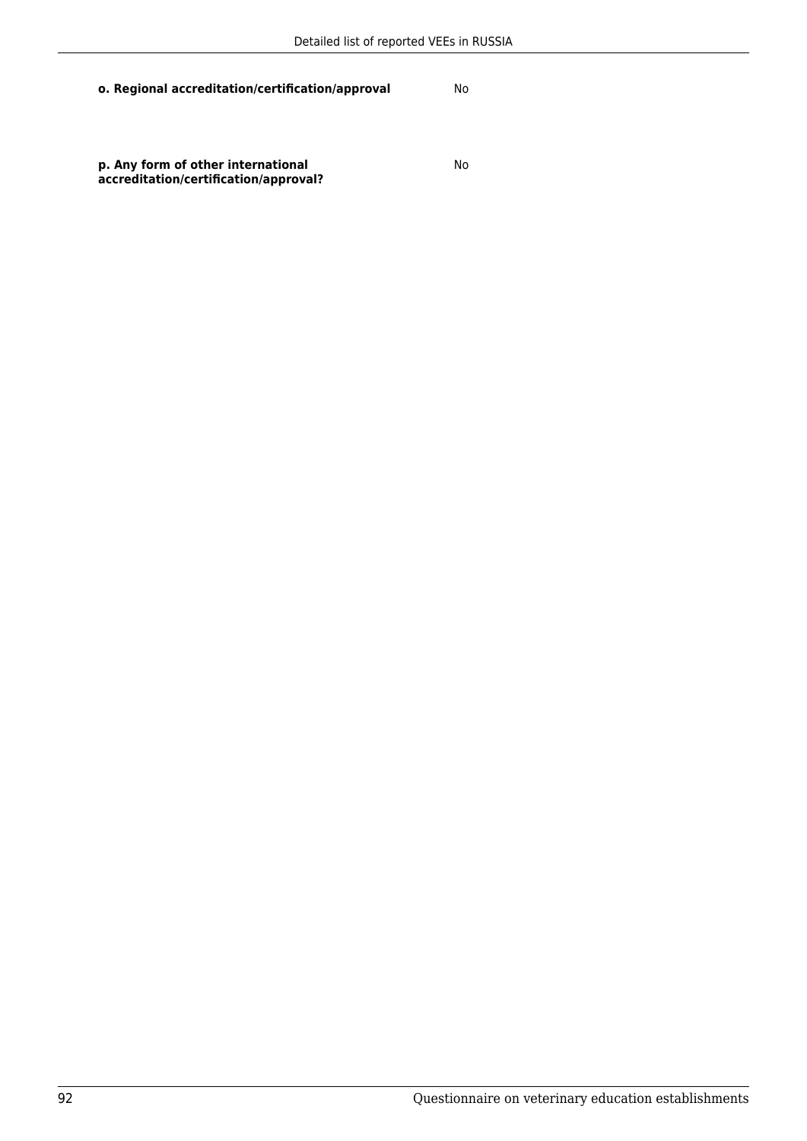**p. Any form of other international accreditation/certification/approval?** No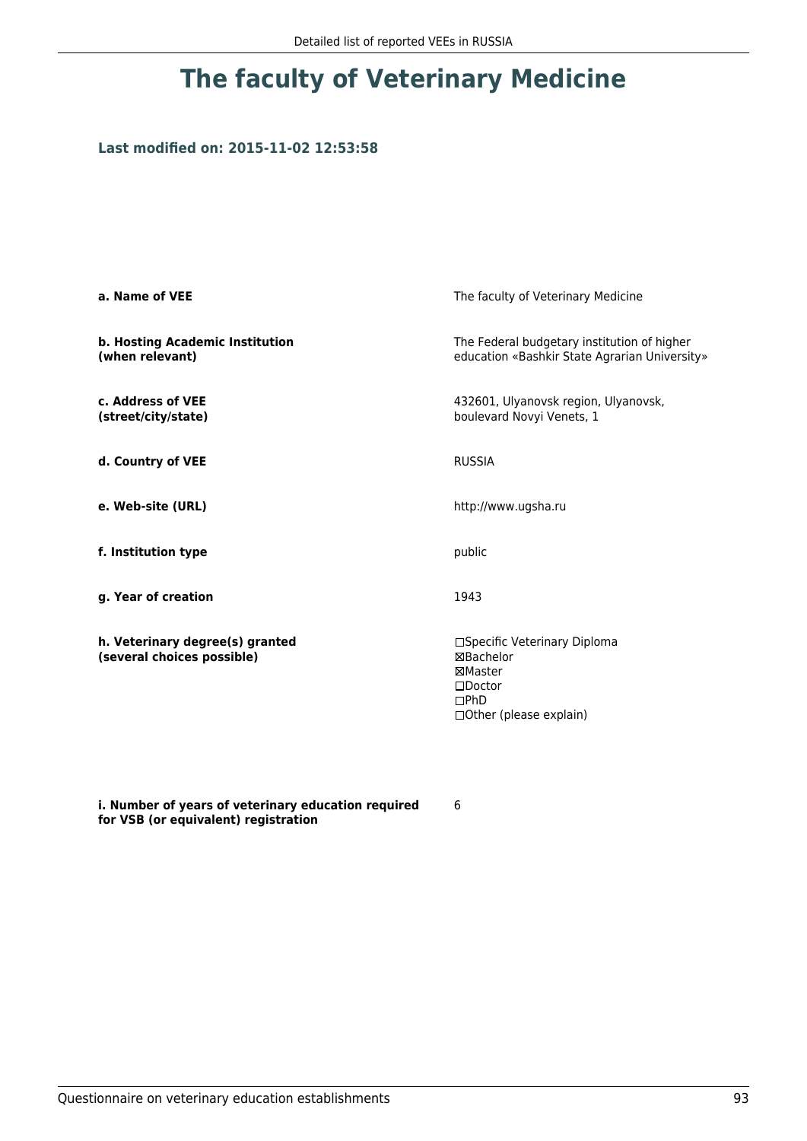## **Last modified on: 2015-11-02 12:53:58**

| a. Name of VEE                                                | The faculty of Veterinary Medicine                                                                           |
|---------------------------------------------------------------|--------------------------------------------------------------------------------------------------------------|
| b. Hosting Academic Institution<br>(when relevant)            | The Federal budgetary institution of higher<br>education «Bashkir State Agrarian University»                 |
| c. Address of VEE<br>(street/city/state)                      | 432601, Ulyanovsk region, Ulyanovsk,<br>boulevard Novyi Venets, 1                                            |
| d. Country of VEE                                             | <b>RUSSIA</b>                                                                                                |
| e. Web-site (URL)                                             | http://www.ugsha.ru                                                                                          |
| f. Institution type                                           | public                                                                                                       |
| g. Year of creation                                           | 1943                                                                                                         |
| h. Veterinary degree(s) granted<br>(several choices possible) | □Specific Veterinary Diploma<br>⊠Bachelor<br>⊠Master<br>$\square$ Doctor<br>DPhD<br>□ Other (please explain) |

**i. Number of years of veterinary education required for VSB (or equivalent) registration**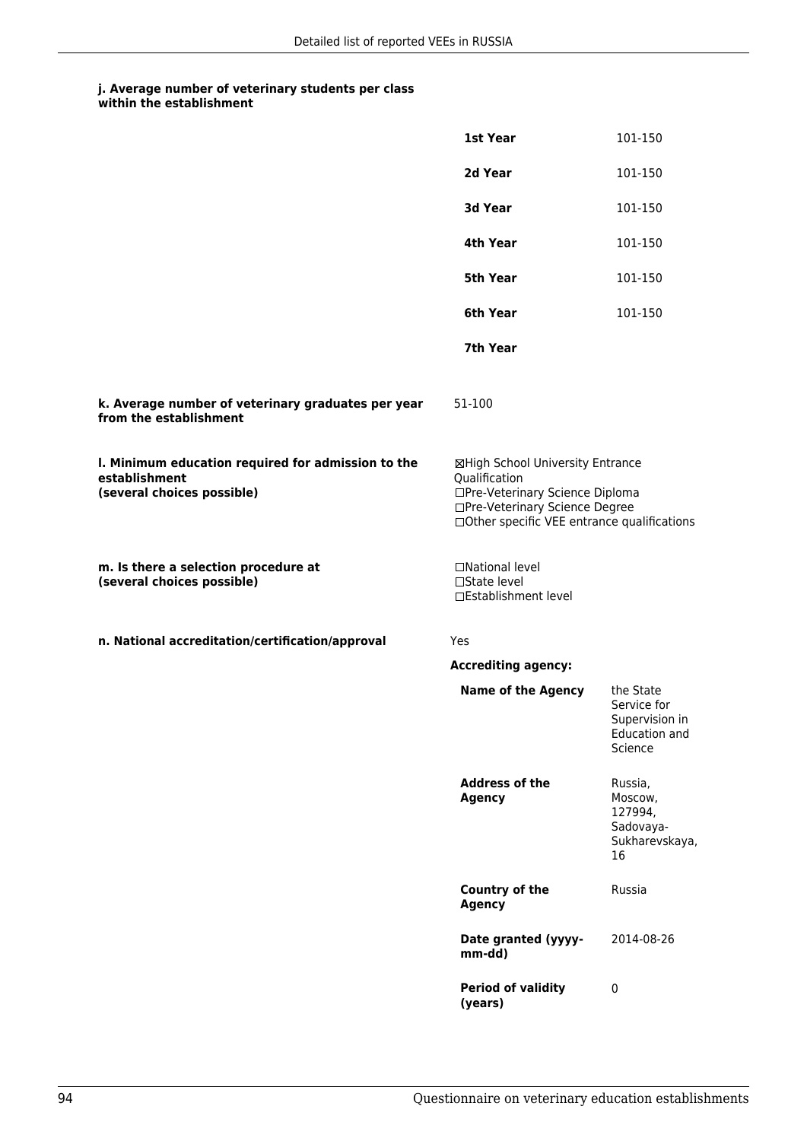|                                                                                                   | 1st Year                                                                                                                                                              | 101-150                                                                       |
|---------------------------------------------------------------------------------------------------|-----------------------------------------------------------------------------------------------------------------------------------------------------------------------|-------------------------------------------------------------------------------|
|                                                                                                   | 2d Year                                                                                                                                                               | 101-150                                                                       |
|                                                                                                   | 3d Year                                                                                                                                                               | 101-150                                                                       |
|                                                                                                   | 4th Year                                                                                                                                                              | 101-150                                                                       |
|                                                                                                   | 5th Year                                                                                                                                                              | 101-150                                                                       |
|                                                                                                   | 6th Year                                                                                                                                                              | 101-150                                                                       |
|                                                                                                   | 7th Year                                                                                                                                                              |                                                                               |
| k. Average number of veterinary graduates per year<br>from the establishment                      | 51-100                                                                                                                                                                |                                                                               |
| I. Minimum education required for admission to the<br>establishment<br>(several choices possible) | ⊠High School University Entrance<br>Qualification<br>□Pre-Veterinary Science Diploma<br>□Pre-Veterinary Science Degree<br>□Other specific VEE entrance qualifications |                                                                               |
| m. Is there a selection procedure at<br>(several choices possible)                                | □National level<br>□State level<br>□Establishment level                                                                                                               |                                                                               |
| n. National accreditation/certification/approval                                                  | Yes                                                                                                                                                                   |                                                                               |
|                                                                                                   | <b>Accrediting agency:</b>                                                                                                                                            |                                                                               |
|                                                                                                   | <b>Name of the Agency</b>                                                                                                                                             | the State<br>Service for<br>Supervision in<br><b>Education and</b><br>Science |
|                                                                                                   | <b>Address of the</b><br><b>Agency</b>                                                                                                                                | Russia,<br>Moscow,<br>127994,<br>Sadovaya-<br>Sukharevskaya,<br>16            |
|                                                                                                   | <b>Country of the</b><br><b>Agency</b>                                                                                                                                | Russia                                                                        |
|                                                                                                   | Date granted (yyyy-<br>mm-dd)                                                                                                                                         | 2014-08-26                                                                    |
|                                                                                                   | <b>Period of validity</b><br>(years)                                                                                                                                  | $\pmb{0}$                                                                     |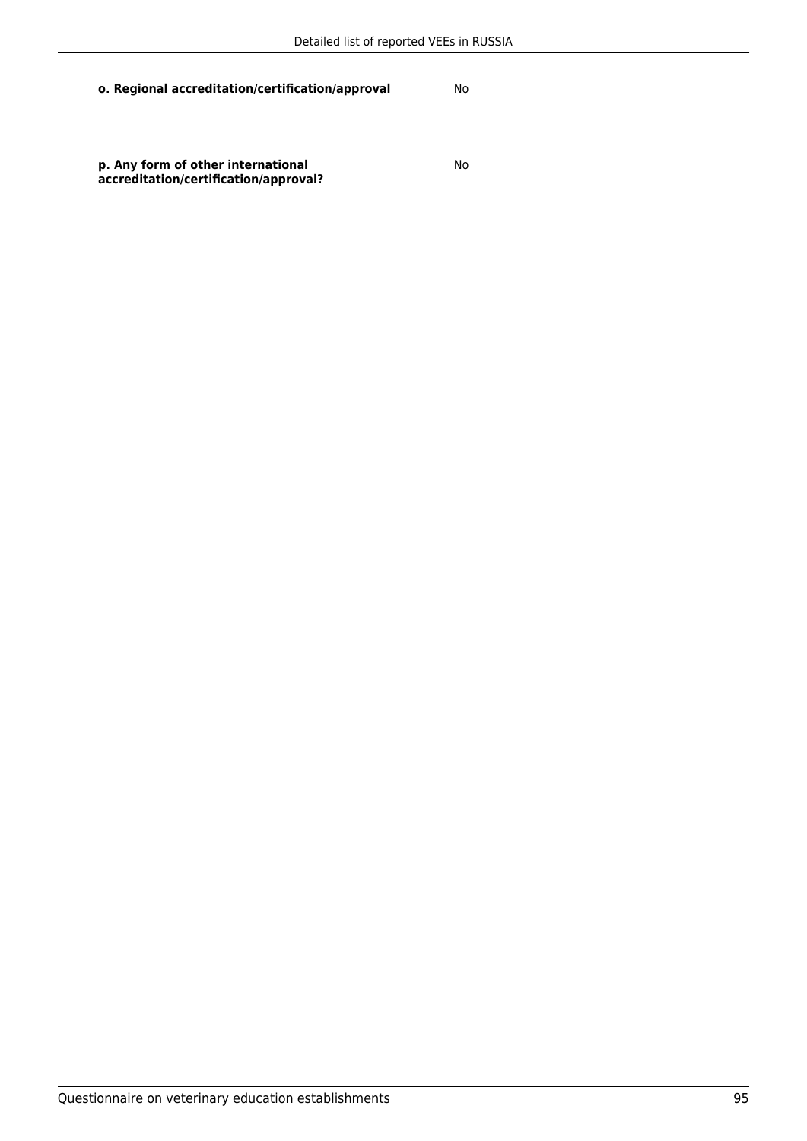No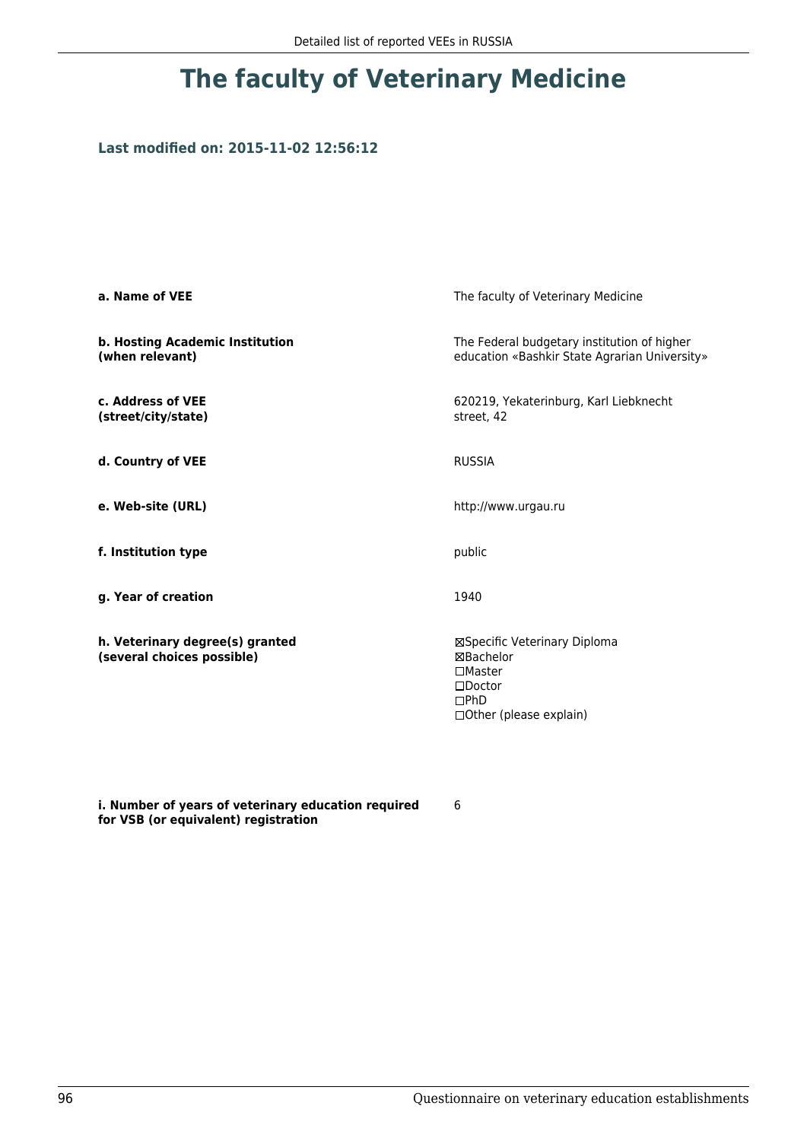## **Last modified on: 2015-11-02 12:56:12**

| a. Name of VEE                                                | The faculty of Veterinary Medicine                                                                                    |
|---------------------------------------------------------------|-----------------------------------------------------------------------------------------------------------------------|
| b. Hosting Academic Institution<br>(when relevant)            | The Federal budgetary institution of higher<br>education «Bashkir State Agrarian University»                          |
| c. Address of VEE<br>(street/city/state)                      | 620219, Yekaterinburg, Karl Liebknecht<br>street, 42                                                                  |
| d. Country of VEE                                             | <b>RUSSIA</b>                                                                                                         |
| e. Web-site (URL)                                             | http://www.urgau.ru                                                                                                   |
| f. Institution type                                           | public                                                                                                                |
| g. Year of creation                                           | 1940                                                                                                                  |
| h. Veterinary degree(s) granted<br>(several choices possible) | ⊠Specific Veterinary Diploma<br>⊠Bachelor<br>$\square$ Master<br>$\square$ Doctor<br>DPhD<br>□ Other (please explain) |

**i. Number of years of veterinary education required for VSB (or equivalent) registration**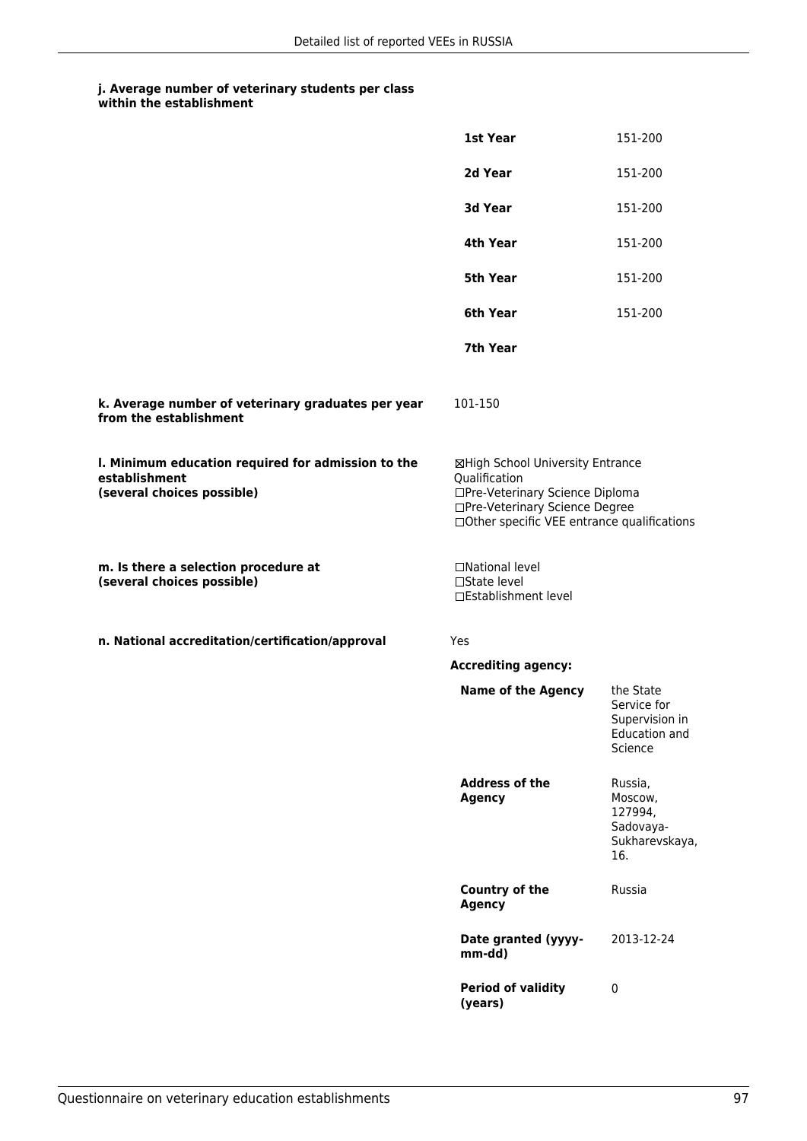|                                                                                                   | 1st Year                                                                                                                                                              | 151-200                                                                       |
|---------------------------------------------------------------------------------------------------|-----------------------------------------------------------------------------------------------------------------------------------------------------------------------|-------------------------------------------------------------------------------|
|                                                                                                   | 2d Year                                                                                                                                                               | 151-200                                                                       |
|                                                                                                   | 3d Year                                                                                                                                                               | 151-200                                                                       |
|                                                                                                   | 4th Year                                                                                                                                                              | 151-200                                                                       |
|                                                                                                   | 5th Year                                                                                                                                                              | 151-200                                                                       |
|                                                                                                   | 6th Year                                                                                                                                                              | 151-200                                                                       |
|                                                                                                   | 7th Year                                                                                                                                                              |                                                                               |
| k. Average number of veterinary graduates per year<br>from the establishment                      | 101-150                                                                                                                                                               |                                                                               |
| I. Minimum education required for admission to the<br>establishment<br>(several choices possible) | ⊠High School University Entrance<br>Qualification<br>□Pre-Veterinary Science Diploma<br>□Pre-Veterinary Science Degree<br>□Other specific VEE entrance qualifications |                                                                               |
| m. Is there a selection procedure at<br>(several choices possible)                                | □National level<br>□State level<br>□Establishment level                                                                                                               |                                                                               |
| n. National accreditation/certification/approval                                                  | Yes                                                                                                                                                                   |                                                                               |
|                                                                                                   | <b>Accrediting agency:</b>                                                                                                                                            |                                                                               |
|                                                                                                   | <b>Name of the Agency</b>                                                                                                                                             | the State<br>Service for<br>Supervision in<br><b>Education and</b><br>Science |
|                                                                                                   | <b>Address of the</b><br><b>Agency</b>                                                                                                                                | Russia,<br>Moscow,<br>127994,<br>Sadovaya-<br>Sukharevskaya,<br>16.           |
|                                                                                                   | <b>Country of the</b><br><b>Agency</b>                                                                                                                                | Russia                                                                        |
|                                                                                                   | Date granted (yyyy-<br>mm-dd)                                                                                                                                         | 2013-12-24                                                                    |
|                                                                                                   | <b>Period of validity</b><br>(years)                                                                                                                                  | $\pmb{0}$                                                                     |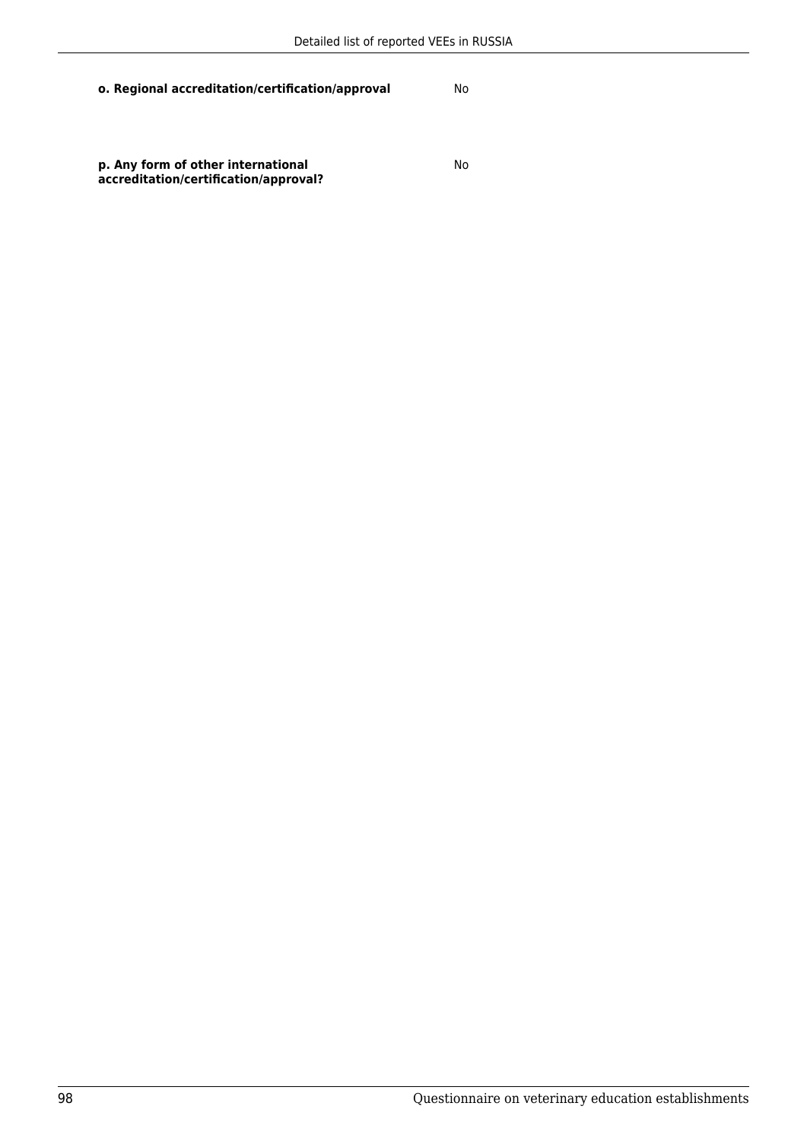No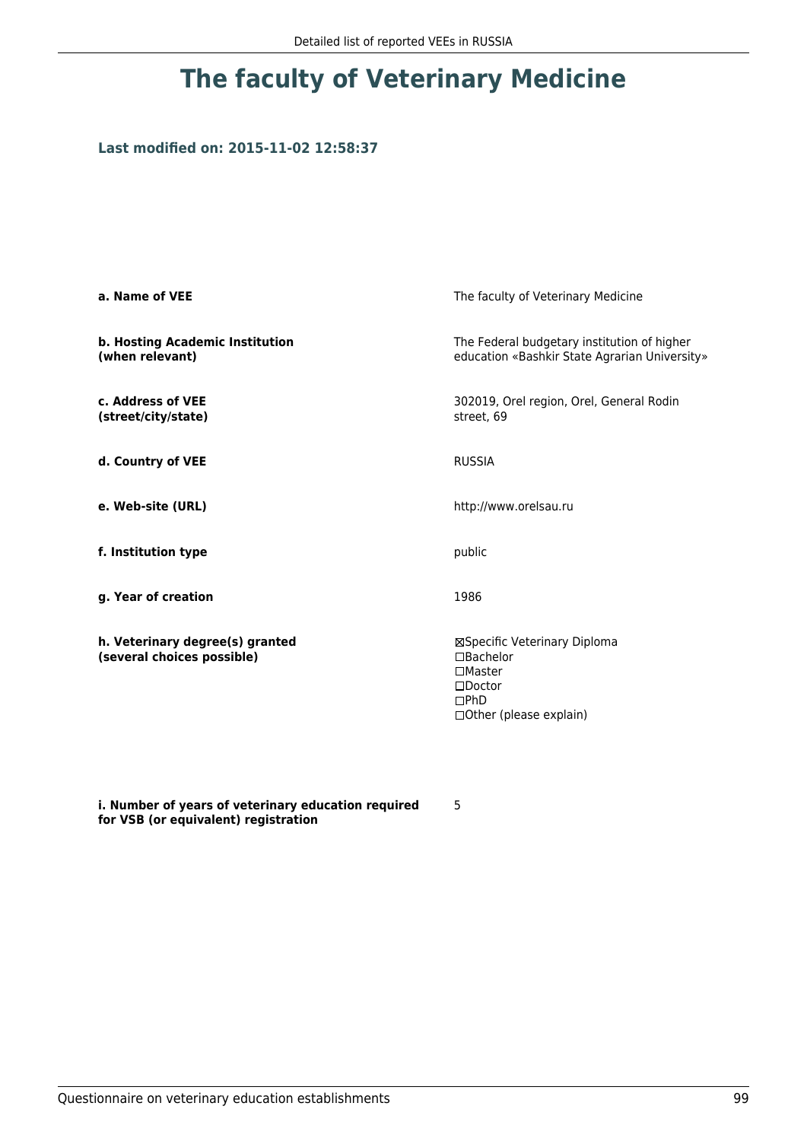### **Last modified on: 2015-11-02 12:58:37**

| a. Name of VEE                                                | The faculty of Veterinary Medicine                                                                                    |
|---------------------------------------------------------------|-----------------------------------------------------------------------------------------------------------------------|
| b. Hosting Academic Institution<br>(when relevant)            | The Federal budgetary institution of higher<br>education «Bashkir State Agrarian University»                          |
| c. Address of VEE<br>(street/city/state)                      | 302019, Orel region, Orel, General Rodin<br>street, 69                                                                |
| d. Country of VEE                                             | <b>RUSSIA</b>                                                                                                         |
| e. Web-site (URL)                                             | http://www.orelsau.ru                                                                                                 |
| f. Institution type                                           | public                                                                                                                |
| g. Year of creation                                           | 1986                                                                                                                  |
| h. Veterinary degree(s) granted<br>(several choices possible) | ⊠Specific Veterinary Diploma<br>□Bachelor<br>$\square$ Master<br>$\square$ Doctor<br>DPhD<br>□ Other (please explain) |

**i. Number of years of veterinary education required for VSB (or equivalent) registration**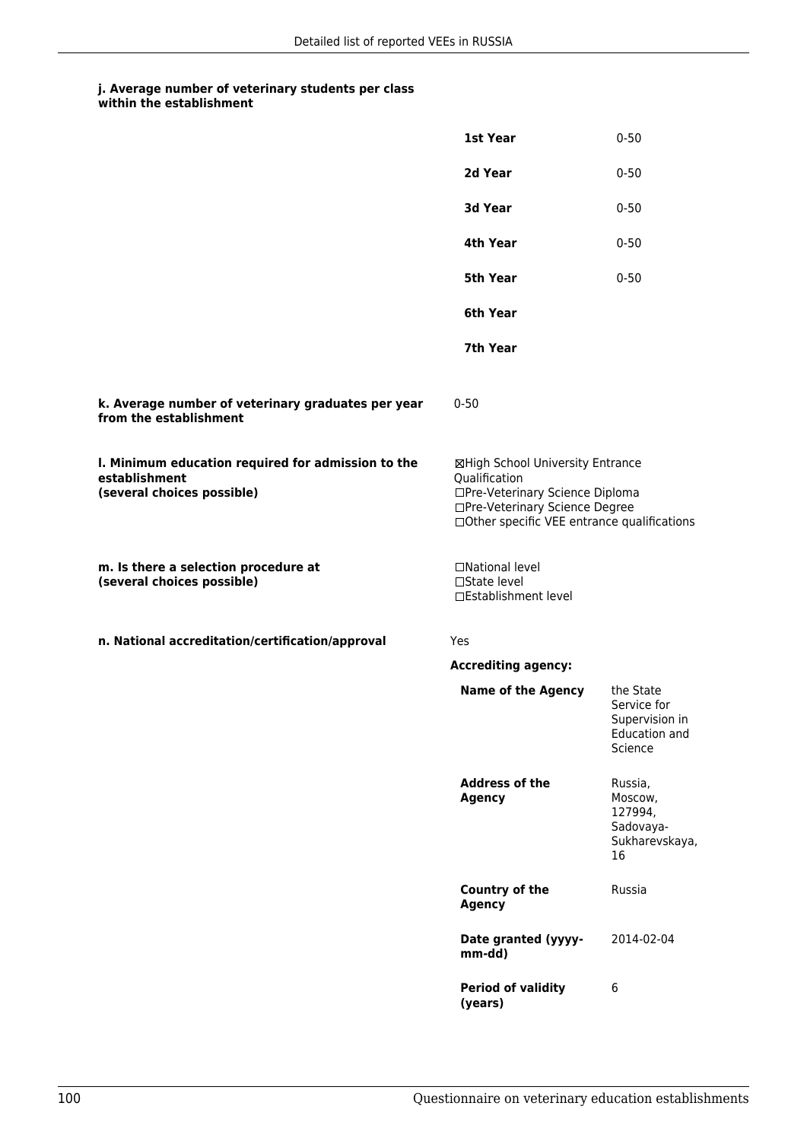|                                                                                                   | 1st Year                                                                                                                                                              | $0 - 50$                                                                      |
|---------------------------------------------------------------------------------------------------|-----------------------------------------------------------------------------------------------------------------------------------------------------------------------|-------------------------------------------------------------------------------|
|                                                                                                   | 2d Year                                                                                                                                                               | $0 - 50$                                                                      |
|                                                                                                   | 3d Year                                                                                                                                                               | $0 - 50$                                                                      |
|                                                                                                   | 4th Year                                                                                                                                                              | $0 - 50$                                                                      |
|                                                                                                   | 5th Year                                                                                                                                                              | $0 - 50$                                                                      |
|                                                                                                   | 6th Year                                                                                                                                                              |                                                                               |
|                                                                                                   | 7th Year                                                                                                                                                              |                                                                               |
| k. Average number of veterinary graduates per year<br>from the establishment                      | $0 - 50$                                                                                                                                                              |                                                                               |
| I. Minimum education required for admission to the<br>establishment<br>(several choices possible) | ⊠High School University Entrance<br>Qualification<br>□Pre-Veterinary Science Diploma<br>□Pre-Veterinary Science Degree<br>□Other specific VEE entrance qualifications |                                                                               |
| m. Is there a selection procedure at<br>(several choices possible)                                | □National level<br>□State level<br>□Establishment level                                                                                                               |                                                                               |
| n. National accreditation/certification/approval                                                  | Yes                                                                                                                                                                   |                                                                               |
|                                                                                                   | <b>Accrediting agency:</b>                                                                                                                                            |                                                                               |
|                                                                                                   | <b>Name of the Agency</b>                                                                                                                                             | the State<br>Service for<br>Supervision in<br><b>Education and</b><br>Science |
|                                                                                                   | <b>Address of the</b><br><b>Agency</b>                                                                                                                                | Russia,<br>Moscow,<br>127994,<br>Sadovaya-<br>Sukharevskaya,<br>16            |
|                                                                                                   | <b>Country of the</b><br><b>Agency</b>                                                                                                                                | Russia                                                                        |
|                                                                                                   | Date granted (yyyy-<br>mm-dd)                                                                                                                                         | 2014-02-04                                                                    |
|                                                                                                   | <b>Period of validity</b><br>(years)                                                                                                                                  | 6                                                                             |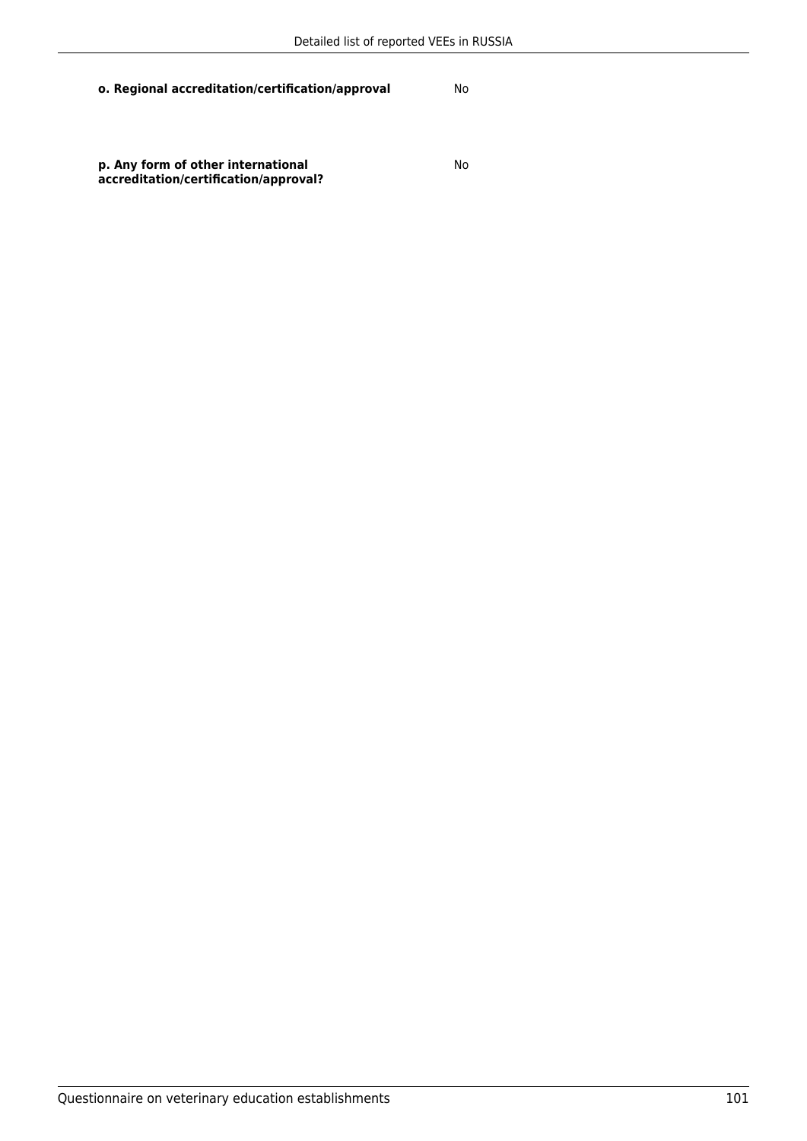No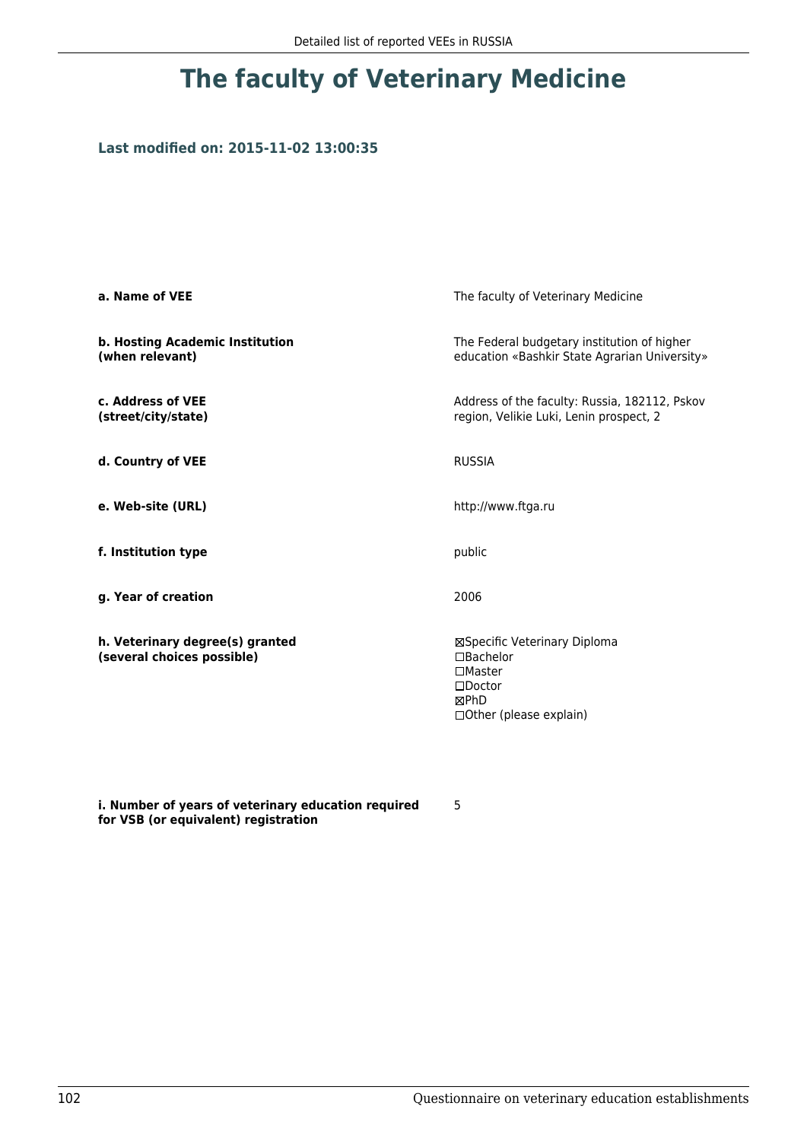## **Last modified on: 2015-11-02 13:00:35**

| a. Name of VEE                                                | The faculty of Veterinary Medicine                                                                                    |
|---------------------------------------------------------------|-----------------------------------------------------------------------------------------------------------------------|
| b. Hosting Academic Institution<br>(when relevant)            | The Federal budgetary institution of higher<br>education «Bashkir State Agrarian University»                          |
| c. Address of VEE<br>(street/city/state)                      | Address of the faculty: Russia, 182112, Pskov<br>region, Velikie Luki, Lenin prospect, 2                              |
| d. Country of VEE                                             | <b>RUSSIA</b>                                                                                                         |
| e. Web-site (URL)                                             | http://www.ftga.ru                                                                                                    |
| f. Institution type                                           | public                                                                                                                |
| g. Year of creation                                           | 2006                                                                                                                  |
| h. Veterinary degree(s) granted<br>(several choices possible) | ⊠Specific Veterinary Diploma<br>□Bachelor<br>$\square$ Master<br>$\square$ Doctor<br>⊠PhD<br>□ Other (please explain) |

**i. Number of years of veterinary education required for VSB (or equivalent) registration**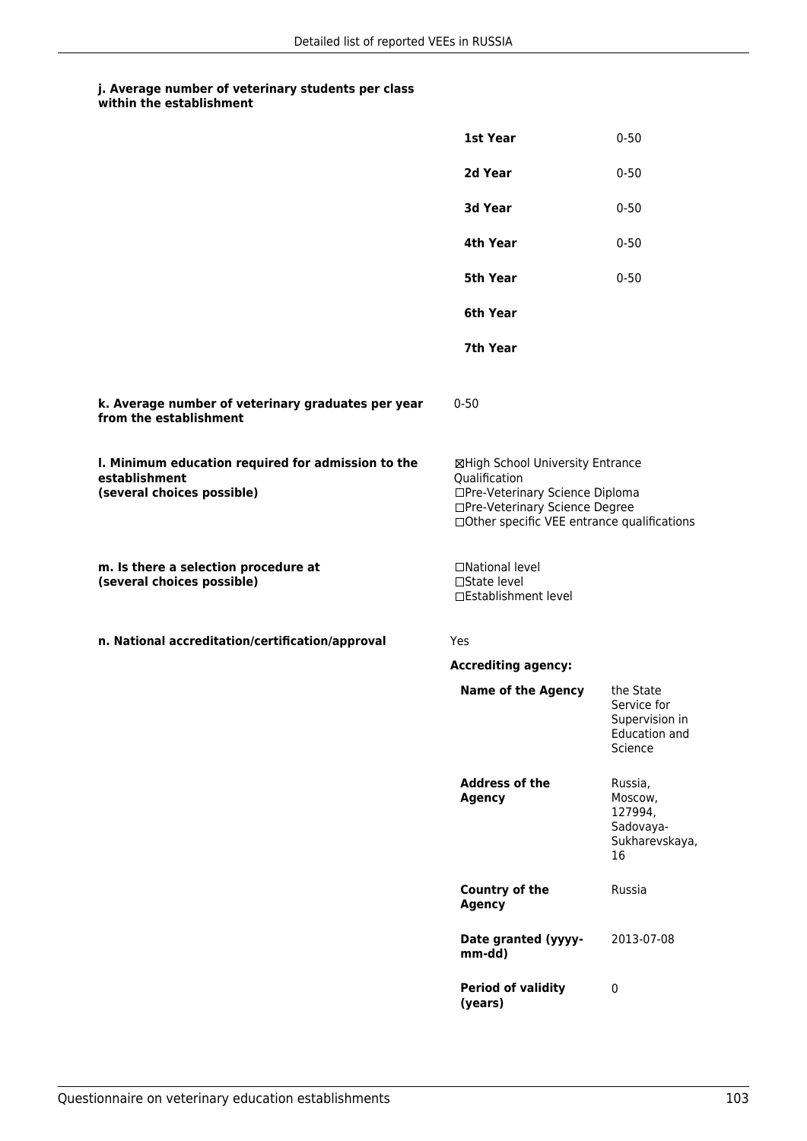|                                                                                                   | 1st Year                                                                                                                                                              | $0 - 50$                                                                      |
|---------------------------------------------------------------------------------------------------|-----------------------------------------------------------------------------------------------------------------------------------------------------------------------|-------------------------------------------------------------------------------|
|                                                                                                   | 2d Year                                                                                                                                                               | $0 - 50$                                                                      |
|                                                                                                   | 3d Year                                                                                                                                                               | $0 - 50$                                                                      |
|                                                                                                   | 4th Year                                                                                                                                                              | $0 - 50$                                                                      |
|                                                                                                   | 5th Year                                                                                                                                                              | $0 - 50$                                                                      |
|                                                                                                   | 6th Year                                                                                                                                                              |                                                                               |
|                                                                                                   | 7th Year                                                                                                                                                              |                                                                               |
| k. Average number of veterinary graduates per year<br>from the establishment                      | $0 - 50$                                                                                                                                                              |                                                                               |
| I. Minimum education required for admission to the<br>establishment<br>(several choices possible) | ⊠High School University Entrance<br>Qualification<br>□Pre-Veterinary Science Diploma<br>□Pre-Veterinary Science Degree<br>□Other specific VEE entrance qualifications |                                                                               |
| m. Is there a selection procedure at<br>(several choices possible)                                | □National level<br>$\Box$ State level<br>□Establishment level                                                                                                         |                                                                               |
| n. National accreditation/certification/approval                                                  | Yes                                                                                                                                                                   |                                                                               |
|                                                                                                   | <b>Accrediting agency:</b>                                                                                                                                            |                                                                               |
|                                                                                                   | <b>Name of the Agency</b>                                                                                                                                             | the State<br>Service for<br>Supervision in<br><b>Education and</b><br>Science |
|                                                                                                   | <b>Address of the</b><br><b>Agency</b>                                                                                                                                | Russia,<br>Moscow,<br>127994,<br>Sadovaya-<br>Sukharevskaya,<br>16            |
|                                                                                                   | <b>Country of the</b><br><b>Agency</b>                                                                                                                                | Russia                                                                        |
|                                                                                                   | Date granted (yyyy-<br>mm-dd)                                                                                                                                         | 2013-07-08                                                                    |
|                                                                                                   | <b>Period of validity</b><br>(years)                                                                                                                                  | $\pmb{0}$                                                                     |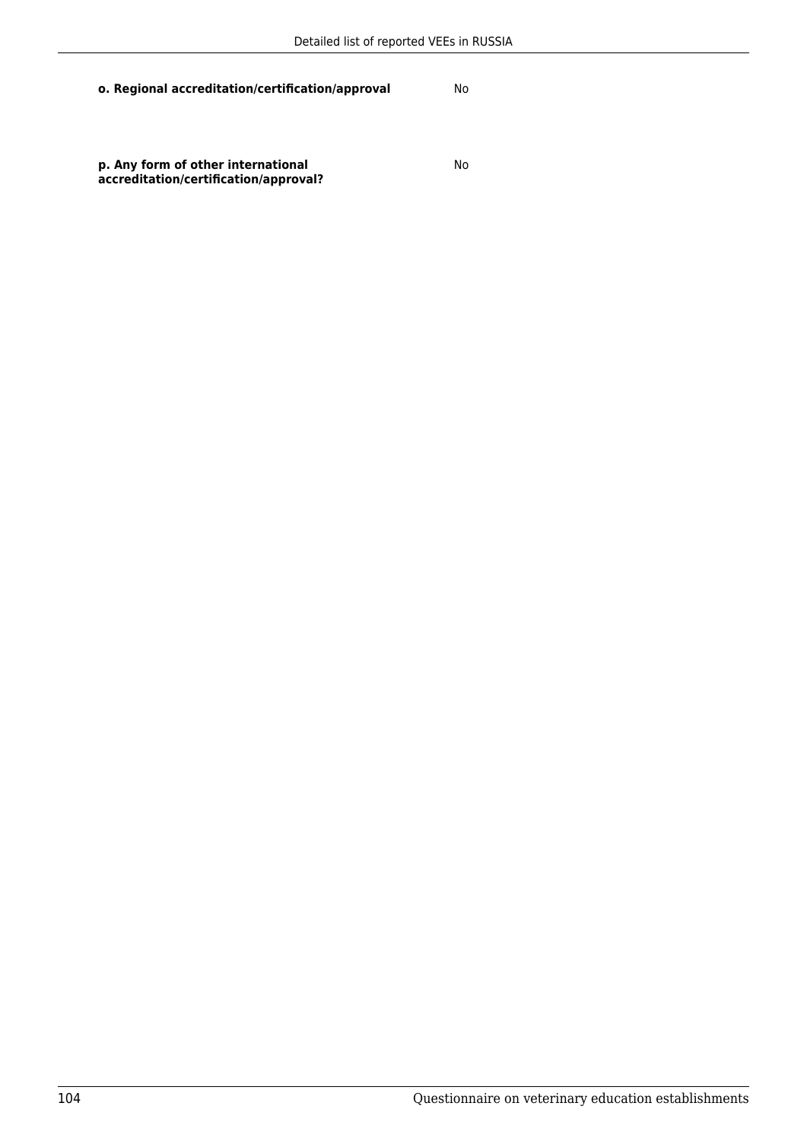No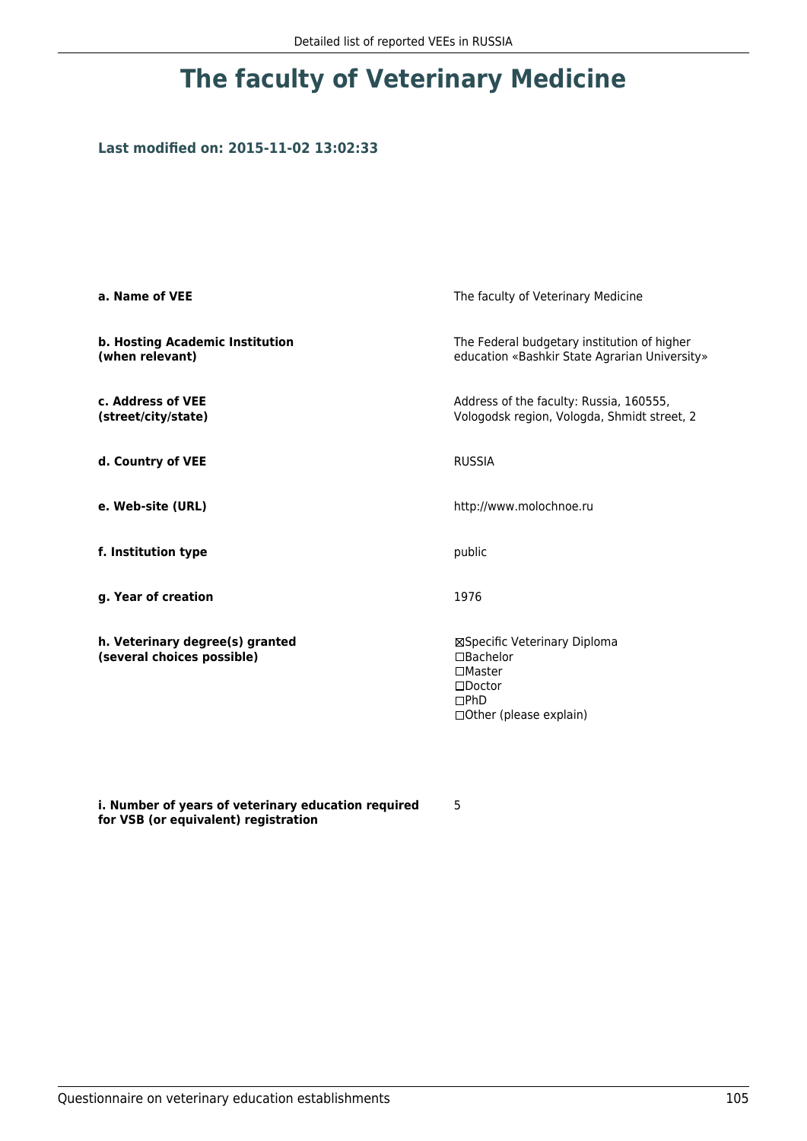## **Last modified on: 2015-11-02 13:02:33**

| a. Name of VEE                                                | The faculty of Veterinary Medicine                                                                                          |
|---------------------------------------------------------------|-----------------------------------------------------------------------------------------------------------------------------|
| b. Hosting Academic Institution<br>(when relevant)            | The Federal budgetary institution of higher<br>education «Bashkir State Agrarian University»                                |
| c. Address of VEE<br>(street/city/state)                      | Address of the faculty: Russia, 160555,<br>Vologodsk region, Vologda, Shmidt street, 2                                      |
| d. Country of VEE                                             | <b>RUSSIA</b>                                                                                                               |
| e. Web-site (URL)                                             | http://www.molochnoe.ru                                                                                                     |
| f. Institution type                                           | public                                                                                                                      |
| g. Year of creation                                           | 1976                                                                                                                        |
| h. Veterinary degree(s) granted<br>(several choices possible) | ⊠Specific Veterinary Diploma<br>□Bachelor<br>$\Box$ Master<br>$\square$ Doctor<br>$\square$ PhD<br>□ Other (please explain) |

**i. Number of years of veterinary education required for VSB (or equivalent) registration**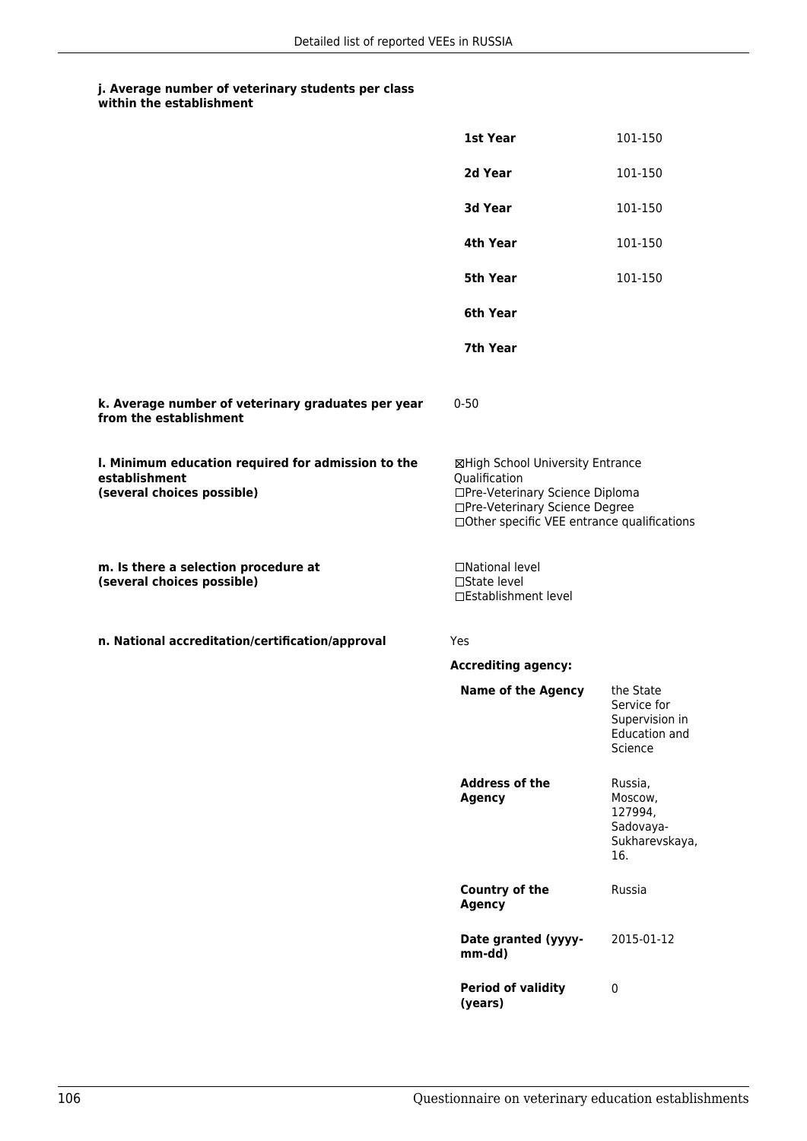|                                                                                                   | 1st Year                                                                                                                                                              | 101-150                                                                |
|---------------------------------------------------------------------------------------------------|-----------------------------------------------------------------------------------------------------------------------------------------------------------------------|------------------------------------------------------------------------|
|                                                                                                   | 2d Year                                                                                                                                                               | 101-150                                                                |
|                                                                                                   | 3d Year                                                                                                                                                               | 101-150                                                                |
|                                                                                                   | 4th Year                                                                                                                                                              | 101-150                                                                |
|                                                                                                   | 5th Year                                                                                                                                                              | 101-150                                                                |
|                                                                                                   | 6th Year                                                                                                                                                              |                                                                        |
|                                                                                                   | 7th Year                                                                                                                                                              |                                                                        |
| k. Average number of veterinary graduates per year<br>from the establishment                      | $0 - 50$                                                                                                                                                              |                                                                        |
| I. Minimum education required for admission to the<br>establishment<br>(several choices possible) | ⊠High School University Entrance<br>Qualification<br>□Pre-Veterinary Science Diploma<br>□Pre-Veterinary Science Degree<br>□Other specific VEE entrance qualifications |                                                                        |
| m. Is there a selection procedure at<br>(several choices possible)                                | □National level<br>□State level<br>□Establishment level                                                                                                               |                                                                        |
| n. National accreditation/certification/approval                                                  | Yes                                                                                                                                                                   |                                                                        |
|                                                                                                   | <b>Accrediting agency:</b>                                                                                                                                            |                                                                        |
|                                                                                                   | <b>Name of the Agency</b>                                                                                                                                             | the State<br>Service for<br>Supervision in<br>Education and<br>Science |
|                                                                                                   | <b>Address of the</b><br><b>Agency</b>                                                                                                                                | Russia,<br>Moscow,<br>127994,<br>Sadovaya-<br>Sukharevskaya,<br>16.    |
|                                                                                                   | <b>Country of the</b><br><b>Agency</b>                                                                                                                                | Russia                                                                 |
|                                                                                                   | Date granted (yyyy-<br>mm-dd)                                                                                                                                         | 2015-01-12                                                             |
|                                                                                                   | <b>Period of validity</b><br>(years)                                                                                                                                  | $\pmb{0}$                                                              |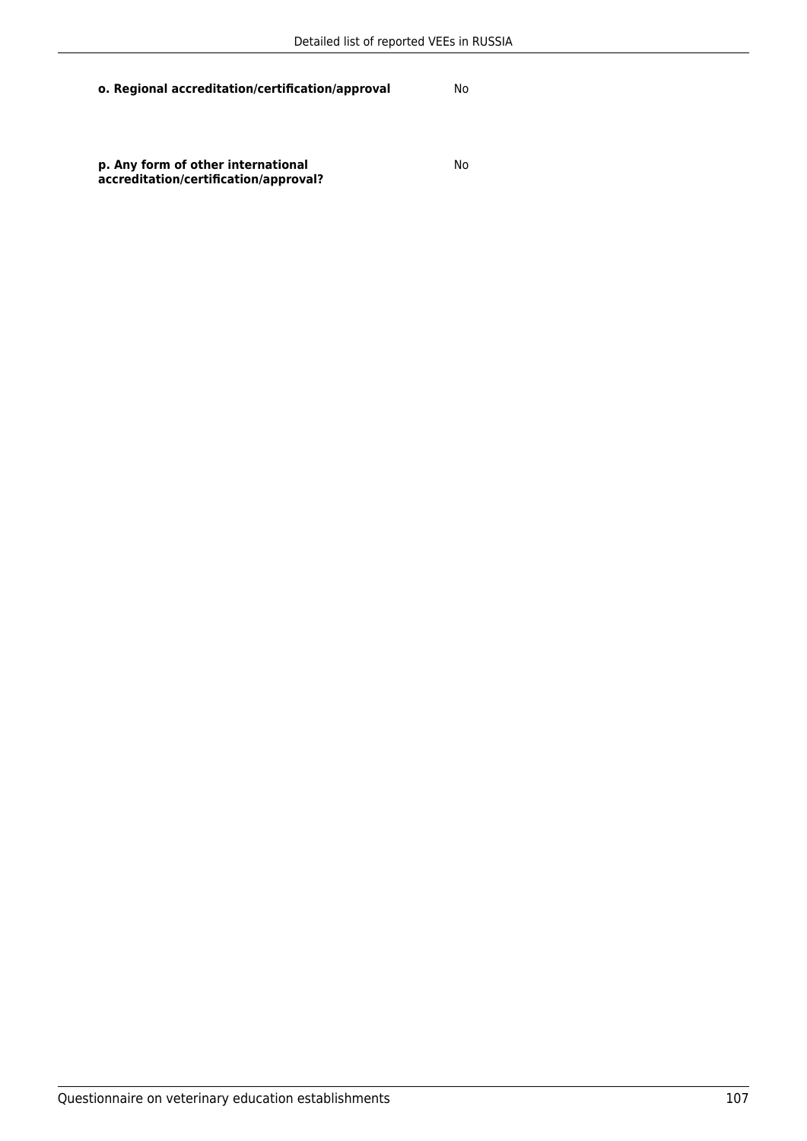No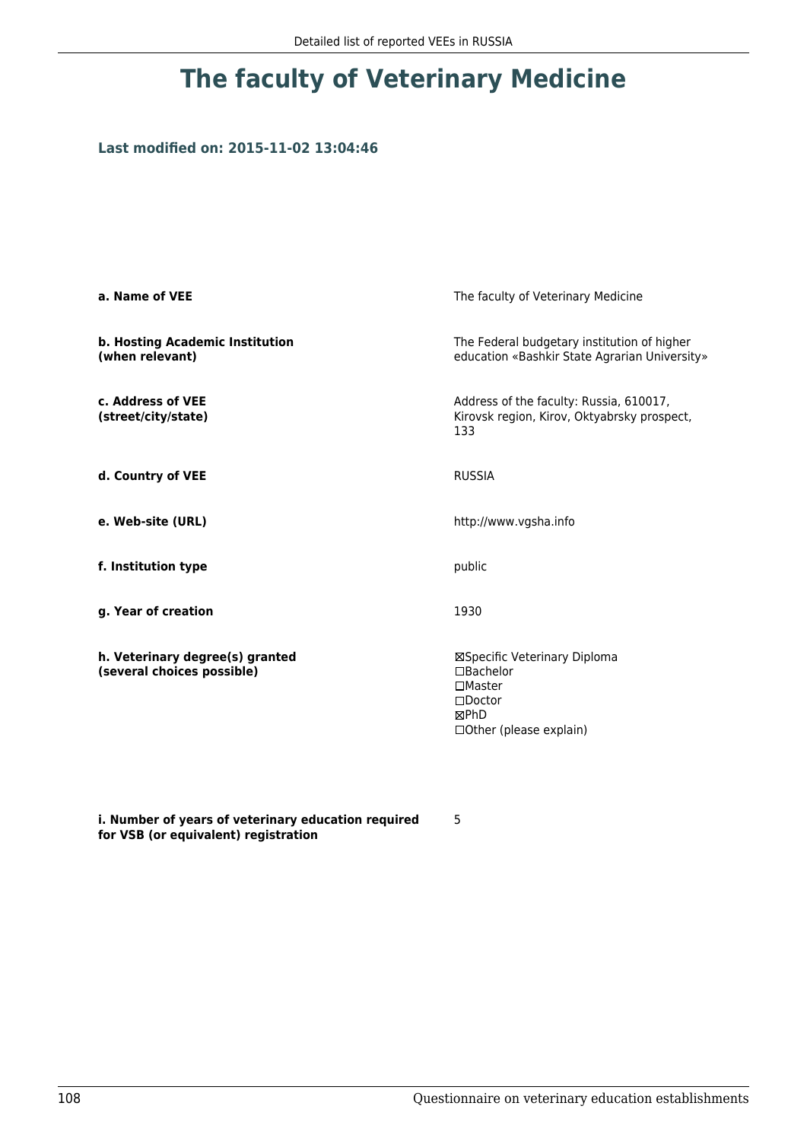### **Last modified on: 2015-11-02 13:04:46**

| a. Name of VEE                                                | The faculty of Veterinary Medicine                                                                                         |
|---------------------------------------------------------------|----------------------------------------------------------------------------------------------------------------------------|
| b. Hosting Academic Institution<br>(when relevant)            | The Federal budgetary institution of higher<br>education «Bashkir State Agrarian University»                               |
| c. Address of VEE<br>(street/city/state)                      | Address of the faculty: Russia, 610017,<br>Kirovsk region, Kirov, Oktyabrsky prospect,<br>133                              |
| d. Country of VEE                                             | <b>RUSSIA</b>                                                                                                              |
| e. Web-site (URL)                                             | http://www.vgsha.info                                                                                                      |
| f. Institution type                                           | public                                                                                                                     |
| g. Year of creation                                           | 1930                                                                                                                       |
| h. Veterinary degree(s) granted<br>(several choices possible) | ⊠Specific Veterinary Diploma<br>$\Box$ Bachelor<br>$\square$ Master<br>$\square$ Doctor<br>⊠PhD<br>□Other (please explain) |

**i. Number of years of veterinary education required for VSB (or equivalent) registration**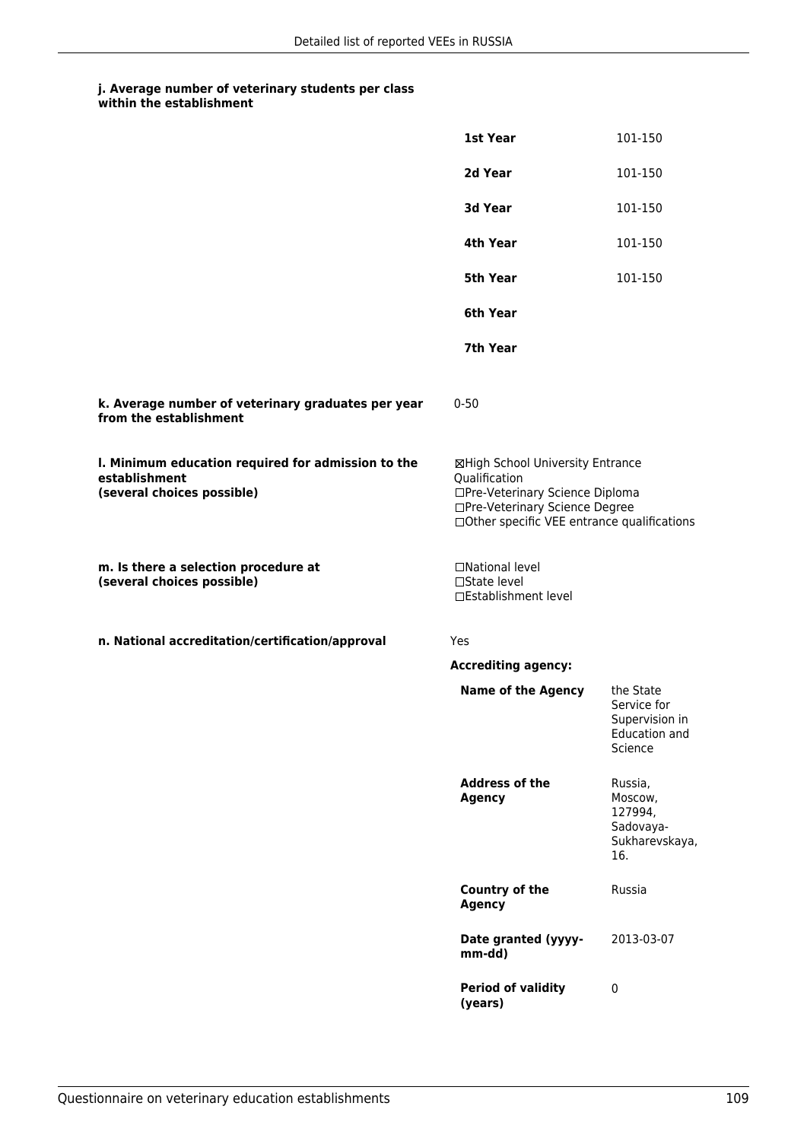## **j. Average number of veterinary students per class within the establishment**

|                                                                                                   | 1st Year                                                                                                                                                               | 101-150                                                                |
|---------------------------------------------------------------------------------------------------|------------------------------------------------------------------------------------------------------------------------------------------------------------------------|------------------------------------------------------------------------|
|                                                                                                   | 2d Year                                                                                                                                                                | 101-150                                                                |
|                                                                                                   | 3d Year                                                                                                                                                                | 101-150                                                                |
|                                                                                                   | 4th Year                                                                                                                                                               | 101-150                                                                |
|                                                                                                   | <b>5th Year</b>                                                                                                                                                        | 101-150                                                                |
|                                                                                                   | 6th Year                                                                                                                                                               |                                                                        |
|                                                                                                   | 7th Year                                                                                                                                                               |                                                                        |
| k. Average number of veterinary graduates per year<br>from the establishment                      | $0 - 50$                                                                                                                                                               |                                                                        |
| I. Minimum education required for admission to the<br>establishment<br>(several choices possible) | ⊠High School University Entrance<br>Qualification<br>□Pre-Veterinary Science Diploma<br>□Pre-Veterinary Science Degree<br>□ Other specific VEE entrance qualifications |                                                                        |
| m. Is there a selection procedure at<br>(several choices possible)                                | □National level<br>□State level<br>□Establishment level                                                                                                                |                                                                        |
| n. National accreditation/certification/approval                                                  | Yes                                                                                                                                                                    |                                                                        |
|                                                                                                   | <b>Accrediting agency:</b>                                                                                                                                             |                                                                        |
|                                                                                                   | <b>Name of the Agency</b>                                                                                                                                              | the State<br>Service for<br>Supervision in<br>Education and<br>Science |
|                                                                                                   | <b>Address of the</b><br><b>Agency</b>                                                                                                                                 | Russia,<br>Moscow,<br>127994,<br>Sadovaya-<br>Sukharevskaya,<br>16.    |
|                                                                                                   | <b>Country of the</b><br><b>Agency</b>                                                                                                                                 | Russia                                                                 |
|                                                                                                   | Date granted (yyyy-<br>mm-dd)                                                                                                                                          | 2013-03-07                                                             |
|                                                                                                   | <b>Period of validity</b><br>(years)                                                                                                                                   | $\pmb{0}$                                                              |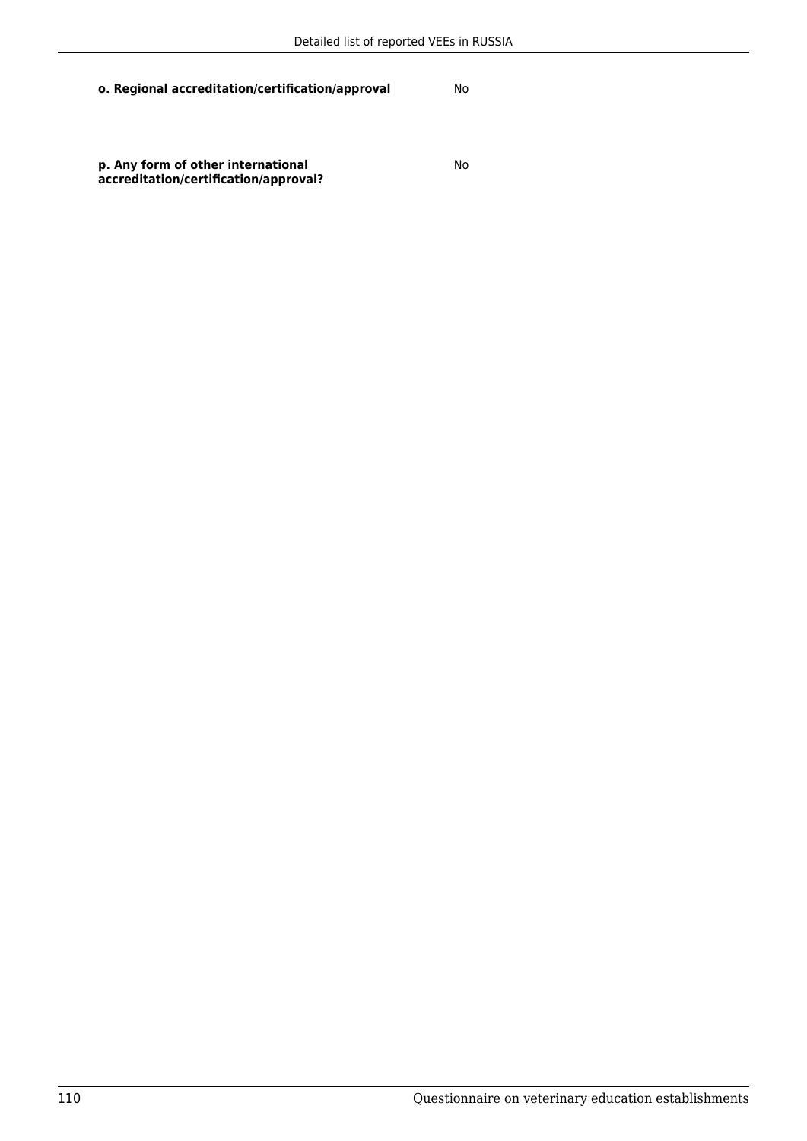**o. Regional accreditation/certification/approval** No

No

**p. Any form of other international accreditation/certification/approval?**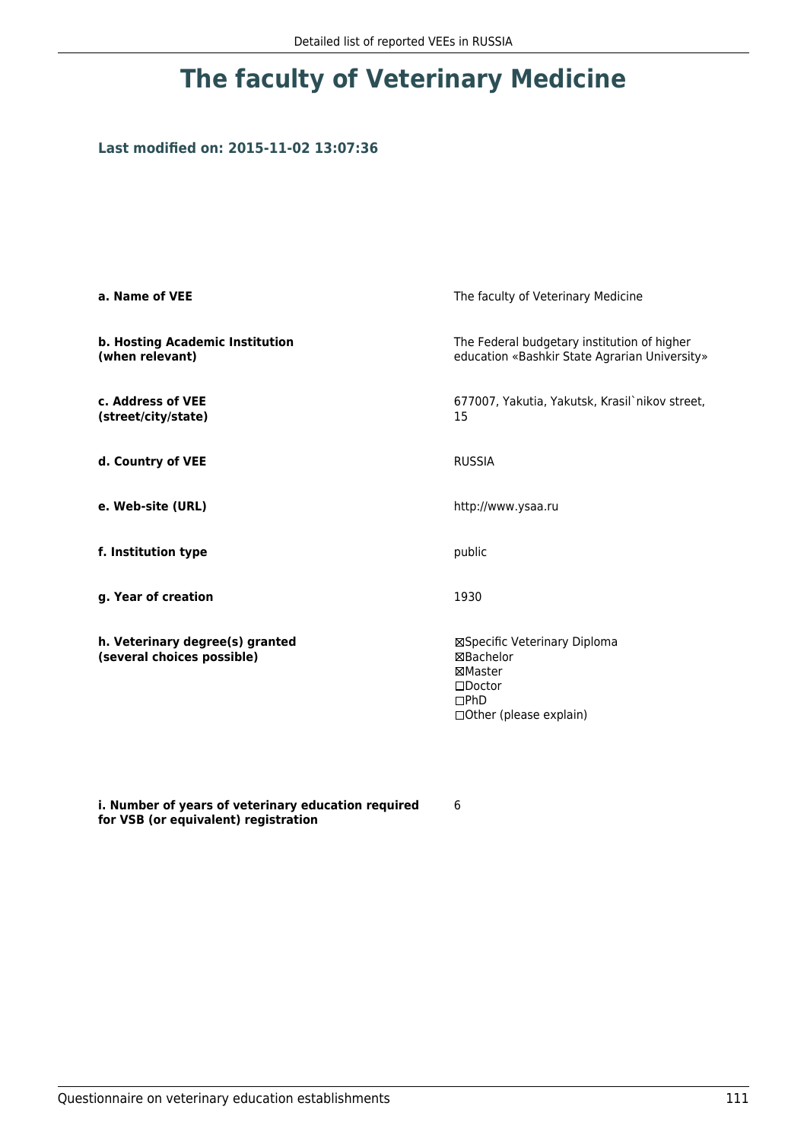## **The faculty of Veterinary Medicine**

## **Last modified on: 2015-11-02 13:07:36**

| a. Name of VEE                                                | The faculty of Veterinary Medicine                                                                          |  |
|---------------------------------------------------------------|-------------------------------------------------------------------------------------------------------------|--|
| b. Hosting Academic Institution<br>(when relevant)            | The Federal budgetary institution of higher<br>education «Bashkir State Agrarian University»                |  |
| c. Address of VEE<br>(street/city/state)                      | 677007, Yakutia, Yakutsk, Krasil`nikov street,<br>15                                                        |  |
| d. Country of VEE                                             | <b>RUSSIA</b>                                                                                               |  |
| e. Web-site (URL)                                             | http://www.ysaa.ru                                                                                          |  |
| f. Institution type                                           | public                                                                                                      |  |
| g. Year of creation                                           | 1930                                                                                                        |  |
| h. Veterinary degree(s) granted<br>(several choices possible) | ⊠Specific Veterinary Diploma<br>⊠Bachelor<br>⊠Master<br>$\square$ Doctor<br>DPhD<br>□Other (please explain) |  |

**i. Number of years of veterinary education required for VSB (or equivalent) registration**

6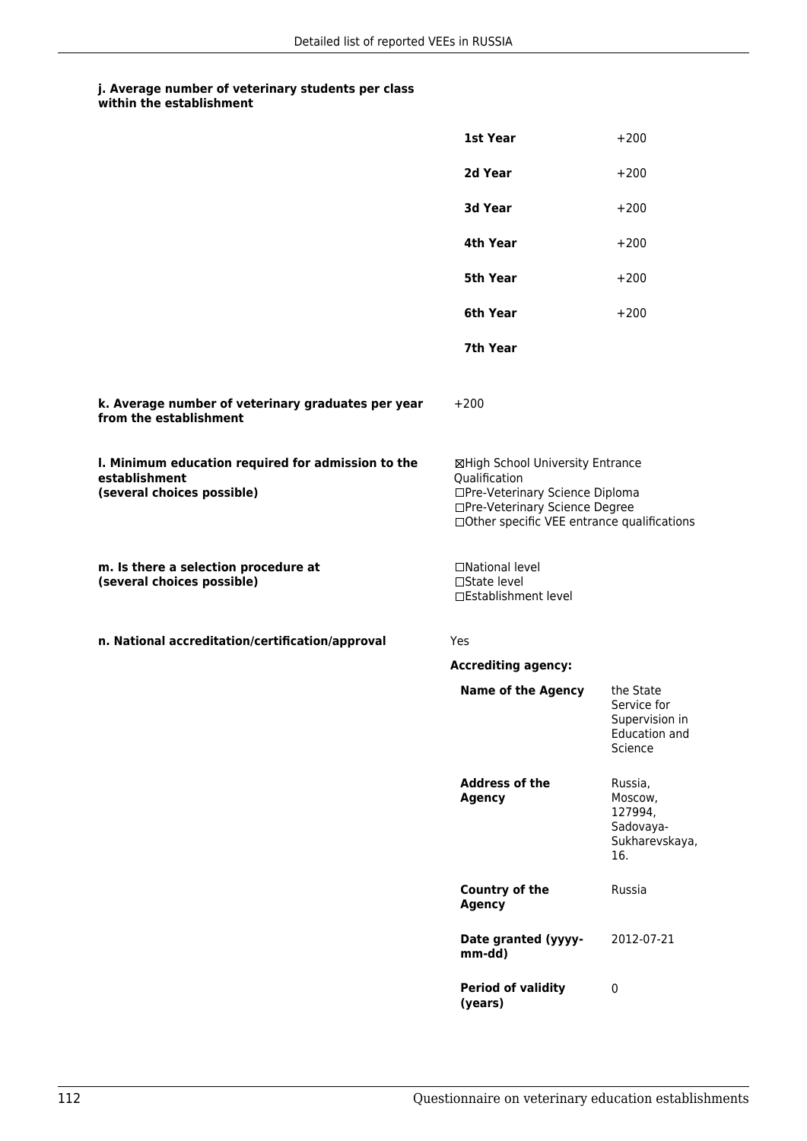## **j. Average number of veterinary students per class within the establishment**

|                                                                                                   | 1st Year                                                                                                                                                              | $+200$                                                                 |
|---------------------------------------------------------------------------------------------------|-----------------------------------------------------------------------------------------------------------------------------------------------------------------------|------------------------------------------------------------------------|
|                                                                                                   | 2d Year                                                                                                                                                               | $+200$                                                                 |
|                                                                                                   | 3d Year                                                                                                                                                               | $+200$                                                                 |
|                                                                                                   | 4th Year                                                                                                                                                              | $+200$                                                                 |
|                                                                                                   | 5th Year                                                                                                                                                              | $+200$                                                                 |
|                                                                                                   | 6th Year                                                                                                                                                              | $+200$                                                                 |
|                                                                                                   | 7th Year                                                                                                                                                              |                                                                        |
| k. Average number of veterinary graduates per year<br>from the establishment                      | $+200$                                                                                                                                                                |                                                                        |
| I. Minimum education required for admission to the<br>establishment<br>(several choices possible) | ⊠High School University Entrance<br>Qualification<br>□Pre-Veterinary Science Diploma<br>□Pre-Veterinary Science Degree<br>□Other specific VEE entrance qualifications |                                                                        |
| m. Is there a selection procedure at<br>(several choices possible)                                | □National level<br>$\Box$ State level<br>□Establishment level                                                                                                         |                                                                        |
| n. National accreditation/certification/approval                                                  | <b>Yes</b>                                                                                                                                                            |                                                                        |
|                                                                                                   | <b>Accrediting agency:</b>                                                                                                                                            |                                                                        |
|                                                                                                   | <b>Name of the Agency</b>                                                                                                                                             | the State<br>Service for<br>Supervision in<br>Education and<br>Science |
|                                                                                                   | <b>Address of the</b><br><b>Agency</b>                                                                                                                                | Russia,<br>Moscow,<br>127994,<br>Sadovaya-<br>Sukharevskaya,<br>16.    |
|                                                                                                   | <b>Country of the</b><br><b>Agency</b>                                                                                                                                | Russia                                                                 |
|                                                                                                   | Date granted (yyyy-<br>mm-dd)                                                                                                                                         | 2012-07-21                                                             |
|                                                                                                   | <b>Period of validity</b><br>(years)                                                                                                                                  | $\pmb{0}$                                                              |